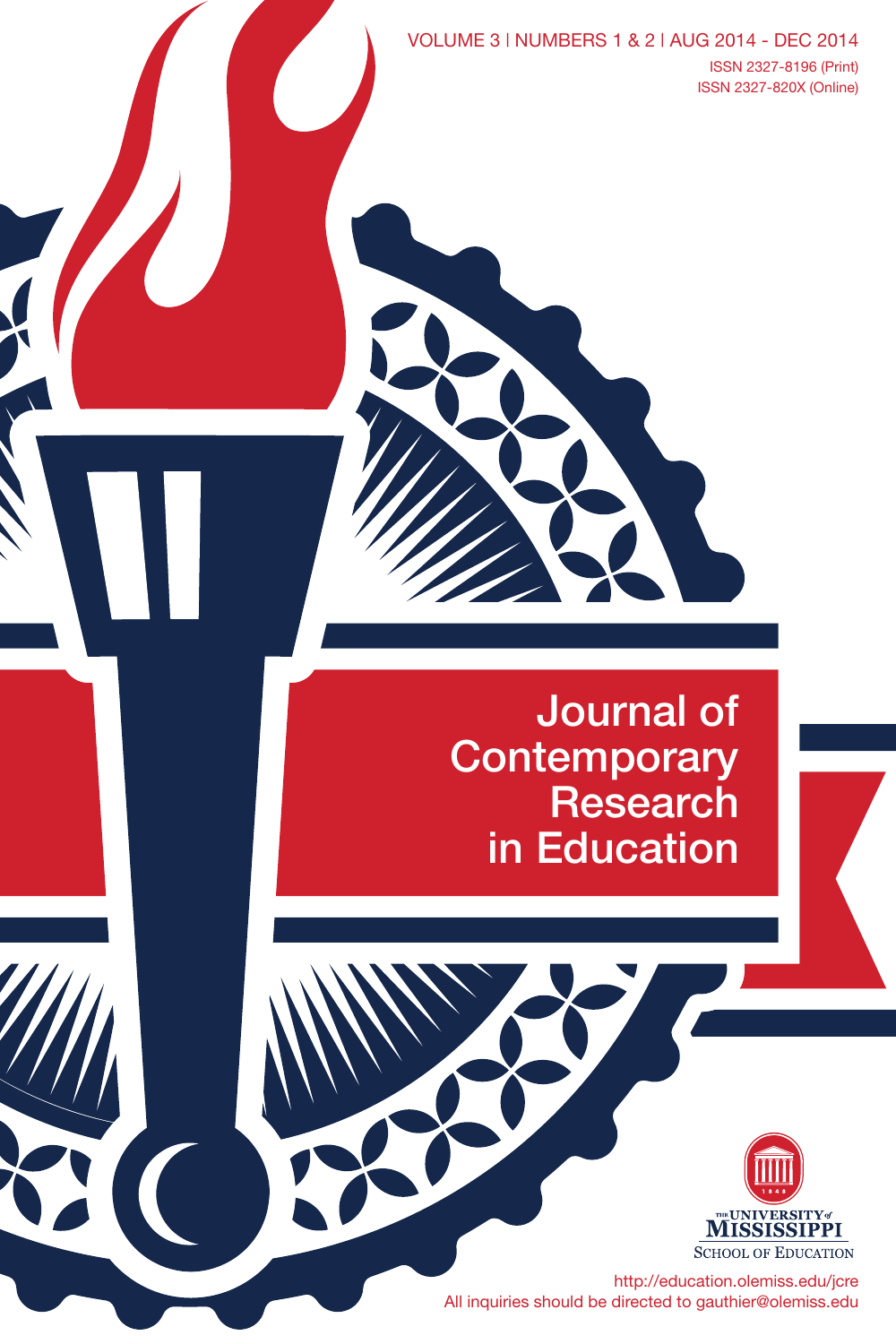VOLUME 3 | NUMBERS 1 & 2 | AUG 2014 - DEC 2014 Issn 2327-8196 (Print) Issn 2327-820X (Online)

Journal of **Contemporary** Research in Education



http://education.olemiss.edu/jcre All inquiries should be directed to gauthier@olemiss.edu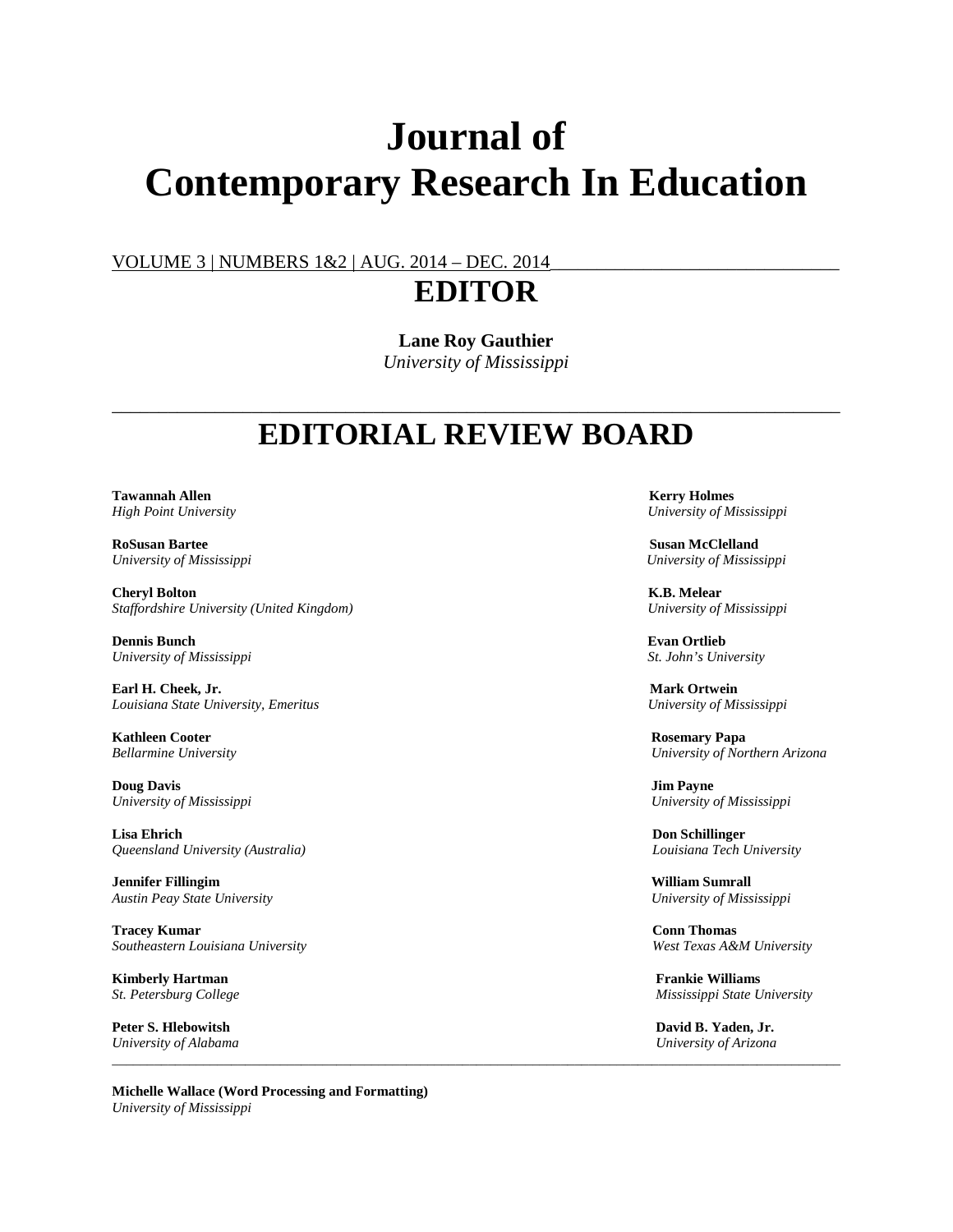# **Journal of Contemporary Research In Education**

VOLUME 3 | NUMBERS 1&2 | AUG. 2014 – DEC. 2014

### **EDITOR**

**Lane Roy Gauthier**

*University of Mississippi*

### \_\_\_\_\_\_\_\_\_\_\_\_\_\_\_\_\_\_\_\_\_\_\_\_\_\_\_\_\_\_\_\_\_\_\_\_\_\_\_\_\_\_\_\_\_\_\_\_\_\_\_\_\_\_\_\_\_\_\_\_\_\_\_\_\_\_\_\_\_\_\_\_\_\_\_\_\_\_ **EDITORIAL REVIEW BOARD**

*\_\_\_\_\_\_\_\_\_\_\_\_\_\_\_\_\_\_\_\_\_\_\_\_\_\_\_\_\_\_\_\_\_\_\_\_\_\_\_\_\_\_\_\_\_\_\_\_\_\_\_\_\_\_\_\_\_\_\_\_\_\_\_\_\_\_\_\_\_\_\_\_\_\_\_\_\_\_\_\_\_\_\_\_\_\_\_\_\_\_\_\_\_\_\_\_\_\_\_\_\_\_\_\_*

**Tawannah Allen** Kerry Holmes **Kerry Holmes** 

**RoSusan Bartee Susan McClelland** *University of Mississippi University of Mississippi*

**Cheryl Bolton K.B. Melear K.B. Melear K.B. Melear K.B. Melear K.B. Melear K.B. Melear Channel Staffordshire University (United Kingdom)** *Staffordshire University (United Kingdom) University of Mississippi*

**Dennis Bunch Evan Ortlieb**<br> *Evan Ortlieb*<br> *Chiversity of Mississippi* **Evan Ortlieb**<br> *St. John's University*  $University of Mississippi$ 

**Earl H. Cheek, Jr. Mark Ortwein** *Louisiana State University, Emeritus University of Mississippi*

**Kathleen Cooter Rosemary Papa** 

**Doug Davis Jim Payne** *University of Mississippi University of Mississippi*

**Lisa Ehrich Don Schillinger** *Queensland University (Australia) Louisiana Tech University*

**Jennifer Fillingim William Sumrall** *Austin Peay State University University of Mississippi*

**Tracey Kumar Conn Thomas** *Southeastern Louisiana University West Texas A&M University*

**Kimberly Hartman Frankie Williams**

**Peter S. Hlebowitsh David B. Yaden, Jr.**<br> *David B. Yaden, Jr.*<br> *University of Alabama* University of Arizona *University of Alabama University of Arizona*

**Michelle Wallace (Word Processing and Formatting)** *University of Mississippi*

*High Point University University of Mississippi*

*Bellarmine University University of Northern Arizona*

*St. Petersburg College Mississippi State University*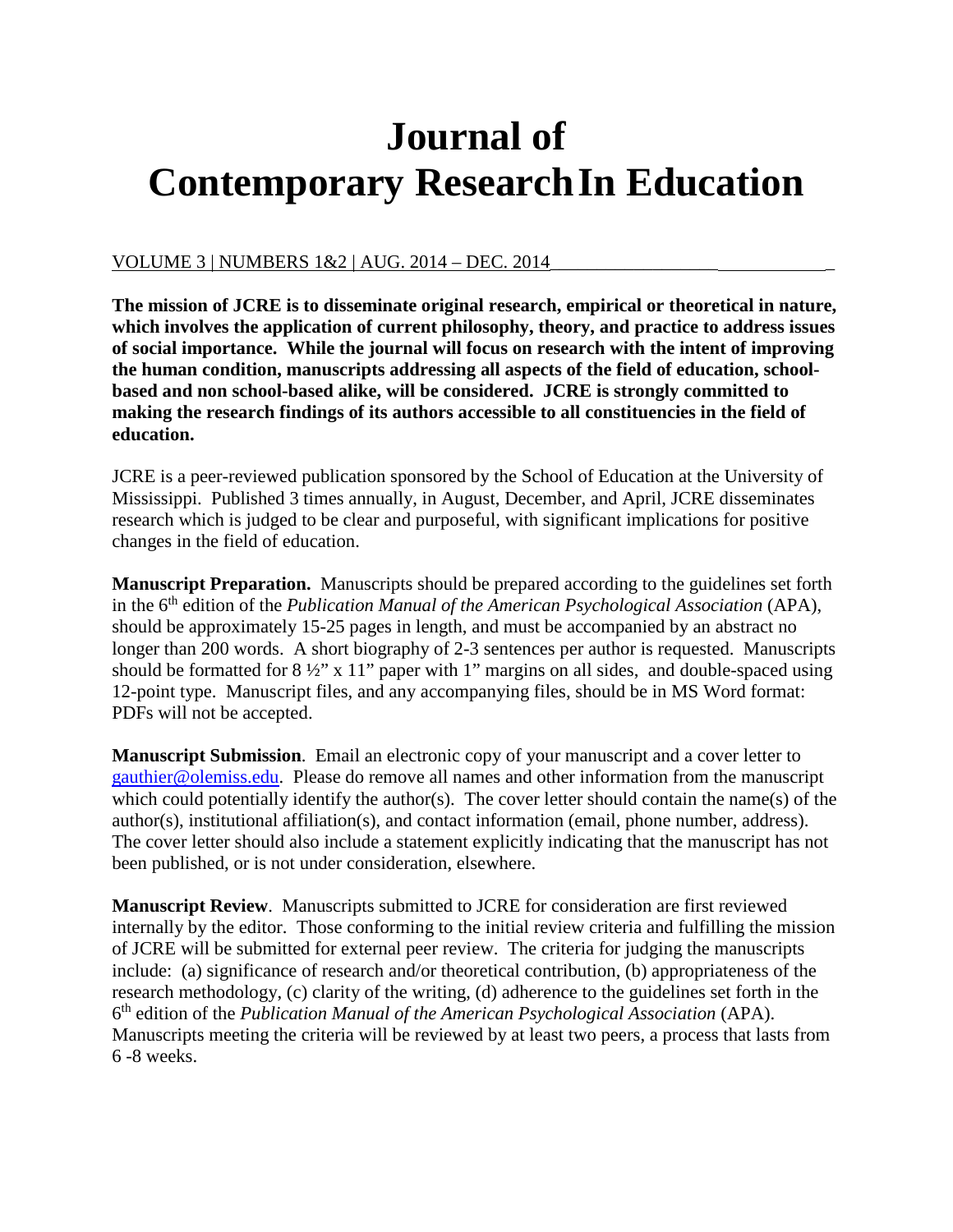# **Journal of Contemporary ResearchIn Education**

### VOLUME 3 | NUMBERS 1&2 | AUG. 2014 – DEC. 2014

**The mission of JCRE is to disseminate original research, empirical or theoretical in nature, which involves the application of current philosophy, theory, and practice to address issues of social importance. While the journal will focus on research with the intent of improving the human condition, manuscripts addressing all aspects of the field of education, schoolbased and non school-based alike, will be considered. JCRE is strongly committed to making the research findings of its authors accessible to all constituencies in the field of education.**

JCRE is a peer-reviewed publication sponsored by the School of Education at the University of Mississippi. Published 3 times annually, in August, December, and April, JCRE disseminates research which is judged to be clear and purposeful, with significant implications for positive changes in the field of education.

**Manuscript Preparation.** Manuscripts should be prepared according to the guidelines set forth in the 6th edition of the *Publication Manual of the American Psychological Association* (APA), should be approximately 15-25 pages in length, and must be accompanied by an abstract no longer than 200 words. A short biography of 2-3 sentences per author is requested. Manuscripts should be formatted for  $8\frac{1}{2}$ " x 11" paper with 1" margins on all sides, and double-spaced using 12-point type. Manuscript files, and any accompanying files, should be in MS Word format: PDFs will not be accepted.

**Manuscript Submission**. Email an electronic copy of your manuscript and a cover letter to [gauthier@olemiss.edu.](mailto:gauthier@olemiss.edu) Please do remove all names and other information from the manuscript which could potentially identify the author(s). The cover letter should contain the name(s) of the author(s), institutional affiliation(s), and contact information (email, phone number, address). The cover letter should also include a statement explicitly indicating that the manuscript has not been published, or is not under consideration, elsewhere.

**Manuscript Review**. Manuscripts submitted to JCRE for consideration are first reviewed internally by the editor. Those conforming to the initial review criteria and fulfilling the mission of JCRE will be submitted for external peer review. The criteria for judging the manuscripts include: (a) significance of research and/or theoretical contribution, (b) appropriateness of the research methodology, (c) clarity of the writing, (d) adherence to the guidelines set forth in the 6th edition of the *Publication Manual of the American Psychological Association* (APA). Manuscripts meeting the criteria will be reviewed by at least two peers, a process that lasts from 6 -8 weeks.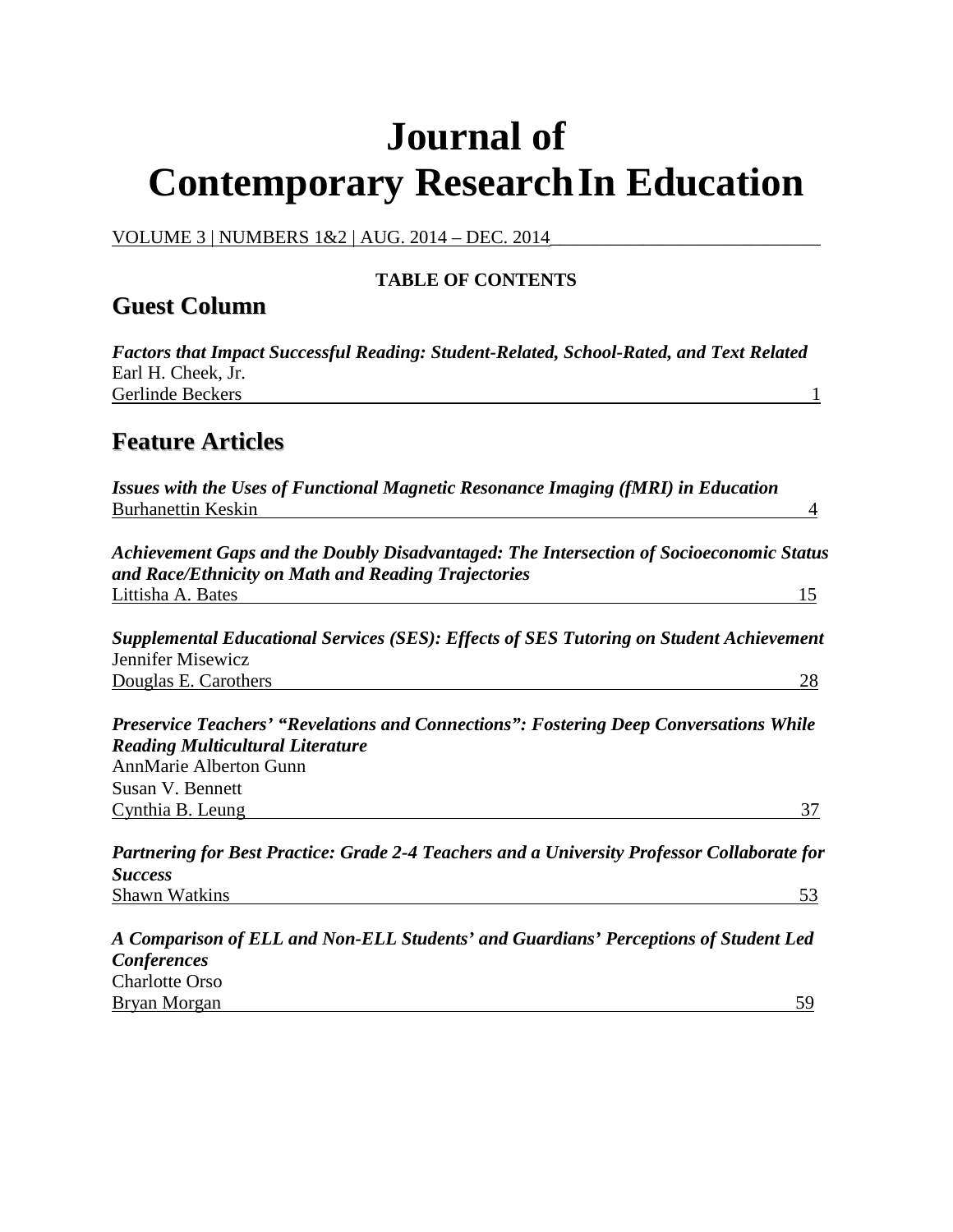# **Journal of Contemporary ResearchIn Education**

VOLUME 3 | NUMBERS 1&2 | AUG. 2014 – DEC. 2014

### **TABLE OF CONTENTS**

### **Guest Column**

*Factors that Impact Successful Reading: Student-Related, School-Rated, and Text Related* Earl H. Cheek, Jr. Gerlinde Beckers 1

### **Feature Articles**

*Issues with the Uses of Functional Magnetic Resonance Imaging (fMRI) in Education* Burhanettin Keskin 4

*Achievement Gaps and the Doubly Disadvantaged: The Intersection of Socioeconomic Status and Race/Ethnicity on Math and Reading Trajectories* Littisha A. Bates 15

*Supplemental Educational Services (SES): Effects of SES Tutoring on Student Achievement* Jennifer Misewicz Douglas E. Carothers 28

*Preservice Teachers' "Revelations and Connections": Fostering Deep Conversations While Reading Multicultural Literature* AnnMarie Alberton Gunn Susan V. Bennett Cynthia B. Leung 37

*Partnering for Best Practice: Grade 2-4 Teachers and a University Professor Collaborate for Success* Shawn Watkins 53

*A Comparison of ELL and Non-ELL Students' and Guardians' Perceptions of Student Led Conferences* Charlotte Orso Bryan Morgan 59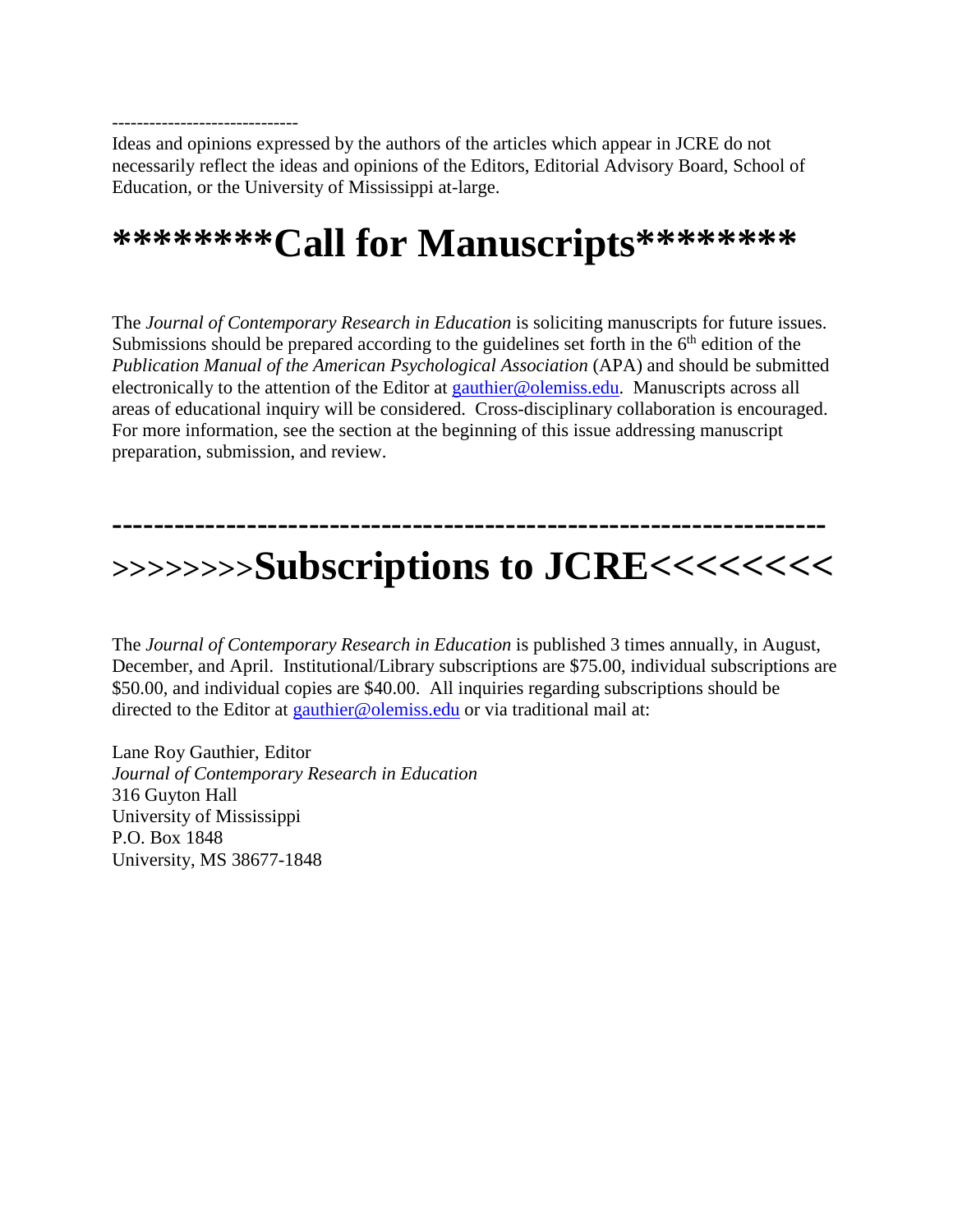------------------------------ Ideas and opinions expressed by the authors of the articles which appear in JCRE do not necessarily reflect the ideas and opinions of the Editors, Editorial Advisory Board, School of Education, or the University of Mississippi at-large.

# **\*\*\*\*\*\*\*\*Call for Manuscripts\*\*\*\*\*\*\*\***

The *Journal of Contemporary Research in Education* is soliciting manuscripts for future issues. Submissions should be prepared according to the guidelines set forth in the  $6<sup>th</sup>$  edition of the *Publication Manual of the American Psychological Association* (APA) and should be submitted electronically to the attention of the Editor at [gauthier@olemiss.edu.](mailto:gauthier@olemiss.edu) Manuscripts across all areas of educational inquiry will be considered. Cross-disciplinary collaboration is encouraged. For more information, see the section at the beginning of this issue addressing manuscript preparation, submission, and review.

## **--------------------------------------------------------------------- >>>>>>>>Subscriptions to JCRE<<<<<<<<**

The *Journal of Contemporary Research in Education* is published 3 times annually, in August, December, and April. Institutional/Library subscriptions are \$75.00, individual subscriptions are \$50.00, and individual copies are \$40.00. All inquiries regarding subscriptions should be directed to the Editor at [gauthier@olemiss.edu](mailto:gauthier@olemiss.edu) or via traditional mail at:

Lane Roy Gauthier, Editor *Journal of Contemporary Research in Education* 316 Guyton Hall University of Mississippi P.O. Box 1848 University, MS 38677-1848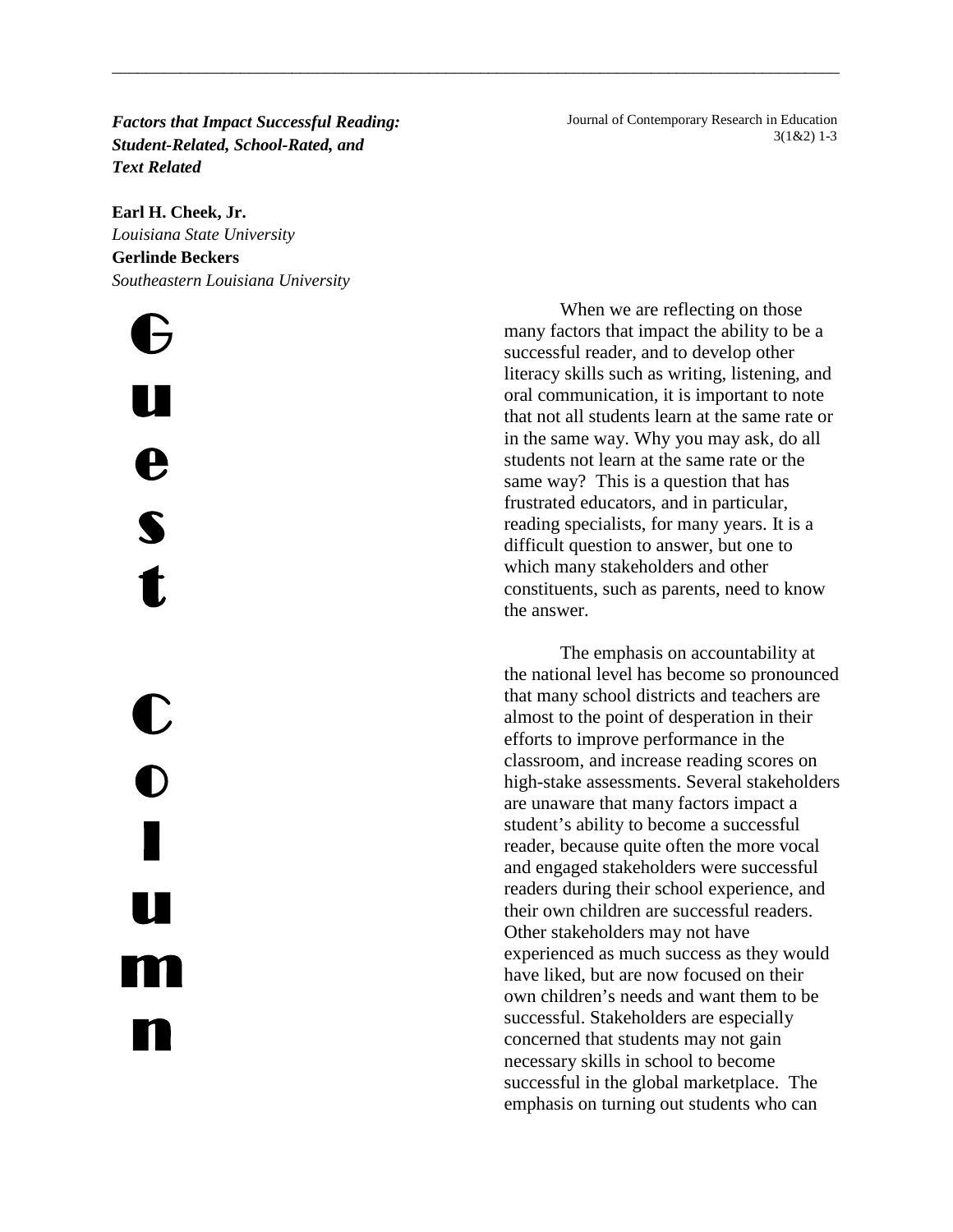*Factors that Impact Successful Reading: Student-Related, School-Rated, and Text Related* 

\_\_\_\_\_\_\_\_\_\_\_\_\_\_\_\_\_\_\_\_\_\_\_\_\_\_\_\_\_\_\_\_\_\_\_\_\_\_\_\_\_\_\_\_\_\_\_\_\_\_\_\_\_\_\_\_\_\_\_\_\_\_\_\_\_\_\_\_\_\_\_\_\_\_\_\_\_\_\_\_\_\_\_\_\_

#### **Earl H. Cheek, Jr.**

*Louisiana State University* **Gerlinde Beckers** *Southeastern Louisiana University*

G u e s t C **b** l u m n

 Journal of Contemporary Research in Education 3(1&2) 1-3

When we are reflecting on those many factors that impact the ability to be a successful reader, and to develop other literacy skills such as writing, listening, and oral communication, it is important to note that not all students learn at the same rate or in the same way. Why you may ask, do all students not learn at the same rate or the same way? This is a question that has frustrated educators, and in particular, reading specialists, for many years. It is a difficult question to answer, but one to which many stakeholders and other constituents, such as parents, need to know the answer.

The emphasis on accountability at the national level has become so pronounced that many school districts and teachers are almost to the point of desperation in their efforts to improve performance in the classroom, and increase reading scores on high-stake assessments. Several stakeholders are unaware that many factors impact a student's ability to become a successful reader, because quite often the more vocal and engaged stakeholders were successful readers during their school experience, and their own children are successful readers. Other stakeholders may not have experienced as much success as they would have liked, but are now focused on their own children's needs and want them to be successful. Stakeholders are especially concerned that students may not gain necessary skills in school to become successful in the global marketplace. The emphasis on turning out students who can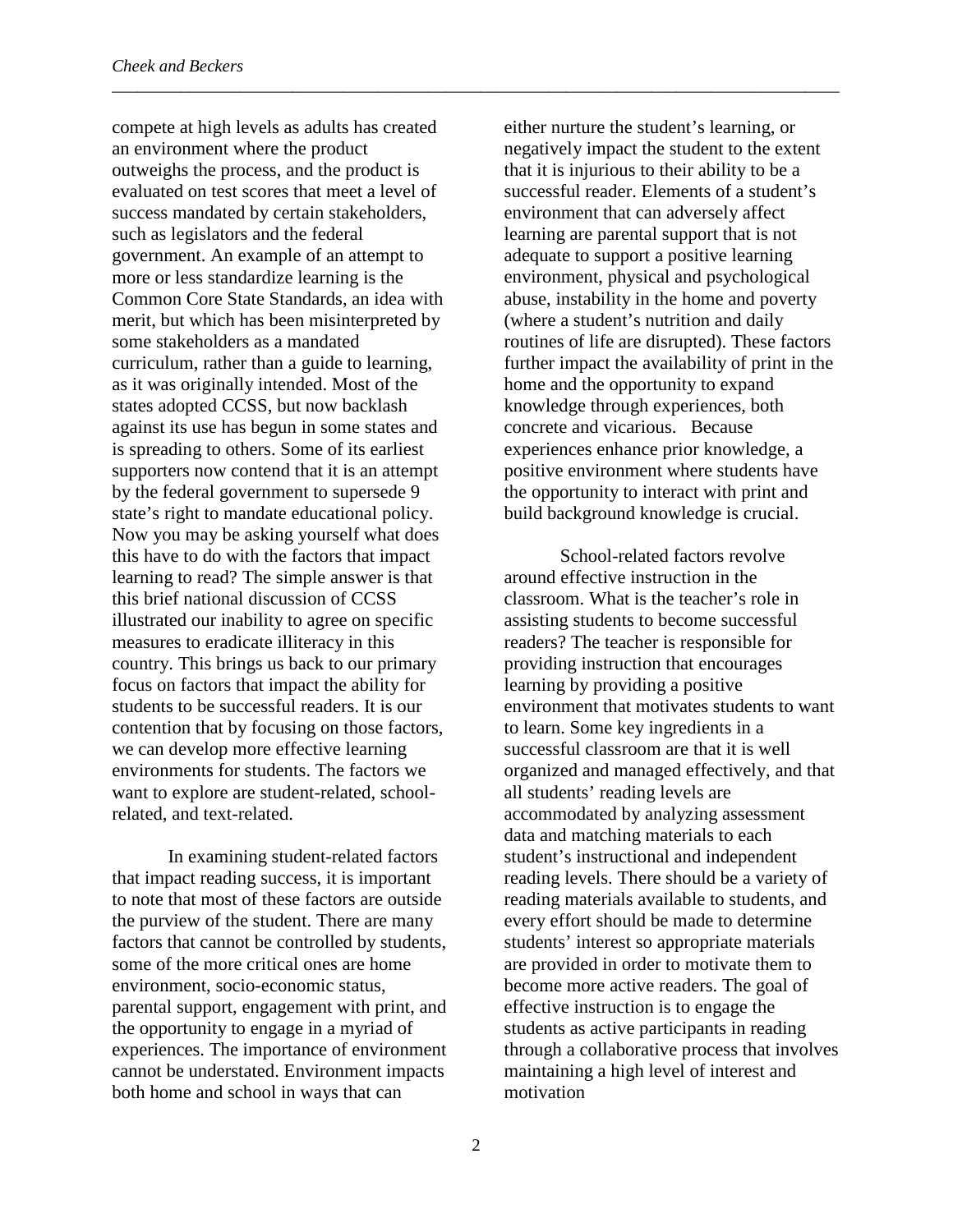compete at high levels as adults has created an environment where the product outweighs the process, and the product is evaluated on test scores that meet a level of success mandated by certain stakeholders, such as legislators and the federal government. An example of an attempt to more or less standardize learning is the Common Core State Standards, an idea with merit, but which has been misinterpreted by some stakeholders as a mandated curriculum, rather than a guide to learning, as it was originally intended. Most of the states adopted CCSS, but now backlash against its use has begun in some states and is spreading to others. Some of its earliest supporters now contend that it is an attempt by the federal government to supersede 9 state's right to mandate educational policy. Now you may be asking yourself what does this have to do with the factors that impact learning to read? The simple answer is that this brief national discussion of CCSS illustrated our inability to agree on specific measures to eradicate illiteracy in this country. This brings us back to our primary focus on factors that impact the ability for students to be successful readers. It is our contention that by focusing on those factors, we can develop more effective learning environments for students. The factors we want to explore are student-related, schoolrelated, and text-related.

In examining student-related factors that impact reading success, it is important to note that most of these factors are outside the purview of the student. There are many factors that cannot be controlled by students, some of the more critical ones are home environment, socio-economic status, parental support, engagement with print, and the opportunity to engage in a myriad of experiences. The importance of environment cannot be understated. Environment impacts both home and school in ways that can

either nurture the student's learning, or negatively impact the student to the extent that it is injurious to their ability to be a successful reader. Elements of a student's environment that can adversely affect learning are parental support that is not adequate to support a positive learning environment, physical and psychological abuse, instability in the home and poverty (where a student's nutrition and daily routines of life are disrupted). These factors further impact the availability of print in the home and the opportunity to expand knowledge through experiences, both concrete and vicarious. Because experiences enhance prior knowledge, a positive environment where students have the opportunity to interact with print and build background knowledge is crucial.

School-related factors revolve around effective instruction in the classroom. What is the teacher's role in assisting students to become successful readers? The teacher is responsible for providing instruction that encourages learning by providing a positive environment that motivates students to want to learn. Some key ingredients in a successful classroom are that it is well organized and managed effectively, and that all students' reading levels are accommodated by analyzing assessment data and matching materials to each student's instructional and independent reading levels. There should be a variety of reading materials available to students, and every effort should be made to determine students' interest so appropriate materials are provided in order to motivate them to become more active readers. The goal of effective instruction is to engage the students as active participants in reading through a collaborative process that involves maintaining a high level of interest and motivation

\_\_\_\_\_\_\_\_\_\_\_\_\_\_\_\_\_\_\_\_\_\_\_\_\_\_\_\_\_\_\_\_\_\_\_\_\_\_\_\_\_\_\_\_\_\_\_\_\_\_\_\_\_\_\_\_\_\_\_\_\_\_\_\_\_\_\_\_\_\_\_\_\_\_\_\_\_\_\_\_\_\_\_\_\_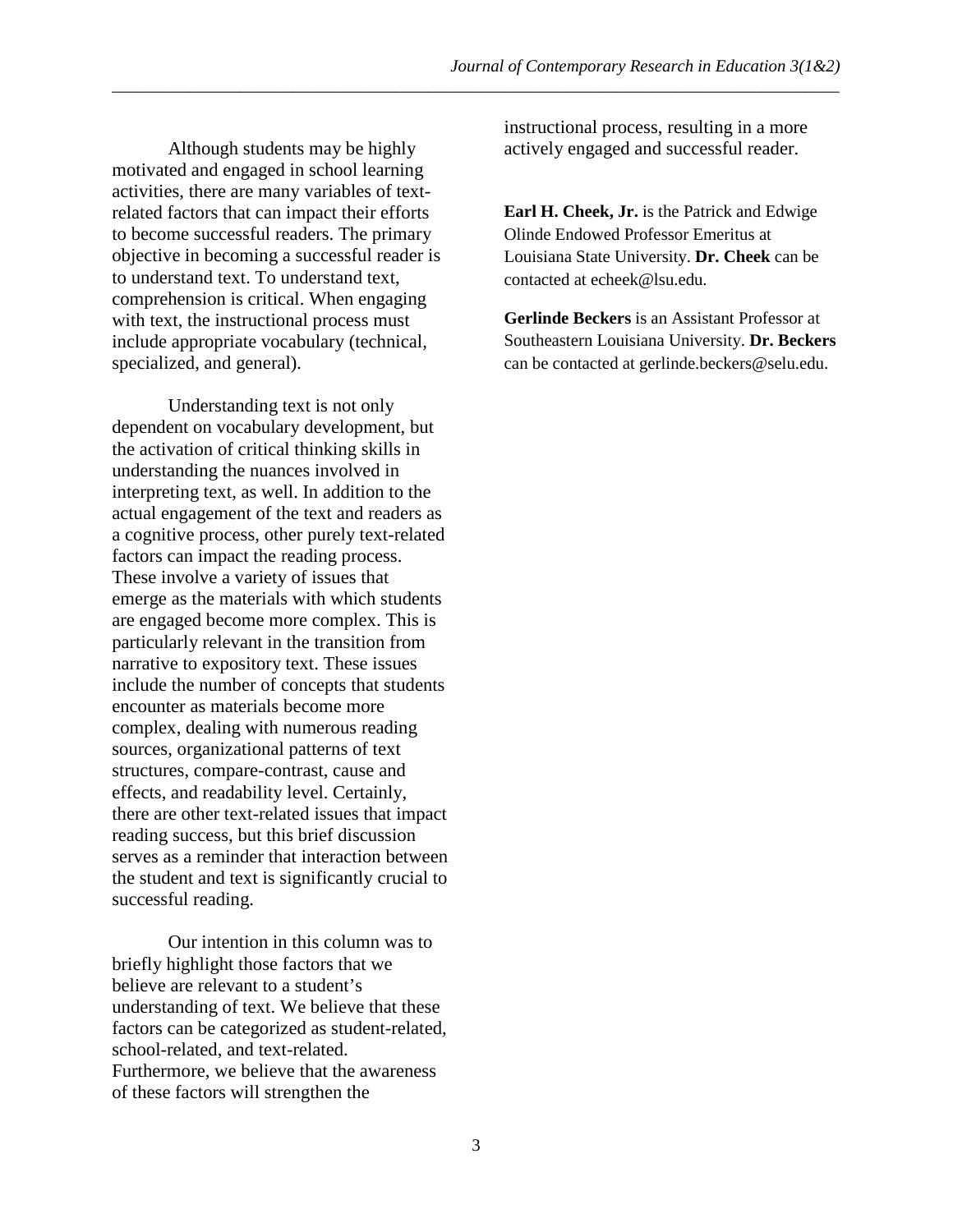Although students may be highly motivated and engaged in school learning activities, there are many variables of textrelated factors that can impact their efforts to become successful readers. The primary objective in becoming a successful reader is to understand text. To understand text, comprehension is critical. When engaging with text, the instructional process must include appropriate vocabulary (technical, specialized, and general).

Understanding text is not only dependent on vocabulary development, but the activation of critical thinking skills in understanding the nuances involved in interpreting text, as well. In addition to the actual engagement of the text and readers as a cognitive process, other purely text-related factors can impact the reading process. These involve a variety of issues that emerge as the materials with which students are engaged become more complex. This is particularly relevant in the transition from narrative to expository text. These issues include the number of concepts that students encounter as materials become more complex, dealing with numerous reading sources, organizational patterns of text structures, compare-contrast, cause and effects, and readability level. Certainly, there are other text-related issues that impact reading success, but this brief discussion serves as a reminder that interaction between the student and text is significantly crucial to successful reading.

Our intention in this column was to briefly highlight those factors that we believe are relevant to a student's understanding of text. We believe that these factors can be categorized as student-related, school-related, and text-related. Furthermore, we believe that the awareness of these factors will strengthen the

instructional process, resulting in a more actively engaged and successful reader.

**Earl H. Cheek, Jr.** is the Patrick and Edwige Olinde Endowed Professor Emeritus at Louisiana State University. **Dr. Cheek** can be contacted at echeek@lsu.edu.

**Gerlinde Beckers** is an Assistant Professor at Southeastern Louisiana University. **Dr. Beckers** can be contacted at gerlinde.beckers@selu.edu.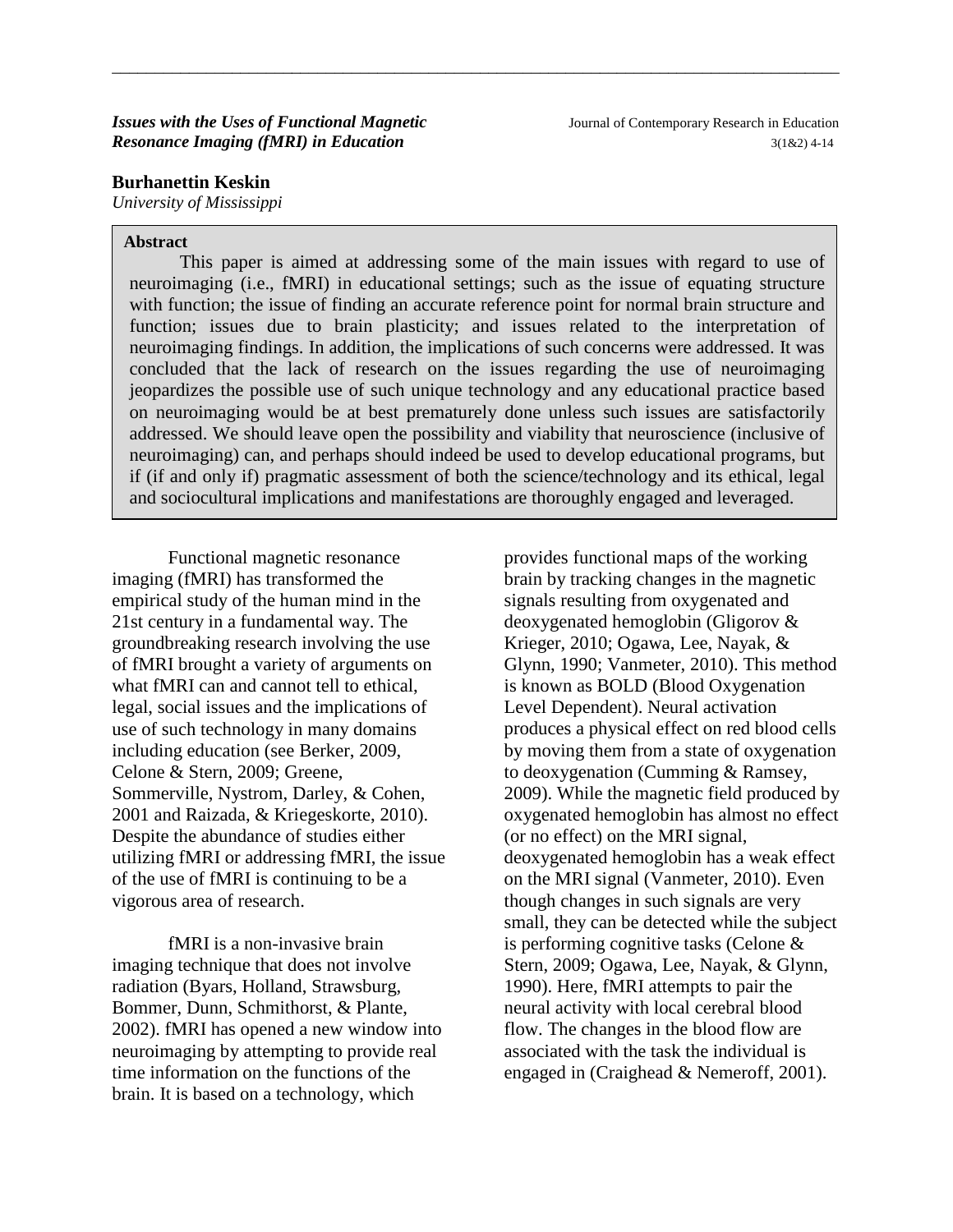#### **Burhanettin Keskin**

*University of Mississippi*

#### **Abstract**

This paper is aimed at addressing some of the main issues with regard to use of neuroimaging (i.e., fMRI) in educational settings; such as the issue of equating structure with function; the issue of finding an accurate reference point for normal brain structure and function; issues due to brain plasticity; and issues related to the interpretation of neuroimaging findings. In addition, the implications of such concerns were addressed. It was concluded that the lack of research on the issues regarding the use of neuroimaging jeopardizes the possible use of such unique technology and any educational practice based on neuroimaging would be at best prematurely done unless such issues are satisfactorily addressed. We should leave open the possibility and viability that neuroscience (inclusive of neuroimaging) can, and perhaps should indeed be used to develop educational programs, but if (if and only if) pragmatic assessment of both the science/technology and its ethical, legal and sociocultural implications and manifestations are thoroughly engaged and leveraged.

\_\_\_\_\_\_\_\_\_\_\_\_\_\_\_\_\_\_\_\_\_\_\_\_\_\_\_\_\_\_\_\_\_\_\_\_\_\_\_\_\_\_\_\_\_\_\_\_\_\_\_\_\_\_\_\_\_\_\_\_\_\_\_\_\_\_\_\_\_\_\_\_\_\_\_\_\_\_\_\_\_\_\_\_\_

Functional magnetic resonance imaging (fMRI) has transformed the empirical study of the human mind in the 21st century in a fundamental way. The groundbreaking research involving the use of fMRI brought a variety of arguments on what fMRI can and cannot tell to ethical. legal, social issues and the implications of use of such technology in many domains including education (see Berker, 2009, Celone & Stern, 2009; Greene, Sommerville, Nystrom, Darley, & Cohen, 2001 and Raizada, & Kriegeskorte, 2010). Despite the abundance of studies either utilizing fMRI or addressing fMRI, the issue of the use of fMRI is continuing to be a vigorous area of research.

fMRI is a non-invasive brain imaging technique that does not involve radiation (Byars, Holland, Strawsburg, Bommer, Dunn, Schmithorst, & Plante, 2002). fMRI has opened a new window into neuroimaging by attempting to provide real time information on the functions of the brain. It is based on a technology, which

provides functional maps of the working brain by tracking changes in the magnetic signals resulting from oxygenated and deoxygenated hemoglobin (Gligorov & Krieger, 2010; Ogawa, Lee, Nayak, & Glynn, 1990; Vanmeter, 2010). This method is known as BOLD (Blood Oxygenation Level Dependent). Neural activation produces a physical effect on red blood cells by moving them from a state of oxygenation to deoxygenation (Cumming & Ramsey, 2009). While the magnetic field produced by oxygenated hemoglobin has almost no effect (or no effect) on the MRI signal, deoxygenated hemoglobin has a weak effect on the MRI signal (Vanmeter, 2010). Even though changes in such signals are very small, they can be detected while the subject is performing cognitive tasks (Celone & Stern, 2009; Ogawa, Lee, Nayak, & Glynn, 1990). Here, fMRI attempts to pair the neural activity with local cerebral blood flow. The changes in the blood flow are associated with the task the individual is engaged in (Craighead & Nemeroff, 2001).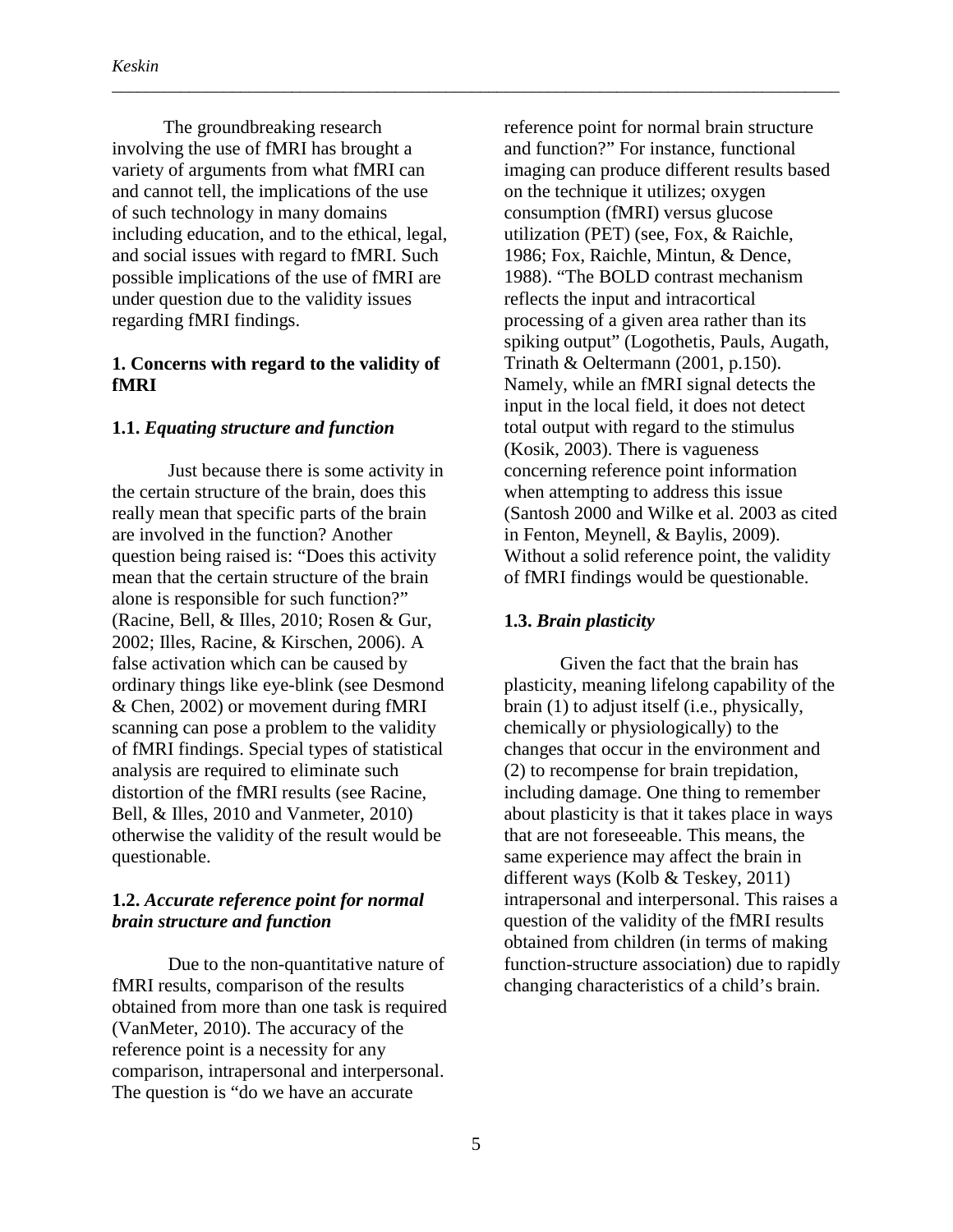The groundbreaking research involving the use of fMRI has brought a variety of arguments from what fMRI can and cannot tell, the implications of the use of such technology in many domains including education, and to the ethical, legal, and social issues with regard to fMRI. Such possible implications of the use of fMRI are under question due to the validity issues regarding fMRI findings.

#### **1. Concerns with regard to the validity of fMRI**

#### **1.1.** *Equating structure and function*

Just because there is some activity in the certain structure of the brain, does this really mean that specific parts of the brain are involved in the function? Another question being raised is: "Does this activity mean that the certain structure of the brain alone is responsible for such function?" (Racine, Bell, & Illes, 2010; Rosen & Gur, 2002; Illes, Racine, & Kirschen, 2006). A false activation which can be caused by ordinary things like eye-blink (see Desmond & Chen, 2002) or movement during fMRI scanning can pose a problem to the validity of fMRI findings. Special types of statistical analysis are required to eliminate such distortion of the fMRI results (see Racine, Bell, & Illes, 2010 and Vanmeter, 2010) otherwise the validity of the result would be questionable.

#### **1.2.** *Accurate reference point for normal brain structure and function*

Due to the non-quantitative nature of fMRI results, comparison of the results obtained from more than one task is required (VanMeter, 2010). The accuracy of the reference point is a necessity for any comparison, intrapersonal and interpersonal. The question is "do we have an accurate

reference point for normal brain structure and function?" For instance, functional imaging can produce different results based on the technique it utilizes; oxygen consumption (fMRI) versus glucose utilization (PET) (see, Fox, & Raichle, 1986; Fox, Raichle, Mintun, & Dence, 1988). "The BOLD contrast mechanism reflects the input and intracortical processing of a given area rather than its spiking output" (Logothetis, Pauls, Augath, Trinath & Oeltermann (2001, p.150). Namely, while an fMRI signal detects the input in the local field, it does not detect total output with regard to the stimulus (Kosik, 2003). There is vagueness concerning reference point information when attempting to address this issue (Santosh 2000 and Wilke et al. 2003 as cited in Fenton, Meynell, & Baylis, 2009). Without a solid reference point, the validity of fMRI findings would be questionable.

#### **1.3.** *Brain plasticity*

\_\_\_\_\_\_\_\_\_\_\_\_\_\_\_\_\_\_\_\_\_\_\_\_\_\_\_\_\_\_\_\_\_\_\_\_\_\_\_\_\_\_\_\_\_\_\_\_\_\_\_\_\_\_\_\_\_\_\_\_\_\_\_\_\_\_\_\_\_\_\_\_\_\_\_\_\_\_\_\_\_\_\_\_\_

Given the fact that the brain has plasticity, meaning lifelong capability of the brain (1) to adjust itself (i.e., physically, chemically or physiologically) to the changes that occur in the environment and (2) to recompense for brain trepidation, including damage. One thing to remember about plasticity is that it takes place in ways that are not foreseeable. This means, the same experience may affect the brain in different ways (Kolb & Teskey, 2011) intrapersonal and interpersonal. This raises a question of the validity of the fMRI results obtained from children (in terms of making function-structure association) due to rapidly changing characteristics of a child's brain.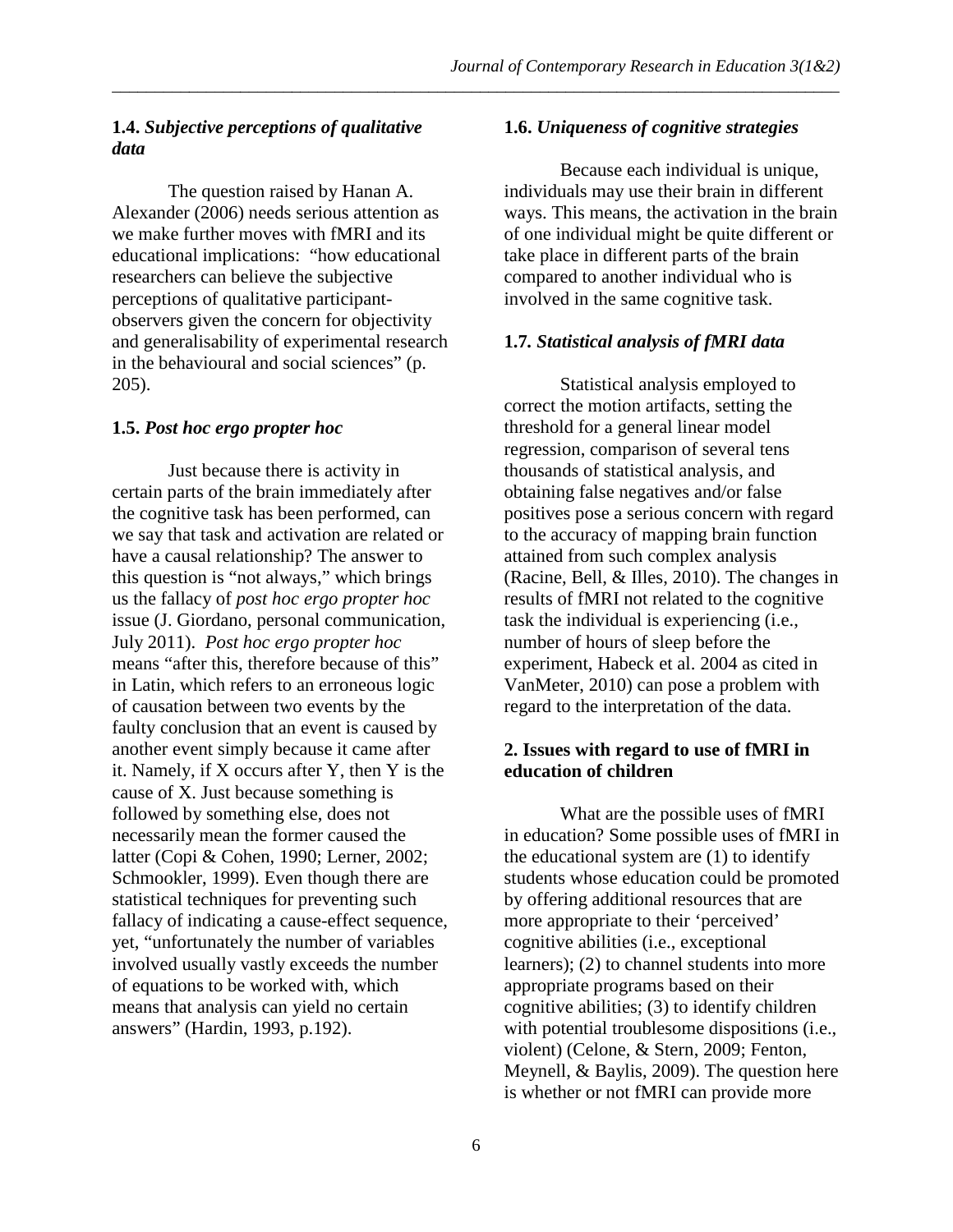#### **1.4.** *Subjective perceptions of qualitative data*

The question raised by Hanan A. Alexander (2006) needs serious attention as we make further moves with fMRI and its educational implications: "how educational researchers can believe the subjective perceptions of qualitative participantobservers given the concern for objectivity and generalisability of experimental research in the behavioural and social sciences" (p. 205).

#### **1.5.** *Post hoc ergo propter hoc*

Just because there is activity in certain parts of the brain immediately after the cognitive task has been performed, can we say that task and activation are related or have a causal relationship? The answer to this question is "not always," which brings us the fallacy of *post hoc ergo propter hoc* issue (J. Giordano, personal communication, July 2011). *Post hoc ergo propter hoc* means "after this, therefore because of this" in Latin, which refers to an erroneous logic of causation between two events by the faulty conclusion that an event is caused by another event simply because it came after it. Namely, if X occurs after Y, then Y is the cause of X. Just because something is followed by something else, does not necessarily mean the former caused the latter (Copi & Cohen, 1990; Lerner, 2002; Schmookler, 1999). Even though there are statistical techniques for preventing such fallacy of indicating a cause-effect sequence, yet, "unfortunately the number of variables involved usually vastly exceeds the number of equations to be worked with, which means that analysis can yield no certain answers" (Hardin, 1993, p.192).

#### **1.6.** *Uniqueness of cognitive strategies*

Because each individual is unique, individuals may use their brain in different ways. This means, the activation in the brain of one individual might be quite different or take place in different parts of the brain compared to another individual who is involved in the same cognitive task.

#### **1.7***. Statistical analysis of fMRI data*

Statistical analysis employed to correct the motion artifacts, setting the threshold for a general linear model regression, comparison of several tens thousands of statistical analysis, and obtaining false negatives and/or false positives pose a serious concern with regard to the accuracy of mapping brain function attained from such complex analysis (Racine, Bell, & Illes, 2010). The changes in results of fMRI not related to the cognitive task the individual is experiencing (i.e., number of hours of sleep before the experiment, Habeck et al. 2004 as cited in VanMeter, 2010) can pose a problem with regard to the interpretation of the data.

#### **2. Issues with regard to use of fMRI in education of children**

What are the possible uses of fMRI in education? Some possible uses of fMRI in the educational system are (1) to identify students whose education could be promoted by offering additional resources that are more appropriate to their 'perceived' cognitive abilities (i.e., exceptional learners); (2) to channel students into more appropriate programs based on their cognitive abilities; (3) to identify children with potential troublesome dispositions (i.e., violent) (Celone, & Stern, 2009; Fenton, Meynell, & Baylis, 2009). The question here is whether or not fMRI can provide more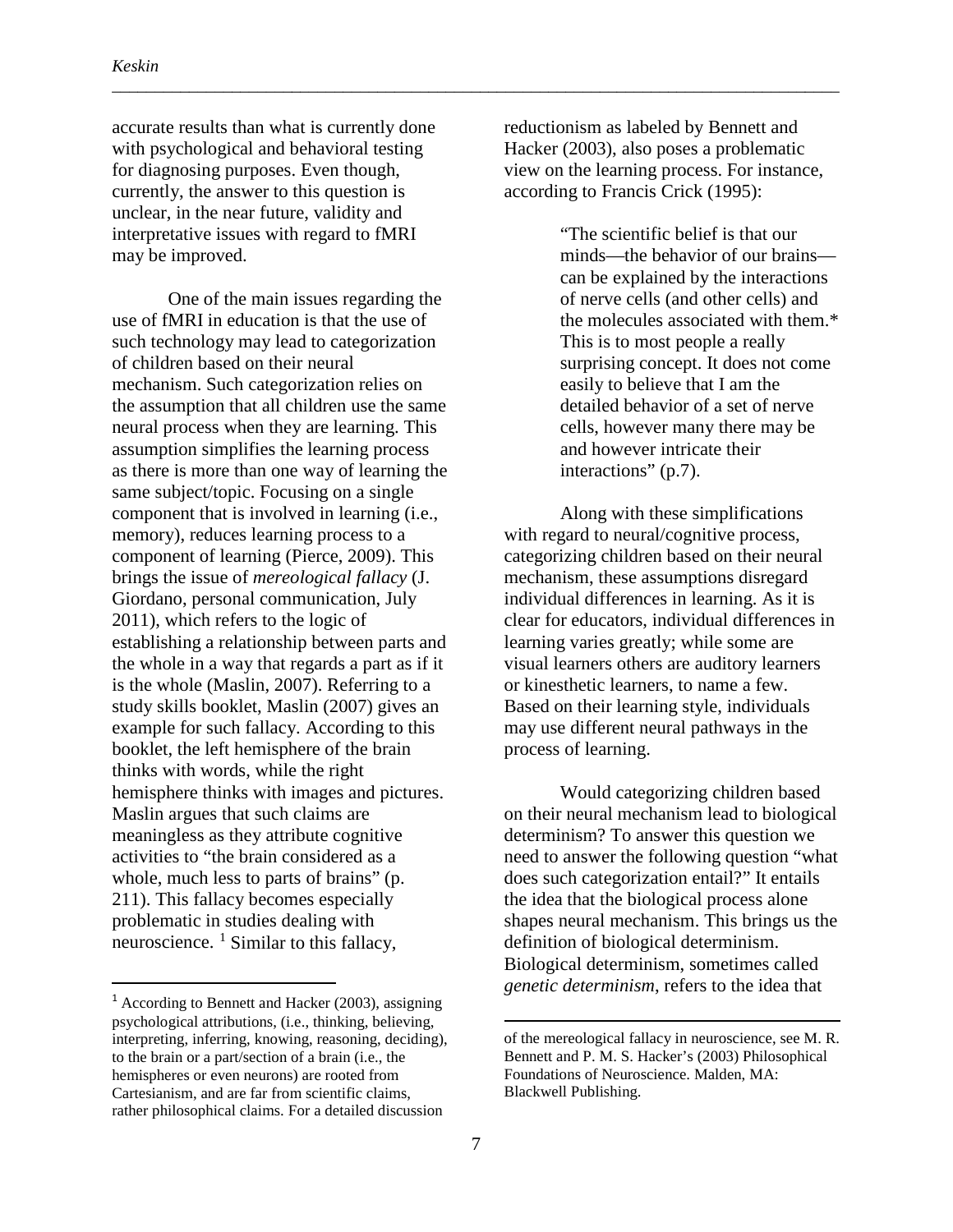accurate results than what is currently done with psychological and behavioral testing for diagnosing purposes. Even though, currently, the answer to this question is unclear, in the near future, validity and interpretative issues with regard to fMRI may be improved.

One of the main issues regarding the use of fMRI in education is that the use of such technology may lead to categorization of children based on their neural mechanism. Such categorization relies on the assumption that all children use the same neural process when they are learning. This assumption simplifies the learning process as there is more than one way of learning the same subject/topic. Focusing on a single component that is involved in learning (i.e., memory), reduces learning process to a component of learning (Pierce, 2009). This brings the issue of *mereological fallacy* (J. Giordano, personal communication, July 2011), which refers to the logic of establishing a relationship between parts and the whole in a way that regards a part as if it is the whole (Maslin, 2007). Referring to a study skills booklet, Maslin (2007) gives an example for such fallacy. According to this booklet, the left hemisphere of the brain thinks with words, while the right hemisphere thinks with images and pictures. Maslin argues that such claims are meaningless as they attribute cognitive activities to "the brain considered as a whole, much less to parts of brains" (p. 211). This fallacy becomes especially problematic in studies dealing with neuroscience.  $\frac{1}{1}$  $\frac{1}{1}$  $\frac{1}{1}$  Similar to this fallacy,

reductionism as labeled by Bennett and Hacker (2003), also poses a problematic view on the learning process. For instance, according to Francis Crick (1995):

\_\_\_\_\_\_\_\_\_\_\_\_\_\_\_\_\_\_\_\_\_\_\_\_\_\_\_\_\_\_\_\_\_\_\_\_\_\_\_\_\_\_\_\_\_\_\_\_\_\_\_\_\_\_\_\_\_\_\_\_\_\_\_\_\_\_\_\_\_\_\_\_\_\_\_\_\_\_\_\_\_\_\_\_\_

"The scientific belief is that our minds—the behavior of our brains can be explained by the interactions of nerve cells (and other cells) and the molecules associated with them.\* This is to most people a really surprising concept. It does not come easily to believe that I am the detailed behavior of a set of nerve cells, however many there may be and however intricate their interactions" (p.7).

Along with these simplifications with regard to neural/cognitive process, categorizing children based on their neural mechanism, these assumptions disregard individual differences in learning. As it is clear for educators, individual differences in learning varies greatly; while some are visual learners others are auditory learners or kinesthetic learners, to name a few. Based on their learning style, individuals may use different neural pathways in the process of learning.

Would categorizing children based on their neural mechanism lead to biological determinism? To answer this question we need to answer the following question "what does such categorization entail?" It entails the idea that the biological process alone shapes neural mechanism. This brings us the definition of biological determinism. Biological determinism, sometimes called *genetic determinism*, refers to the idea that

 $\overline{\phantom{a}}$ 

<span id="page-11-0"></span> $<sup>1</sup>$  According to Bennett and Hacker (2003), assigning</sup> psychological attributions, (i.e., thinking, believing, interpreting, inferring, knowing, reasoning, deciding), to the brain or a part/section of a brain (i.e., the hemispheres or even neurons) are rooted from Cartesianism, and are far from scientific claims, rather philosophical claims. For a detailed discussion

of the mereological fallacy in neuroscience, see M. R. Bennett and P. M. S. Hacker's (2003) Philosophical Foundations of Neuroscience. Malden, MA: Blackwell Publishing.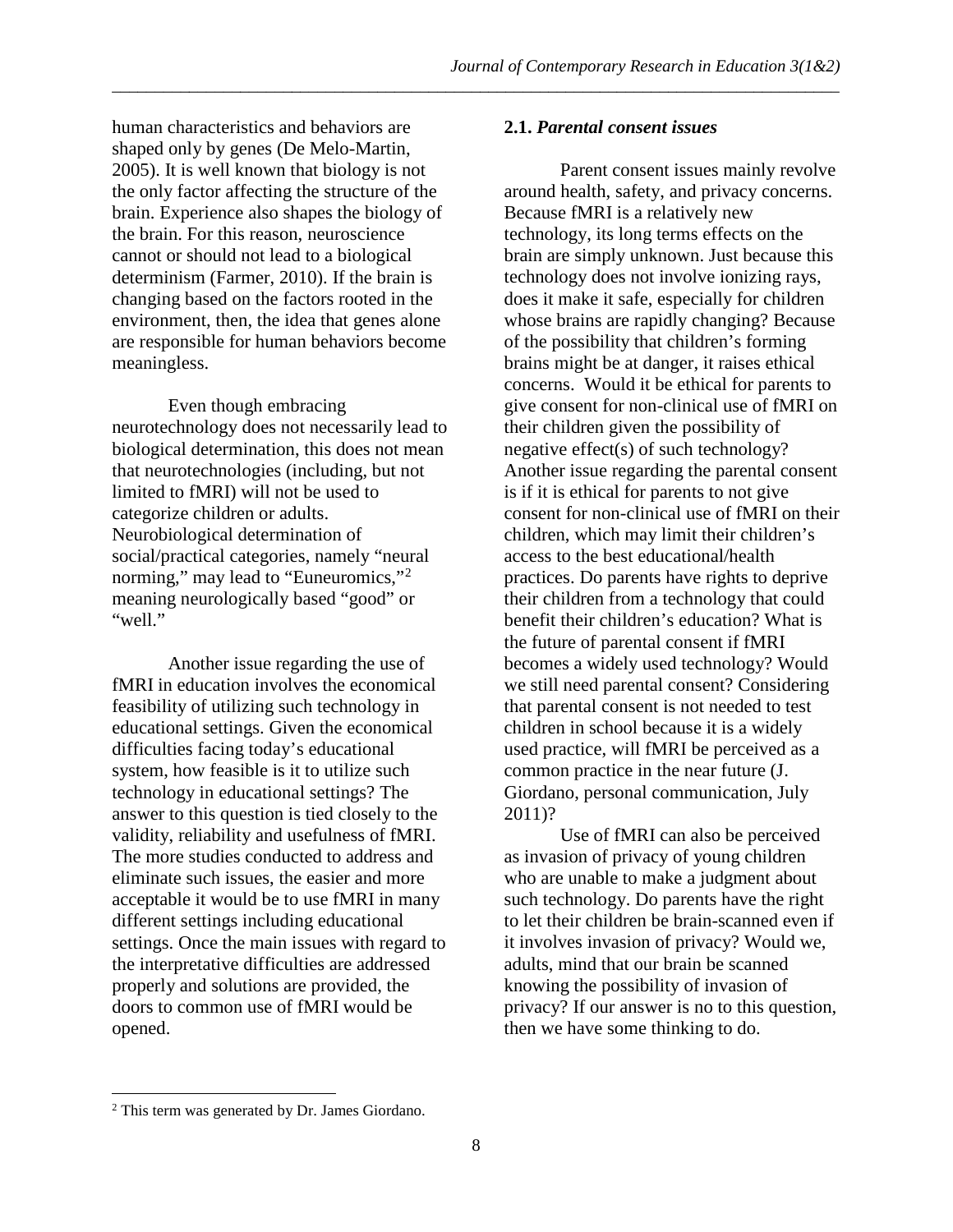human characteristics and behaviors are shaped only by genes (De Melo-Martin, 2005). It is well known that biology is not the only factor affecting the structure of the brain. Experience also shapes the biology of the brain. For this reason, neuroscience cannot or should not lead to a biological determinism (Farmer, 2010). If the brain is changing based on the factors rooted in the environment, then, the idea that genes alone are responsible for human behaviors become meaningless.

Even though embracing neurotechnology does not necessarily lead to biological determination, this does not mean that neurotechnologies (including, but not limited to fMRI) will not be used to categorize children or adults. Neurobiological determination of social/practical categories, namely "neural norming," may lead to "Euneuromics,"<sup>[2](#page-12-0)</sup> meaning neurologically based "good" or "well."

Another issue regarding the use of fMRI in education involves the economical feasibility of utilizing such technology in educational settings. Given the economical difficulties facing today's educational system, how feasible is it to utilize such technology in educational settings? The answer to this question is tied closely to the validity, reliability and usefulness of fMRI. The more studies conducted to address and eliminate such issues, the easier and more acceptable it would be to use fMRI in many different settings including educational settings. Once the main issues with regard to the interpretative difficulties are addressed properly and solutions are provided, the doors to common use of fMRI would be opened.

#### **2.1.** *Parental consent issues*

\_\_\_\_\_\_\_\_\_\_\_\_\_\_\_\_\_\_\_\_\_\_\_\_\_\_\_\_\_\_\_\_\_\_\_\_\_\_\_\_\_\_\_\_\_\_\_\_\_\_\_\_\_\_\_\_\_\_\_\_\_\_\_\_\_\_\_\_\_\_\_\_\_\_\_\_\_\_\_\_\_\_\_\_\_

Parent consent issues mainly revolve around health, safety, and privacy concerns. Because fMRI is a relatively new technology, its long terms effects on the brain are simply unknown. Just because this technology does not involve ionizing rays, does it make it safe, especially for children whose brains are rapidly changing? Because of the possibility that children's forming brains might be at danger, it raises ethical concerns. Would it be ethical for parents to give consent for non-clinical use of fMRI on their children given the possibility of negative effect(s) of such technology? Another issue regarding the parental consent is if it is ethical for parents to not give consent for non-clinical use of fMRI on their children, which may limit their children's access to the best educational/health practices. Do parents have rights to deprive their children from a technology that could benefit their children's education? What is the future of parental consent if fMRI becomes a widely used technology? Would we still need parental consent? Considering that parental consent is not needed to test children in school because it is a widely used practice, will fMRI be perceived as a common practice in the near future (J. Giordano, personal communication, July 2011)?

Use of fMRI can also be perceived as invasion of privacy of young children who are unable to make a judgment about such technology. Do parents have the right to let their children be brain-scanned even if it involves invasion of privacy? Would we, adults, mind that our brain be scanned knowing the possibility of invasion of privacy? If our answer is no to this question, then we have some thinking to do.

l

<span id="page-12-0"></span><sup>2</sup> This term was generated by Dr. James Giordano.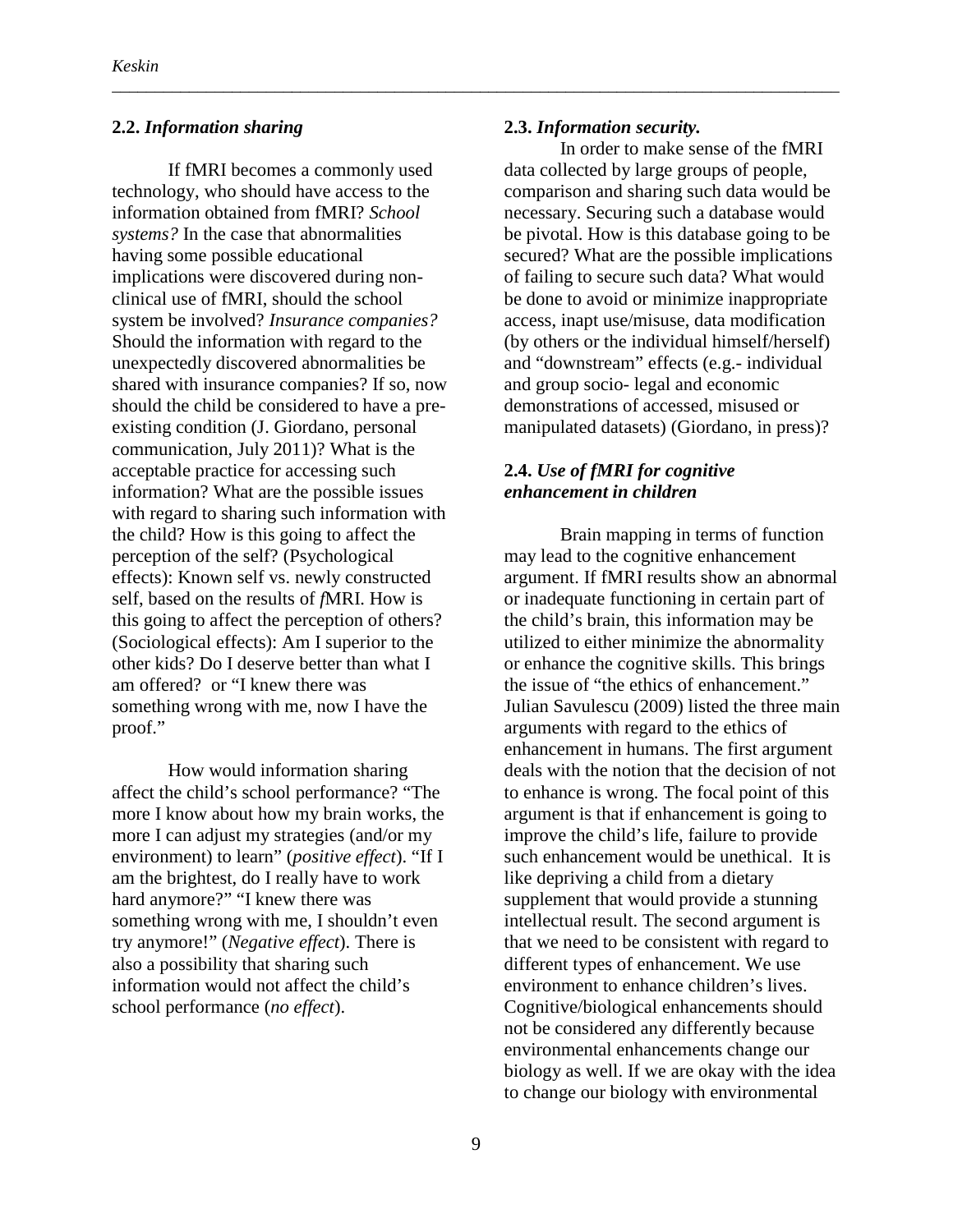#### **2.2.** *Information sharing*

If fMRI becomes a commonly used technology, who should have access to the information obtained from fMRI? *School systems?* In the case that abnormalities having some possible educational implications were discovered during nonclinical use of fMRI, should the school system be involved? *Insurance companies?*  Should the information with regard to the unexpectedly discovered abnormalities be shared with insurance companies? If so, now should the child be considered to have a preexisting condition (J. Giordano, personal communication, July 2011)? What is the acceptable practice for accessing such information? What are the possible issues with regard to sharing such information with the child? How is this going to affect the perception of the self? (Psychological effects): Known self vs. newly constructed self, based on the results of *f*MRI. How is this going to affect the perception of others? (Sociological effects): Am I superior to the other kids? Do I deserve better than what I am offered? or "I knew there was something wrong with me, now I have the proof."

How would information sharing affect the child's school performance? "The more I know about how my brain works, the more I can adjust my strategies (and/or my environment) to learn" (*positive effect*). "If I am the brightest, do I really have to work hard anymore?" "I knew there was something wrong with me, I shouldn't even try anymore!" (*Negative effect*). There is also a possibility that sharing such information would not affect the child's school performance (*no effect*).

#### **2.3.** *Information security.*

\_\_\_\_\_\_\_\_\_\_\_\_\_\_\_\_\_\_\_\_\_\_\_\_\_\_\_\_\_\_\_\_\_\_\_\_\_\_\_\_\_\_\_\_\_\_\_\_\_\_\_\_\_\_\_\_\_\_\_\_\_\_\_\_\_\_\_\_\_\_\_\_\_\_\_\_\_\_\_\_\_\_\_\_\_

In order to make sense of the fMRI data collected by large groups of people, comparison and sharing such data would be necessary. Securing such a database would be pivotal. How is this database going to be secured? What are the possible implications of failing to secure such data? What would be done to avoid or minimize inappropriate access, inapt use/misuse, data modification (by others or the individual himself/herself) and "downstream" effects (e.g.- individual and group socio- legal and economic demonstrations of accessed, misused or manipulated datasets) (Giordano, in press)?

#### **2.4.** *Use of fMRI for cognitive enhancement in children*

Brain mapping in terms of function may lead to the cognitive enhancement argument. If fMRI results show an abnormal or inadequate functioning in certain part of the child's brain, this information may be utilized to either minimize the abnormality or enhance the cognitive skills. This brings the issue of "the ethics of enhancement." Julian Savulescu (2009) listed the three main arguments with regard to the ethics of enhancement in humans. The first argument deals with the notion that the decision of not to enhance is wrong. The focal point of this argument is that if enhancement is going to improve the child's life, failure to provide such enhancement would be unethical. It is like depriving a child from a dietary supplement that would provide a stunning intellectual result. The second argument is that we need to be consistent with regard to different types of enhancement. We use environment to enhance children's lives. Cognitive/biological enhancements should not be considered any differently because environmental enhancements change our biology as well. If we are okay with the idea to change our biology with environmental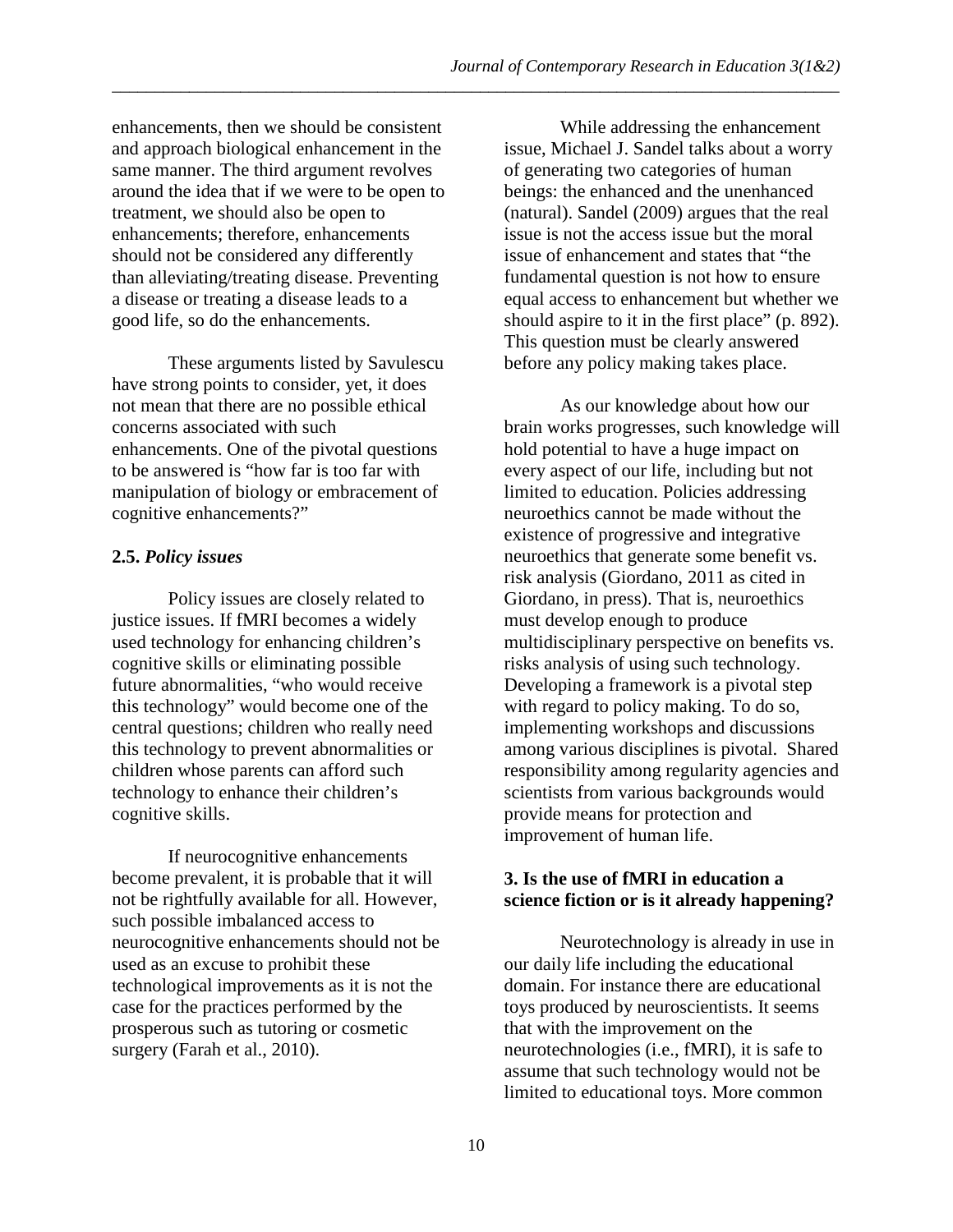enhancements, then we should be consistent and approach biological enhancement in the same manner. The third argument revolves around the idea that if we were to be open to treatment, we should also be open to enhancements; therefore, enhancements should not be considered any differently than alleviating/treating disease. Preventing a disease or treating a disease leads to a good life, so do the enhancements.

These arguments listed by Savulescu have strong points to consider, yet, it does not mean that there are no possible ethical concerns associated with such enhancements. One of the pivotal questions to be answered is "how far is too far with manipulation of biology or embracement of cognitive enhancements?"

#### **2.5.** *Policy issues*

Policy issues are closely related to justice issues. If fMRI becomes a widely used technology for enhancing children's cognitive skills or eliminating possible future abnormalities, "who would receive this technology" would become one of the central questions; children who really need this technology to prevent abnormalities or children whose parents can afford such technology to enhance their children's cognitive skills.

If neurocognitive enhancements become prevalent, it is probable that it will not be rightfully available for all. However, such possible imbalanced access to neurocognitive enhancements should not be used as an excuse to prohibit these technological improvements as it is not the case for the practices performed by the prosperous such as tutoring or cosmetic surgery (Farah et al., 2010).

While addressing the enhancement issue, Michael J. Sandel talks about a worry of generating two categories of human beings: the enhanced and the unenhanced (natural). Sandel (2009) argues that the real issue is not the access issue but the moral issue of enhancement and states that "the fundamental question is not how to ensure equal access to enhancement but whether we should aspire to it in the first place" (p. 892). This question must be clearly answered before any policy making takes place.

As our knowledge about how our brain works progresses, such knowledge will hold potential to have a huge impact on every aspect of our life, including but not limited to education. Policies addressing neuroethics cannot be made without the existence of progressive and integrative neuroethics that generate some benefit vs. risk analysis (Giordano, 2011 as cited in Giordano, in press). That is, neuroethics must develop enough to produce multidisciplinary perspective on benefits vs. risks analysis of using such technology. Developing a framework is a pivotal step with regard to policy making. To do so, implementing workshops and discussions among various disciplines is pivotal. Shared responsibility among regularity agencies and scientists from various backgrounds would provide means for protection and improvement of human life.

#### **3. Is the use of fMRI in education a science fiction or is it already happening?**

Neurotechnology is already in use in our daily life including the educational domain. For instance there are educational toys produced by neuroscientists. It seems that with the improvement on the neurotechnologies (i.e., fMRI), it is safe to assume that such technology would not be limited to educational toys. More common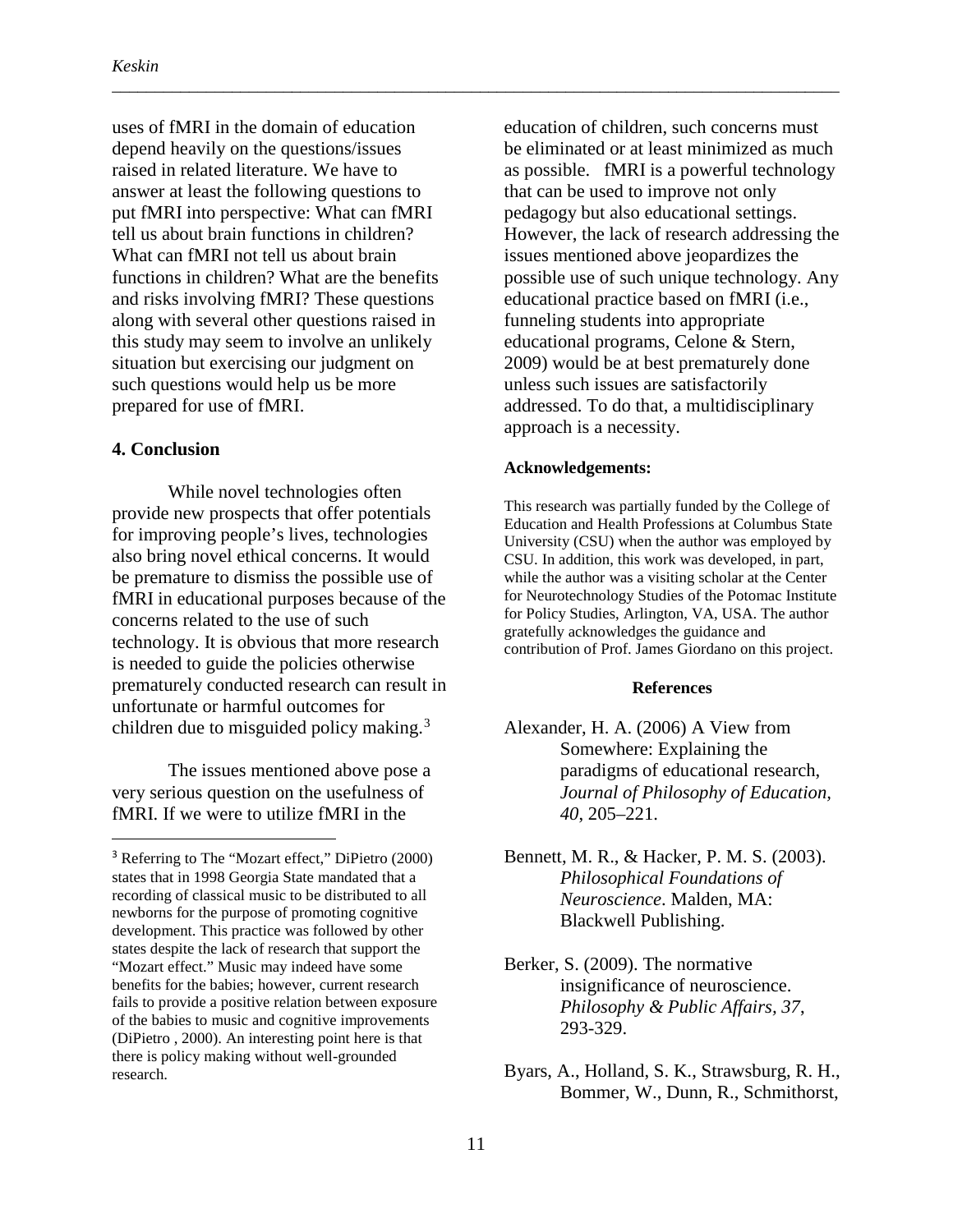uses of fMRI in the domain of education depend heavily on the questions/issues raised in related literature. We have to answer at least the following questions to put fMRI into perspective: What can fMRI tell us about brain functions in children? What can fMRI not tell us about brain functions in children? What are the benefits and risks involving fMRI? These questions along with several other questions raised in this study may seem to involve an unlikely situation but exercising our judgment on such questions would help us be more prepared for use of fMRI.

#### **4. Conclusion**

While novel technologies often provide new prospects that offer potentials for improving people's lives, technologies also bring novel ethical concerns. It would be premature to dismiss the possible use of fMRI in educational purposes because of the concerns related to the use of such technology. It is obvious that more research is needed to guide the policies otherwise prematurely conducted research can result in unfortunate or harmful outcomes for children due to misguided policy making.<sup>[3](#page-15-0)</sup>

The issues mentioned above pose a very serious question on the usefulness of fMRI. If we were to utilize fMRI in the

education of children, such concerns must be eliminated or at least minimized as much as possible. fMRI is a powerful technology that can be used to improve not only pedagogy but also educational settings. However, the lack of research addressing the issues mentioned above jeopardizes the possible use of such unique technology. Any educational practice based on fMRI (i.e., funneling students into appropriate educational programs, Celone & Stern, 2009) would be at best prematurely done unless such issues are satisfactorily addressed. To do that, a multidisciplinary approach is a necessity.

#### **Acknowledgements:**

\_\_\_\_\_\_\_\_\_\_\_\_\_\_\_\_\_\_\_\_\_\_\_\_\_\_\_\_\_\_\_\_\_\_\_\_\_\_\_\_\_\_\_\_\_\_\_\_\_\_\_\_\_\_\_\_\_\_\_\_\_\_\_\_\_\_\_\_\_\_\_\_\_\_\_\_\_\_\_\_\_\_\_\_\_

This research was partially funded by the College of Education and Health Professions at Columbus State University (CSU) when the author was employed by CSU. In addition, this work was developed, in part, while the author was a visiting scholar at the Center for Neurotechnology Studies of the Potomac Institute for Policy Studies, Arlington, VA, USA. The author gratefully acknowledges the guidance and contribution of Prof. James Giordano on this project.

#### **References**

- Alexander, H. A. (2006) A View from Somewhere: Explaining the paradigms of educational research, *Journal of Philosophy of Education, 40*, 205–221.
- Bennett, M. R., & Hacker, P. M. S. (2003). *Philosophical Foundations of Neuroscience*. Malden, MA: Blackwell Publishing.
- Berker, S. (2009). The normative insignificance of neuroscience. *Philosophy & Public Affairs, 37*, 293-329.
- Byars, A., Holland, S. K., Strawsburg, R. H., Bommer, W., Dunn, R., Schmithorst,

<span id="page-15-0"></span><sup>&</sup>lt;sup>3</sup> Referring to The "Mozart effect," DiPietro (2000) states that in 1998 Georgia State mandated that a recording of classical music to be distributed to all newborns for the purpose of promoting cognitive development. This practice was followed by other states despite the lack of research that support the "Mozart effect." Music may indeed have some benefits for the babies; however, current research fails to provide a positive relation between exposure of the babies to music and cognitive improvements (DiPietro , 2000). An interesting point here is that there is policy making without well-grounded research.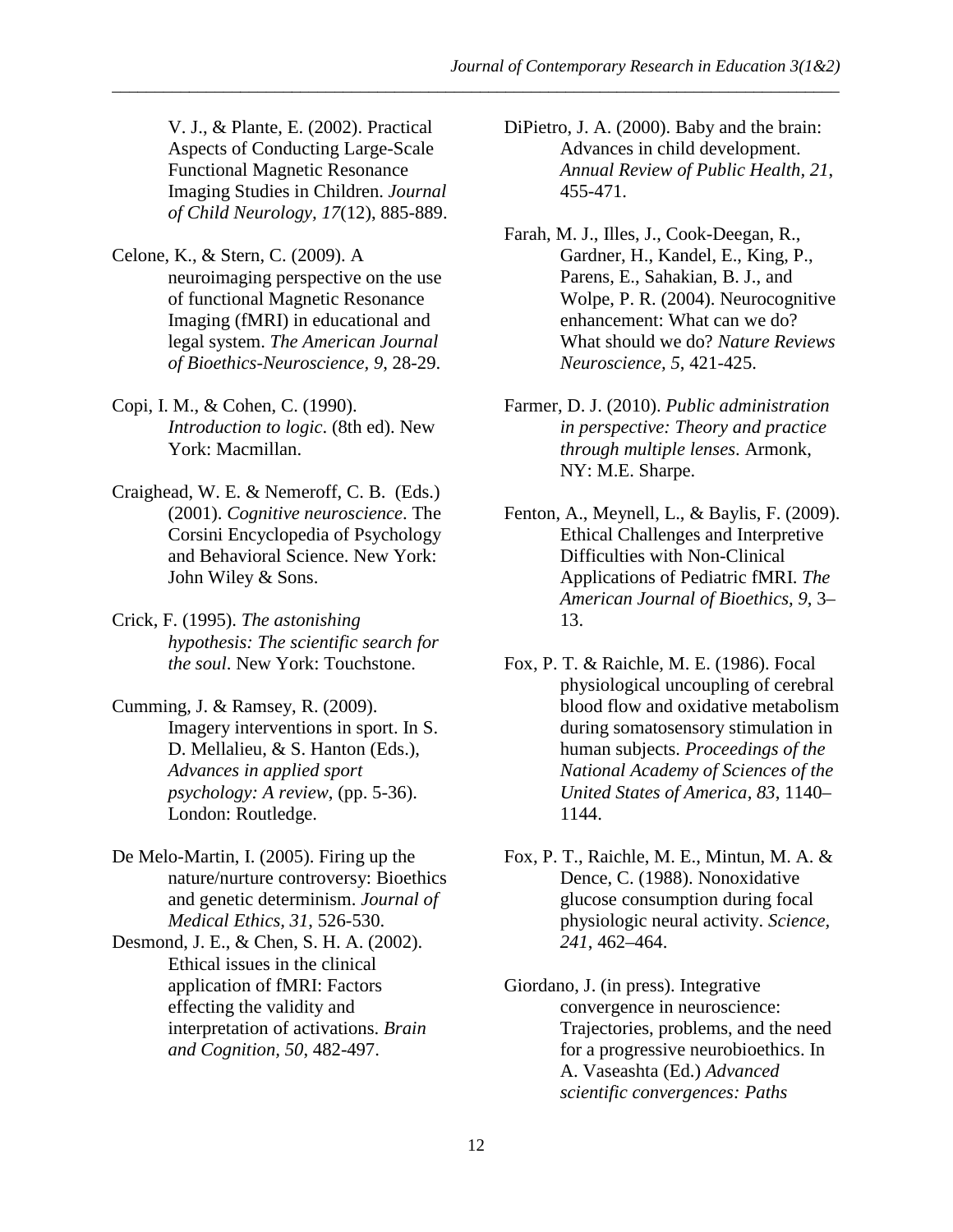V. J., & Plante, E. (2002). Practical Aspects of Conducting Large-Scale Functional Magnetic Resonance Imaging Studies in Children. *Journal of Child Neurology, 17*(12), 885-889.

- Celone, K., & Stern, C. (2009). A neuroimaging perspective on the use of functional Magnetic Resonance Imaging (fMRI) in educational and legal system. *The American Journal of Bioethics-Neuroscience, 9*, 28-29.
- Copi, I. M., & Cohen, C. (1990). *Introduction to logic*. (8th ed). New York: Macmillan.
- Craighead, W. E. & Nemeroff, C. B. (Eds.) (2001). *Cognitive neuroscience*. The Corsini Encyclopedia of Psychology and Behavioral Science. New York: John Wiley & Sons.
- Crick, F. (1995). *The astonishing hypothesis: The scientific search for the soul*. New York: Touchstone.
- Cumming, J. & Ramsey, R. (2009). Imagery interventions in sport. In S. D. Mellalieu, & S. Hanton (Eds.), *Advances in applied sport psychology: A review*, (pp. 5-36). London: Routledge.
- De Melo-Martin, I. (2005). Firing up the nature/nurture controversy: Bioethics and genetic determinism. *Journal of Medical Ethics, 31*, 526-530.
- Desmond, J. E., & Chen, S. H. A. (2002). Ethical issues in the clinical application of fMRI: Factors effecting the validity and interpretation of activations. *Brain and Cognition, 50*, 482-497.
- DiPietro, J. A. (2000). Baby and the brain: Advances in child development. *Annual Review of Public Health, 21*, 455-471.
- Farah, M. J., Illes, J., Cook-Deegan, R., Gardner, H., Kandel, E., King, P., Parens, E., Sahakian, B. J., and Wolpe, P. R. (2004). Neurocognitive enhancement: What can we do? What should we do? *Nature Reviews Neuroscience, 5*, 421-425.
- Farmer, D. J. (2010). *Public administration in perspective: Theory and practice through multiple lenses*. Armonk, NY: M.E. Sharpe.
- Fenton, A., Meynell, L., & Baylis, F. (2009). Ethical Challenges and Interpretive Difficulties with Non-Clinical Applications of Pediatric fMRI. *The American Journal of Bioethics, 9*, 3– 13.
- Fox, P. T. & Raichle, M. E. (1986). Focal physiological uncoupling of cerebral blood flow and oxidative metabolism during somatosensory stimulation in human subjects. *Proceedings of the National Academy of Sciences of the United States of America, 83*, 1140– 1144.
- Fox, P. T., Raichle, M. E., Mintun, M. A. & Dence, C. (1988). Nonoxidative glucose consumption during focal physiologic neural activity. *Science, 241*, 462–464.
- Giordano, J. (in press). Integrative convergence in neuroscience: Trajectories, problems, and the need for a progressive neurobioethics. In A. Vaseashta (Ed.) *Advanced scientific convergences: Paths*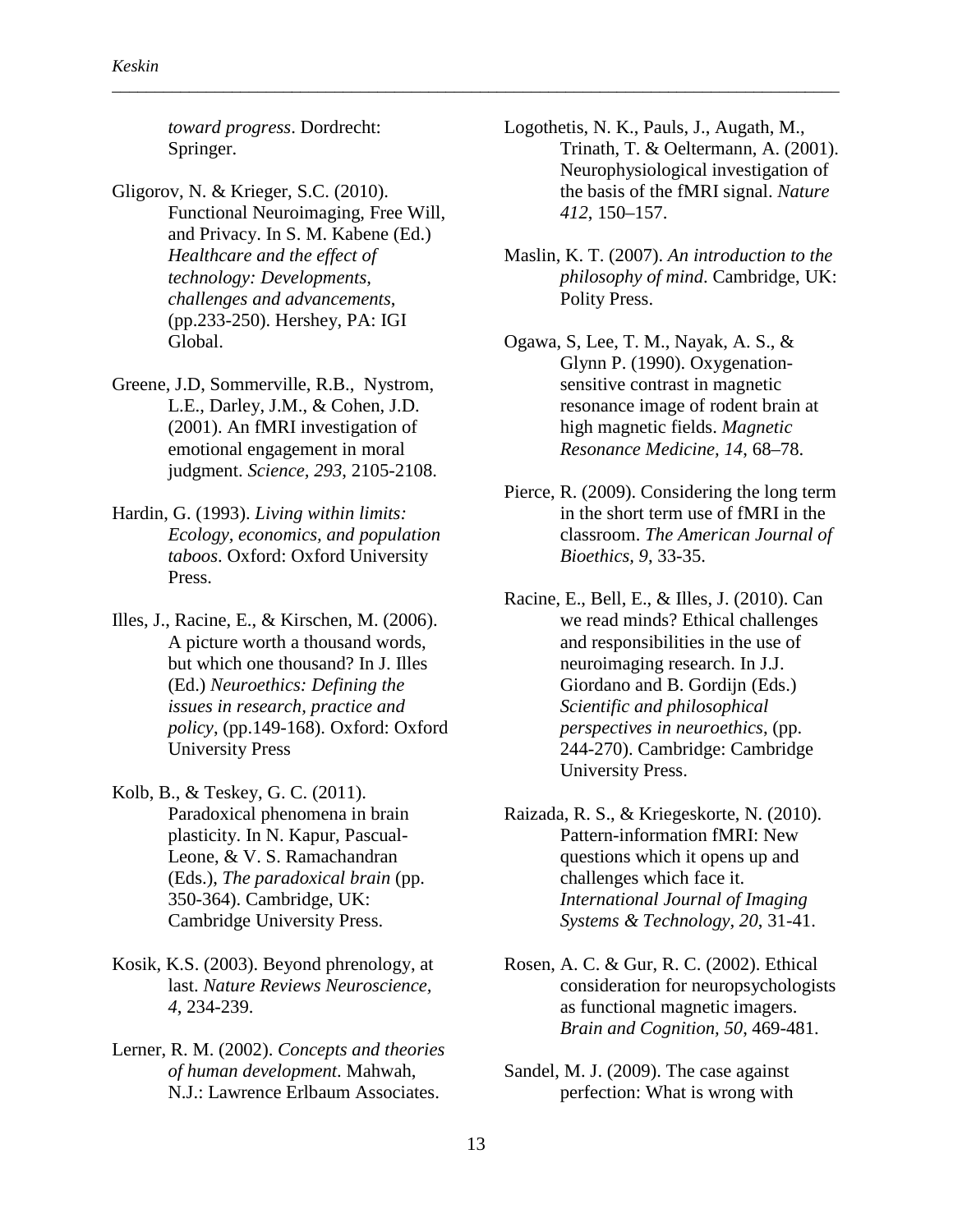*toward progress*. Dordrecht: Springer.

- Gligorov, N. & Krieger, S.C. (2010). Functional Neuroimaging, Free Will, and Privacy. In S. M. Kabene (Ed.) *Healthcare and the effect of technology: Developments, challenges and advancements*, (pp.233-250). Hershey, PA: IGI Global.
- Greene, J.D, Sommerville, R.B., Nystrom, L.E., Darley, J.M., & Cohen, J.D. (2001). An fMRI investigation of emotional engagement in moral judgment. *Science, 293*, 2105-2108.
- Hardin, G. (1993). *Living within limits: Ecology, economics, and population taboos*. Oxford: Oxford University Press.
- Illes, J., Racine, E., & Kirschen, M. (2006). A picture worth a thousand words, but which one thousand? In J. Illes (Ed.) *Neuroethics: Defining the issues in research, practice and policy*, (pp.149-168). Oxford: Oxford University Press
- Kolb, B., & Teskey, G. C. (2011). Paradoxical phenomena in brain plasticity. In N. Kapur, Pascual-Leone, & V. S. Ramachandran (Eds.), *The paradoxical brain* (pp. 350-364). Cambridge, UK: Cambridge University Press.
- Kosik, K.S. (2003). Beyond phrenology, at last. *Nature Reviews Neuroscience, 4*, 234-239.
- Lerner, R. M. (2002). *Concepts and theories of human development*. Mahwah, N.J.: Lawrence Erlbaum Associates.

Logothetis, N. K., Pauls, J., Augath, M., Trinath, T. & Oeltermann, A. (2001). Neurophysiological investigation of the basis of the fMRI signal. *Nature 412*, 150–157.

\_\_\_\_\_\_\_\_\_\_\_\_\_\_\_\_\_\_\_\_\_\_\_\_\_\_\_\_\_\_\_\_\_\_\_\_\_\_\_\_\_\_\_\_\_\_\_\_\_\_\_\_\_\_\_\_\_\_\_\_\_\_\_\_\_\_\_\_\_\_\_\_\_\_\_\_\_\_\_\_\_\_\_\_\_

- Maslin, K. T. (2007). *An introduction to the philosophy of mind*. Cambridge, UK: Polity Press.
- Ogawa, S, Lee, T. M., Nayak, A. S., & Glynn P. (1990). Oxygenationsensitive contrast in magnetic resonance image of rodent brain at high magnetic fields. *Magnetic Resonance Medicine, 14*, 68–78.
- Pierce, R. (2009). Considering the long term in the short term use of fMRI in the classroom. *The American Journal of Bioethics, 9*, 33-35.
- Racine, E., Bell, E., & Illes, J. (2010). Can we read minds? Ethical challenges and responsibilities in the use of neuroimaging research. In J.J. Giordano and B. Gordijn (Eds.) *Scientific and philosophical perspectives in neuroethics*, (pp. 244-270). Cambridge: Cambridge University Press.
- Raizada, R. S., & Kriegeskorte, N. (2010). Pattern-information fMRI: New questions which it opens up and challenges which face it. *International Journal of Imaging Systems & Technology, 20*, 31-41.
- Rosen, A. C. & Gur, R. C. (2002). Ethical consideration for neuropsychologists as functional magnetic imagers. *Brain and Cognition, 50*, 469-481.
- Sandel, M. J. (2009). The case against perfection: What is wrong with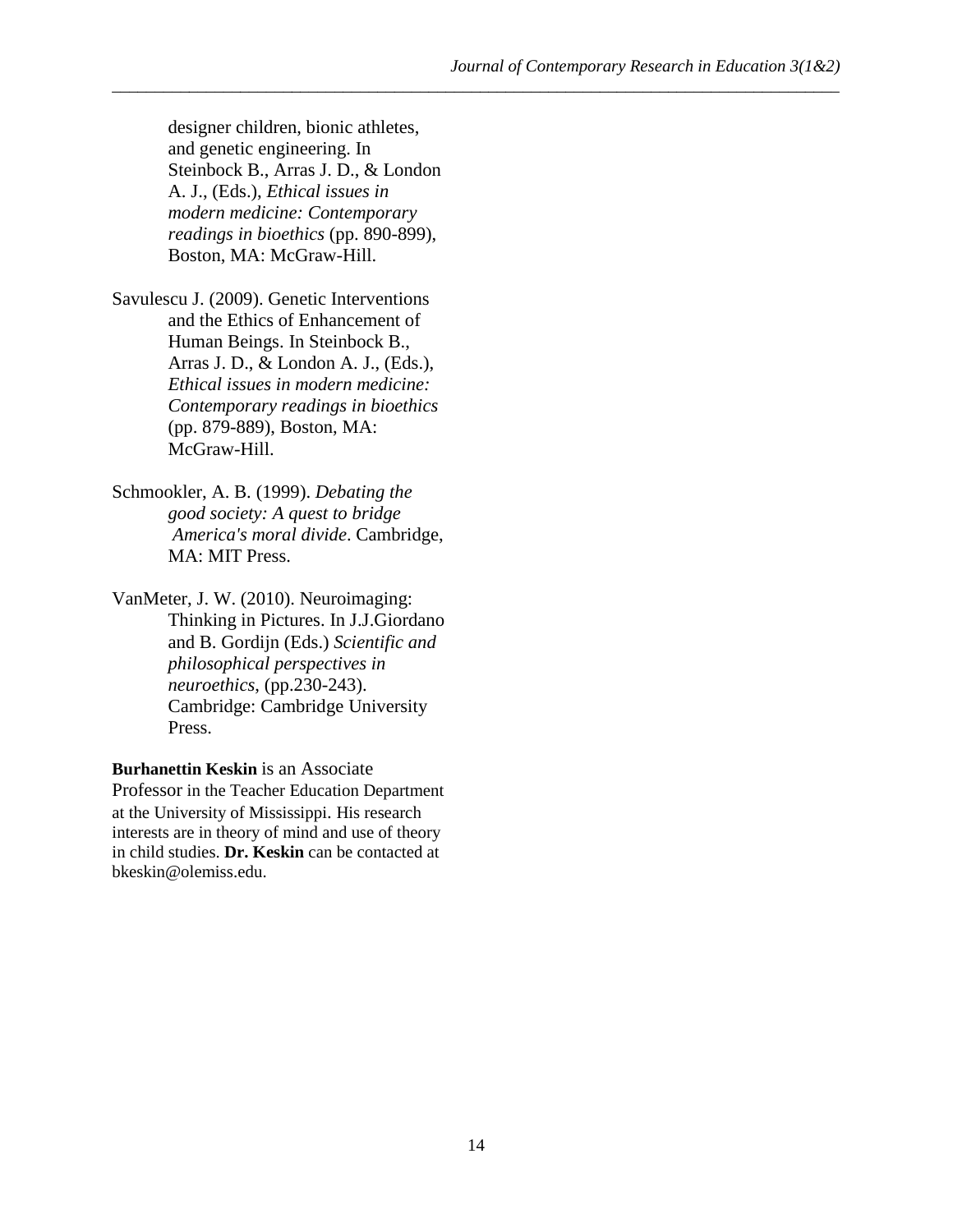designer children, bionic athletes, and genetic engineering. In Steinbock B., Arras J. D., & London A. J., (Eds.), *Ethical issues in modern medicine: Contemporary readings in bioethics* (pp. 890-899), Boston, MA: McGraw-Hill.

Savulescu J. (2009). Genetic Interventions and the Ethics of Enhancement of Human Beings. In Steinbock B., Arras J. D., & London A. J., (Eds.), *Ethical issues in modern medicine: Contemporary readings in bioethics*  (pp. 879-889), Boston, MA: McGraw-Hill.

Schmookler, A. B. (1999). *Debating the good society: A quest to bridge America's moral divide*. Cambridge, MA: MIT Press.

VanMeter, J. W. (2010). Neuroimaging: Thinking in Pictures. In J.J.Giordano and B. Gordijn (Eds.) *Scientific and philosophical perspectives in neuroethics*, (pp.230-243). Cambridge: Cambridge University Press.

**Burhanettin Keskin** is an Associate Professor in the Teacher Education Department at the University of Mississippi. His research interests are in theory of mind and use of theory in child studies. **Dr. Keskin** can be contacted at bkeskin@olemiss.edu.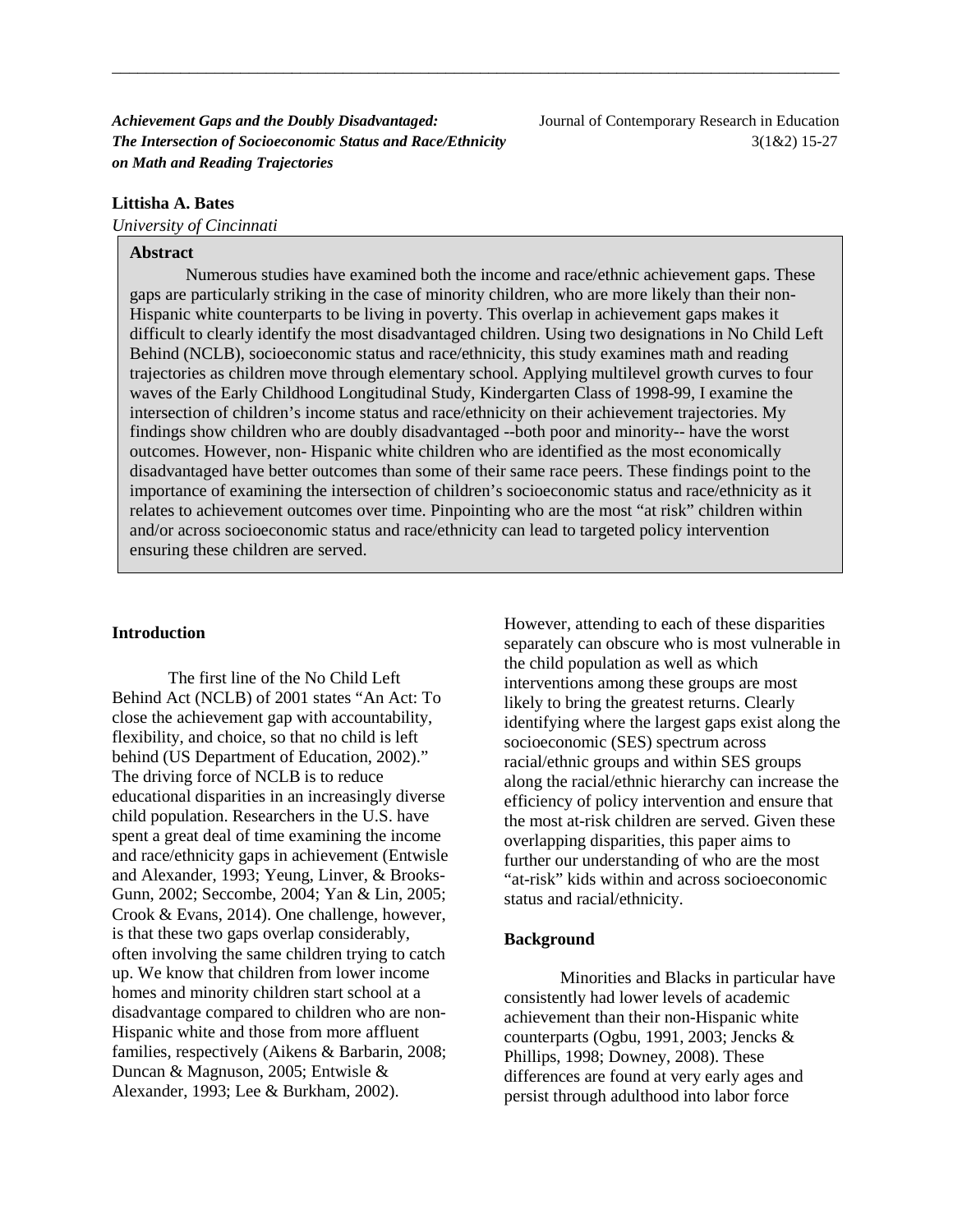*Achievement Gaps and the Doubly Disadvantaged:* Journal of Contemporary Research in Education *The Intersection of Socioeconomic Status and Race/Ethnicity* **3(1&2) 15-27** *on Math and Reading Trajectories*

#### **Littisha A. Bates**

*University of Cincinnati*

#### **Abstract**

Numerous studies have examined both the income and race/ethnic achievement gaps. These gaps are particularly striking in the case of minority children, who are more likely than their non-Hispanic white counterparts to be living in poverty. This overlap in achievement gaps makes it difficult to clearly identify the most disadvantaged children. Using two designations in No Child Left Behind (NCLB), socioeconomic status and race/ethnicity, this study examines math and reading trajectories as children move through elementary school. Applying multilevel growth curves to four waves of the Early Childhood Longitudinal Study, Kindergarten Class of 1998-99, I examine the intersection of children's income status and race/ethnicity on their achievement trajectories. My findings show children who are doubly disadvantaged --both poor and minority-- have the worst outcomes. However, non- Hispanic white children who are identified as the most economically disadvantaged have better outcomes than some of their same race peers. These findings point to the importance of examining the intersection of children's socioeconomic status and race/ethnicity as it relates to achievement outcomes over time. Pinpointing who are the most "at risk" children within and/or across socioeconomic status and race/ethnicity can lead to targeted policy intervention ensuring these children are served.

\_\_\_\_\_\_\_\_\_\_\_\_\_\_\_\_\_\_\_\_\_\_\_\_\_\_\_\_\_\_\_\_\_\_\_\_\_\_\_\_\_\_\_\_\_\_\_\_\_\_\_\_\_\_\_\_\_\_\_\_\_\_\_\_\_\_\_\_\_\_\_\_\_\_\_\_\_\_\_\_\_\_\_\_\_

#### **Introduction**

The first line of the No Child Left Behind Act (NCLB) of 2001 states "An Act: To close the achievement gap with accountability, flexibility, and choice, so that no child is left behind (US Department of Education, 2002)." The driving force of NCLB is to reduce educational disparities in an increasingly diverse child population. Researchers in the U.S. have spent a great deal of time examining the income and race/ethnicity gaps in achievement (Entwisle and Alexander, 1993; Yeung, Linver, & Brooks-Gunn, 2002; Seccombe, 2004; Yan & Lin, 2005; Crook & Evans, 2014). One challenge, however, is that these two gaps overlap considerably, often involving the same children trying to catch up. We know that children from lower income homes and minority children start school at a disadvantage compared to children who are non-Hispanic white and those from more affluent families, respectively (Aikens & Barbarin, 2008; Duncan & Magnuson, 2005; Entwisle & Alexander, 1993; Lee & Burkham, 2002).

However, attending to each of these disparities separately can obscure who is most vulnerable in the child population as well as which interventions among these groups are most likely to bring the greatest returns. Clearly identifying where the largest gaps exist along the socioeconomic (SES) spectrum across racial/ethnic groups and within SES groups along the racial/ethnic hierarchy can increase the efficiency of policy intervention and ensure that the most at-risk children are served. Given these overlapping disparities, this paper aims to further our understanding of who are the most "at-risk" kids within and across socioeconomic status and racial/ethnicity.

#### **Background**

Minorities and Blacks in particular have consistently had lower levels of academic achievement than their non-Hispanic white counterparts (Ogbu, 1991, 2003; Jencks & Phillips, 1998; Downey, 2008). These differences are found at very early ages and persist through adulthood into labor force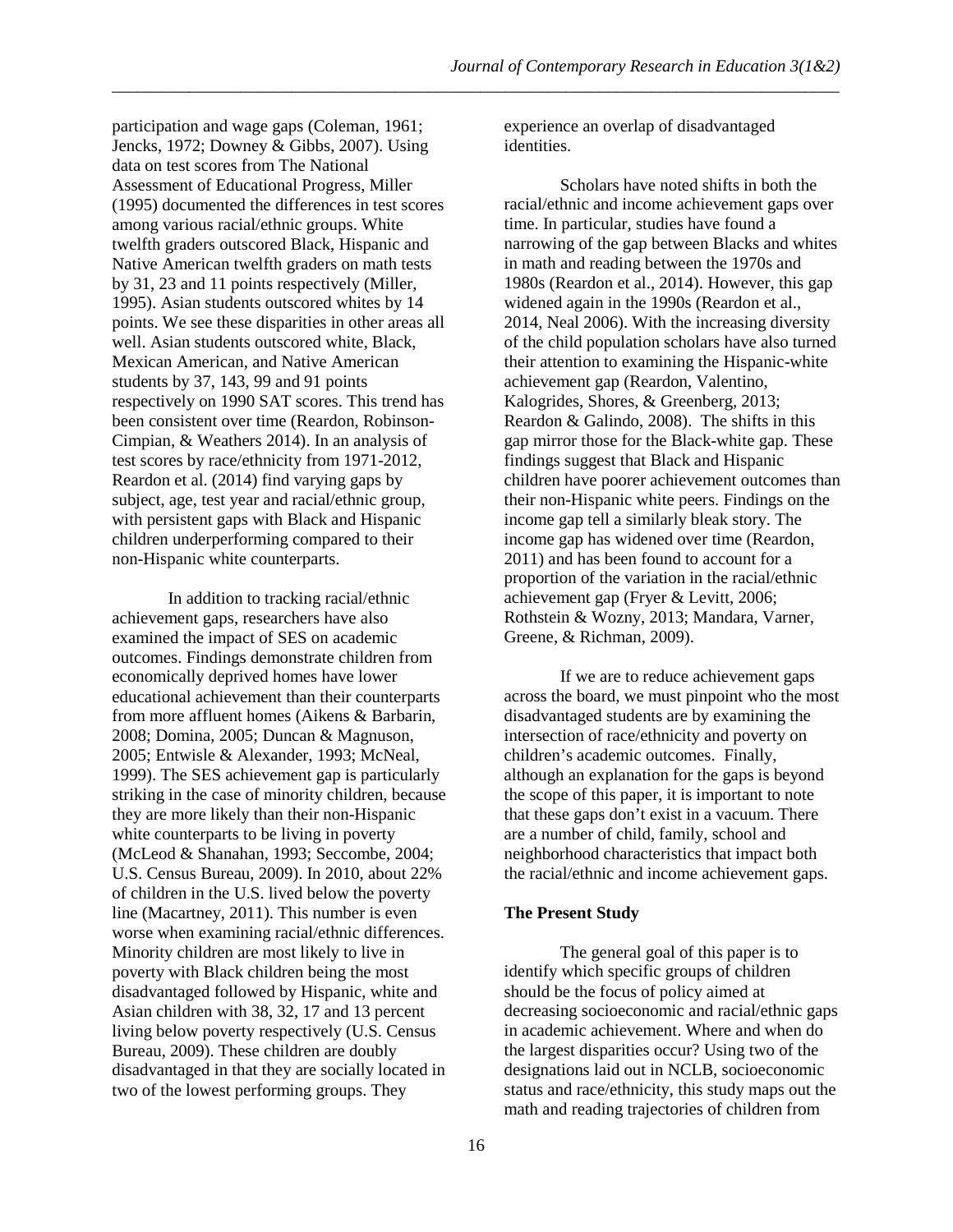participation and wage gaps (Coleman, 1961; Jencks, 1972; Downey & Gibbs, 2007). Using data on test scores from The National Assessment of Educational Progress, Miller (1995) documented the differences in test scores among various racial/ethnic groups. White twelfth graders outscored Black, Hispanic and Native American twelfth graders on math tests by 31, 23 and 11 points respectively (Miller, 1995). Asian students outscored whites by 14 points. We see these disparities in other areas all well. Asian students outscored white, Black, Mexican American, and Native American students by 37, 143, 99 and 91 points respectively on 1990 SAT scores. This trend has been consistent over time (Reardon, Robinson-Cimpian, & Weathers 2014). In an analysis of test scores by race/ethnicity from 1971-2012, Reardon et al. (2014) find varying gaps by subject, age, test year and racial/ethnic group, with persistent gaps with Black and Hispanic children underperforming compared to their non-Hispanic white counterparts.

In addition to tracking racial/ethnic achievement gaps, researchers have also examined the impact of SES on academic outcomes. Findings demonstrate children from economically deprived homes have lower educational achievement than their counterparts from more affluent homes (Aikens & Barbarin, 2008; Domina, 2005; Duncan & Magnuson, 2005; Entwisle & Alexander, 1993; McNeal, 1999). The SES achievement gap is particularly striking in the case of minority children, because they are more likely than their non-Hispanic white counterparts to be living in poverty (McLeod & Shanahan, 1993; Seccombe, 2004; U.S. Census Bureau, 2009). In 2010, about 22% of children in the U.S. lived below the poverty line (Macartney, 2011). This number is even worse when examining racial/ethnic differences. Minority children are most likely to live in poverty with Black children being the most disadvantaged followed by Hispanic, white and Asian children with 38, 32, 17 and 13 percent living below poverty respectively (U.S. Census Bureau, 2009). These children are doubly disadvantaged in that they are socially located in two of the lowest performing groups. They

experience an overlap of disadvantaged identities.

\_\_\_\_\_\_\_\_\_\_\_\_\_\_\_\_\_\_\_\_\_\_\_\_\_\_\_\_\_\_\_\_\_\_\_\_\_\_\_\_\_\_\_\_\_\_\_\_\_\_\_\_\_\_\_\_\_\_\_\_\_\_\_\_\_\_\_\_\_\_\_\_\_\_\_\_\_\_\_\_\_\_\_\_\_

Scholars have noted shifts in both the racial/ethnic and income achievement gaps over time. In particular, studies have found a narrowing of the gap between Blacks and whites in math and reading between the 1970s and 1980s (Reardon et al., 2014). However, this gap widened again in the 1990s (Reardon et al., 2014, Neal 2006). With the increasing diversity of the child population scholars have also turned their attention to examining the Hispanic-white achievement gap (Reardon, Valentino, Kalogrides, Shores, & Greenberg, 2013; Reardon & Galindo, 2008). The shifts in this gap mirror those for the Black-white gap. These findings suggest that Black and Hispanic children have poorer achievement outcomes than their non-Hispanic white peers. Findings on the income gap tell a similarly bleak story. The income gap has widened over time (Reardon, 2011) and has been found to account for a proportion of the variation in the racial/ethnic achievement gap (Fryer & Levitt, 2006; Rothstein & Wozny, 2013; Mandara, Varner, Greene, & Richman, 2009).

If we are to reduce achievement gaps across the board, we must pinpoint who the most disadvantaged students are by examining the intersection of race/ethnicity and poverty on children's academic outcomes. Finally, although an explanation for the gaps is beyond the scope of this paper, it is important to note that these gaps don't exist in a vacuum. There are a number of child, family, school and neighborhood characteristics that impact both the racial/ethnic and income achievement gaps.

#### **The Present Study**

The general goal of this paper is to identify which specific groups of children should be the focus of policy aimed at decreasing socioeconomic and racial/ethnic gaps in academic achievement. Where and when do the largest disparities occur? Using two of the designations laid out in NCLB, socioeconomic status and race/ethnicity, this study maps out the math and reading trajectories of children from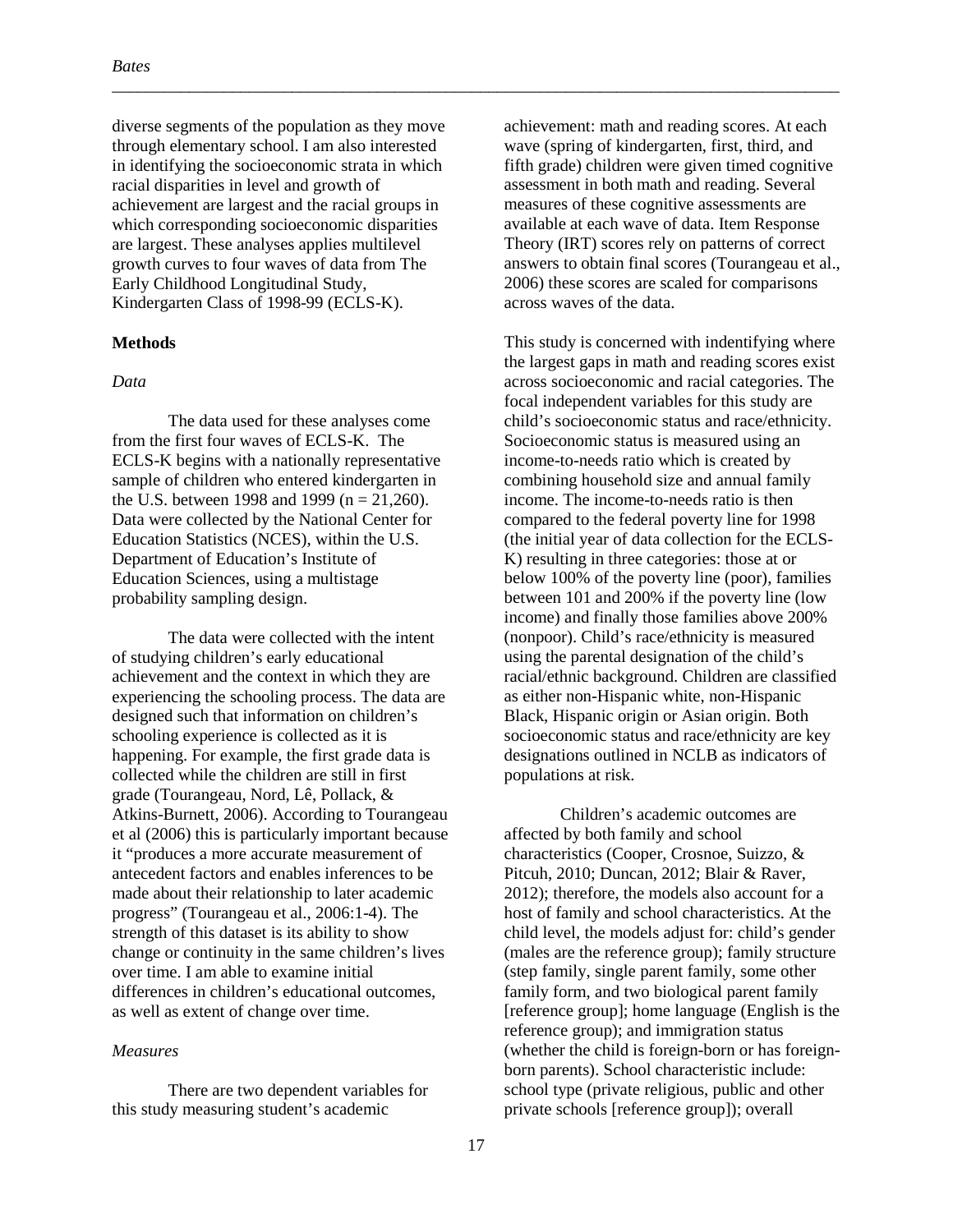diverse segments of the population as they move through elementary school. I am also interested in identifying the socioeconomic strata in which racial disparities in level and growth of achievement are largest and the racial groups in which corresponding socioeconomic disparities are largest. These analyses applies multilevel growth curves to four waves of data from The Early Childhood Longitudinal Study, Kindergarten Class of 1998-99 (ECLS-K).

#### **Methods**

#### *Data*

The data used for these analyses come from the first four waves of ECLS-K. The ECLS-K begins with a nationally representative sample of children who entered kindergarten in the U.S. between 1998 and 1999 ( $n = 21,260$ ). Data were collected by the National Center for Education Statistics (NCES), within the U.S. Department of Education's Institute of Education Sciences, using a multistage probability sampling design.

The data were collected with the intent of studying children's early educational achievement and the context in which they are experiencing the schooling process. The data are designed such that information on children's schooling experience is collected as it is happening. For example, the first grade data is collected while the children are still in first grade (Tourangeau, Nord, Lê, Pollack, & Atkins-Burnett, 2006). According to Tourangeau et al (2006) this is particularly important because it "produces a more accurate measurement of antecedent factors and enables inferences to be made about their relationship to later academic progress" (Tourangeau et al., 2006:1-4). The strength of this dataset is its ability to show change or continuity in the same children's lives over time. I am able to examine initial differences in children's educational outcomes, as well as extent of change over time.

#### *Measures*

There are two dependent variables for this study measuring student's academic

achievement: math and reading scores. At each wave (spring of kindergarten, first, third, and fifth grade) children were given timed cognitive assessment in both math and reading. Several measures of these cognitive assessments are available at each wave of data. Item Response Theory (IRT) scores rely on patterns of correct answers to obtain final scores (Tourangeau et al., 2006) these scores are scaled for comparisons across waves of the data.

This study is concerned with indentifying where the largest gaps in math and reading scores exist across socioeconomic and racial categories. The focal independent variables for this study are child's socioeconomic status and race/ethnicity. Socioeconomic status is measured using an income-to-needs ratio which is created by combining household size and annual family income. The income-to-needs ratio is then compared to the federal poverty line for 1998 (the initial year of data collection for the ECLS-K) resulting in three categories: those at or below 100% of the poverty line (poor), families between 101 and 200% if the poverty line (low income) and finally those families above 200% (nonpoor). Child's race/ethnicity is measured using the parental designation of the child's racial/ethnic background. Children are classified as either non-Hispanic white, non-Hispanic Black, Hispanic origin or Asian origin. Both socioeconomic status and race/ethnicity are key designations outlined in NCLB as indicators of populations at risk.

Children's academic outcomes are affected by both family and school characteristics (Cooper, Crosnoe, Suizzo, & Pitcuh, 2010; Duncan, 2012; Blair & Raver, 2012); therefore, the models also account for a host of family and school characteristics. At the child level, the models adjust for: child's gender (males are the reference group); family structure (step family, single parent family, some other family form, and two biological parent family [reference group]; home language (English is the reference group); and immigration status (whether the child is foreign-born or has foreignborn parents). School characteristic include: school type (private religious, public and other private schools [reference group]); overall

\_\_\_\_\_\_\_\_\_\_\_\_\_\_\_\_\_\_\_\_\_\_\_\_\_\_\_\_\_\_\_\_\_\_\_\_\_\_\_\_\_\_\_\_\_\_\_\_\_\_\_\_\_\_\_\_\_\_\_\_\_\_\_\_\_\_\_\_\_\_\_\_\_\_\_\_\_\_\_\_\_\_\_\_\_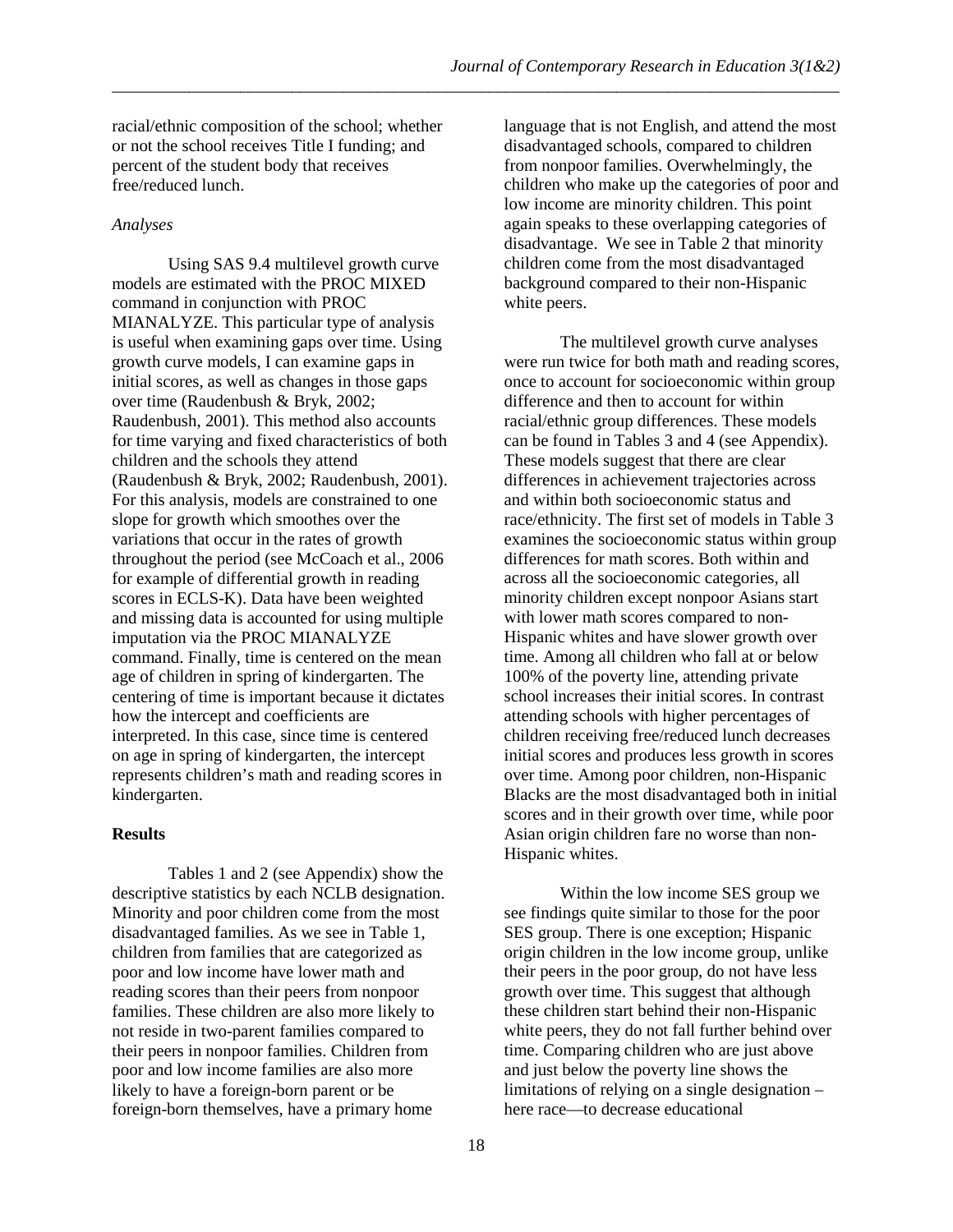racial/ethnic composition of the school; whether or not the school receives Title I funding; and percent of the student body that receives free/reduced lunch.

#### *Analyses*

Using SAS 9.4 multilevel growth curve models are estimated with the PROC MIXED command in conjunction with PROC MIANALYZE. This particular type of analysis is useful when examining gaps over time. Using growth curve models, I can examine gaps in initial scores, as well as changes in those gaps over time (Raudenbush & Bryk, 2002; Raudenbush, 2001). This method also accounts for time varying and fixed characteristics of both children and the schools they attend (Raudenbush & Bryk, 2002; Raudenbush, 2001). For this analysis, models are constrained to one slope for growth which smoothes over the variations that occur in the rates of growth throughout the period (see McCoach et al., 2006 for example of differential growth in reading scores in ECLS-K). Data have been weighted and missing data is accounted for using multiple imputation via the PROC MIANALYZE command. Finally, time is centered on the mean age of children in spring of kindergarten. The centering of time is important because it dictates how the intercept and coefficients are interpreted. In this case, since time is centered on age in spring of kindergarten, the intercept represents children's math and reading scores in kindergarten.

#### **Results**

Tables 1 and 2 (see Appendix) show the descriptive statistics by each NCLB designation. Minority and poor children come from the most disadvantaged families. As we see in Table 1, children from families that are categorized as poor and low income have lower math and reading scores than their peers from nonpoor families. These children are also more likely to not reside in two-parent families compared to their peers in nonpoor families. Children from poor and low income families are also more likely to have a foreign-born parent or be foreign-born themselves, have a primary home

language that is not English, and attend the most disadvantaged schools, compared to children from nonpoor families. Overwhelmingly, the children who make up the categories of poor and low income are minority children. This point again speaks to these overlapping categories of disadvantage. We see in Table 2 that minority children come from the most disadvantaged background compared to their non-Hispanic white peers.

The multilevel growth curve analyses were run twice for both math and reading scores, once to account for socioeconomic within group difference and then to account for within racial/ethnic group differences. These models can be found in Tables 3 and 4 (see Appendix). These models suggest that there are clear differences in achievement trajectories across and within both socioeconomic status and race/ethnicity. The first set of models in Table 3 examines the socioeconomic status within group differences for math scores. Both within and across all the socioeconomic categories, all minority children except nonpoor Asians start with lower math scores compared to non-Hispanic whites and have slower growth over time. Among all children who fall at or below 100% of the poverty line, attending private school increases their initial scores. In contrast attending schools with higher percentages of children receiving free/reduced lunch decreases initial scores and produces less growth in scores over time. Among poor children, non-Hispanic Blacks are the most disadvantaged both in initial scores and in their growth over time, while poor Asian origin children fare no worse than non-Hispanic whites.

Within the low income SES group we see findings quite similar to those for the poor SES group. There is one exception; Hispanic origin children in the low income group, unlike their peers in the poor group, do not have less growth over time. This suggest that although these children start behind their non-Hispanic white peers, they do not fall further behind over time. Comparing children who are just above and just below the poverty line shows the limitations of relying on a single designation – here race—to decrease educational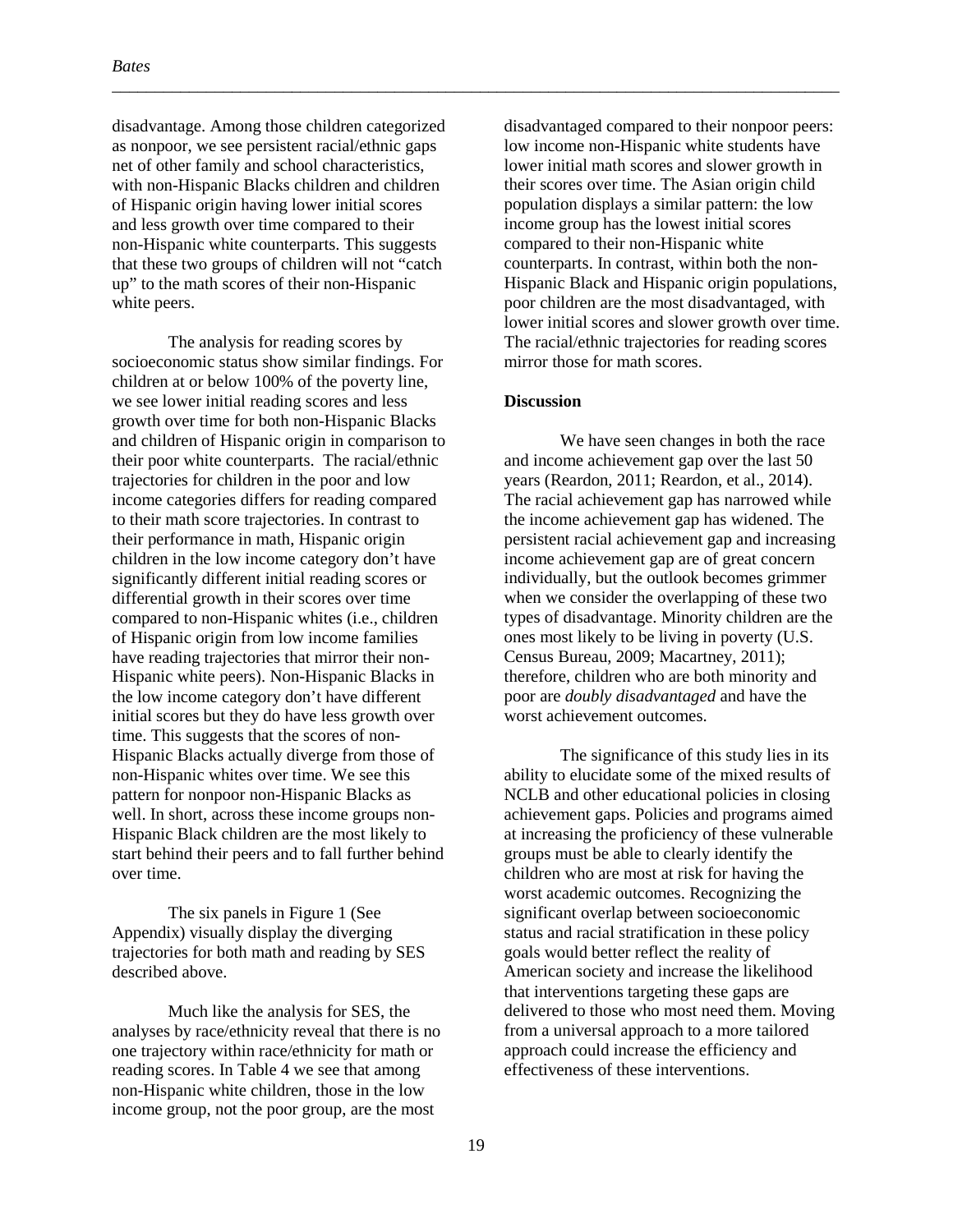disadvantage. Among those children categorized as nonpoor, we see persistent racial/ethnic gaps net of other family and school characteristics, with non-Hispanic Blacks children and children of Hispanic origin having lower initial scores and less growth over time compared to their non-Hispanic white counterparts. This suggests that these two groups of children will not "catch up" to the math scores of their non-Hispanic white peers.

The analysis for reading scores by socioeconomic status show similar findings. For children at or below 100% of the poverty line, we see lower initial reading scores and less growth over time for both non-Hispanic Blacks and children of Hispanic origin in comparison to their poor white counterparts. The racial/ethnic trajectories for children in the poor and low income categories differs for reading compared to their math score trajectories. In contrast to their performance in math, Hispanic origin children in the low income category don't have significantly different initial reading scores or differential growth in their scores over time compared to non-Hispanic whites (i.e., children of Hispanic origin from low income families have reading trajectories that mirror their non-Hispanic white peers). Non-Hispanic Blacks in the low income category don't have different initial scores but they do have less growth over time. This suggests that the scores of non-Hispanic Blacks actually diverge from those of non-Hispanic whites over time. We see this pattern for nonpoor non-Hispanic Blacks as well. In short, across these income groups non-Hispanic Black children are the most likely to start behind their peers and to fall further behind over time.

The six panels in Figure 1 (See Appendix) visually display the diverging trajectories for both math and reading by SES described above.

Much like the analysis for SES, the analyses by race/ethnicity reveal that there is no one trajectory within race/ethnicity for math or reading scores. In Table 4 we see that among non-Hispanic white children, those in the low income group, not the poor group, are the most

disadvantaged compared to their nonpoor peers: low income non-Hispanic white students have lower initial math scores and slower growth in their scores over time. The Asian origin child population displays a similar pattern: the low income group has the lowest initial scores compared to their non-Hispanic white counterparts. In contrast, within both the non-Hispanic Black and Hispanic origin populations, poor children are the most disadvantaged, with lower initial scores and slower growth over time. The racial/ethnic trajectories for reading scores mirror those for math scores.

#### **Discussion**

\_\_\_\_\_\_\_\_\_\_\_\_\_\_\_\_\_\_\_\_\_\_\_\_\_\_\_\_\_\_\_\_\_\_\_\_\_\_\_\_\_\_\_\_\_\_\_\_\_\_\_\_\_\_\_\_\_\_\_\_\_\_\_\_\_\_\_\_\_\_\_\_\_\_\_\_\_\_\_\_\_\_\_\_\_

We have seen changes in both the race and income achievement gap over the last 50 years (Reardon, 2011; Reardon, et al., 2014). The racial achievement gap has narrowed while the income achievement gap has widened. The persistent racial achievement gap and increasing income achievement gap are of great concern individually, but the outlook becomes grimmer when we consider the overlapping of these two types of disadvantage. Minority children are the ones most likely to be living in poverty (U.S. Census Bureau, 2009; Macartney, 2011); therefore, children who are both minority and poor are *doubly disadvantaged* and have the worst achievement outcomes.

The significance of this study lies in its ability to elucidate some of the mixed results of NCLB and other educational policies in closing achievement gaps. Policies and programs aimed at increasing the proficiency of these vulnerable groups must be able to clearly identify the children who are most at risk for having the worst academic outcomes. Recognizing the significant overlap between socioeconomic status and racial stratification in these policy goals would better reflect the reality of American society and increase the likelihood that interventions targeting these gaps are delivered to those who most need them. Moving from a universal approach to a more tailored approach could increase the efficiency and effectiveness of these interventions.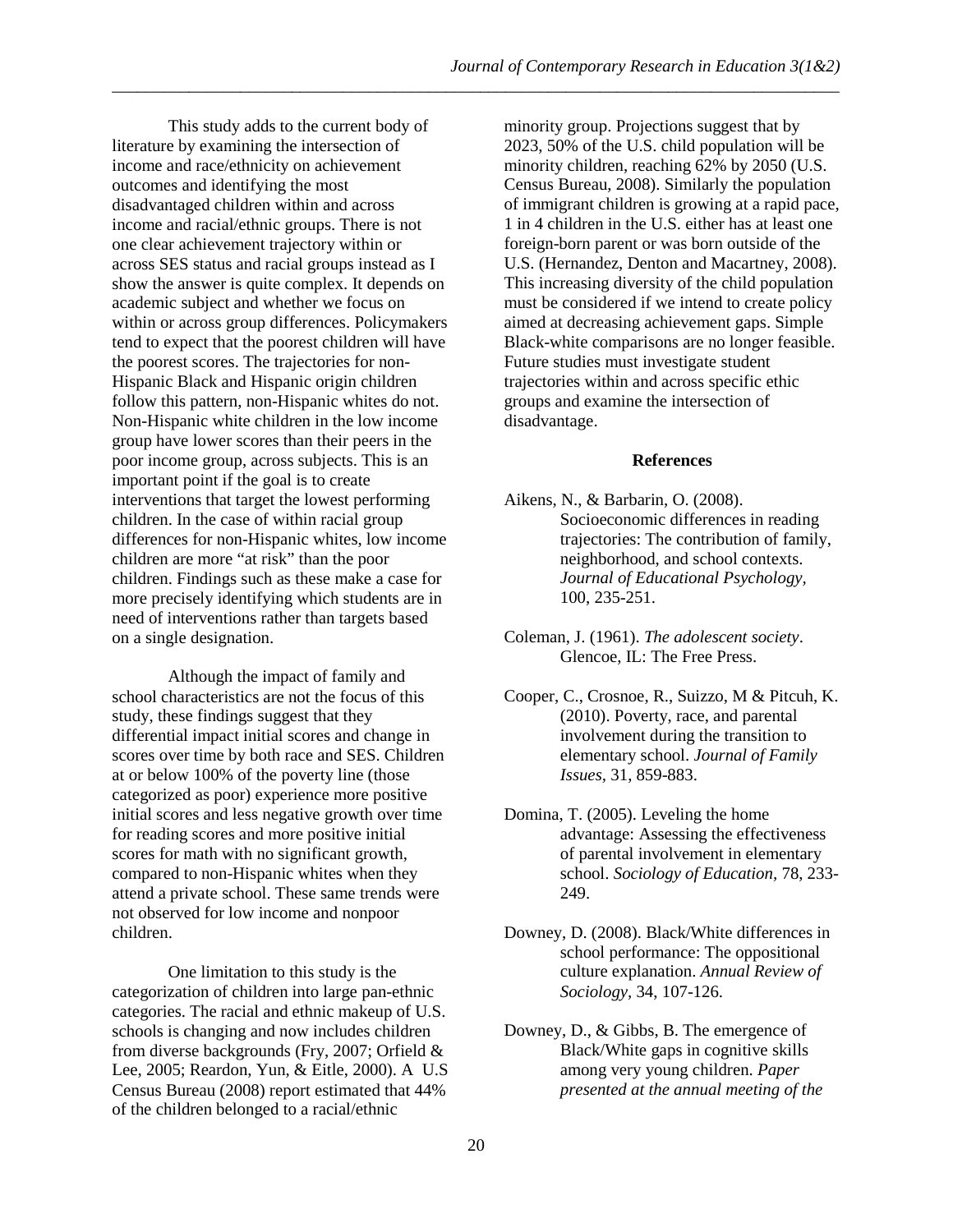This study adds to the current body of literature by examining the intersection of income and race/ethnicity on achievement outcomes and identifying the most disadvantaged children within and across income and racial/ethnic groups. There is not one clear achievement trajectory within or across SES status and racial groups instead as I show the answer is quite complex. It depends on academic subject and whether we focus on within or across group differences. Policymakers tend to expect that the poorest children will have the poorest scores. The trajectories for non-Hispanic Black and Hispanic origin children follow this pattern, non-Hispanic whites do not. Non-Hispanic white children in the low income group have lower scores than their peers in the poor income group, across subjects. This is an important point if the goal is to create interventions that target the lowest performing children. In the case of within racial group differences for non-Hispanic whites, low income children are more "at risk" than the poor children. Findings such as these make a case for more precisely identifying which students are in need of interventions rather than targets based on a single designation.

Although the impact of family and school characteristics are not the focus of this study, these findings suggest that they differential impact initial scores and change in scores over time by both race and SES. Children at or below 100% of the poverty line (those categorized as poor) experience more positive initial scores and less negative growth over time for reading scores and more positive initial scores for math with no significant growth, compared to non-Hispanic whites when they attend a private school. These same trends were not observed for low income and nonpoor children.

One limitation to this study is the categorization of children into large pan-ethnic categories. The racial and ethnic makeup of U.S. schools is changing and now includes children from diverse backgrounds (Fry, 2007; Orfield & Lee, 2005; Reardon, Yun, & Eitle, 2000). A U.S Census Bureau (2008) report estimated that 44% of the children belonged to a racial/ethnic

minority group. Projections suggest that by 2023, 50% of the U.S. child population will be minority children, reaching 62% by 2050 (U.S. Census Bureau, 2008). Similarly the population of immigrant children is growing at a rapid pace, 1 in 4 children in the U.S. either has at least one foreign-born parent or was born outside of the U.S. (Hernandez, Denton and Macartney, 2008). This increasing diversity of the child population must be considered if we intend to create policy aimed at decreasing achievement gaps. Simple Black-white comparisons are no longer feasible. Future studies must investigate student trajectories within and across specific ethic groups and examine the intersection of disadvantage.

#### **References**

- Aikens, N., & Barbarin, O. (2008). Socioeconomic differences in reading trajectories: The contribution of family, neighborhood, and school contexts. *Journal of Educational Psychology,*  100, 235-251.
- Coleman, J. (1961). *The adolescent society*. Glencoe, IL: The Free Press.
- Cooper, C., Crosnoe, R., Suizzo, M & Pitcuh, K. (2010). Poverty, race, and parental involvement during the transition to elementary school. *Journal of Family Issues,* 31, 859-883.
- Domina, T. (2005). Leveling the home advantage: Assessing the effectiveness of parental involvement in elementary school. *Sociology of Education,* 78, 233- 249.
- Downey, D. (2008). Black/White differences in school performance: The oppositional culture explanation. *Annual Review of Sociology,* 34, 107-126.
- Downey, D., & Gibbs, B. The emergence of Black/White gaps in cognitive skills among very young children. *Paper presented at the annual meeting of the*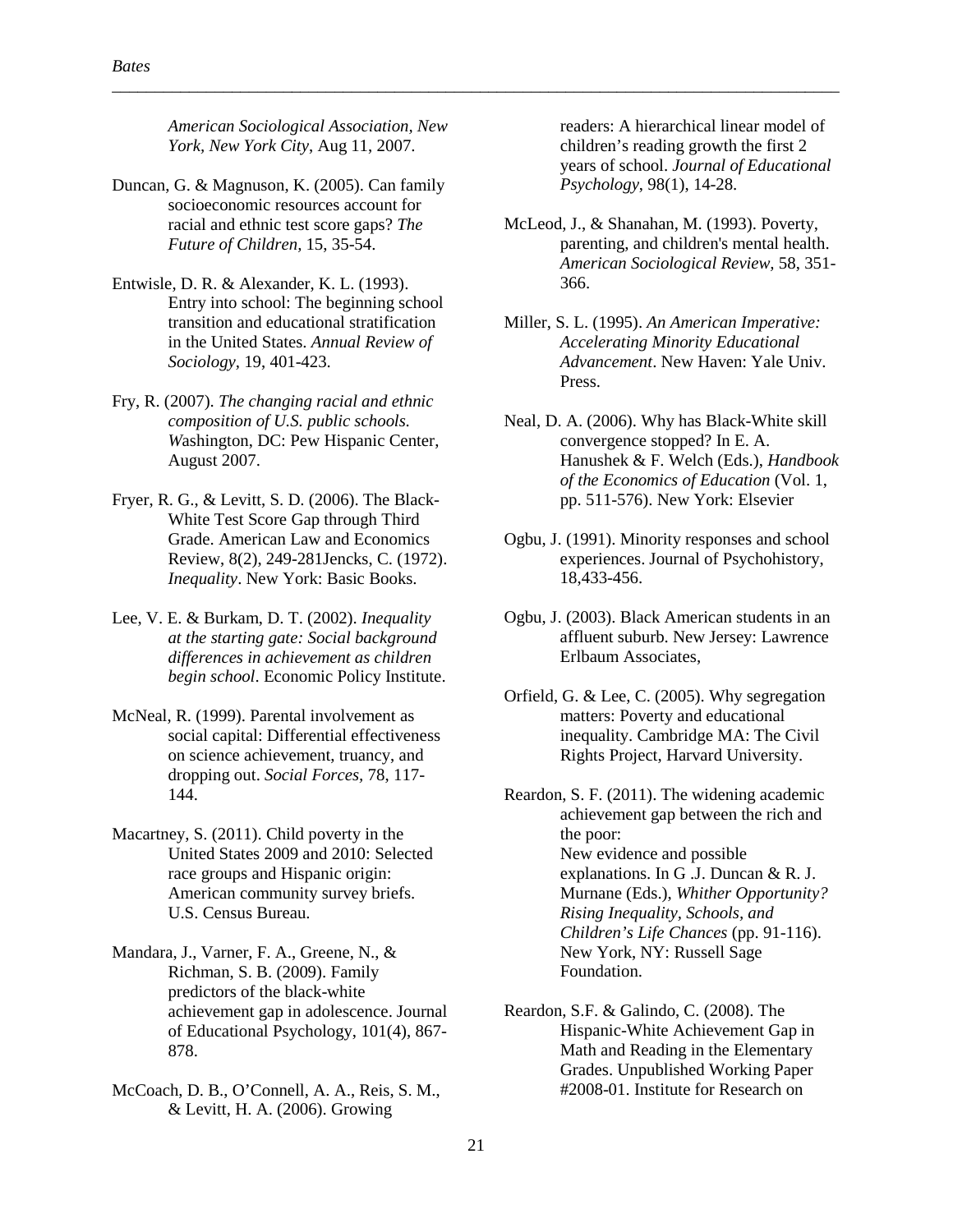*American Sociological Association, New York, New York City*, Aug 11, 2007.

\_\_\_\_\_\_\_\_\_\_\_\_\_\_\_\_\_\_\_\_\_\_\_\_\_\_\_\_\_\_\_\_\_\_\_\_\_\_\_\_\_\_\_\_\_\_\_\_\_\_\_\_\_\_\_\_\_\_\_\_\_\_\_\_\_\_\_\_\_\_\_\_\_\_\_\_\_\_\_\_\_\_\_\_\_

- Duncan, G. & Magnuson, K. (2005). Can family socioeconomic resources account for racial and ethnic test score gaps? *The Future of Children,* 15, 35-54.
- Entwisle, D. R. & Alexander, K. L. (1993). Entry into school: The beginning school transition and educational stratification in the United States. *Annual Review of Sociology,* 19, 401-423.
- Fry, R. (2007). *The changing racial and ethnic composition of U.S. public schools. W*ashington, DC: Pew Hispanic Center, August 2007.
- Fryer, R. G., & Levitt, S. D. (2006). The Black-White Test Score Gap through Third Grade. American Law and Economics Review, 8(2), 249-281Jencks, C. (1972). *Inequality*. New York: Basic Books.
- Lee, V. E. & Burkam, D. T. (2002). *Inequality at the starting gate: Social background differences in achievement as children begin school*. Economic Policy Institute.
- McNeal, R. (1999). Parental involvement as social capital: Differential effectiveness on science achievement, truancy, and dropping out. *Social Forces,* 78, 117- 144.
- Macartney, S. (2011). Child poverty in the United States 2009 and 2010: Selected race groups and Hispanic origin: American community survey briefs. U.S. Census Bureau.
- Mandara, J., Varner, F. A., Greene, N., & Richman, S. B. (2009). Family predictors of the black-white achievement gap in adolescence. Journal of Educational Psychology, 101(4), 867- 878.
- McCoach, D. B., O'Connell, A. A., Reis, S. M., & Levitt, H. A. (2006). Growing

readers: A hierarchical linear model of children's reading growth the first 2 years of school. *Journal of Educational Psychology*, 98(1), 14-28.

- McLeod, J., & Shanahan, M. (1993). Poverty, parenting, and children's mental health. *American Sociological Review,* 58, 351- 366.
- Miller, S. L. (1995). *An American Imperative: Accelerating Minority Educational Advancement*. New Haven: Yale Univ. Press.
- Neal, D. A. (2006). Why has Black-White skill convergence stopped? In E. A. Hanushek & F. Welch (Eds.), *Handbook of the Economics of Education* (Vol. 1, pp. 511-576). New York: Elsevier
- Ogbu, J. (1991). Minority responses and school experiences. Journal of Psychohistory, 18,433-456.
- Ogbu, J. (2003). Black American students in an affluent suburb. New Jersey: Lawrence Erlbaum Associates,
- Orfield, G. & Lee, C. (2005). Why segregation matters: Poverty and educational inequality. Cambridge MA: The Civil Rights Project, Harvard University.
- Reardon, S. F. (2011). The widening academic achievement gap between the rich and the poor: New evidence and possible explanations. In G .J. Duncan & R. J. Murnane (Eds.), *Whither Opportunity? Rising Inequality, Schools, and Children's Life Chances* (pp. 91-116). New York, NY: Russell Sage Foundation.
- Reardon, S.F. & Galindo, C. (2008). The Hispanic-White Achievement Gap in Math and Reading in the Elementary Grades. Unpublished Working Paper #2008-01. Institute for Research on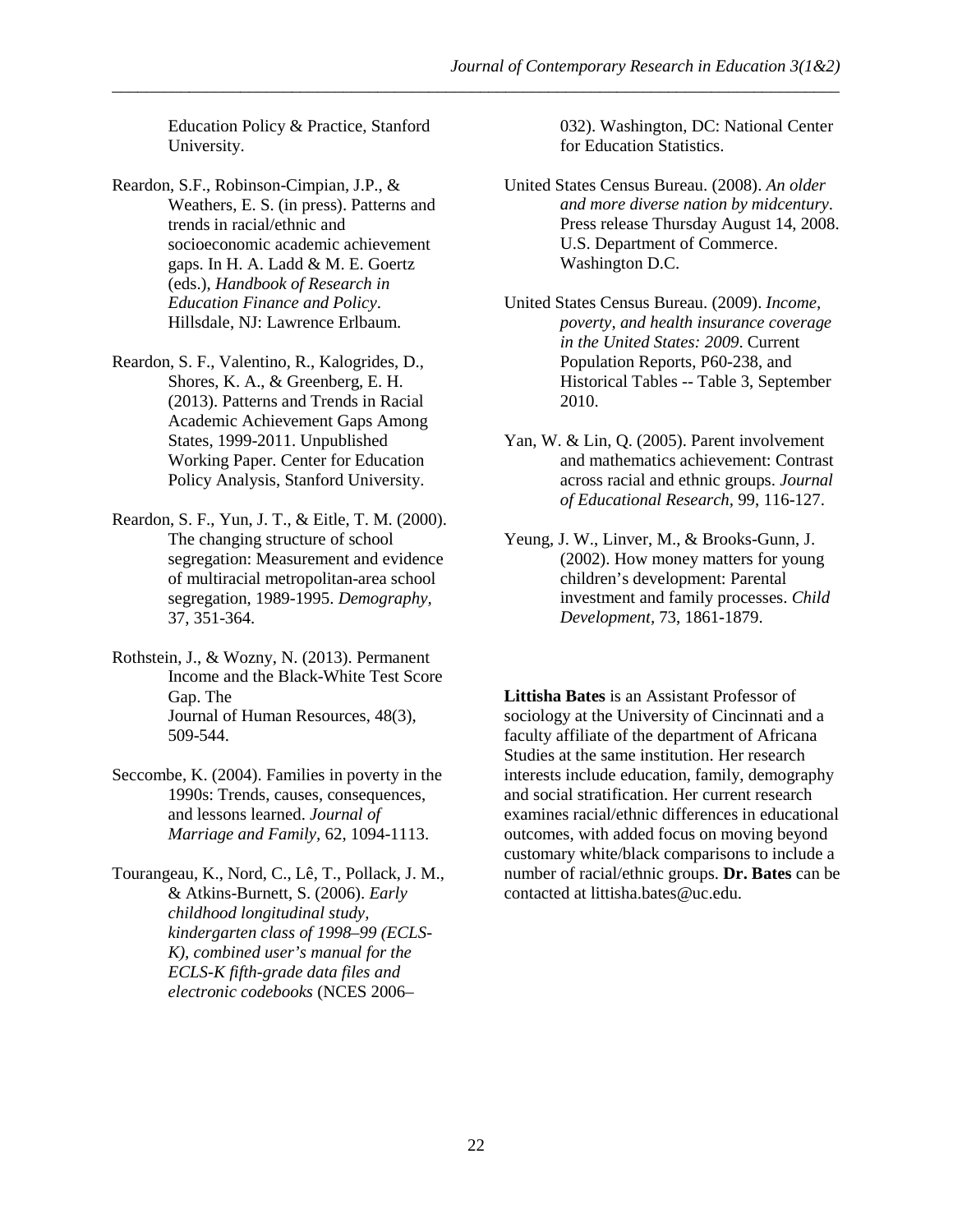Education Policy & Practice, Stanford University.

- Reardon, S.F., Robinson-Cimpian, J.P., & Weathers, E. S. (in press). Patterns and trends in racial/ethnic and socioeconomic academic achievement gaps. In H. A. Ladd & M. E. Goertz (eds.), *Handbook of Research in Education Finance and Policy*. Hillsdale, NJ: Lawrence Erlbaum.
- Reardon, S. F., Valentino, R., Kalogrides, D., Shores, K. A., & Greenberg, E. H. (2013). Patterns and Trends in Racial Academic Achievement Gaps Among States, 1999-2011. Unpublished Working Paper. Center for Education Policy Analysis, Stanford University.
- Reardon, S. F., Yun, J. T., & Eitle, T. M. (2000). The changing structure of school segregation: Measurement and evidence of multiracial metropolitan-area school segregation, 1989-1995. *Demography,*  37, 351-364.
- Rothstein, J., & Wozny, N. (2013). Permanent Income and the Black-White Test Score Gap. The Journal of Human Resources, 48(3), 509-544.
- Seccombe, K. (2004). Families in poverty in the 1990s: Trends, causes, consequences, and lessons learned. *Journal of Marriage and Family,* 62, 1094-1113.
- Tourangeau, K., Nord, C., Lê, T., Pollack, J. M., & Atkins-Burnett, S. (2006). *Early childhood longitudinal study, kindergarten class of 1998–99 (ECLS-K), combined user's manual for the ECLS-K fifth-grade data files and electronic codebooks* (NCES 2006–

032). Washington, DC: National Center for Education Statistics.

- United States Census Bureau. (2008). *An older and more diverse nation by midcentury*. Press release Thursday August 14, 2008. U.S. Department of Commerce. Washington D.C.
- United States Census Bureau. (2009). *Income, poverty, and health insurance coverage in the United States: 2009*. Current Population Reports, P60-238, and Historical Tables -- Table 3, September 2010.
- Yan, W. & Lin, Q. (2005). Parent involvement and mathematics achievement: Contrast across racial and ethnic groups. *Journal of Educational Research,* 99, 116-127.
- Yeung, J. W., Linver, M., & Brooks-Gunn, J. (2002). How money matters for young children's development: Parental investment and family processes. *Child Development,* 73, 1861-1879.

**Littisha Bates** is an Assistant Professor of sociology at the University of Cincinnati and a faculty affiliate of the department of Africana Studies at the same institution. Her research interests include education, family, demography and social stratification. Her current research examines racial/ethnic differences in educational outcomes, with added focus on moving beyond customary white/black comparisons to include a number of racial/ethnic groups. **Dr. Bates** can be contacted at littisha.bates@uc.edu.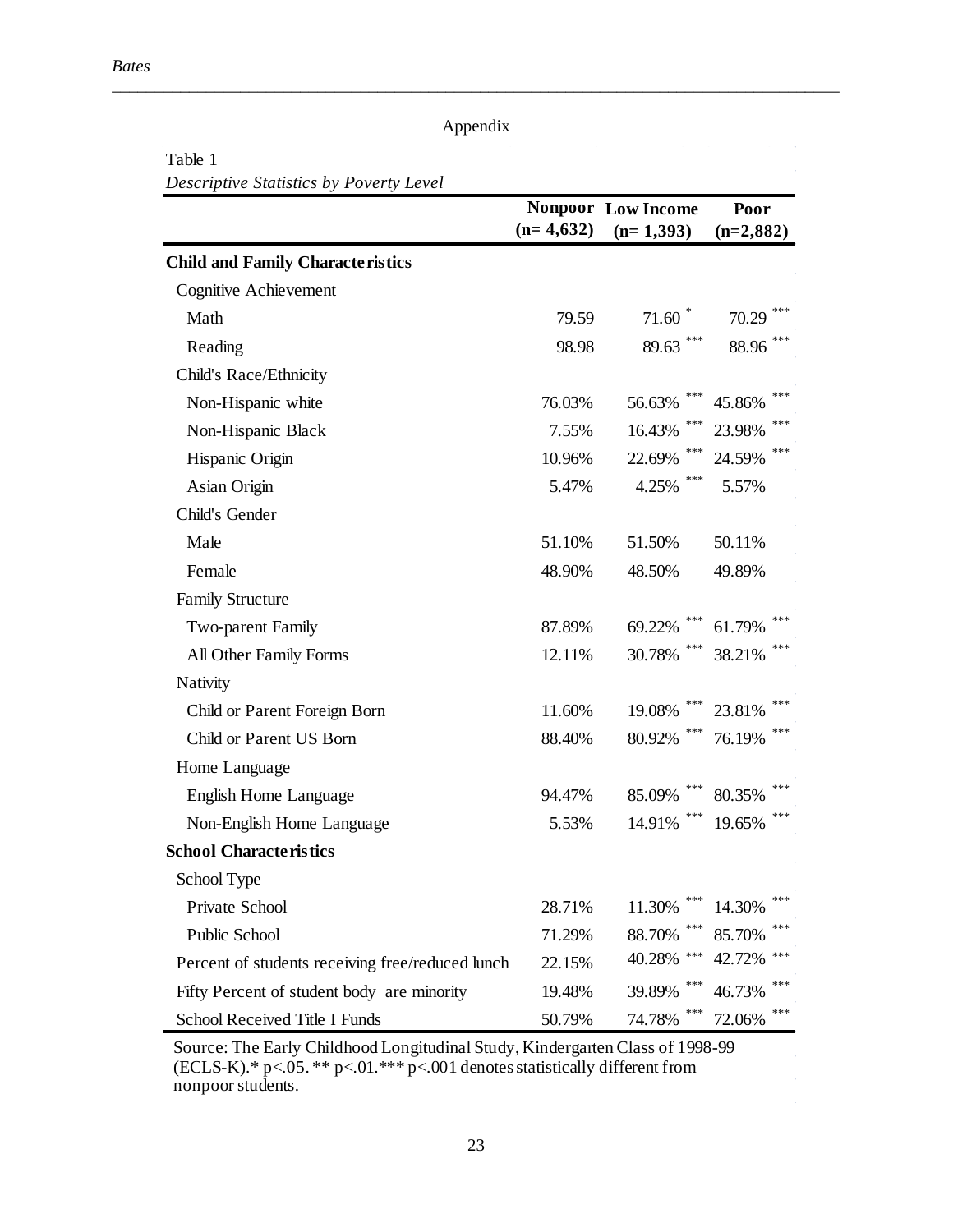#### Appendix

\_\_\_\_\_\_\_\_\_\_\_\_\_\_\_\_\_\_\_\_\_\_\_\_\_\_\_\_\_\_\_\_\_\_\_\_\_\_\_\_\_\_\_\_\_\_\_\_\_\_\_\_\_\_\_\_\_\_\_\_\_\_\_\_\_\_\_\_\_\_\_\_\_\_\_\_\_\_\_\_\_\_\_\_\_

Table 1 *Descriptive Statistics by Poverty Level*

|                                                  |             | <b>Nonpoor</b> Low Income | Poor          |  |
|--------------------------------------------------|-------------|---------------------------|---------------|--|
|                                                  | $(n=4,632)$ | $(n=1,393)$               | $(n=2,882)$   |  |
| <b>Child and Family Characteristics</b>          |             |                           |               |  |
| Cognitive Achievement                            |             |                           |               |  |
| Math                                             | 79.59       | 71.60                     | 70.29         |  |
| Reading                                          | 98.98       | ***<br>89.63              | 88.96         |  |
| Child's Race/Ethnicity                           |             |                           |               |  |
| Non-Hispanic white                               | 76.03%      | ***<br>56.63%             | 45.86%        |  |
| Non-Hispanic Black                               | 7.55%       | ***<br>16.43%             | 23.98%        |  |
| Hispanic Origin                                  | 10.96%      | ***<br>22.69%             | 24.59%        |  |
| Asian Origin                                     | 5.47%       | ***<br>4.25%              | 5.57%         |  |
| Child's Gender                                   |             |                           |               |  |
| Male                                             | 51.10%      | 51.50%                    | 50.11%        |  |
| Female                                           | 48.90%      | 48.50%                    | 49.89%        |  |
| <b>Family Structure</b>                          |             |                           |               |  |
| Two-parent Family                                | 87.89%      | ***<br>69.22%             | 61.79%        |  |
| All Other Family Forms                           | 12.11%      | ***<br>30.78%             | 38.21%        |  |
| Nativity                                         |             |                           |               |  |
| Child or Parent Foreign Born                     | 11.60%      | ***<br>19.08%             | 23.81%        |  |
| Child or Parent US Born                          | 88.40%      | ***<br>80.92%             | ***<br>76.19% |  |
| Home Language                                    |             |                           |               |  |
| English Home Language                            | 94.47%      | ***<br>85.09%             | 80.35%        |  |
| Non-English Home Language                        | 5.53%       | ***<br>14.91%             | 19.65%        |  |
| <b>School Characteristics</b>                    |             |                           |               |  |
| School Type                                      |             |                           |               |  |
| Private School                                   | 28.71%      | ***<br>11.30%             | ***<br>14.30% |  |
| Public School                                    | 71.29%      | ***<br>88.70%             | 85.70%        |  |
| Percent of students receiving free/reduced lunch | 22.15%      | ***<br>40.28%             | 42.72%        |  |
| Fifty Percent of student body are minority       | 19.48%      | ***<br>39.89%             | 46.73%        |  |
| School Received Title I Funds                    | 50.79%      | ***<br>74.78%             | 72.06%        |  |

Source: The Early Childhood Longitudinal Study, Kindergarten Class of 1998-99 (ECLS-K).\* p<.05. \*\* p<.01.\*\*\* p<.001 denotes statistically different from nonpoor students.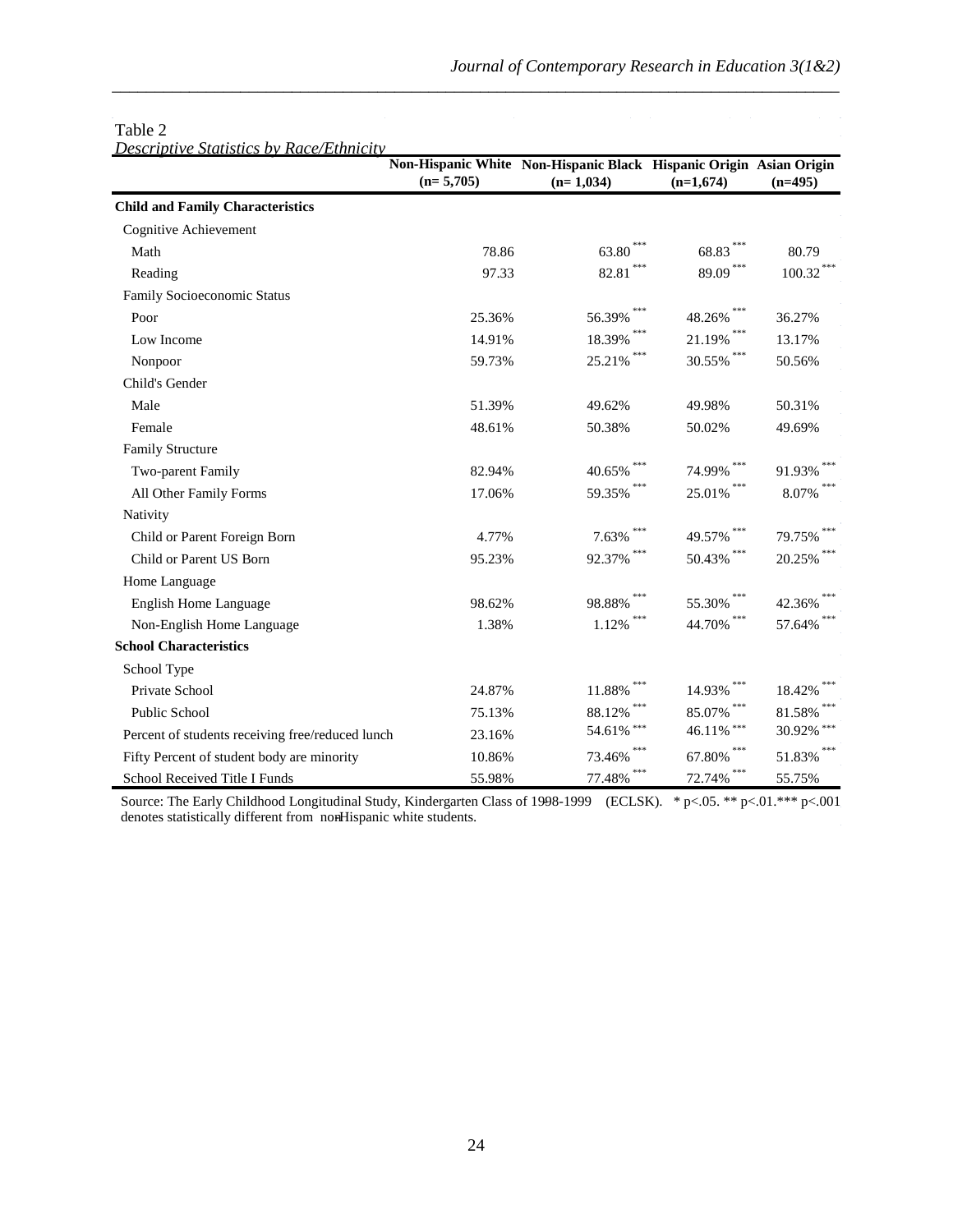|                                                  | $(n=5,705)$ | Non-Hispanic White Non-Hispanic Black Hispanic Origin Asian Origin<br>$(n=1,034)$ | $(n=1,674)$              | $(n=495)$           |
|--------------------------------------------------|-------------|-----------------------------------------------------------------------------------|--------------------------|---------------------|
| <b>Child and Family Characteristics</b>          |             |                                                                                   |                          |                     |
| Cognitive Achievement                            |             |                                                                                   |                          |                     |
| Math                                             | 78.86       | 63.80                                                                             | 68.83                    | 80.79               |
| Reading                                          | 97.33       | 82.81                                                                             | ${89.09}^{\ast\ast\ast}$ | $100.32$ $^{***}\,$ |
| Family Socioeconomic Status                      |             |                                                                                   |                          |                     |
| Poor                                             | 25.36%      | 56.39%                                                                            | 48.26%                   | 36.27%              |
| Low Income                                       | 14.91%      | 18.39%                                                                            | 21.19%                   | 13.17%              |
| Nonpoor                                          | 59.73%      | 25.21%                                                                            | 30.55%                   | 50.56%              |
| Child's Gender                                   |             |                                                                                   |                          |                     |
| Male                                             | 51.39%      | 49.62%                                                                            | 49.98%                   | 50.31%              |
| Female                                           | 48.61%      | 50.38%                                                                            | 50.02%                   | 49.69%              |
| <b>Family Structure</b>                          |             |                                                                                   |                          |                     |
| Two-parent Family                                | 82.94%      | 40.65%                                                                            | 74.99%                   | 91.93%              |
| All Other Family Forms                           | 17.06%      | 59.35%                                                                            | 25.01%                   | 8.07%               |
| Nativity                                         |             |                                                                                   |                          |                     |
| Child or Parent Foreign Born                     | 4.77%       | 7.63%                                                                             | 49.57%                   | 79.75%              |
| Child or Parent US Born                          | 95.23%      | 92.37%                                                                            | 50.43%                   | 20.25%              |
| Home Language                                    |             |                                                                                   |                          |                     |
| English Home Language                            | 98.62%      | 98.88%                                                                            | 55.30%                   | 42.36%              |
| Non-English Home Language                        | 1.38%       | 1.12%                                                                             | 44.70%                   | 57.64%              |
| <b>School Characteristics</b>                    |             |                                                                                   |                          |                     |
| School Type                                      |             |                                                                                   |                          |                     |
| Private School                                   | 24.87%      | 11.88%                                                                            | 14.93%                   | 18.42%              |
| <b>Public School</b>                             | 75.13%      | 88.12%                                                                            | 85.07%                   | 81.58%              |
| Percent of students receiving free/reduced lunch | 23.16%      | 54.61% ***                                                                        | 46.11% ***               | 30.92% ***          |
| Fifty Percent of student body are minority       | 10.86%      | 73.46%                                                                            | 67.80%                   | 51.83%              |
| School Received Title I Funds                    | 55.98%      | 77.48%                                                                            | 72.74%                   | 55.75%              |

#### Table 2

*Descriptive Statistics by Race/Ethnicity*

Source: The Early Childhood Longitudinal Study, Kindergarten Class of 1998-1999 (ECLSK). \* p<.05. \*\* p<.01.\*\*\* p<.001 denotes statistically different from nonHispanic white students.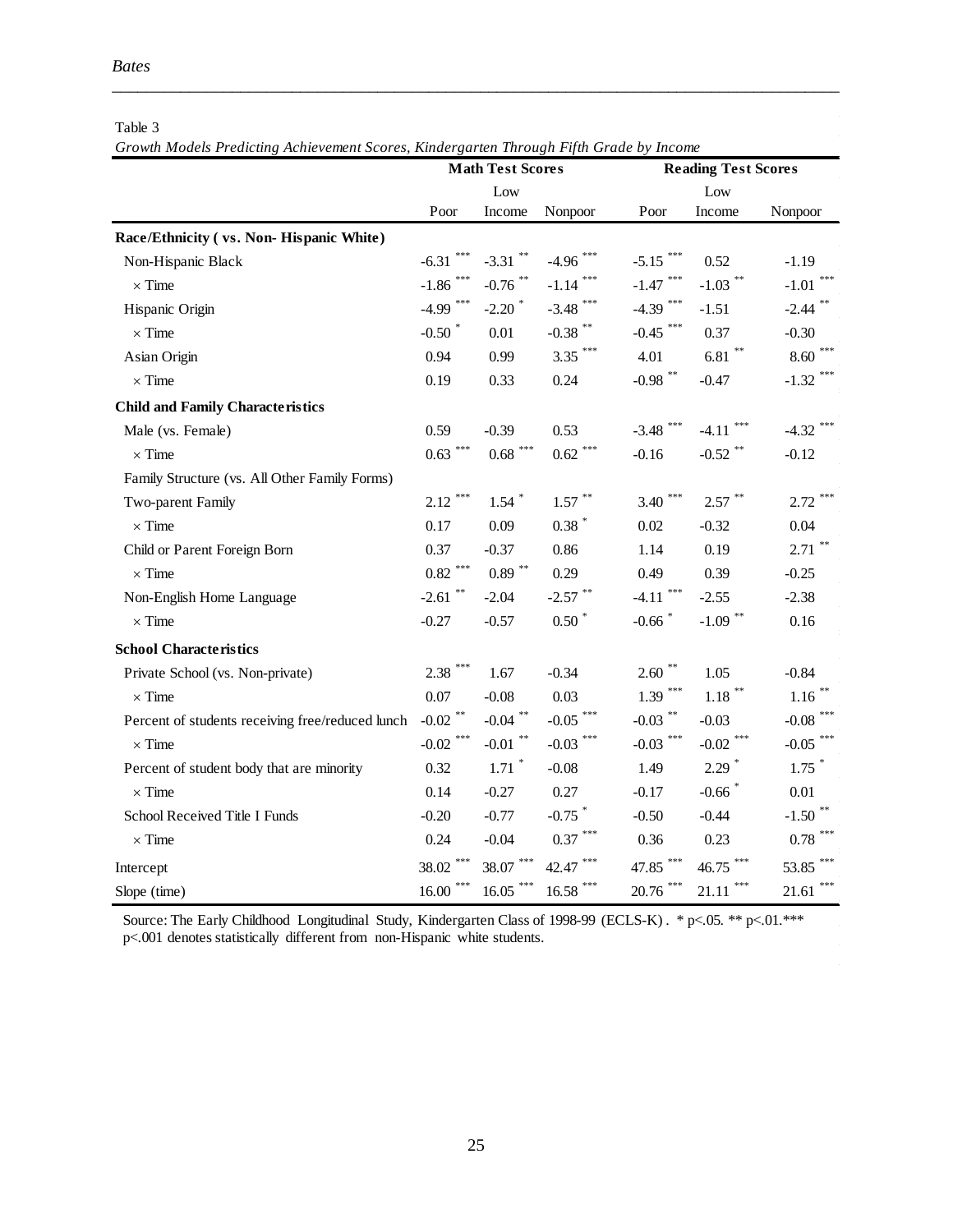|                                                  | <b>Math Test Scores</b>        |                        |                           | <b>Reading Test Scores</b> |                         |                         |
|--------------------------------------------------|--------------------------------|------------------------|---------------------------|----------------------------|-------------------------|-------------------------|
|                                                  | Low                            |                        |                           | Low                        |                         |                         |
|                                                  | Poor                           | Income                 | Nonpoor                   | Poor                       | Income                  | Nonpoor                 |
| Race/Ethnicity (vs. Non-Hispanic White)          |                                |                        |                           |                            |                         |                         |
| Non-Hispanic Black                               | $-6.31$                        | $-3.31$ **             | $-4.96$                   | $-5.15$ ***                | 0.52                    | $-1.19$                 |
| $\times$ Time                                    | -1.86 $^{\ast\ast\ast}$        | -0.76 $^{\ast\ast}$    | $-1.14$ <sup>***</sup>    | $-1.47$ ***                | $-1.03$ <sup>**</sup>   | $***$<br>$-1.01$        |
| Hispanic Origin                                  | $-4.99$ ***                    | $-2.20$ $*$            | $-3.48$ ***               | $-4.39$ ***                | $-1.51$                 | $-2.44$ **              |
| $\times$ Time                                    | $-0.50$ *                      | 0.01                   | -0.38 $^{\ast\ast}$       | $-0.45$ ***                | 0.37                    | $-0.30$                 |
| Asian Origin                                     | 0.94                           | 0.99                   | $3.35$ ***                | 4.01                       | $6.81$ $^{\ast\ast}$    | $8.60***$               |
| $\times$ Time                                    | 0.19                           | 0.33                   | 0.24                      | $-0.98$ **                 | $-0.47$                 | $-1.32$ ***             |
| <b>Child and Family Characteristics</b>          |                                |                        |                           |                            |                         |                         |
| Male (vs. Female)                                | 0.59                           | $-0.39$                | 0.53                      | $-3.48$ ***                | $-4.11$                 | $-4.32$ ***             |
| $\times$ Time                                    | $0.63$ <sup>***</sup>          | $0.68$ $^{***}\;$      | $0.62$ $^{***}\,$         | $-0.16$                    | $-0.52$ **              | $-0.12$                 |
| Family Structure (vs. All Other Family Forms)    |                                |                        |                           |                            |                         |                         |
| Two-parent Family                                | $2.12$ ***                     | $1.54$ *               | $1.57$ **                 | $3.40***$                  | $2.57$ **               | $2.72$ ***              |
| $\times$ Time                                    | 0.17                           | 0.09                   | $0.38$ *                  | 0.02                       | $-0.32$                 | 0.04                    |
| Child or Parent Foreign Born                     | 0.37                           | $-0.37$                | 0.86                      | 1.14                       | 0.19                    | $2.71$ **               |
| $\times$ Time                                    | $0.82$ $\hspace{-1.5mm}^{***}$ | $0.89$ $^{\ast\ast}$   | 0.29                      | 0.49                       | 0.39                    | $-0.25$                 |
| Non-English Home Language                        | $-2.61$ **                     | $-2.04$                | -2.57 $^{\ast\ast}$       | $-4.11$ <sup>***</sup>     | $-2.55$                 | $-2.38$                 |
| $\times$ Time                                    | $-0.27$                        | $-0.57$                | $0.50*$                   | $-0.66$ <sup>*</sup>       | $-1.09$ <sup>**</sup>   | 0.16                    |
| <b>School Characteristics</b>                    |                                |                        |                           |                            |                         |                         |
| Private School (vs. Non-private)                 | $2.38$ ***                     | 1.67                   | $-0.34$                   | $2.60$ **                  | 1.05                    | $-0.84$                 |
| $\times$ Time                                    | 0.07                           | $-0.08$                | 0.03                      | $1.39$ ***                 | $1.18$ $^{\ast\ast}$    | $1.16$ **               |
| Percent of students receiving free/reduced lunch | -0.02 $^{\ast\ast}$            | $-0.04$ **             | ***<br>$-0.05$            | -0.03 $^{\ast\ast}$        | $-0.03$                 | -0.08 $^{\ast\ast\ast}$ |
| $\times$ Time                                    | $-0.02$ <sup>***</sup>         | -0.01 $^\ast{}$        | $-0.03$ ***               | $-0.03$ ***                | -0.02 $^{\ast\ast\ast}$ | $-0.05$ ***             |
| Percent of student body that are minority        | 0.32                           | $1.71$ <sup>*</sup>    | $-0.08$                   | 1.49                       | $2.29$ *                | $1.75$ *                |
| $\times$ Time                                    | 0.14                           | $-0.27$                | 0.27                      | $-0.17$                    | $-0.66$ <sup>*</sup>    | $0.01\,$                |
| School Received Title I Funds                    | $-0.20$                        | $-0.77$                | $-0.75$ *                 | $-0.50$                    | $-0.44$                 | $-1.50$ <sup>**</sup>   |
| $\times$ Time                                    | 0.24                           | $-0.04$                | 0.37                      | 0.36                       | 0.23                    | $0.78$ $^{***}\;$       |
| Intercept                                        | $38.02$ ***                    | $* * *$<br>38.07       | 42.47                     | 47.85 ***                  | $**$<br>46.75           | 53.85 ***               |
| Slope (time)                                     | $16.00$ $^{\ast\ast\ast}$      | $16.05$ <sup>***</sup> | $16.58$ $^{\ast\ast\ast}$ | $20.76$ ***                | $* * *$<br>21.11        | $\ast\ast\ast$<br>21.61 |

Table 3

*Growth Models Predicting Achievement Scores, Kindergarten Through Fifth Grade by Income*

Source: The Early Childhood Longitudinal Study, Kindergarten Class of 1998-99 (ECLS-K) . \* p<.05. \*\* p<.01.\*\*\* p<.001 denotes statistically different from non-Hispanic white students.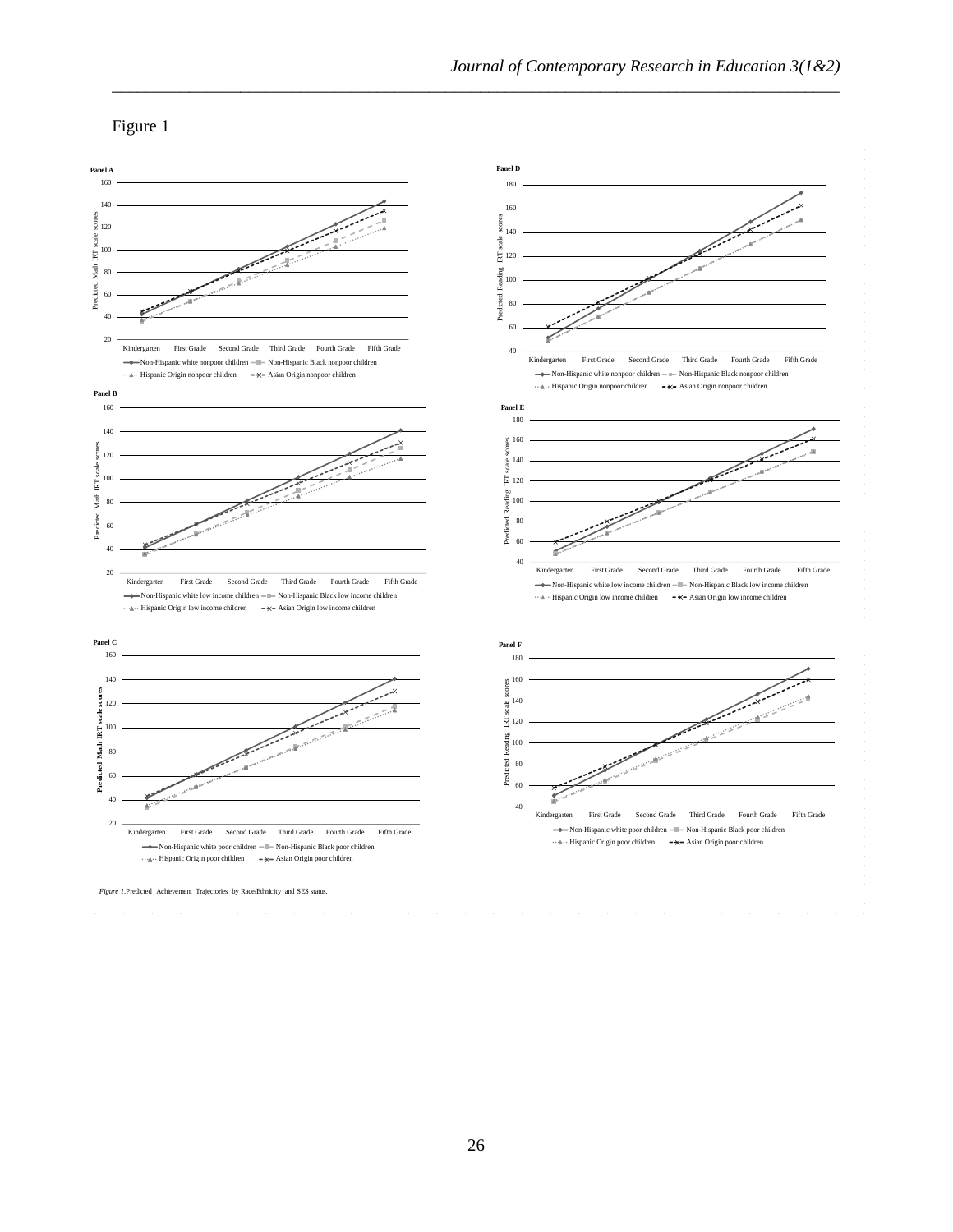Figure 1



\_\_\_\_\_\_\_\_\_\_\_\_\_\_\_\_\_\_\_\_\_\_\_\_\_\_\_\_\_\_\_\_\_\_\_\_\_\_\_\_\_\_\_\_\_\_\_\_\_\_\_\_\_\_\_\_\_\_\_\_\_\_\_\_\_\_\_\_\_\_\_\_\_\_\_\_\_\_\_\_\_\_\_\_\_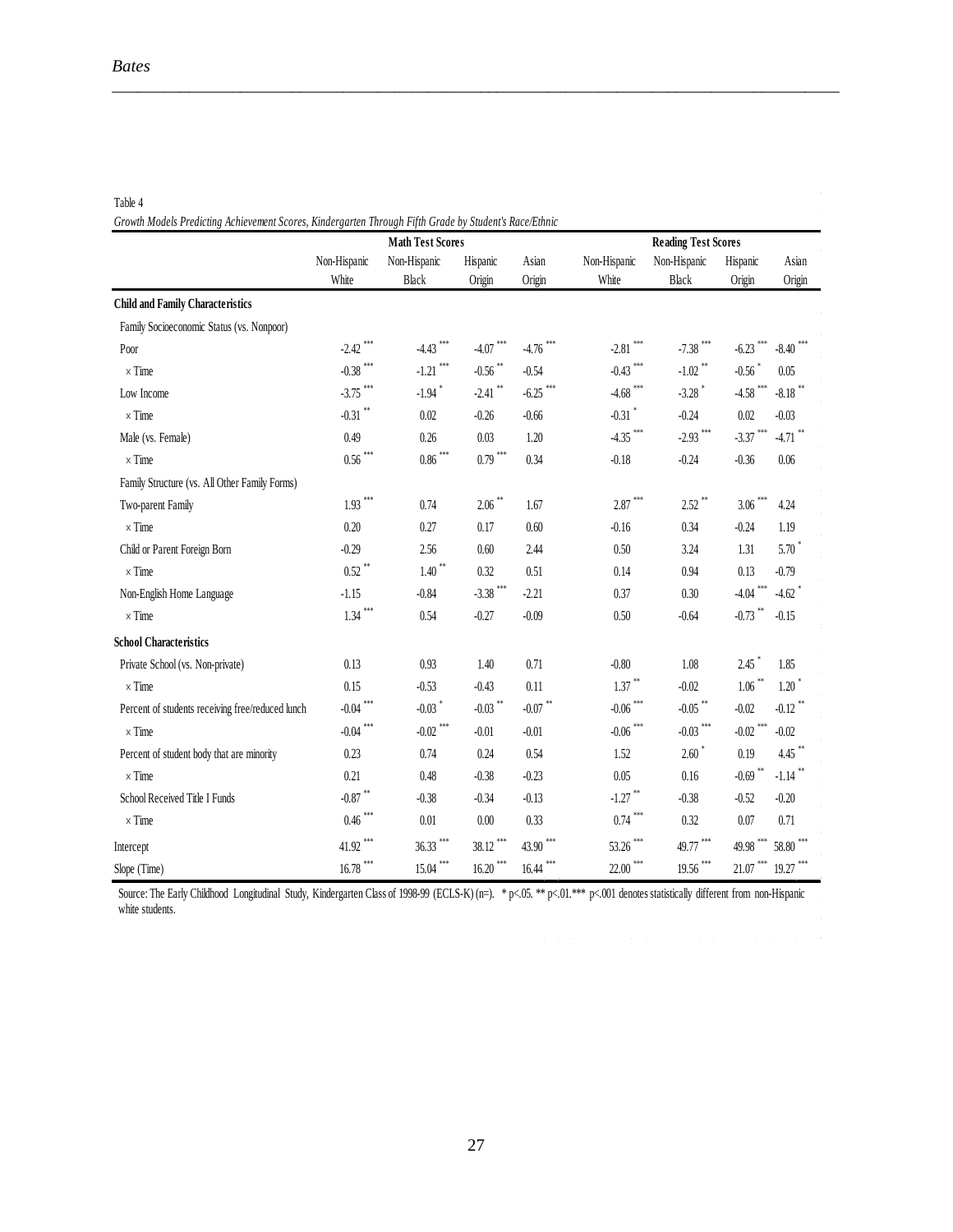Table 4

**Child and Family Characteristics** Family Socioeconomic Status (vs. Nonpoor) Poor -2.42 \*\*\* -4.43 \*\*\* -4.07 \*\*\* -4.76 \*\*\* -2.81 \*\*\* -7.38 \*\*\* -6.23 \*\*\* -8.40 \*\*\*  $\times$  Time  $-0.38$   $-1.21$   $-1.21$   $-1.56$   $-0.54$   $-0.43$   $-0.43$   $-1.02$   $-0.56$   $-0.05$ Low Income  $3.75$   $-1.94$   $-2.41$   $-6.25$   $-4.68$   $-4.68$   $-3.28$   $-4.58$   $-8.18$   $-8.18$  $\times$  Time  $-0.31$   $+0.31$   $+0.02$   $-0.26$   $-0.66$   $-0.31$   $+0.24$   $-0.03$   $-0.03$ Male (vs. Female) 0.49 0.26 0.03 1.20 -4.35<sup>\*\*\*</sup> -2.93<sup>\*\*\*</sup> -3.37<sup>\*\*\*</sup> -4.71<sup>\*\*</sup>  $\times$  Time 0.56 \*\*\* 0.86 \*\*\* 0.79 \*\*\* 0.34 -0.18 -0.24 -0.36 0.06 Family Structure (vs. All Other Family Forms) Two-parent Family 1.93 \*\*\*  $0.74$  2.06 \*\*  $1.67$  2.87 \*\*\*  $2.52$   $3.06$  \*\*\*  $4.24$ × Time 0.20 0.27 0.17 0.60 -0.16 0.34 -0.24 1.19 Child or Parent Foreign Born -0.29 2.56 0.60 2.44 0.50 3.24 1.31 5.70  $\times$  Time 0.52 \*\* 0.52  $\times$  0.52 0.51 0.14 0.94 0.13 -0.79 Non-English Home Language -1.15 -0.84 -3.38<sup>\*\*\*</sup> -2.21 0.37 0.30 -4.04<sup>\*\*\*</sup> -4.62  $\times$  Time 2015 1.34 \*\*\*  $\times$  0.54  $\times$  0.73  $\times$  0.90  $\times$  0.50  $\times$  0.64  $\times$  0.73  $\times$  0.15 **School Characteristics** Private School (vs. Non-private) 0.13 0.93 1.40 0.71 -0.80 1.08 2.45 1.85  $\times$  Time 0.15  $\times$  0.15  $\times$  0.53  $\times$  0.43  $\times$  0.11  $\times$  1.37  $\times$  0.02  $\times$  1.06  $\times$  1.20  $\times$ Percent of students receiving free/reduced lunch -0.04 \*\*\* -0.03 \* -0.03 \*\* -0.07 \*\* -0.06 \*\*\* -0.05 \*\* -0.02 -0.12 \*\*  $\times$  Time  $-0.04$   $-0.04$   $-0.02$   $-0.01$   $-0.01$   $-0.06$   $-0.03$   $-0.03$   $-0.02$   $-0.02$ Percent of student body that are minority 0.23 0.74 0.24 0.54 1.52 2.60 \* 0.19 4.45 \*\*  $\times$  Time 0.21 0.48 -0.38 -0.23 0.05 0.16 -0.69  $*$  -1.14  $*$ School Received Title I Funds -0.87<sup>\*\*</sup> -0.38 -0.34 -0.13 -1.27<sup>\*\*</sup> -0.38 -0.52 -0.20 × Time 0.46 \*\*\* 0.01 0.00 0.33 0.74 \*\*\* 0.32 0.07 0.71 Intercept 49.77 \*\*\* 49.98 \*\*\* 49.77 \*\*\* 49.98 \*\*\* 49.77 \*\*\* 49.98 \*\*\* 49.77 \*\*\* 49.98 \*\*\* 58.80 \*\*\* Slope (Time) 16.78 \*\*\* 16.20 \*\*\* 16.20 \*\*\* 16.44 \*\*\* 22.00 \*\*\* 19.27 \*\*\* 19.27 \*\*\* **Reading Test Scores** Non-Hispanic White Non-Hispanic Black Hispanic **Origin** Asian **Origin** *Growth Models Predicting Achievement Scores, Kindergarten Through Fifth Grade by Student's Race/Ethnici* Non-Hispanic White Non-Hispanic Black Hispanic **Origin** Asian **Origin Math Test Scores**

\_\_\_\_\_\_\_\_\_\_\_\_\_\_\_\_\_\_\_\_\_\_\_\_\_\_\_\_\_\_\_\_\_\_\_\_\_\_\_\_\_\_\_\_\_\_\_\_\_\_\_\_\_\_\_\_\_\_\_\_\_\_\_\_\_\_\_\_\_\_\_\_\_\_\_\_\_\_\_\_\_\_\_\_\_

Source: The Early Childhood Longitudinal Study, Kindergarten Class of 1998-99 (ECLS-K) (n=). \* p<.05. \*\* p<.01.\*\*\* p<.001 denotes statistically different from non-Hispanic white students.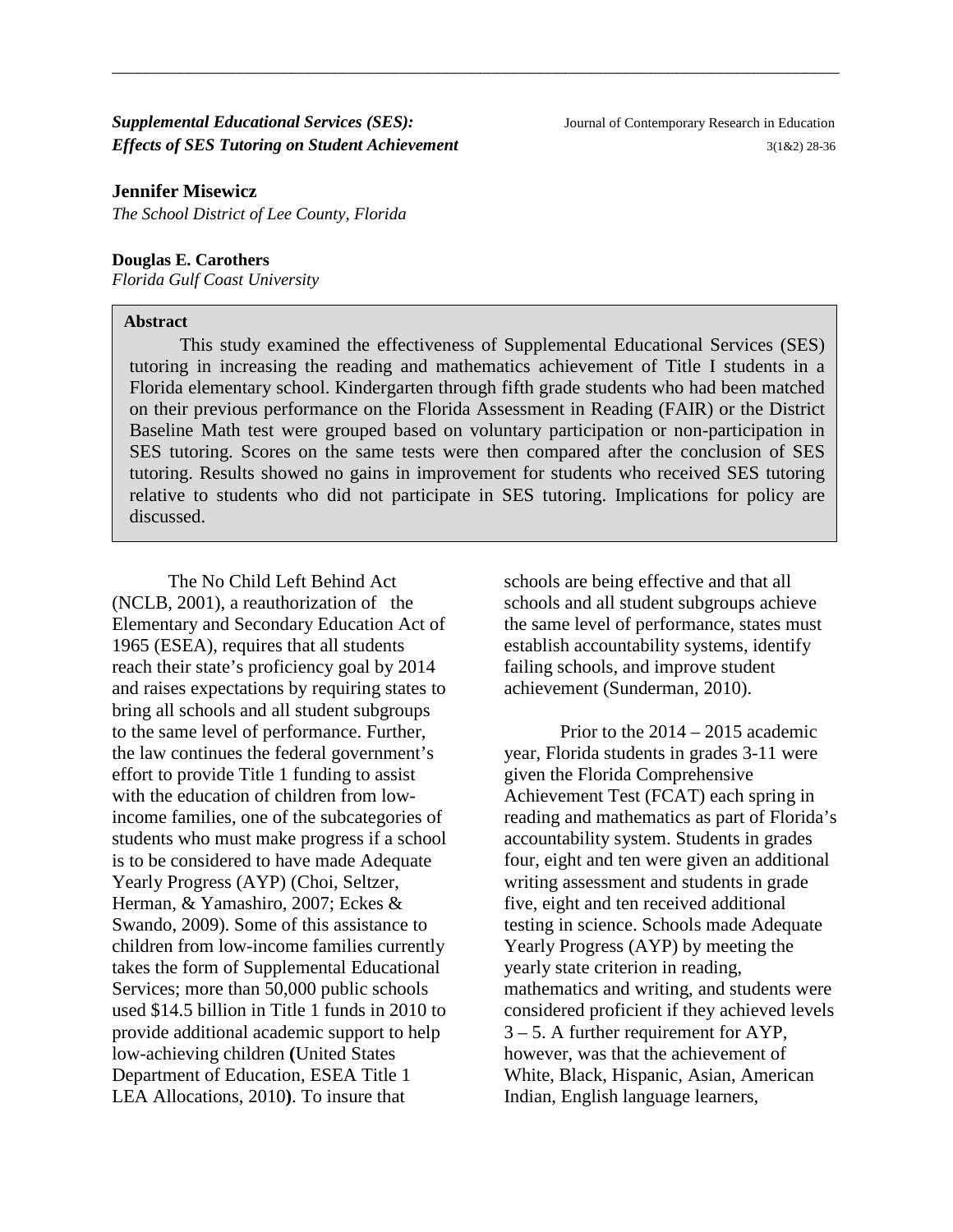#### **Supplemental Educational Services (SES):** Journal of Contemporary Research in Education *Effects of SES Tutoring on Student Achievement* 3(1&2) 28-36

*The School District of Lee County, Florida*

#### **Douglas E. Carothers**

*Florida Gulf Coast University*

#### **Abstract**

This study examined the effectiveness of Supplemental Educational Services (SES) tutoring in increasing the reading and mathematics achievement of Title I students in a Florida elementary school. Kindergarten through fifth grade students who had been matched on their previous performance on the Florida Assessment in Reading (FAIR) or the District Baseline Math test were grouped based on voluntary participation or non-participation in SES tutoring. Scores on the same tests were then compared after the conclusion of SES tutoring. Results showed no gains in improvement for students who received SES tutoring relative to students who did not participate in SES tutoring. Implications for policy are discussed.

\_\_\_\_\_\_\_\_\_\_\_\_\_\_\_\_\_\_\_\_\_\_\_\_\_\_\_\_\_\_\_\_\_\_\_\_\_\_\_\_\_\_\_\_\_\_\_\_\_\_\_\_\_\_\_\_\_\_\_\_\_\_\_\_\_\_\_\_\_\_\_\_\_\_\_\_\_\_\_\_\_\_\_\_\_

The No Child Left Behind Act (NCLB, 2001), a reauthorization of the Elementary and Secondary Education Act of 1965 (ESEA), requires that all students reach their state's proficiency goal by 2014 and raises expectations by requiring states to bring all schools and all student subgroups to the same level of performance. Further, the law continues the federal government's effort to provide Title 1 funding to assist with the education of children from lowincome families, one of the subcategories of students who must make progress if a school is to be considered to have made Adequate Yearly Progress (AYP) (Choi, Seltzer, Herman, & Yamashiro, 2007; Eckes & Swando, 2009). Some of this assistance to children from low-income families currently takes the form of Supplemental Educational Services; more than 50,000 public schools used \$14.5 billion in Title 1 funds in 2010 to provide additional academic support to help low-achieving children **(**United States Department of Education, ESEA Title 1 LEA Allocations, 2010**)**. To insure that

schools are being effective and that all schools and all student subgroups achieve the same level of performance, states must establish accountability systems, identify failing schools, and improve student achievement (Sunderman, 2010).

Prior to the 2014 – 2015 academic year, Florida students in grades 3-11 were given the Florida Comprehensive Achievement Test (FCAT) each spring in reading and mathematics as part of Florida's accountability system. Students in grades four, eight and ten were given an additional writing assessment and students in grade five, eight and ten received additional testing in science. Schools made Adequate Yearly Progress (AYP) by meeting the yearly state criterion in reading, mathematics and writing, and students were considered proficient if they achieved levels 3 – 5. A further requirement for AYP, however, was that the achievement of White, Black, Hispanic, Asian, American Indian, English language learners,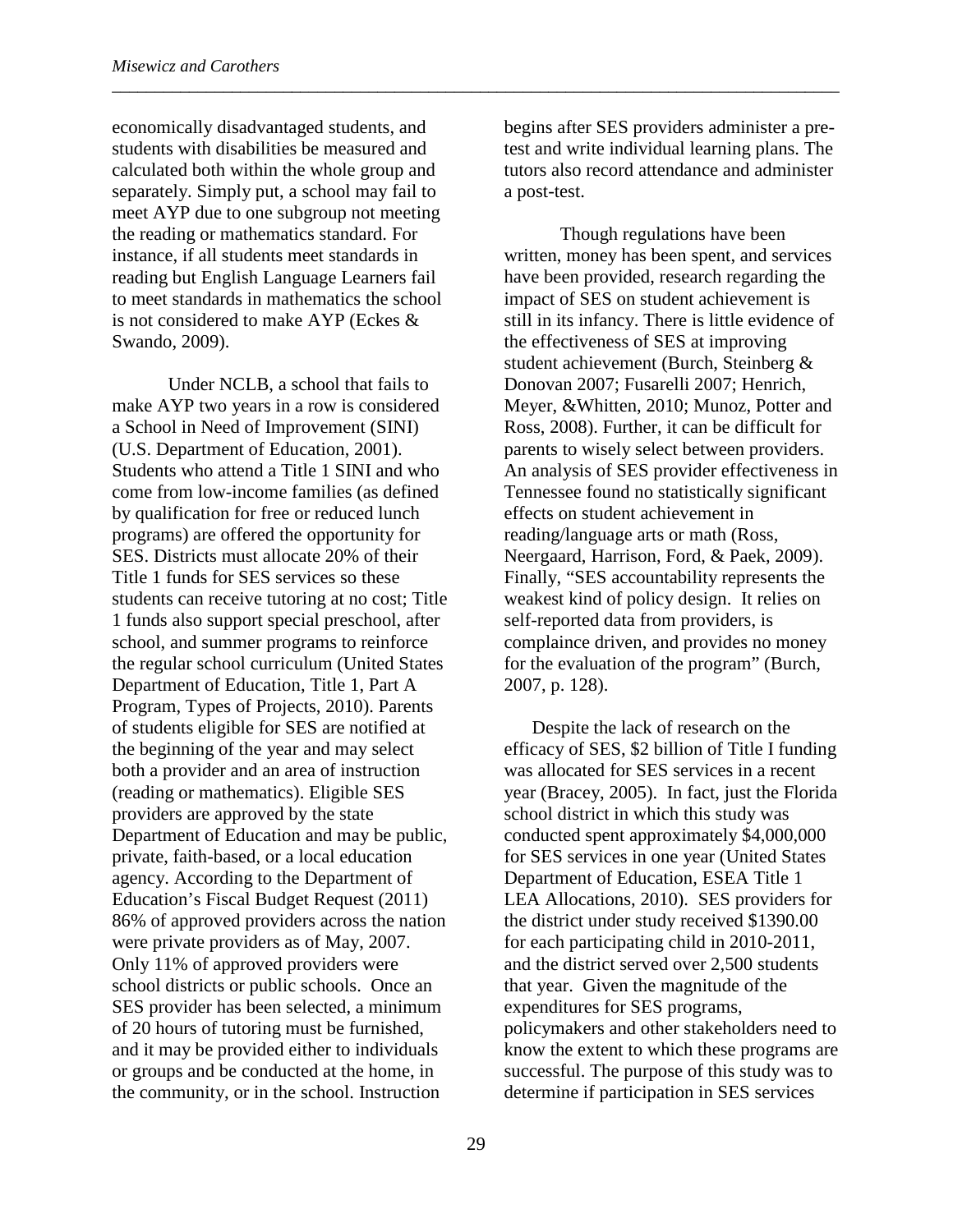economically disadvantaged students, and students with disabilities be measured and calculated both within the whole group and separately. Simply put, a school may fail to meet AYP due to one subgroup not meeting the reading or mathematics standard. For instance, if all students meet standards in reading but English Language Learners fail to meet standards in mathematics the school is not considered to make AYP (Eckes & Swando, 2009).

Under NCLB, a school that fails to make AYP two years in a row is considered a School in Need of Improvement (SINI) (U.S. Department of Education, 2001). Students who attend a Title 1 SINI and who come from low-income families (as defined by qualification for free or reduced lunch programs) are offered the opportunity for SES. Districts must allocate 20% of their Title 1 funds for SES services so these students can receive tutoring at no cost; Title 1 funds also support special preschool, after school, and summer programs to reinforce the regular school curriculum (United States Department of Education, Title 1, Part A Program, Types of Projects, 2010). Parents of students eligible for SES are notified at the beginning of the year and may select both a provider and an area of instruction (reading or mathematics). Eligible SES providers are approved by the state Department of Education and may be public, private, faith-based, or a local education agency. According to the Department of Education's Fiscal Budget Request (2011) 86% of approved providers across the nation were private providers as of May, 2007. Only 11% of approved providers were school districts or public schools. Once an SES provider has been selected, a minimum of 20 hours of tutoring must be furnished, and it may be provided either to individuals or groups and be conducted at the home, in the community, or in the school. Instruction

begins after SES providers administer a pretest and write individual learning plans. The tutors also record attendance and administer a post-test.

\_\_\_\_\_\_\_\_\_\_\_\_\_\_\_\_\_\_\_\_\_\_\_\_\_\_\_\_\_\_\_\_\_\_\_\_\_\_\_\_\_\_\_\_\_\_\_\_\_\_\_\_\_\_\_\_\_\_\_\_\_\_\_\_\_\_\_\_\_\_\_\_\_\_\_\_\_\_\_\_\_\_\_\_\_

Though regulations have been written, money has been spent, and services have been provided, research regarding the impact of SES on student achievement is still in its infancy. There is little evidence of the effectiveness of SES at improving student achievement (Burch, Steinberg & Donovan 2007; Fusarelli 2007; Henrich, Meyer, &Whitten, 2010; Munoz, Potter and Ross, 2008). Further, it can be difficult for parents to wisely select between providers. An analysis of SES provider effectiveness in Tennessee found no statistically significant effects on student achievement in reading/language arts or math (Ross, Neergaard, Harrison, Ford, & Paek, 2009). Finally, "SES accountability represents the weakest kind of policy design. It relies on self-reported data from providers, is complaince driven, and provides no money for the evaluation of the program" (Burch, 2007, p. 128).

Despite the lack of research on the efficacy of SES, \$2 billion of Title I funding was allocated for SES services in a recent year (Bracey, 2005). In fact, just the Florida school district in which this study was conducted spent approximately \$4,000,000 for SES services in one year (United States Department of Education, ESEA Title 1 LEA Allocations, 2010). SES providers for the district under study received \$1390.00 for each participating child in 2010-2011, and the district served over 2,500 students that year. Given the magnitude of the expenditures for SES programs, policymakers and other stakeholders need to know the extent to which these programs are successful. The purpose of this study was to determine if participation in SES services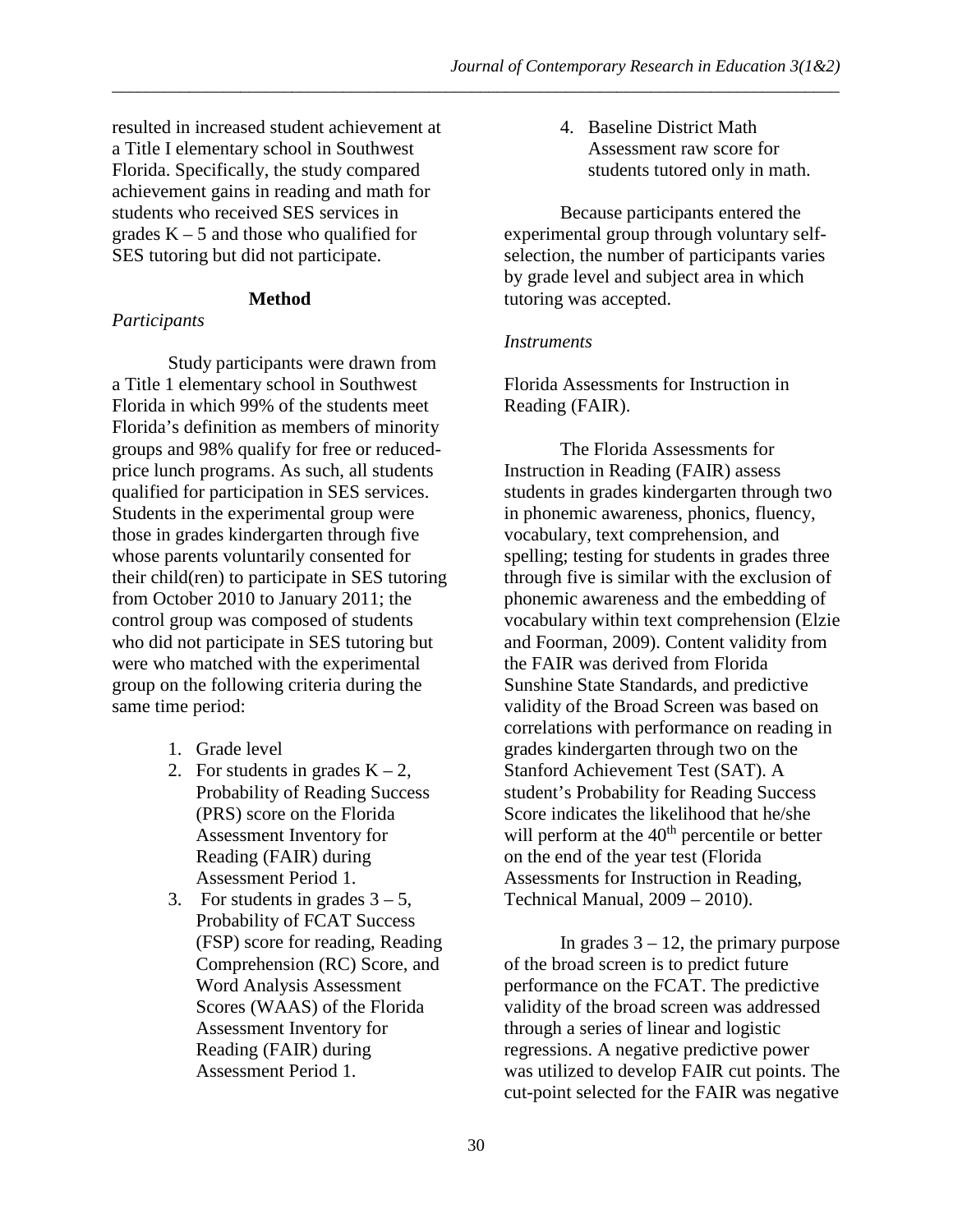resulted in increased student achievement at a Title I elementary school in Southwest Florida. Specifically, the study compared achievement gains in reading and math for students who received SES services in grades  $K - 5$  and those who qualified for SES tutoring but did not participate.

#### **Method**

#### *Participants*

Study participants were drawn from a Title 1 elementary school in Southwest Florida in which 99% of the students meet Florida's definition as members of minority groups and 98% qualify for free or reducedprice lunch programs. As such, all students qualified for participation in SES services. Students in the experimental group were those in grades kindergarten through five whose parents voluntarily consented for their child(ren) to participate in SES tutoring from October 2010 to January 2011; the control group was composed of students who did not participate in SES tutoring but were who matched with the experimental group on the following criteria during the same time period:

- 1. Grade level
- 2. For students in grades  $K 2$ , Probability of Reading Success (PRS) score on the Florida Assessment Inventory for Reading (FAIR) during Assessment Period 1.
- 3. For students in grades  $3 5$ , Probability of FCAT Success (FSP) score for reading, Reading Comprehension (RC) Score, and Word Analysis Assessment Scores (WAAS) of the Florida Assessment Inventory for Reading (FAIR) during Assessment Period 1.

4. Baseline District Math Assessment raw score for students tutored only in math.

Because participants entered the experimental group through voluntary selfselection, the number of participants varies by grade level and subject area in which tutoring was accepted.

#### *Instruments*

\_\_\_\_\_\_\_\_\_\_\_\_\_\_\_\_\_\_\_\_\_\_\_\_\_\_\_\_\_\_\_\_\_\_\_\_\_\_\_\_\_\_\_\_\_\_\_\_\_\_\_\_\_\_\_\_\_\_\_\_\_\_\_\_\_\_\_\_\_\_\_\_\_\_\_\_\_\_\_\_\_\_\_\_\_

Florida Assessments for Instruction in Reading (FAIR).

The Florida Assessments for Instruction in Reading (FAIR) assess students in grades kindergarten through two in phonemic awareness, phonics, fluency, vocabulary, text comprehension, and spelling; testing for students in grades three through five is similar with the exclusion of phonemic awareness and the embedding of vocabulary within text comprehension (Elzie and Foorman, 2009). Content validity from the FAIR was derived from Florida Sunshine State Standards, and predictive validity of the Broad Screen was based on correlations with performance on reading in grades kindergarten through two on the Stanford Achievement Test (SAT). A student's Probability for Reading Success Score indicates the likelihood that he/she will perform at the  $40<sup>th</sup>$  percentile or better on the end of the year test (Florida Assessments for Instruction in Reading, Technical Manual, 2009 – 2010).

In grades  $3 - 12$ , the primary purpose of the broad screen is to predict future performance on the FCAT. The predictive validity of the broad screen was addressed through a series of linear and logistic regressions. A negative predictive power was utilized to develop FAIR cut points. The cut-point selected for the FAIR was negative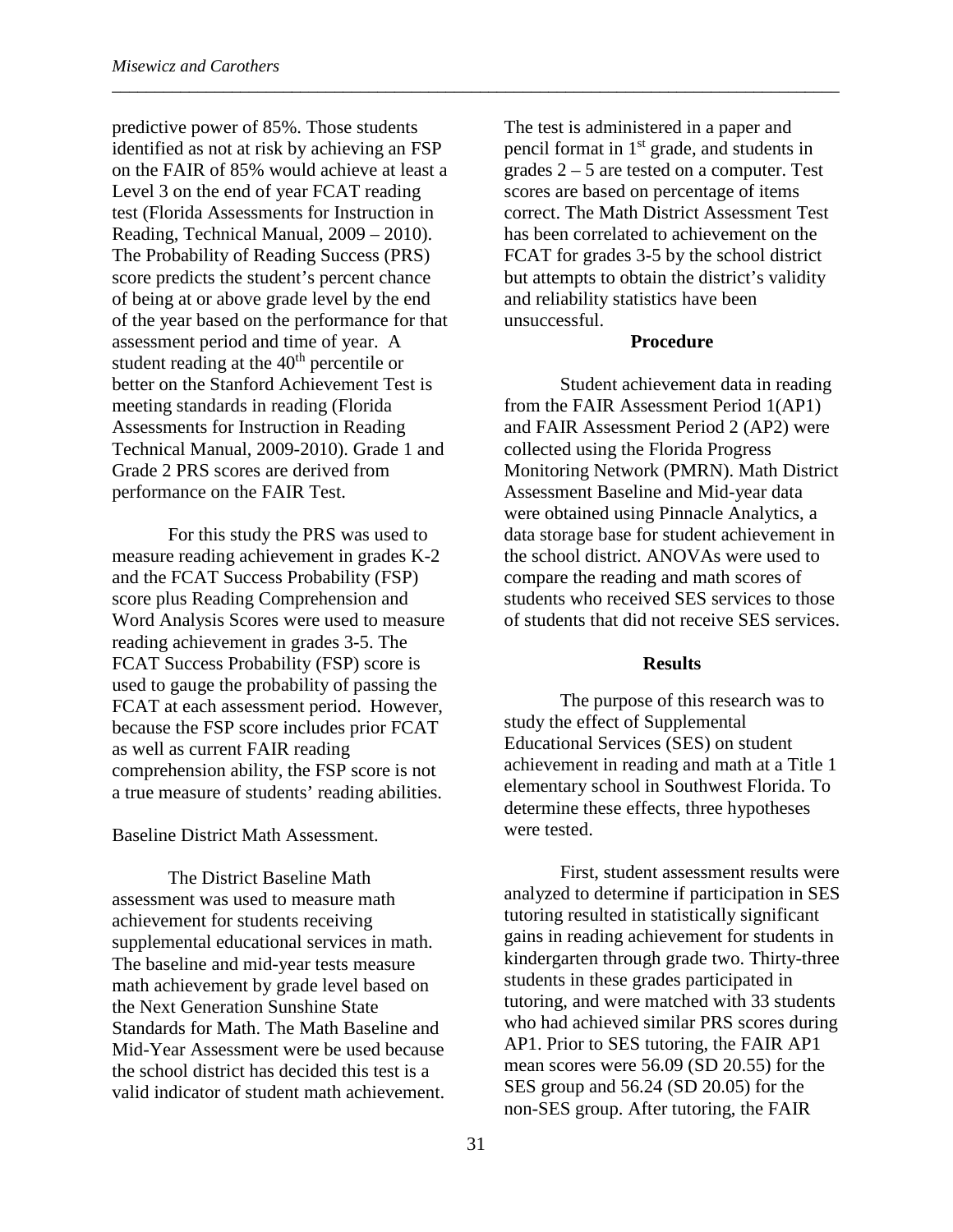predictive power of 85%. Those students identified as not at risk by achieving an FSP on the FAIR of 85% would achieve at least a Level 3 on the end of year FCAT reading test (Florida Assessments for Instruction in Reading, Technical Manual, 2009 – 2010). The Probability of Reading Success (PRS) score predicts the student's percent chance of being at or above grade level by the end of the year based on the performance for that assessment period and time of year. A student reading at the 40<sup>th</sup> percentile or better on the Stanford Achievement Test is meeting standards in reading (Florida Assessments for Instruction in Reading Technical Manual, 2009-2010). Grade 1 and Grade 2 PRS scores are derived from performance on the FAIR Test.

For this study the PRS was used to measure reading achievement in grades K-2 and the FCAT Success Probability (FSP) score plus Reading Comprehension and Word Analysis Scores were used to measure reading achievement in grades 3-5. The FCAT Success Probability (FSP) score is used to gauge the probability of passing the FCAT at each assessment period. However, because the FSP score includes prior FCAT as well as current FAIR reading comprehension ability, the FSP score is not a true measure of students' reading abilities.

Baseline District Math Assessment.

The District Baseline Math assessment was used to measure math achievement for students receiving supplemental educational services in math. The baseline and mid-year tests measure math achievement by grade level based on the Next Generation Sunshine State Standards for Math. The Math Baseline and Mid-Year Assessment were be used because the school district has decided this test is a valid indicator of student math achievement. The test is administered in a paper and pencil format in 1st grade, and students in grades  $2 - 5$  are tested on a computer. Test scores are based on percentage of items correct. The Math District Assessment Test has been correlated to achievement on the FCAT for grades 3-5 by the school district but attempts to obtain the district's validity and reliability statistics have been unsuccessful.

#### **Procedure**

Student achievement data in reading from the FAIR Assessment Period 1(AP1) and FAIR Assessment Period 2 (AP2) were collected using the Florida Progress Monitoring Network (PMRN). Math District Assessment Baseline and Mid-year data were obtained using Pinnacle Analytics, a data storage base for student achievement in the school district. ANOVAs were used to compare the reading and math scores of students who received SES services to those of students that did not receive SES services.

#### **Results**

The purpose of this research was to study the effect of Supplemental Educational Services (SES) on student achievement in reading and math at a Title 1 elementary school in Southwest Florida. To determine these effects, three hypotheses were tested.

First, student assessment results were analyzed to determine if participation in SES tutoring resulted in statistically significant gains in reading achievement for students in kindergarten through grade two. Thirty-three students in these grades participated in tutoring, and were matched with 33 students who had achieved similar PRS scores during AP1. Prior to SES tutoring, the FAIR AP1 mean scores were 56.09 (SD 20.55) for the SES group and 56.24 (SD 20.05) for the non-SES group. After tutoring, the FAIR

\_\_\_\_\_\_\_\_\_\_\_\_\_\_\_\_\_\_\_\_\_\_\_\_\_\_\_\_\_\_\_\_\_\_\_\_\_\_\_\_\_\_\_\_\_\_\_\_\_\_\_\_\_\_\_\_\_\_\_\_\_\_\_\_\_\_\_\_\_\_\_\_\_\_\_\_\_\_\_\_\_\_\_\_\_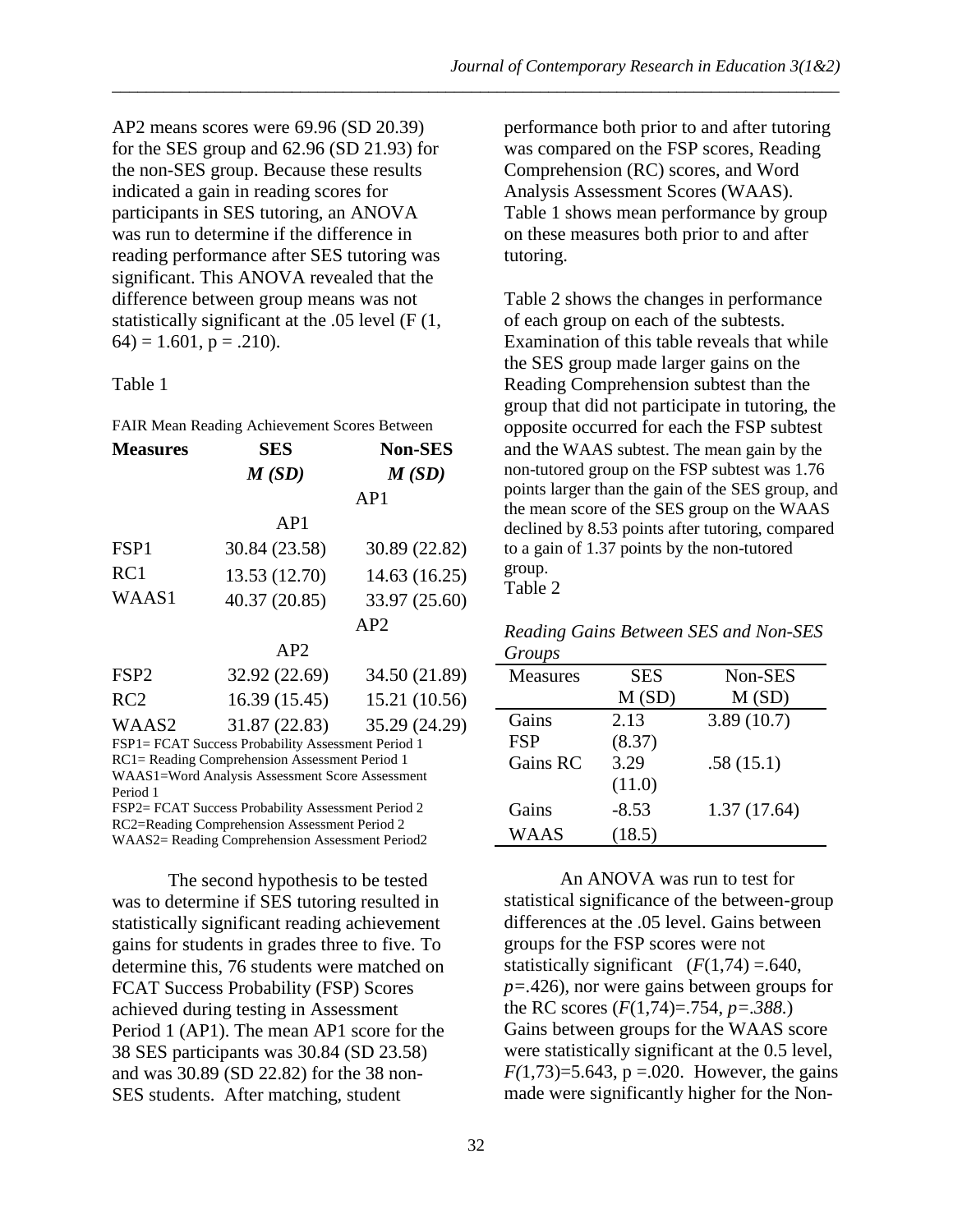AP2 means scores were 69.96 (SD 20.39) for the SES group and 62.96 (SD 21.93) for the non-SES group. Because these results indicated a gain in reading scores for participants in SES tutoring, an ANOVA was run to determine if the difference in reading performance after SES tutoring was significant. This ANOVA revealed that the difference between group means was not statistically significant at the .05 level (F (1,  $64$ ) = 1.601, p = .210).

### Table 1

FAIR Mean Reading Achievement Scores Between

| <b>Measures</b>  | <b>SES</b>    | <b>Non-SES</b> |
|------------------|---------------|----------------|
|                  | M(SD)         | M(SD)          |
|                  |               | AP1            |
|                  | AP1           |                |
| FSP1             | 30.84 (23.58) | 30.89 (22.82)  |
| RC1              | 13.53 (12.70) | 14.63 (16.25)  |
| WAAS1            | 40.37 (20.85) | 33.97 (25.60)  |
|                  |               | AP2            |
|                  | AP2           |                |
| FSP <sub>2</sub> | 32.92 (22.69) | 34.50 (21.89)  |
| RC2              | 16.39 (15.45) | 15.21 (10.56)  |
| WAAS2            | 31.87 (22.83) | 35.29 (24.29)  |

FSP1= FCAT Success Probability Assessment Period 1 RC1= Reading Comprehension Assessment Period 1 WAAS1=Word Analysis Assessment Score Assessment Period 1

FSP2= FCAT Success Probability Assessment Period 2 RC2=Reading Comprehension Assessment Period 2 WAAS2= Reading Comprehension Assessment Period2

The second hypothesis to be tested was to determine if SES tutoring resulted in statistically significant reading achievement gains for students in grades three to five. To determine this, 76 students were matched on FCAT Success Probability (FSP) Scores achieved during testing in Assessment Period 1 (AP1). The mean AP1 score for the 38 SES participants was 30.84 (SD 23.58) and was 30.89 (SD 22.82) for the 38 non-SES students. After matching, student

performance both prior to and after tutoring was compared on the FSP scores, Reading Comprehension (RC) scores, and Word Analysis Assessment Scores (WAAS). Table 1 shows mean performance by group on these measures both prior to and after tutoring.

Table 2 shows the changes in performance of each group on each of the subtests. Examination of this table reveals that while the SES group made larger gains on the Reading Comprehension subtest than the group that did not participate in tutoring, the opposite occurred for each the FSP subtest and the WAAS subtest. The mean gain by the non-tutored group on the FSP subtest was 1.76 points larger than the gain of the SES group, and the mean score of the SES group on the WAAS declined by 8.53 points after tutoring, compared to a gain of 1.37 points by the non-tutored group.

Table 2

\_\_\_\_\_\_\_\_\_\_\_\_\_\_\_\_\_\_\_\_\_\_\_\_\_\_\_\_\_\_\_\_\_\_\_\_\_\_\_\_\_\_\_\_\_\_\_\_\_\_\_\_\_\_\_\_\_\_\_\_\_\_\_\_\_\_\_\_\_\_\_\_\_\_\_\_\_\_\_\_\_\_\_\_\_

|        | Reading Gains Between SES and Non-SES |  |  |
|--------|---------------------------------------|--|--|
| Groups |                                       |  |  |

| o <i>roups</i>  |            |             |
|-----------------|------------|-------------|
| <b>Measures</b> | <b>SES</b> | Non-SES     |
|                 | M(SD)      | M(SD)       |
| Gains           | 2.13       | 3.89(10.7)  |
| <b>FSP</b>      | (8.37)     |             |
| Gains RC        | 3.29       | .58(15.1)   |
|                 | (11.0)     |             |
| Gains           | $-8.53$    | 1.37(17.64) |
| WAAS            | (18.5)     |             |

An ANOVA was run to test for statistical significance of the between-group differences at the .05 level. Gains between groups for the FSP scores were not statistically significant  $(F(1,74) = .640,$ *p=.*426)*,* nor were gains between groups for the RC scores (*F*(1,74)=.754, *p=.388.*) Gains between groups for the WAAS score were statistically significant at the 0.5 level,  $F(1,73)=5.643$ ,  $p=.020$ . However, the gains made were significantly higher for the Non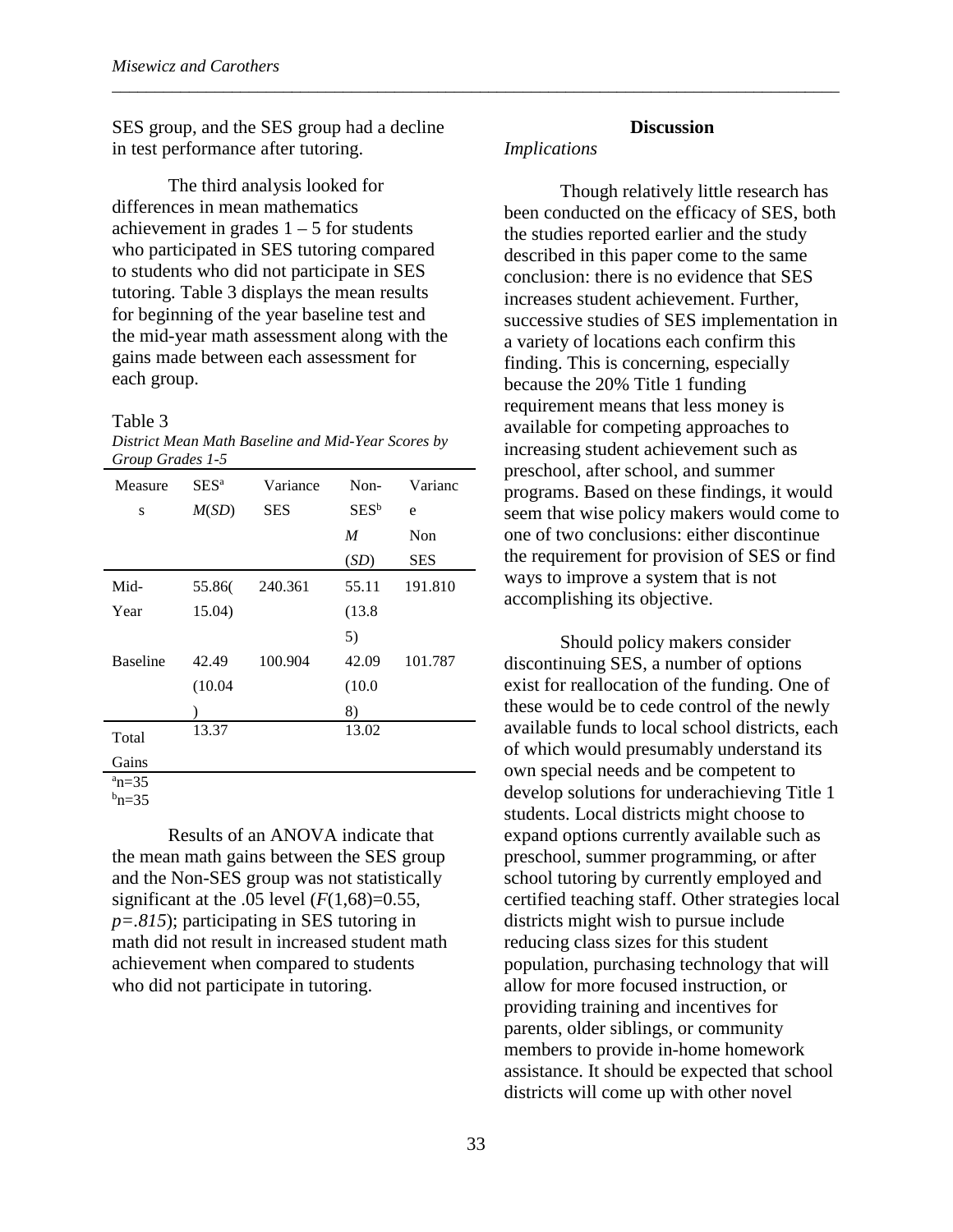SES group, and the SES group had a decline in test performance after tutoring.

The third analysis looked for differences in mean mathematics achievement in grades  $1 - 5$  for students who participated in SES tutoring compared to students who did not participate in SES tutoring. Table 3 displays the mean results for beginning of the year baseline test and the mid-year math assessment along with the gains made between each assessment for each group.

#### Table 3

*District Mean Math Baseline and Mid-Year Scores by Group Grades 1-5*

| Measure         | SES <sup>a</sup> | Variance   | $Non-$  | Varianc    |
|-----------------|------------------|------------|---------|------------|
| S               | M(SD)            | <b>SES</b> | $SES^b$ | e          |
|                 |                  |            | M       | Non        |
|                 |                  |            | (SD)    | <b>SES</b> |
| Mid-            | 55.86            | 240.361    | 55.11   | 191.810    |
| Year            | 15.04)           |            | (13.8)  |            |
|                 |                  |            | 5)      |            |
| <b>Baseline</b> | 42.49            | 100.904    | 42.09   | 101.787    |
|                 | (10.04)          |            | (10.0)  |            |
|                 |                  |            | 8)      |            |
| Total           | 13.37            |            | 13.02   |            |
| Gains           |                  |            |         |            |
| $a_n=35$        |                  |            |         |            |

 $^{\rm b}$ n=35

Results of an ANOVA indicate that the mean math gains between the SES group and the Non-SES group was not statistically significant at the .05 level  $(F(1,68)=0.55,$ *p=.815*); participating in SES tutoring in math did not result in increased student math achievement when compared to students who did not participate in tutoring.

#### **Discussion**

#### *Implications*

\_\_\_\_\_\_\_\_\_\_\_\_\_\_\_\_\_\_\_\_\_\_\_\_\_\_\_\_\_\_\_\_\_\_\_\_\_\_\_\_\_\_\_\_\_\_\_\_\_\_\_\_\_\_\_\_\_\_\_\_\_\_\_\_\_\_\_\_\_\_\_\_\_\_\_\_\_\_\_\_\_\_\_\_\_

Though relatively little research has been conducted on the efficacy of SES, both the studies reported earlier and the study described in this paper come to the same conclusion: there is no evidence that SES increases student achievement. Further, successive studies of SES implementation in a variety of locations each confirm this finding. This is concerning, especially because the 20% Title 1 funding requirement means that less money is available for competing approaches to increasing student achievement such as preschool, after school, and summer programs. Based on these findings, it would seem that wise policy makers would come to one of two conclusions: either discontinue the requirement for provision of SES or find ways to improve a system that is not accomplishing its objective.

Should policy makers consider discontinuing SES, a number of options exist for reallocation of the funding. One of these would be to cede control of the newly available funds to local school districts, each of which would presumably understand its own special needs and be competent to develop solutions for underachieving Title 1 students. Local districts might choose to expand options currently available such as preschool, summer programming, or after school tutoring by currently employed and certified teaching staff. Other strategies local districts might wish to pursue include reducing class sizes for this student population, purchasing technology that will allow for more focused instruction, or providing training and incentives for parents, older siblings, or community members to provide in-home homework assistance. It should be expected that school districts will come up with other novel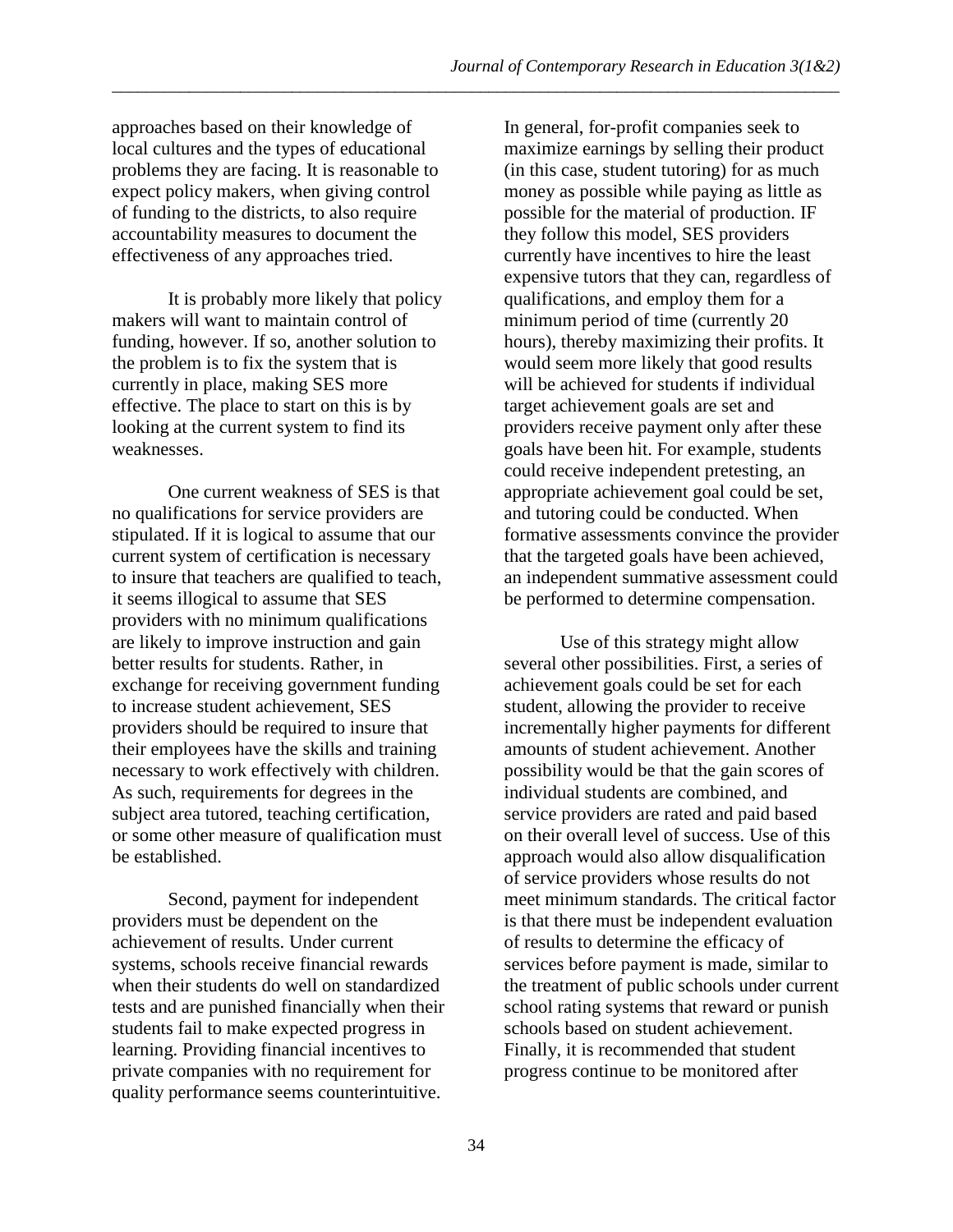approaches based on their knowledge of local cultures and the types of educational problems they are facing. It is reasonable to expect policy makers, when giving control of funding to the districts, to also require accountability measures to document the effectiveness of any approaches tried.

It is probably more likely that policy makers will want to maintain control of funding, however. If so, another solution to the problem is to fix the system that is currently in place, making SES more effective. The place to start on this is by looking at the current system to find its weaknesses.

One current weakness of SES is that no qualifications for service providers are stipulated. If it is logical to assume that our current system of certification is necessary to insure that teachers are qualified to teach, it seems illogical to assume that SES providers with no minimum qualifications are likely to improve instruction and gain better results for students. Rather, in exchange for receiving government funding to increase student achievement, SES providers should be required to insure that their employees have the skills and training necessary to work effectively with children. As such, requirements for degrees in the subject area tutored, teaching certification, or some other measure of qualification must be established.

Second, payment for independent providers must be dependent on the achievement of results. Under current systems, schools receive financial rewards when their students do well on standardized tests and are punished financially when their students fail to make expected progress in learning. Providing financial incentives to private companies with no requirement for quality performance seems counterintuitive.

In general, for-profit companies seek to maximize earnings by selling their product (in this case, student tutoring) for as much money as possible while paying as little as possible for the material of production. IF they follow this model, SES providers currently have incentives to hire the least expensive tutors that they can, regardless of qualifications, and employ them for a minimum period of time (currently 20 hours), thereby maximizing their profits. It would seem more likely that good results will be achieved for students if individual target achievement goals are set and providers receive payment only after these goals have been hit. For example, students could receive independent pretesting, an appropriate achievement goal could be set, and tutoring could be conducted. When formative assessments convince the provider that the targeted goals have been achieved, an independent summative assessment could be performed to determine compensation.

Use of this strategy might allow several other possibilities. First, a series of achievement goals could be set for each student, allowing the provider to receive incrementally higher payments for different amounts of student achievement. Another possibility would be that the gain scores of individual students are combined, and service providers are rated and paid based on their overall level of success. Use of this approach would also allow disqualification of service providers whose results do not meet minimum standards. The critical factor is that there must be independent evaluation of results to determine the efficacy of services before payment is made, similar to the treatment of public schools under current school rating systems that reward or punish schools based on student achievement. Finally, it is recommended that student progress continue to be monitored after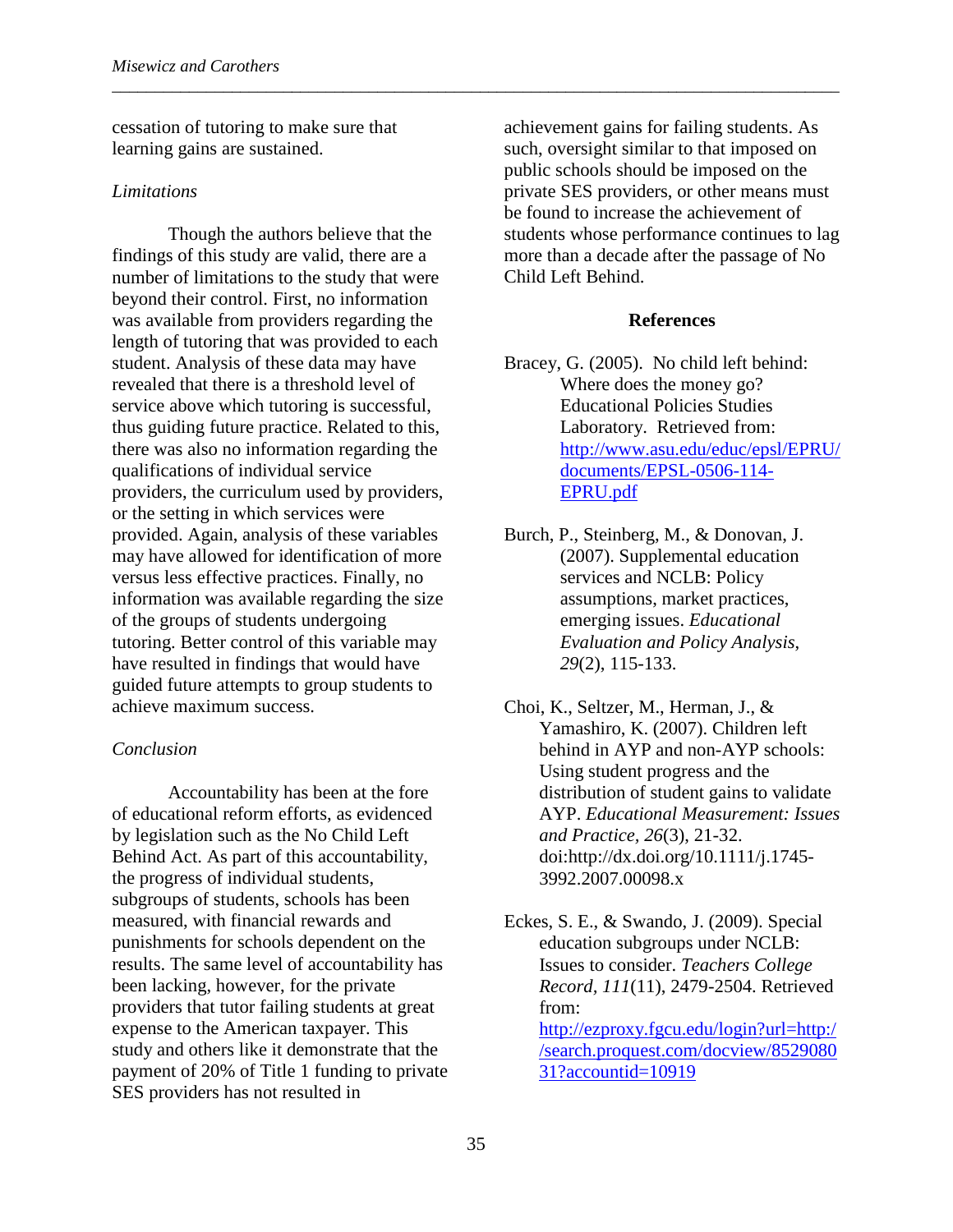cessation of tutoring to make sure that learning gains are sustained.

#### *Limitations*

Though the authors believe that the findings of this study are valid, there are a number of limitations to the study that were beyond their control. First, no information was available from providers regarding the length of tutoring that was provided to each student. Analysis of these data may have revealed that there is a threshold level of service above which tutoring is successful, thus guiding future practice. Related to this, there was also no information regarding the qualifications of individual service providers, the curriculum used by providers, or the setting in which services were provided. Again, analysis of these variables may have allowed for identification of more versus less effective practices. Finally, no information was available regarding the size of the groups of students undergoing tutoring. Better control of this variable may have resulted in findings that would have guided future attempts to group students to achieve maximum success.

### *Conclusion*

Accountability has been at the fore of educational reform efforts, as evidenced by legislation such as the No Child Left Behind Act. As part of this accountability, the progress of individual students, subgroups of students, schools has been measured, with financial rewards and punishments for schools dependent on the results. The same level of accountability has been lacking, however, for the private providers that tutor failing students at great expense to the American taxpayer. This study and others like it demonstrate that the payment of 20% of Title 1 funding to private SES providers has not resulted in

achievement gains for failing students. As such, oversight similar to that imposed on public schools should be imposed on the private SES providers, or other means must be found to increase the achievement of students whose performance continues to lag more than a decade after the passage of No Child Left Behind.

### **References**

- Bracey, G. (2005). No child left behind: Where does the money go? Educational Policies Studies Laboratory. Retrieved from: [http://www.asu.edu/educ/epsl/EPRU/](http://www.asu.edu/educ/epsl/EPRU/documents/EPSL-0506-114-EPRU.pdf) [documents/EPSL-0506-114-](http://www.asu.edu/educ/epsl/EPRU/documents/EPSL-0506-114-EPRU.pdf) [EPRU.pdf](http://www.asu.edu/educ/epsl/EPRU/documents/EPSL-0506-114-EPRU.pdf)
- Burch, P., Steinberg, M., & Donovan, J. (2007). Supplemental education services and NCLB: Policy assumptions, market practices, emerging issues. *Educational Evaluation and Policy Analysis*, *29*(2), 115-133.
- Choi, K., Seltzer, M., Herman, J., & Yamashiro, K. (2007). Children left behind in AYP and non-AYP schools: Using student progress and the distribution of student gains to validate AYP. *Educational Measurement: Issues and Practice, 26*(3), 21-32. doi:http://dx.doi.org/10.1111/j.1745- 3992.2007.00098.x
- Eckes, S. E., & Swando, J. (2009). Special education subgroups under NCLB: Issues to consider. *Teachers College Record, 111*(11), 2479-2504. Retrieved from: [http://ezproxy.fgcu.edu/login?url=http:/](http://ezproxy.fgcu.edu/login?url=http://search.proquest.com/docview/852908031?accountid=10919) [/search.proquest.com/docview/8529080](http://ezproxy.fgcu.edu/login?url=http://search.proquest.com/docview/852908031?accountid=10919) [31?accountid=10919](http://ezproxy.fgcu.edu/login?url=http://search.proquest.com/docview/852908031?accountid=10919)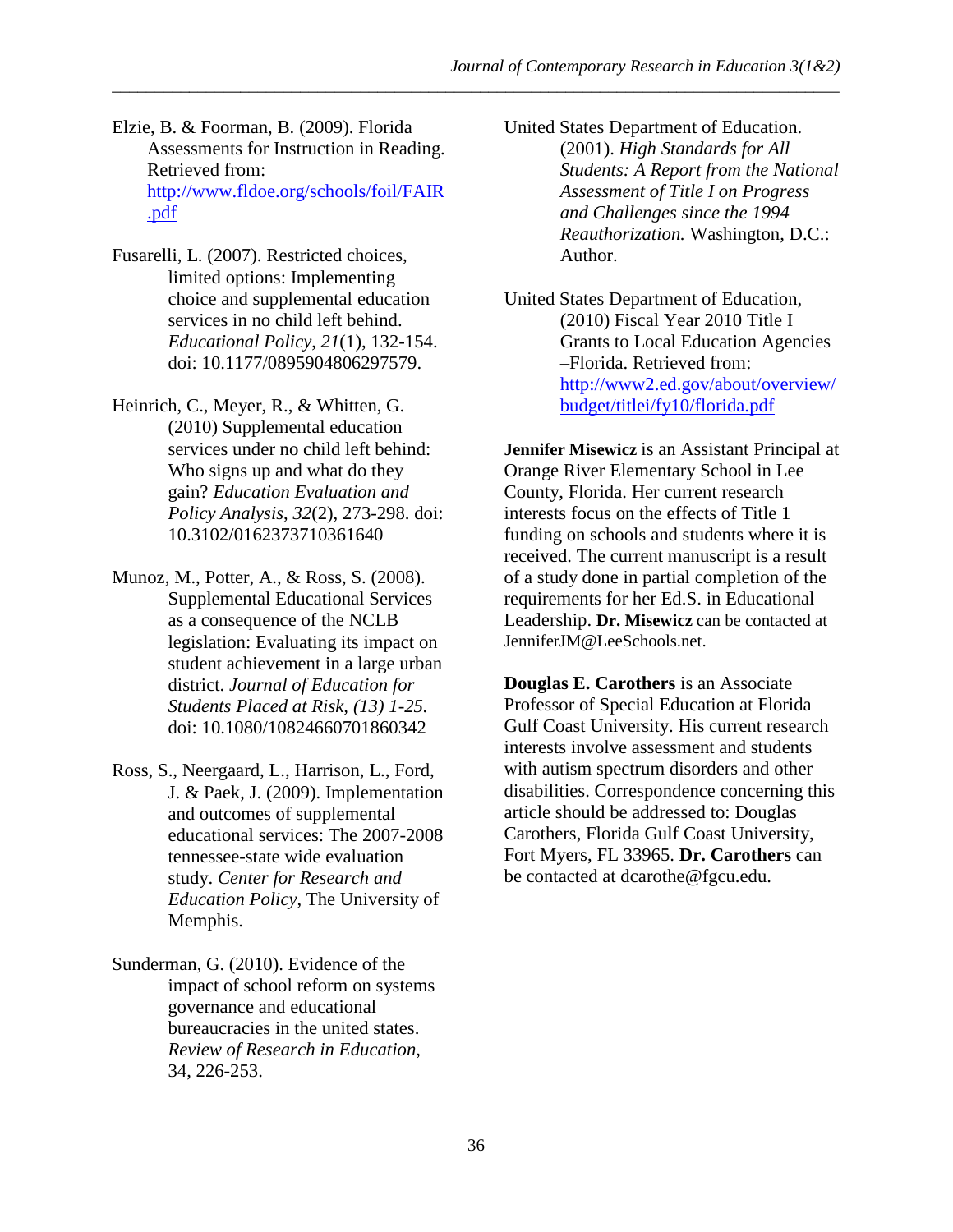Elzie, B. & Foorman, B. (2009). Florida Assessments for Instruction in Reading. Retrieved from: [http://www.fldoe.org/schools/foil/FAIR](http://www.fldoe.org/schools/foil/FAIR.pdf) [.pdf](http://www.fldoe.org/schools/foil/FAIR.pdf)

- Fusarelli, L. (2007). Restricted choices, limited options: Implementing choice and supplemental education services in no child left behind. *Educational Policy*, *21*(1), 132-154. doi: 10.1177/0895904806297579.
- Heinrich, C., Meyer, R., & Whitten, G. (2010) Supplemental education services under no child left behind: Who signs up and what do they gain? *Education Evaluation and Policy Analysis*, *32*(2), 273-298. doi: 10.3102/0162373710361640
- Munoz, M., Potter, A., & Ross, S. (2008). Supplemental Educational Services as a consequence of the NCLB legislation: Evaluating its impact on student achievement in a large urban district. *Journal of Education for Students Placed at Risk, (13) 1-25.*  doi: 10.1080/10824660701860342
- Ross, S., Neergaard, L., Harrison, L., Ford, J. & Paek, J. (2009). Implementation and outcomes of supplemental educational services: The 2007-2008 tennessee-state wide evaluation study. *Center for Research and Education Policy*, The University of Memphis.
- Sunderman, G. (2010). Evidence of the impact of school reform on systems governance and educational bureaucracies in the united states. *Review of Research in Education*, 34, 226-253.
- United States Department of Education. (2001). *High Standards for All Students: A Report from the National Assessment of Title I on Progress and Challenges since the 1994 Reauthorization.* Washington, D.C.: Author.
- United States Department of Education, (2010) Fiscal Year 2010 Title I Grants to Local Education Agencies –Florida. Retrieved from: [http://www2.ed.gov/about/overview/](http://www2.ed.gov/about/overview/budget/titlei/fy10/florida.pdf) [budget/titlei/fy10/florida.pdf](http://www2.ed.gov/about/overview/budget/titlei/fy10/florida.pdf)

**Jennifer Misewicz** is an Assistant Principal at Orange River Elementary School in Lee County, Florida. Her current research interests focus on the effects of Title 1 funding on schools and students where it is received. The current manuscript is a result of a study done in partial completion of the requirements for her Ed.S. in Educational Leadership. **Dr. Misewicz** can be contacted at JenniferJM@LeeSchools.net.

**Douglas E. Carothers** is an Associate Professor of Special Education at Florida Gulf Coast University. His current research interests involve assessment and students with autism spectrum disorders and other disabilities. Correspondence concerning this article should be addressed to: Douglas Carothers, Florida Gulf Coast University, Fort Myers, FL 33965. **Dr. Carothers** can be contacted at dcarothe@fgcu.edu.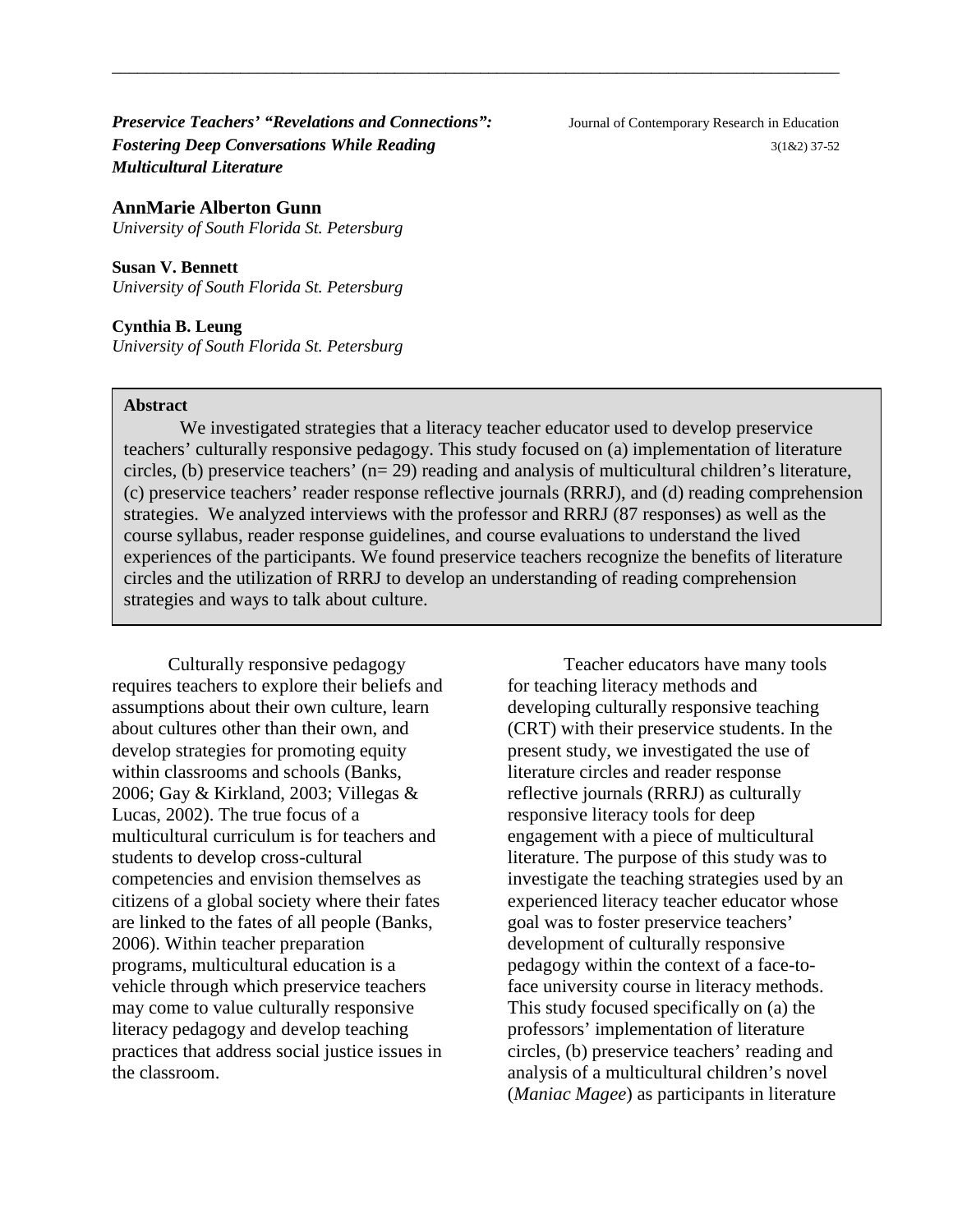*Preservice Teachers' "Revelations and Connections":* Journal of Contemporary Research in Education *Fostering Deep Conversations While Reading* **3(1&2)** 37-52 *Multicultural Literature*

**AnnMarie Alberton Gunn** *University of South Florida St. Petersburg*

**Susan V. Bennett** *University of South Florida St. Petersburg*

**Cynthia B. Leung** *University of South Florida St. Petersburg*

#### **Abstract**

We investigated strategies that a literacy teacher educator used to develop preservice teachers' culturally responsive pedagogy. This study focused on (a) implementation of literature circles, (b) preservice teachers' (n= 29) reading and analysis of multicultural children's literature, (c) preservice teachers' reader response reflective journals (RRRJ), and (d) reading comprehension strategies. We analyzed interviews with the professor and RRRJ (87 responses) as well as the course syllabus, reader response guidelines, and course evaluations to understand the lived experiences of the participants. We found preservice teachers recognize the benefits of literature circles and the utilization of RRRJ to develop an understanding of reading comprehension strategies and ways to talk about culture.

\_\_\_\_\_\_\_\_\_\_\_\_\_\_\_\_\_\_\_\_\_\_\_\_\_\_\_\_\_\_\_\_\_\_\_\_\_\_\_\_\_\_\_\_\_\_\_\_\_\_\_\_\_\_\_\_\_\_\_\_\_\_\_\_\_\_\_\_\_\_\_\_\_\_\_\_\_\_\_\_\_\_\_\_\_

Culturally responsive pedagogy requires teachers to explore their beliefs and assumptions about their own culture, learn about cultures other than their own, and develop strategies for promoting equity within classrooms and schools (Banks, 2006; Gay & Kirkland, 2003; Villegas & Lucas, 2002). The true focus of a multicultural curriculum is for teachers and students to develop cross-cultural competencies and envision themselves as citizens of a global society where their fates are linked to the fates of all people (Banks, 2006). Within teacher preparation programs, multicultural education is a vehicle through which preservice teachers may come to value culturally responsive literacy pedagogy and develop teaching practices that address social justice issues in the classroom.

Teacher educators have many tools for teaching literacy methods and developing culturally responsive teaching (CRT) with their preservice students. In the present study, we investigated the use of literature circles and reader response reflective journals (RRRJ) as culturally responsive literacy tools for deep engagement with a piece of multicultural literature. The purpose of this study was to investigate the teaching strategies used by an experienced literacy teacher educator whose goal was to foster preservice teachers' development of culturally responsive pedagogy within the context of a face-toface university course in literacy methods. This study focused specifically on (a) the professors' implementation of literature circles, (b) preservice teachers' reading and analysis of a multicultural children's novel (*Maniac Magee*) as participants in literature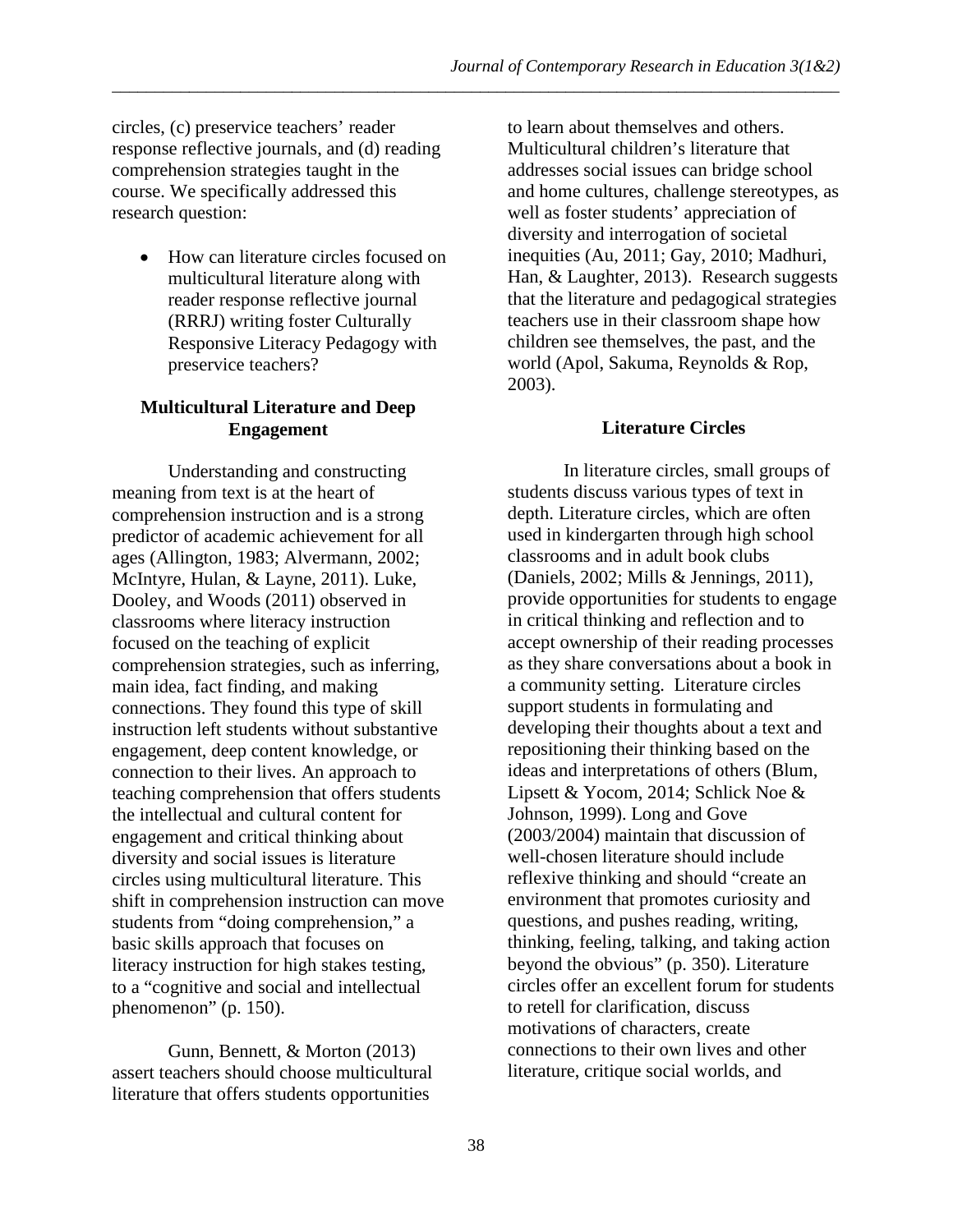circles, (c) preservice teachers' reader response reflective journals, and (d) reading comprehension strategies taught in the course. We specifically addressed this research question:

• How can literature circles focused on multicultural literature along with reader response reflective journal (RRRJ) writing foster Culturally Responsive Literacy Pedagogy with preservice teachers?

# **Multicultural Literature and Deep Engagement**

Understanding and constructing meaning from text is at the heart of comprehension instruction and is a strong predictor of academic achievement for all ages (Allington, 1983; Alvermann, 2002; McIntyre, Hulan, & Layne, 2011). Luke, Dooley, and Woods (2011) observed in classrooms where literacy instruction focused on the teaching of explicit comprehension strategies, such as inferring, main idea, fact finding, and making connections. They found this type of skill instruction left students without substantive engagement, deep content knowledge, or connection to their lives. An approach to teaching comprehension that offers students the intellectual and cultural content for engagement and critical thinking about diversity and social issues is literature circles using multicultural literature. This shift in comprehension instruction can move students from "doing comprehension," a basic skills approach that focuses on literacy instruction for high stakes testing, to a "cognitive and social and intellectual phenomenon" (p. 150).

Gunn, Bennett, & Morton (2013) assert teachers should choose multicultural literature that offers students opportunities

to learn about themselves and others. Multicultural children's literature that addresses social issues can bridge school and home cultures, challenge stereotypes, as well as foster students' appreciation of diversity and interrogation of societal inequities (Au, 2011; Gay, 2010; Madhuri, Han, & Laughter, 2013). Research suggests that the literature and pedagogical strategies teachers use in their classroom shape how children see themselves, the past, and the world (Apol, Sakuma, Reynolds & Rop, 2003).

# **Literature Circles**

In literature circles, small groups of students discuss various types of text in depth. Literature circles, which are often used in kindergarten through high school classrooms and in adult book clubs (Daniels, 2002; Mills & Jennings, 2011), provide opportunities for students to engage in critical thinking and reflection and to accept ownership of their reading processes as they share conversations about a book in a community setting. Literature circles support students in formulating and developing their thoughts about a text and repositioning their thinking based on the ideas and interpretations of others (Blum, Lipsett & Yocom, 2014; Schlick Noe & Johnson, 1999). Long and Gove (2003/2004) maintain that discussion of well-chosen literature should include reflexive thinking and should "create an environment that promotes curiosity and questions, and pushes reading, writing, thinking, feeling, talking, and taking action beyond the obvious" (p. 350). Literature circles offer an excellent forum for students to retell for clarification, discuss motivations of characters, create connections to their own lives and other literature, critique social worlds, and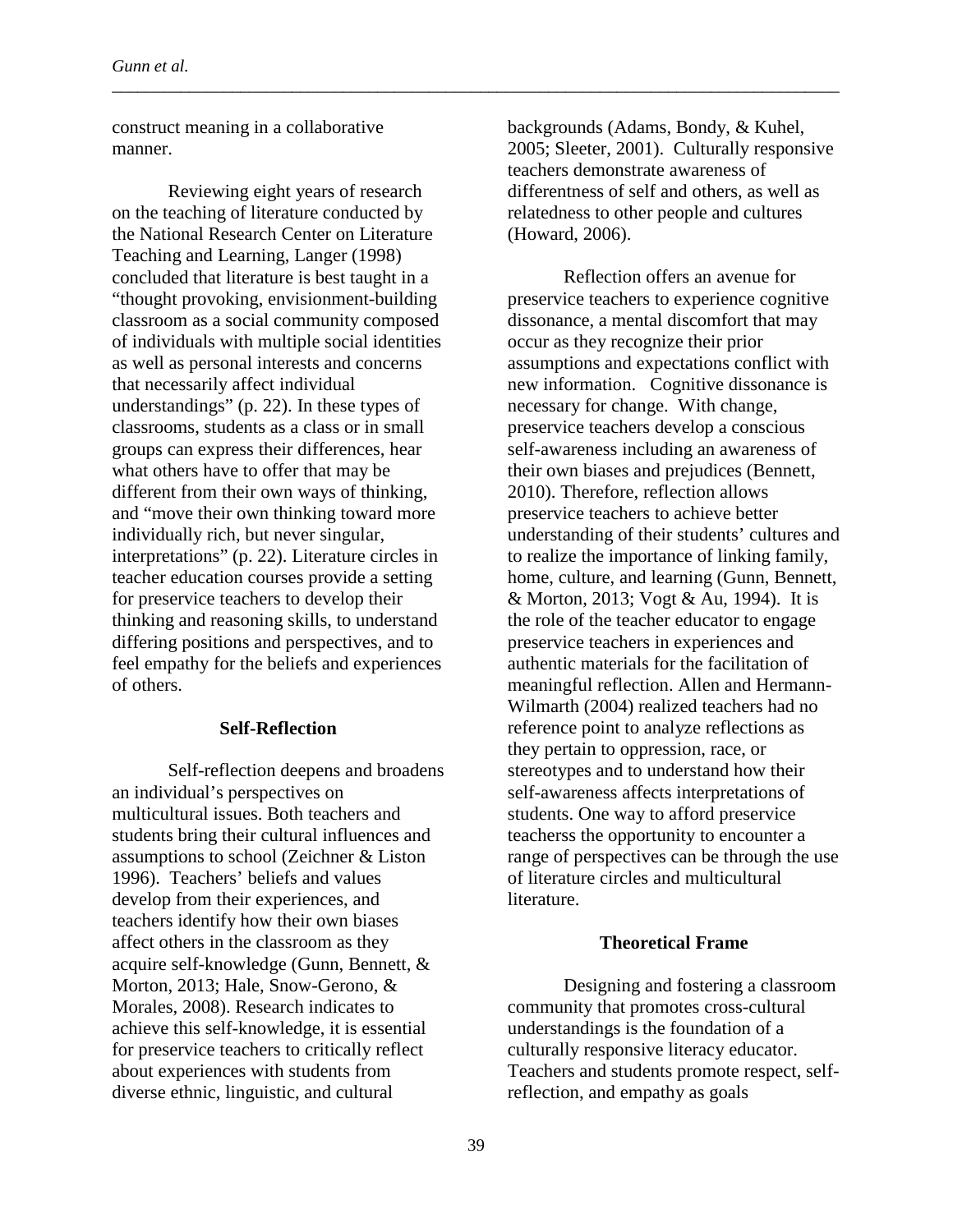construct meaning in a collaborative manner.

Reviewing eight years of research on the teaching of literature conducted by the National Research Center on Literature Teaching and Learning, Langer (1998) concluded that literature is best taught in a "thought provoking, envisionment-building classroom as a social community composed of individuals with multiple social identities as well as personal interests and concerns that necessarily affect individual understandings" (p. 22). In these types of classrooms, students as a class or in small groups can express their differences, hear what others have to offer that may be different from their own ways of thinking, and "move their own thinking toward more individually rich, but never singular, interpretations" (p. 22). Literature circles in teacher education courses provide a setting for preservice teachers to develop their thinking and reasoning skills, to understand differing positions and perspectives, and to feel empathy for the beliefs and experiences of others.

### **Self-Reflection**

Self-reflection deepens and broadens an individual's perspectives on multicultural issues. Both teachers and students bring their cultural influences and assumptions to school (Zeichner & Liston 1996). Teachers' beliefs and values develop from their experiences, and teachers identify how their own biases affect others in the classroom as they acquire self-knowledge (Gunn, Bennett, & Morton, 2013; Hale, Snow-Gerono, & Morales, 2008). Research indicates to achieve this self-knowledge, it is essential for preservice teachers to critically reflect about experiences with students from diverse ethnic, linguistic, and cultural

backgrounds (Adams, Bondy, & Kuhel, 2005; Sleeter, 2001). Culturally responsive teachers demonstrate awareness of differentness of self and others, as well as relatedness to other people and cultures (Howard, 2006).

Reflection offers an avenue for preservice teachers to experience cognitive dissonance, a mental discomfort that may occur as they recognize their prior assumptions and expectations conflict with new information. Cognitive dissonance is necessary for change. With change, preservice teachers develop a conscious self-awareness including an awareness of their own biases and prejudices (Bennett, 2010). Therefore, reflection allows preservice teachers to achieve better understanding of their students' cultures and to realize the importance of linking family, home, culture, and learning (Gunn, Bennett, & Morton, 2013; Vogt & Au, 1994). It is the role of the teacher educator to engage preservice teachers in experiences and authentic materials for the facilitation of meaningful reflection. Allen and Hermann-Wilmarth (2004) realized teachers had no reference point to analyze reflections as they pertain to oppression, race, or stereotypes and to understand how their self-awareness affects interpretations of students. One way to afford preservice teacherss the opportunity to encounter a range of perspectives can be through the use of literature circles and multicultural literature.

# **Theoretical Frame**

Designing and fostering a classroom community that promotes cross-cultural understandings is the foundation of a culturally responsive literacy educator. Teachers and students promote respect, selfreflection, and empathy as goals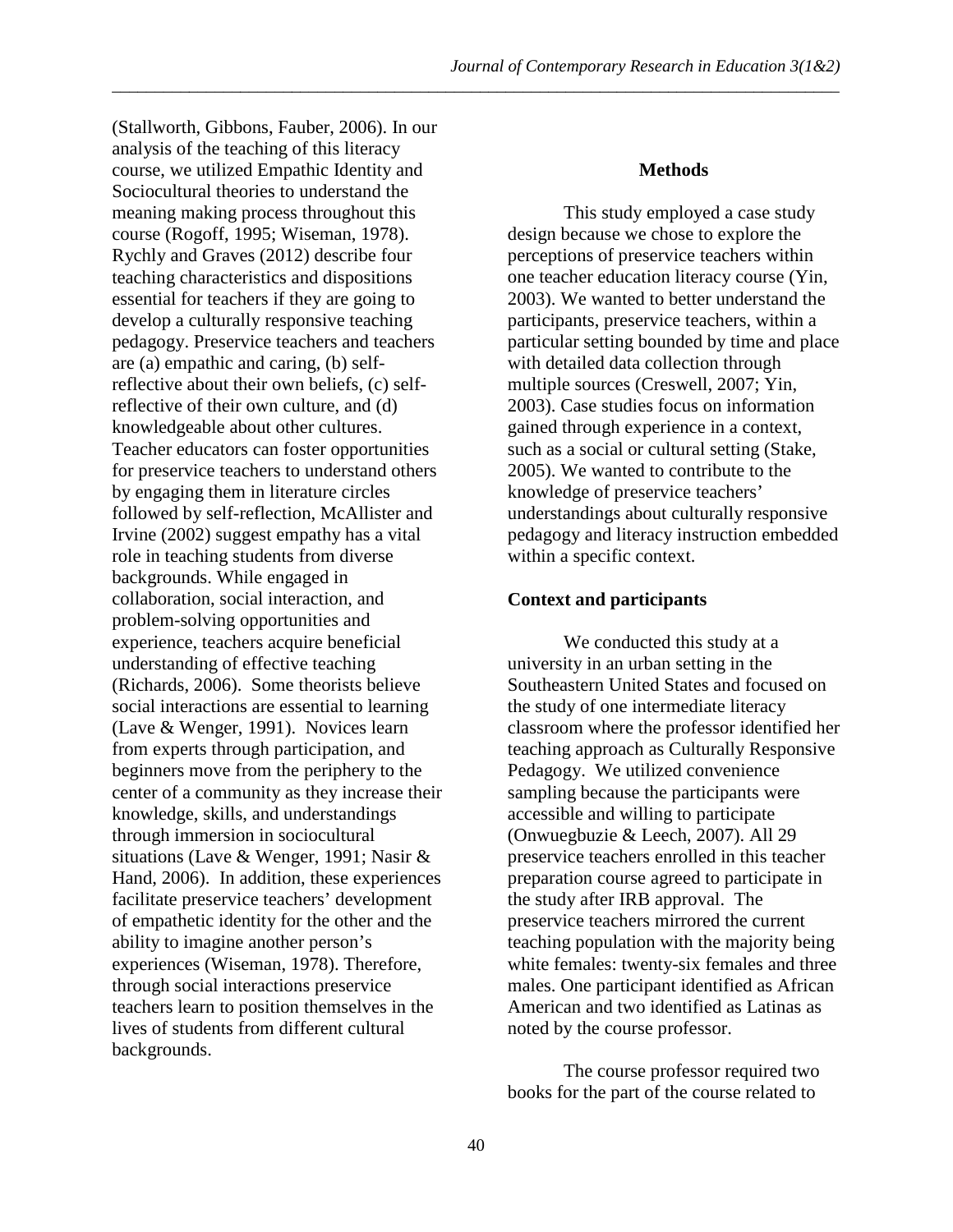(Stallworth, Gibbons, Fauber, 2006). In our analysis of the teaching of this literacy course, we utilized Empathic Identity and Sociocultural theories to understand the meaning making process throughout this course (Rogoff, 1995; Wiseman, 1978). Rychly and Graves (2012) describe four teaching characteristics and dispositions essential for teachers if they are going to develop a culturally responsive teaching pedagogy. Preservice teachers and teachers are (a) empathic and caring, (b) selfreflective about their own beliefs, (c) selfreflective of their own culture, and (d) knowledgeable about other cultures. Teacher educators can foster opportunities for preservice teachers to understand others by engaging them in literature circles followed by self-reflection, McAllister and Irvine (2002) suggest empathy has a vital role in teaching students from diverse backgrounds. While engaged in collaboration, social interaction, and problem-solving opportunities and experience, teachers acquire beneficial understanding of effective teaching (Richards, 2006). Some theorists believe social interactions are essential to learning (Lave & Wenger, 1991). Novices learn from experts through participation, and beginners move from the periphery to the center of a community as they increase their knowledge, skills, and understandings through immersion in sociocultural situations (Lave & Wenger, 1991; Nasir & Hand, 2006). In addition, these experiences facilitate preservice teachers' development of empathetic identity for the other and the ability to imagine another person's experiences (Wiseman, 1978). Therefore, through social interactions preservice teachers learn to position themselves in the lives of students from different cultural backgrounds.

### **Methods**

This study employed a case study design because we chose to explore the perceptions of preservice teachers within one teacher education literacy course (Yin, 2003). We wanted to better understand the participants, preservice teachers, within a particular setting bounded by time and place with detailed data collection through multiple sources (Creswell, 2007; Yin, 2003). Case studies focus on information gained through experience in a context, such as a social or cultural setting (Stake, 2005). We wanted to contribute to the knowledge of preservice teachers' understandings about culturally responsive pedagogy and literacy instruction embedded within a specific context.

### **Context and participants**

We conducted this study at a university in an urban setting in the Southeastern United States and focused on the study of one intermediate literacy classroom where the professor identified her teaching approach as Culturally Responsive Pedagogy. We utilized convenience sampling because the participants were accessible and willing to participate (Onwuegbuzie & Leech, 2007). All 29 preservice teachers enrolled in this teacher preparation course agreed to participate in the study after IRB approval. The preservice teachers mirrored the current teaching population with the majority being white females: twenty-six females and three males. One participant identified as African American and two identified as Latinas as noted by the course professor.

The course professor required two books for the part of the course related to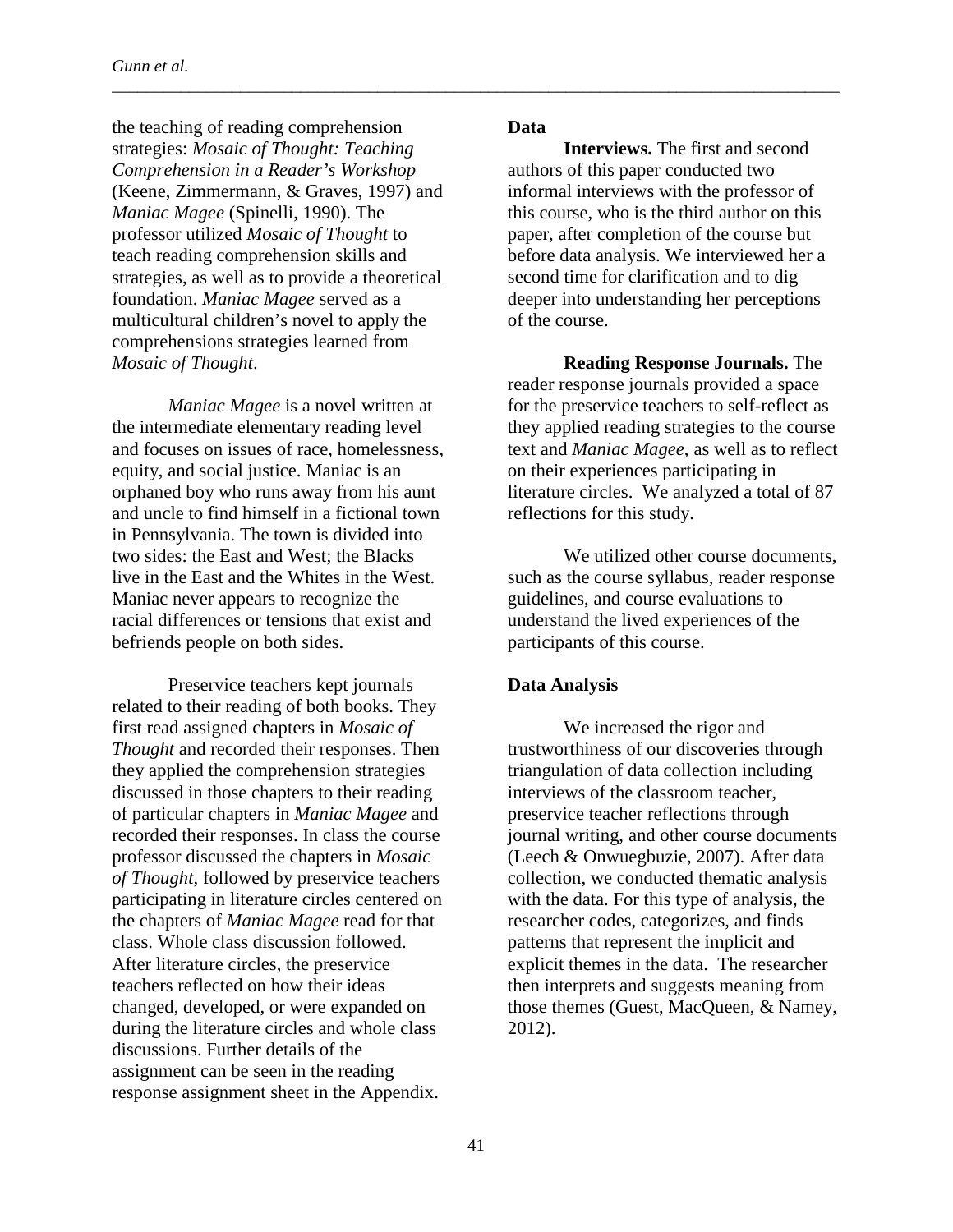the teaching of reading comprehension strategies: *Mosaic of Thought: Teaching Comprehension in a Reader's Workshop*  (Keene, Zimmermann, & Graves, 1997) and *Maniac Magee* (Spinelli, 1990). The professor utilized *Mosaic of Thought* to teach reading comprehension skills and strategies, as well as to provide a theoretical foundation. *Maniac Magee* served as a multicultural children's novel to apply the comprehensions strategies learned from *Mosaic of Thought*.

*Maniac Magee* is a novel written at the intermediate elementary reading level and focuses on issues of race, homelessness, equity, and social justice. Maniac is an orphaned boy who runs away from his aunt and uncle to find himself in a fictional town in Pennsylvania. The town is divided into two sides: the East and West; the Blacks live in the East and the Whites in the West. Maniac never appears to recognize the racial differences or tensions that exist and befriends people on both sides.

Preservice teachers kept journals related to their reading of both books. They first read assigned chapters in *Mosaic of Thought* and recorded their responses. Then they applied the comprehension strategies discussed in those chapters to their reading of particular chapters in *Maniac Magee* and recorded their responses. In class the course professor discussed the chapters in *Mosaic of Thought*, followed by preservice teachers participating in literature circles centered on the chapters of *Maniac Magee* read for that class. Whole class discussion followed. After literature circles, the preservice teachers reflected on how their ideas changed, developed, or were expanded on during the literature circles and whole class discussions. Further details of the assignment can be seen in the reading response assignment sheet in the Appendix.

# **Data**

\_\_\_\_\_\_\_\_\_\_\_\_\_\_\_\_\_\_\_\_\_\_\_\_\_\_\_\_\_\_\_\_\_\_\_\_\_\_\_\_\_\_\_\_\_\_\_\_\_\_\_\_\_\_\_\_\_\_\_\_\_\_\_\_\_\_\_\_\_\_\_\_\_\_\_\_\_\_\_\_\_\_\_\_\_

**Interviews.** The first and second authors of this paper conducted two informal interviews with the professor of this course, who is the third author on this paper, after completion of the course but before data analysis. We interviewed her a second time for clarification and to dig deeper into understanding her perceptions of the course.

**Reading Response Journals.** The reader response journals provided a space for the preservice teachers to self-reflect as they applied reading strategies to the course text and *Maniac Magee*, as well as to reflect on their experiences participating in literature circles. We analyzed a total of 87 reflections for this study.

We utilized other course documents, such as the course syllabus, reader response guidelines, and course evaluations to understand the lived experiences of the participants of this course.

### **Data Analysis**

We increased the rigor and trustworthiness of our discoveries through triangulation of data collection including interviews of the classroom teacher, preservice teacher reflections through journal writing, and other course documents (Leech & Onwuegbuzie, 2007). After data collection, we conducted thematic analysis with the data. For this type of analysis, the researcher codes, categorizes, and finds patterns that represent the implicit and explicit themes in the data. The researcher then interprets and suggests meaning from those themes (Guest, MacQueen, & Namey, 2012).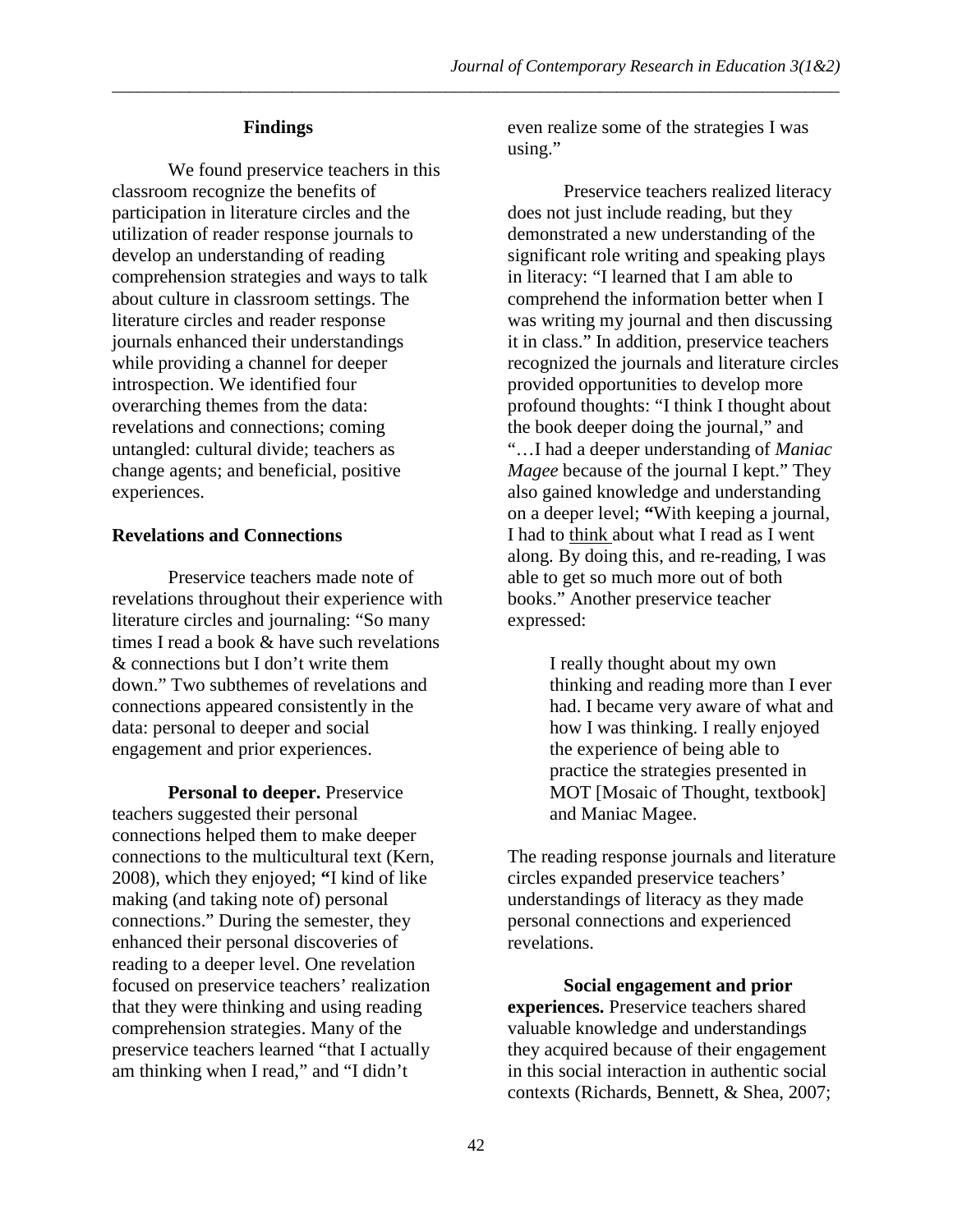## **Findings**

We found preservice teachers in this classroom recognize the benefits of participation in literature circles and the utilization of reader response journals to develop an understanding of reading comprehension strategies and ways to talk about culture in classroom settings. The literature circles and reader response journals enhanced their understandings while providing a channel for deeper introspection. We identified four overarching themes from the data: revelations and connections; coming untangled: cultural divide; teachers as change agents; and beneficial, positive experiences.

## **Revelations and Connections**

Preservice teachers made note of revelations throughout their experience with literature circles and journaling: "So many times I read a book & have such revelations & connections but I don't write them down." Two subthemes of revelations and connections appeared consistently in the data: personal to deeper and social engagement and prior experiences.

**Personal to deeper.** Preservice teachers suggested their personal connections helped them to make deeper connections to the multicultural text (Kern, 2008), which they enjoyed; **"**I kind of like making (and taking note of) personal connections." During the semester, they enhanced their personal discoveries of reading to a deeper level. One revelation focused on preservice teachers' realization that they were thinking and using reading comprehension strategies. Many of the preservice teachers learned "that I actually am thinking when I read," and "I didn't

even realize some of the strategies I was using."

Preservice teachers realized literacy does not just include reading, but they demonstrated a new understanding of the significant role writing and speaking plays in literacy: "I learned that I am able to comprehend the information better when I was writing my journal and then discussing it in class." In addition, preservice teachers recognized the journals and literature circles provided opportunities to develop more profound thoughts: "I think I thought about the book deeper doing the journal," and "…I had a deeper understanding of *Maniac Magee* because of the journal I kept." They also gained knowledge and understanding on a deeper level; **"**With keeping a journal, I had to think about what I read as I went along. By doing this, and re-reading, I was able to get so much more out of both books." Another preservice teacher expressed:

> I really thought about my own thinking and reading more than I ever had. I became very aware of what and how I was thinking. I really enjoyed the experience of being able to practice the strategies presented in MOT [Mosaic of Thought, textbook] and Maniac Magee.

The reading response journals and literature circles expanded preservice teachers' understandings of literacy as they made personal connections and experienced revelations.

**Social engagement and prior experiences.** Preservice teachers shared valuable knowledge and understandings they acquired because of their engagement in this social interaction in authentic social contexts (Richards, Bennett, & Shea, 2007;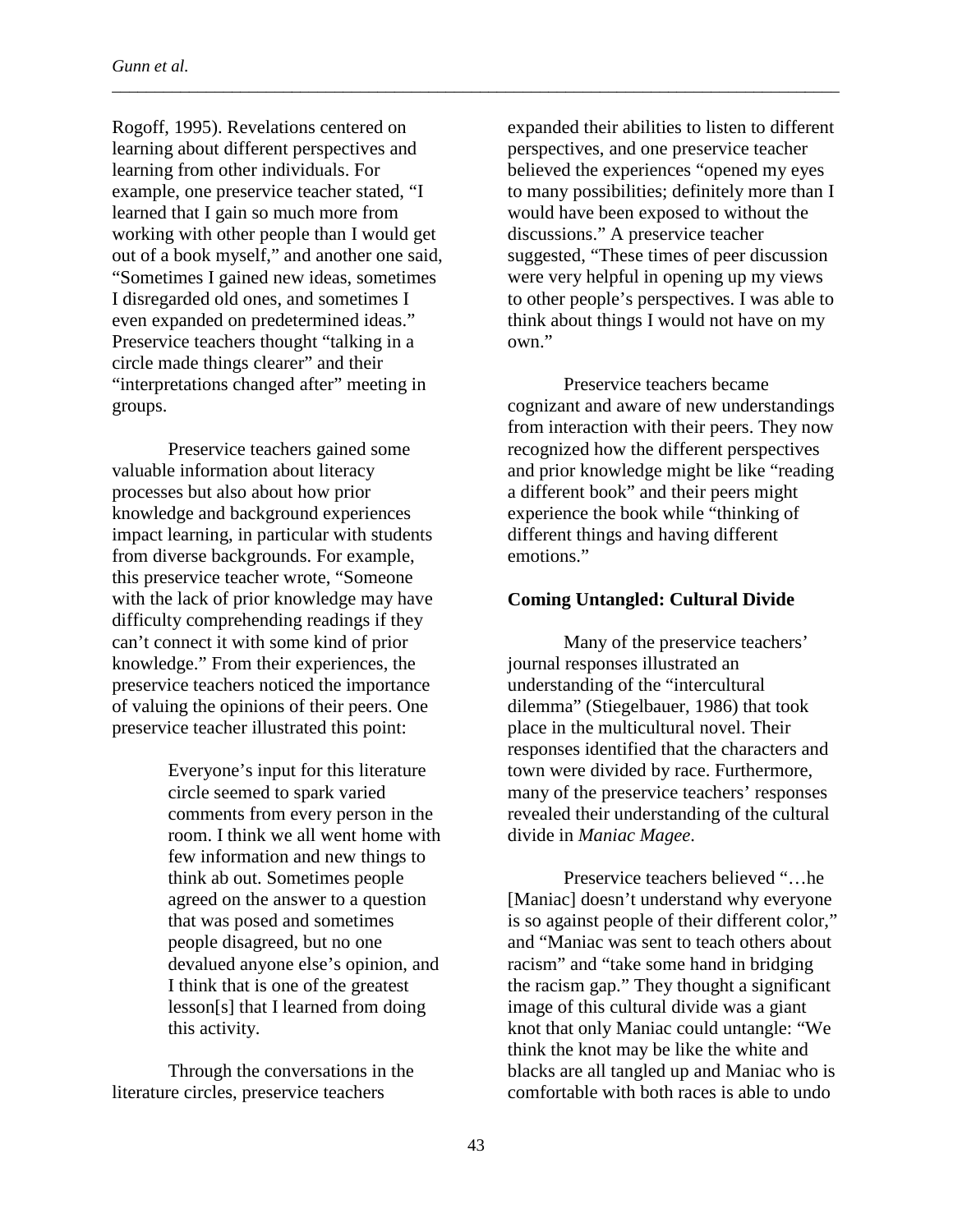Rogoff, 1995). Revelations centered on learning about different perspectives and learning from other individuals. For example, one preservice teacher stated, "I learned that I gain so much more from working with other people than I would get out of a book myself," and another one said, "Sometimes I gained new ideas, sometimes I disregarded old ones, and sometimes I even expanded on predetermined ideas." Preservice teachers thought "talking in a circle made things clearer" and their "interpretations changed after" meeting in groups.

Preservice teachers gained some valuable information about literacy processes but also about how prior knowledge and background experiences impact learning, in particular with students from diverse backgrounds. For example, this preservice teacher wrote, "Someone with the lack of prior knowledge may have difficulty comprehending readings if they can't connect it with some kind of prior knowledge." From their experiences, the preservice teachers noticed the importance of valuing the opinions of their peers. One preservice teacher illustrated this point:

> Everyone's input for this literature circle seemed to spark varied comments from every person in the room. I think we all went home with few information and new things to think ab out. Sometimes people agreed on the answer to a question that was posed and sometimes people disagreed, but no one devalued anyone else's opinion, and I think that is one of the greatest lesson[s] that I learned from doing this activity.

Through the conversations in the literature circles, preservice teachers

expanded their abilities to listen to different perspectives, and one preservice teacher believed the experiences "opened my eyes to many possibilities; definitely more than I would have been exposed to without the discussions." A preservice teacher suggested, "These times of peer discussion were very helpful in opening up my views to other people's perspectives. I was able to think about things I would not have on my own."

Preservice teachers became cognizant and aware of new understandings from interaction with their peers. They now recognized how the different perspectives and prior knowledge might be like "reading a different book" and their peers might experience the book while "thinking of different things and having different emotions."

# **Coming Untangled: Cultural Divide**

Many of the preservice teachers' journal responses illustrated an understanding of the "intercultural dilemma" (Stiegelbauer, 1986) that took place in the multicultural novel. Their responses identified that the characters and town were divided by race. Furthermore, many of the preservice teachers' responses revealed their understanding of the cultural divide in *Maniac Magee*.

Preservice teachers believed "…he [Maniac] doesn't understand why everyone is so against people of their different color," and "Maniac was sent to teach others about racism" and "take some hand in bridging the racism gap." They thought a significant image of this cultural divide was a giant knot that only Maniac could untangle: "We think the knot may be like the white and blacks are all tangled up and Maniac who is comfortable with both races is able to undo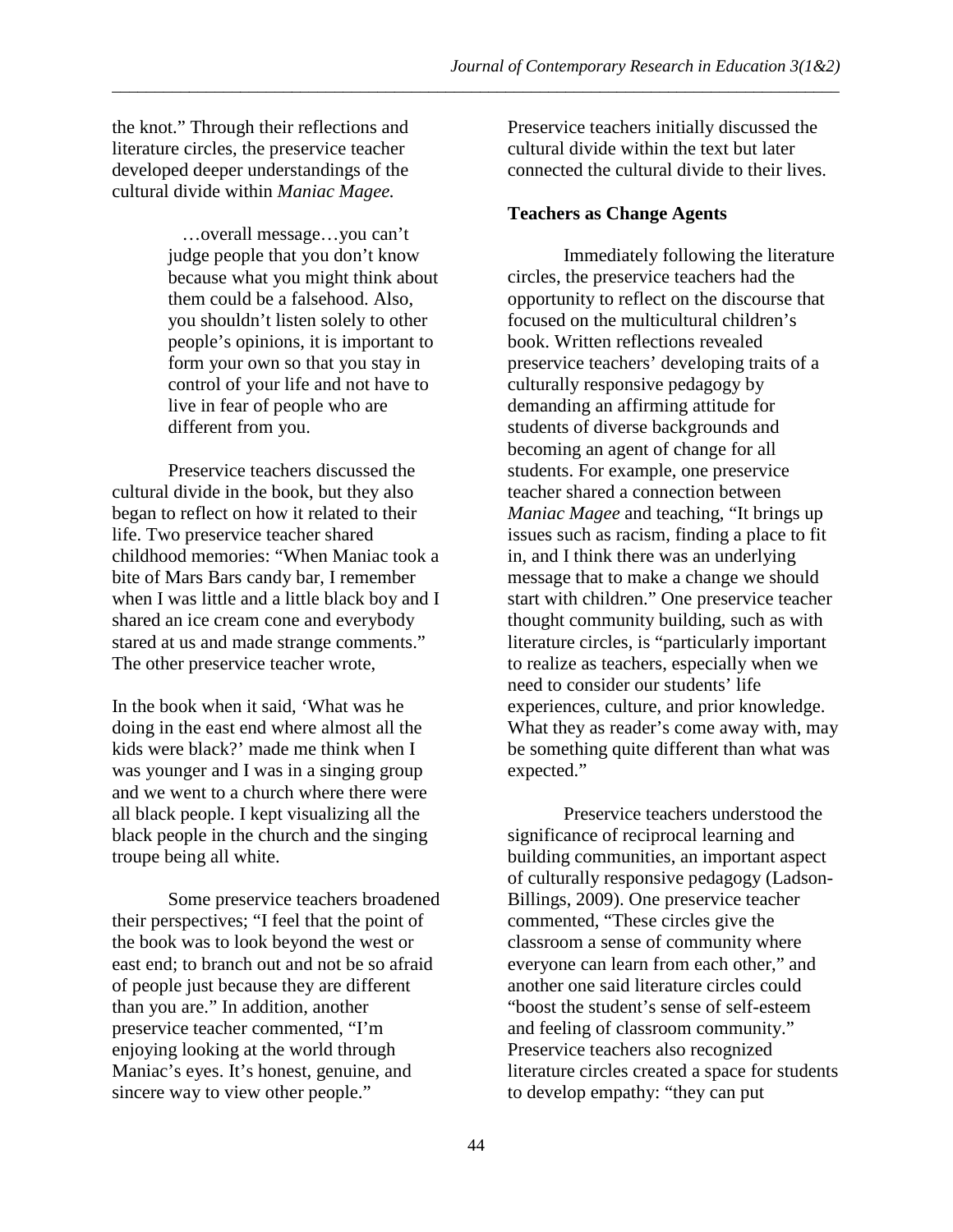the knot." Through their reflections and literature circles, the preservice teacher developed deeper understandings of the cultural divide within *Maniac Magee.*

> …overall message…you can't judge people that you don't know because what you might think about them could be a falsehood. Also, you shouldn't listen solely to other people's opinions, it is important to form your own so that you stay in control of your life and not have to live in fear of people who are different from you.

Preservice teachers discussed the cultural divide in the book, but they also began to reflect on how it related to their life. Two preservice teacher shared childhood memories: "When Maniac took a bite of Mars Bars candy bar, I remember when I was little and a little black boy and I shared an ice cream cone and everybody stared at us and made strange comments." The other preservice teacher wrote,

In the book when it said, 'What was he doing in the east end where almost all the kids were black?' made me think when I was younger and I was in a singing group and we went to a church where there were all black people. I kept visualizing all the black people in the church and the singing troupe being all white.

Some preservice teachers broadened their perspectives; "I feel that the point of the book was to look beyond the west or east end; to branch out and not be so afraid of people just because they are different than you are." In addition, another preservice teacher commented, "I'm enjoying looking at the world through Maniac's eyes. It's honest, genuine, and sincere way to view other people."

Preservice teachers initially discussed the cultural divide within the text but later connected the cultural divide to their lives.

# **Teachers as Change Agents**

\_\_\_\_\_\_\_\_\_\_\_\_\_\_\_\_\_\_\_\_\_\_\_\_\_\_\_\_\_\_\_\_\_\_\_\_\_\_\_\_\_\_\_\_\_\_\_\_\_\_\_\_\_\_\_\_\_\_\_\_\_\_\_\_\_\_\_\_\_\_\_\_\_\_\_\_\_\_\_\_\_\_\_\_\_

Immediately following the literature circles, the preservice teachers had the opportunity to reflect on the discourse that focused on the multicultural children's book. Written reflections revealed preservice teachers' developing traits of a culturally responsive pedagogy by demanding an affirming attitude for students of diverse backgrounds and becoming an agent of change for all students. For example, one preservice teacher shared a connection between *Maniac Magee* and teaching, "It brings up issues such as racism, finding a place to fit in, and I think there was an underlying message that to make a change we should start with children." One preservice teacher thought community building, such as with literature circles, is "particularly important to realize as teachers, especially when we need to consider our students' life experiences, culture, and prior knowledge. What they as reader's come away with, may be something quite different than what was expected."

Preservice teachers understood the significance of reciprocal learning and building communities, an important aspect of culturally responsive pedagogy (Ladson-Billings, 2009). One preservice teacher commented, "These circles give the classroom a sense of community where everyone can learn from each other," and another one said literature circles could "boost the student's sense of self-esteem and feeling of classroom community." Preservice teachers also recognized literature circles created a space for students to develop empathy: "they can put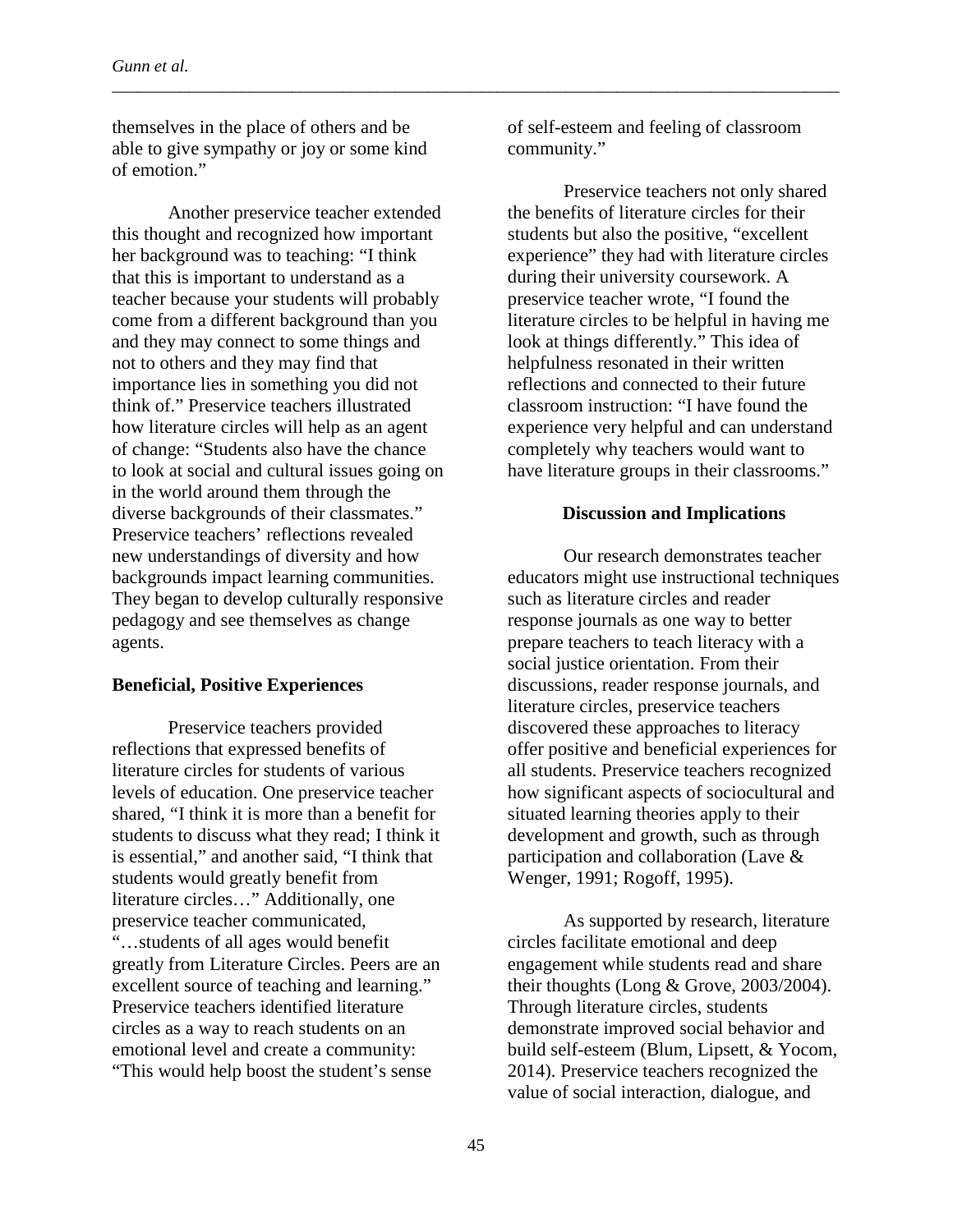themselves in the place of others and be able to give sympathy or joy or some kind of emotion."

Another preservice teacher extended this thought and recognized how important her background was to teaching: "I think that this is important to understand as a teacher because your students will probably come from a different background than you and they may connect to some things and not to others and they may find that importance lies in something you did not think of." Preservice teachers illustrated how literature circles will help as an agent of change: "Students also have the chance to look at social and cultural issues going on in the world around them through the diverse backgrounds of their classmates." Preservice teachers' reflections revealed new understandings of diversity and how backgrounds impact learning communities. They began to develop culturally responsive pedagogy and see themselves as change agents.

### **Beneficial, Positive Experiences**

Preservice teachers provided reflections that expressed benefits of literature circles for students of various levels of education. One preservice teacher shared, "I think it is more than a benefit for students to discuss what they read; I think it is essential," and another said, "I think that students would greatly benefit from literature circles…" Additionally, one preservice teacher communicated, "…students of all ages would benefit greatly from Literature Circles. Peers are an excellent source of teaching and learning." Preservice teachers identified literature circles as a way to reach students on an emotional level and create a community: "This would help boost the student's sense

of self-esteem and feeling of classroom community."

\_\_\_\_\_\_\_\_\_\_\_\_\_\_\_\_\_\_\_\_\_\_\_\_\_\_\_\_\_\_\_\_\_\_\_\_\_\_\_\_\_\_\_\_\_\_\_\_\_\_\_\_\_\_\_\_\_\_\_\_\_\_\_\_\_\_\_\_\_\_\_\_\_\_\_\_\_\_\_\_\_\_\_\_\_

Preservice teachers not only shared the benefits of literature circles for their students but also the positive, "excellent experience" they had with literature circles during their university coursework. A preservice teacher wrote, "I found the literature circles to be helpful in having me look at things differently." This idea of helpfulness resonated in their written reflections and connected to their future classroom instruction: "I have found the experience very helpful and can understand completely why teachers would want to have literature groups in their classrooms."

#### **Discussion and Implications**

Our research demonstrates teacher educators might use instructional techniques such as literature circles and reader response journals as one way to better prepare teachers to teach literacy with a social justice orientation. From their discussions, reader response journals, and literature circles, preservice teachers discovered these approaches to literacy offer positive and beneficial experiences for all students. Preservice teachers recognized how significant aspects of sociocultural and situated learning theories apply to their development and growth, such as through participation and collaboration (Lave & Wenger, 1991; Rogoff, 1995).

As supported by research, literature circles facilitate emotional and deep engagement while students read and share their thoughts (Long & Grove, 2003/2004). Through literature circles, students demonstrate improved social behavior and build self-esteem (Blum, Lipsett, & Yocom, 2014). Preservice teachers recognized the value of social interaction, dialogue, and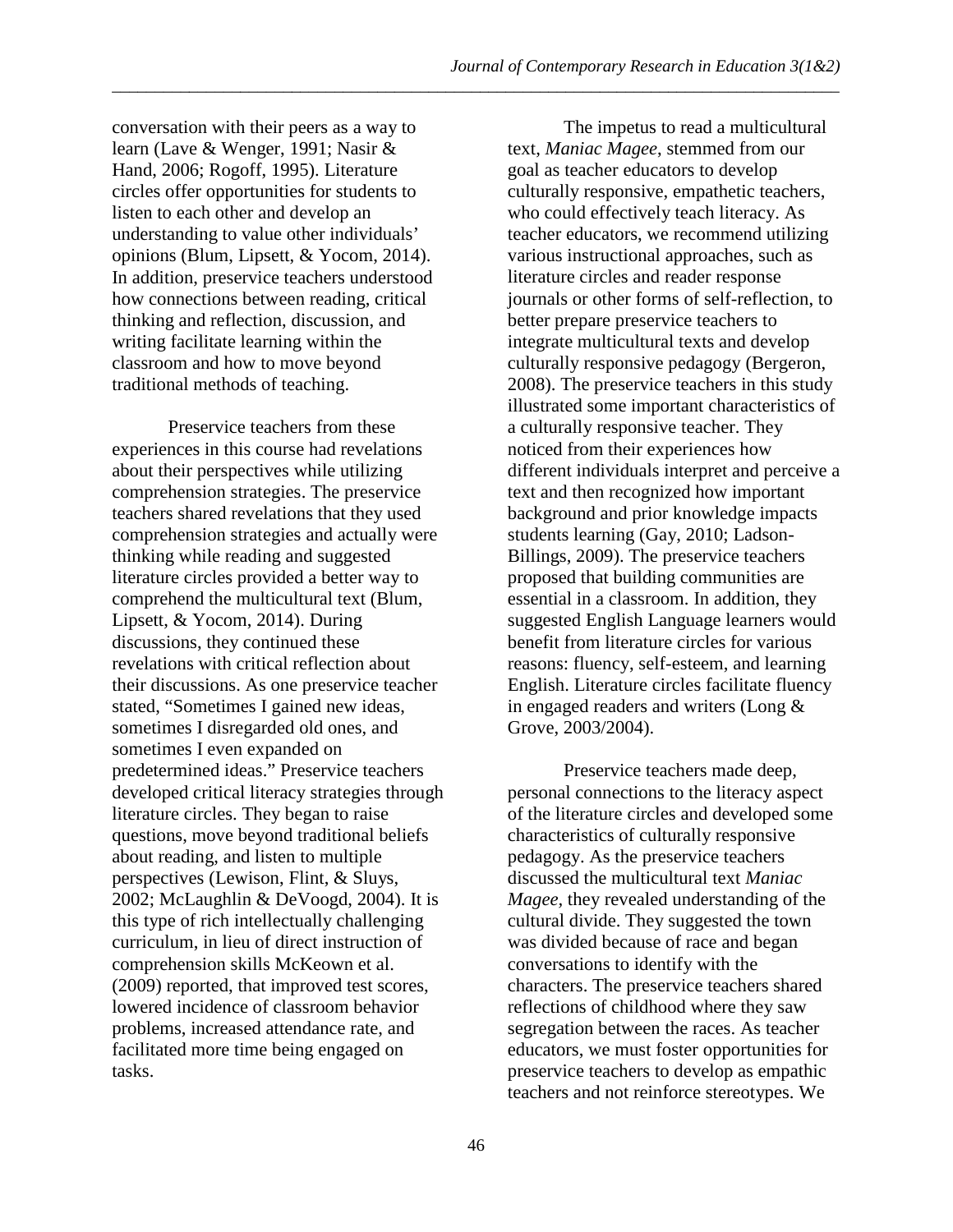conversation with their peers as a way to learn (Lave & Wenger, 1991; Nasir & Hand, 2006; Rogoff, 1995). Literature circles offer opportunities for students to listen to each other and develop an understanding to value other individuals' opinions (Blum, Lipsett, & Yocom, 2014). In addition, preservice teachers understood how connections between reading, critical thinking and reflection, discussion, and writing facilitate learning within the classroom and how to move beyond traditional methods of teaching.

Preservice teachers from these experiences in this course had revelations about their perspectives while utilizing comprehension strategies. The preservice teachers shared revelations that they used comprehension strategies and actually were thinking while reading and suggested literature circles provided a better way to comprehend the multicultural text (Blum, Lipsett, & Yocom, 2014). During discussions, they continued these revelations with critical reflection about their discussions. As one preservice teacher stated, "Sometimes I gained new ideas, sometimes I disregarded old ones, and sometimes I even expanded on predetermined ideas." Preservice teachers developed critical literacy strategies through literature circles. They began to raise questions, move beyond traditional beliefs about reading, and listen to multiple perspectives (Lewison, Flint, & Sluys, 2002; McLaughlin & DeVoogd, 2004). It is this type of rich intellectually challenging curriculum, in lieu of direct instruction of comprehension skills McKeown et al. (2009) reported, that improved test scores, lowered incidence of classroom behavior problems, increased attendance rate, and facilitated more time being engaged on tasks.

The impetus to read a multicultural text, *Maniac Magee*, stemmed from our goal as teacher educators to develop culturally responsive, empathetic teachers, who could effectively teach literacy. As teacher educators, we recommend utilizing various instructional approaches, such as literature circles and reader response journals or other forms of self-reflection, to better prepare preservice teachers to integrate multicultural texts and develop culturally responsive pedagogy (Bergeron, 2008). The preservice teachers in this study illustrated some important characteristics of a culturally responsive teacher. They noticed from their experiences how different individuals interpret and perceive a text and then recognized how important background and prior knowledge impacts students learning (Gay, 2010; Ladson-Billings, 2009). The preservice teachers proposed that building communities are essential in a classroom. In addition, they suggested English Language learners would benefit from literature circles for various reasons: fluency, self-esteem, and learning English. Literature circles facilitate fluency in engaged readers and writers (Long & Grove, 2003/2004).

Preservice teachers made deep, personal connections to the literacy aspect of the literature circles and developed some characteristics of culturally responsive pedagogy. As the preservice teachers discussed the multicultural text *Maniac Magee,* they revealed understanding of the cultural divide. They suggested the town was divided because of race and began conversations to identify with the characters. The preservice teachers shared reflections of childhood where they saw segregation between the races. As teacher educators, we must foster opportunities for preservice teachers to develop as empathic teachers and not reinforce stereotypes. We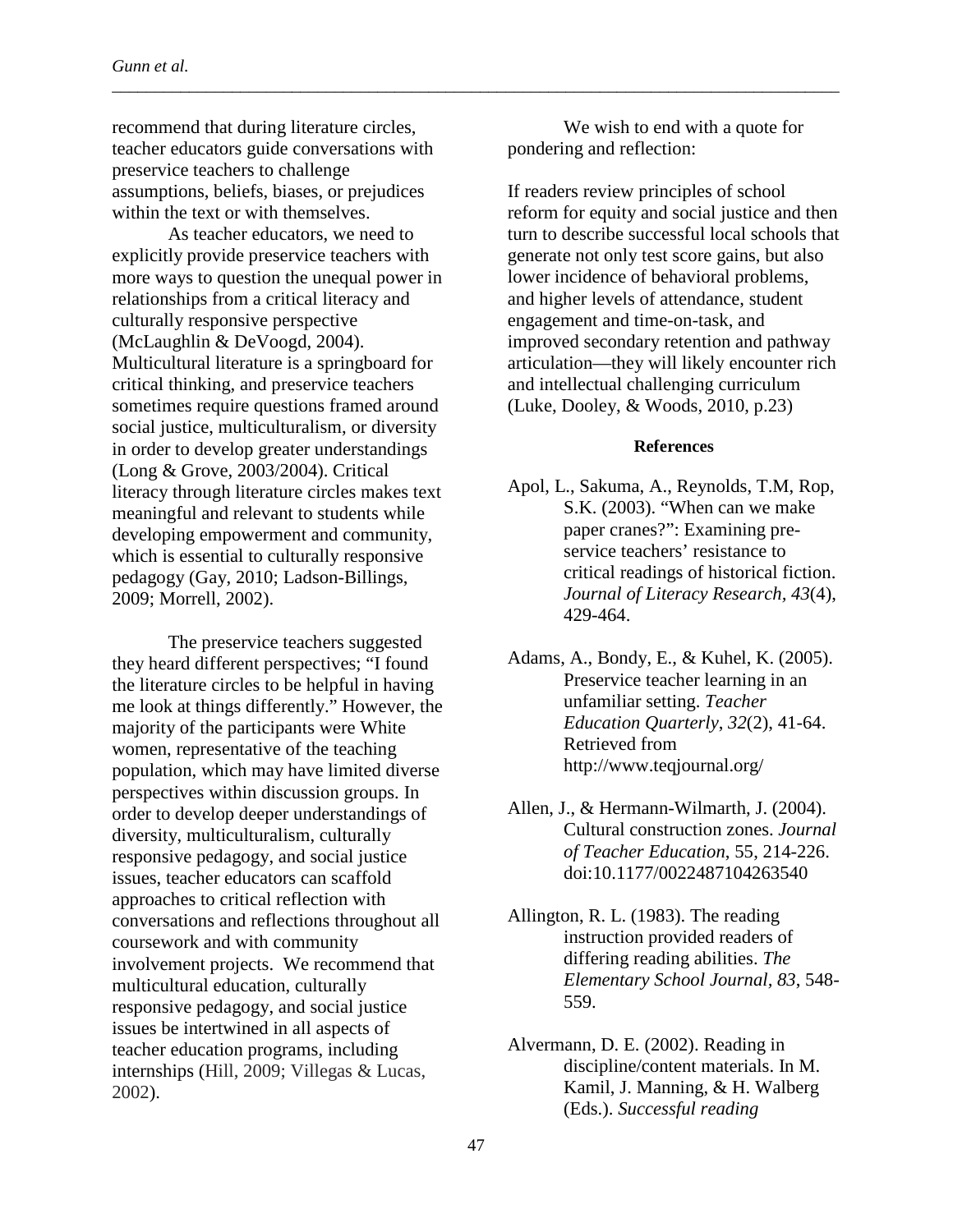recommend that during literature circles, teacher educators guide conversations with preservice teachers to challenge assumptions, beliefs, biases, or prejudices within the text or with themselves.

As teacher educators, we need to explicitly provide preservice teachers with more ways to question the unequal power in relationships from a critical literacy and culturally responsive perspective (McLaughlin & DeVoogd, 2004). Multicultural literature is a springboard for critical thinking, and preservice teachers sometimes require questions framed around social justice, multiculturalism, or diversity in order to develop greater understandings (Long & Grove, 2003/2004). Critical literacy through literature circles makes text meaningful and relevant to students while developing empowerment and community, which is essential to culturally responsive pedagogy (Gay, 2010; Ladson-Billings, 2009; Morrell, 2002).

The preservice teachers suggested they heard different perspectives; "I found the literature circles to be helpful in having me look at things differently." However, the majority of the participants were White women, representative of the teaching population, which may have limited diverse perspectives within discussion groups. In order to develop deeper understandings of diversity, multiculturalism, culturally responsive pedagogy, and social justice issues, teacher educators can scaffold approaches to critical reflection with conversations and reflections throughout all coursework and with community involvement projects. We recommend that multicultural education, culturally responsive pedagogy, and social justice issues be intertwined in all aspects of teacher education programs, including internships (Hill, 2009; Villegas & Lucas, 2002).

We wish to end with a quote for pondering and reflection:

\_\_\_\_\_\_\_\_\_\_\_\_\_\_\_\_\_\_\_\_\_\_\_\_\_\_\_\_\_\_\_\_\_\_\_\_\_\_\_\_\_\_\_\_\_\_\_\_\_\_\_\_\_\_\_\_\_\_\_\_\_\_\_\_\_\_\_\_\_\_\_\_\_\_\_\_\_\_\_\_\_\_\_\_\_

If readers review principles of school reform for equity and social justice and then turn to describe successful local schools that generate not only test score gains, but also lower incidence of behavioral problems, and higher levels of attendance, student engagement and time-on-task, and improved secondary retention and pathway articulation—they will likely encounter rich and intellectual challenging curriculum (Luke, Dooley, & Woods, 2010, p.23)

### **References**

- Apol, L., Sakuma, A., Reynolds, T.M, Rop, S.K. (2003). "When can we make paper cranes?": Examining preservice teachers' resistance to critical readings of historical fiction. *Journal of Literacy Research, 43*(4), 429-464.
- Adams, A., Bondy, E., & Kuhel, K. (2005). Preservice teacher learning in an unfamiliar setting. *Teacher Education Quarterly*, *32*(2), 41-64. Retrieved from http://www.teqjournal.org/
- Allen, J., & Hermann-Wilmarth, J. (2004). Cultural construction zones. *Journal of Teacher Education*, 55, 214-226. doi:10.1177/0022487104263540

Allington, R. L. (1983). The reading instruction provided readers of differing reading abilities. *The Elementary School Journal, 83*, 548- 559.

Alvermann, D. E. (2002). Reading in discipline/content materials. In M. Kamil, J. Manning, & H. Walberg (Eds.). *Successful reading*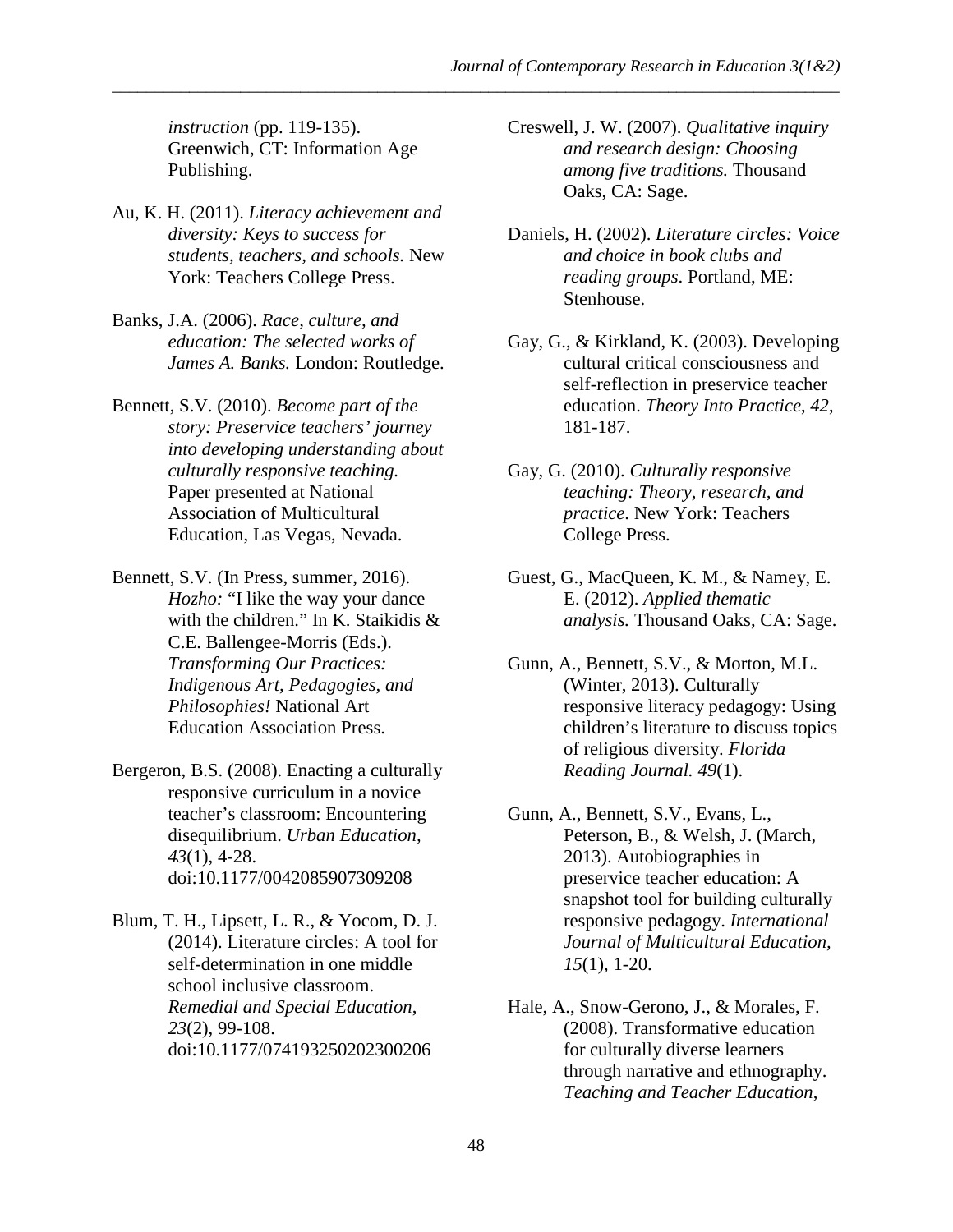*instruction* (pp. 119-135). Greenwich, CT: Information Age Publishing.

- Au, K. H. (2011). *Literacy achievement and diversity: Keys to success for students, teachers, and schools.* New York: Teachers College Press.
- Banks, J.A. (2006). *Race, culture, and education: The selected works of James A. Banks.* London: Routledge.
- Bennett, S.V. (2010). *Become part of the story: Preservice teachers' journey into developing understanding about culturally responsive teaching.* Paper presented at National Association of Multicultural Education, Las Vegas, Nevada.
- Bennett, S.V. (In Press, summer, 2016). *Hozho:* "I like the way your dance with the children." In K. Staikidis & C.E. Ballengee-Morris (Eds.). *Transforming Our Practices: Indigenous Art, Pedagogies, and Philosophies!* National Art Education Association Press.
- Bergeron, B.S. (2008). Enacting a culturally responsive curriculum in a novice teacher's classroom: Encountering disequilibrium. *Urban Education, 43*(1), 4-28. doi:10.1177/0042085907309208
- Blum, T. H., Lipsett, L. R., & Yocom, D. J. (2014). Literature circles: A tool for self-determination in one middle school inclusive classroom. *Remedial and Special Education*, *23*(2), 99-108. doi:10.1177/074193250202300206

Creswell, J. W. (2007). *Qualitative inquiry and research design: Choosing among five traditions.* Thousand Oaks, CA: Sage.

- Daniels, H. (2002). *Literature circles: Voice and choice in book clubs and reading groups*. Portland, ME: Stenhouse.
- Gay, G., & Kirkland, K. (2003). Developing cultural critical consciousness and self-reflection in preservice teacher education. *Theory Into Practice*, *42*, 181-187.
- Gay, G. (2010). *Culturally responsive teaching: Theory, research, and practice*. New York: Teachers College Press.
- Guest, G., MacQueen, K. M., & Namey, E. E. (2012). *Applied thematic analysis.* Thousand Oaks, CA: Sage.
- Gunn, A., Bennett, S.V., & Morton, M.L. (Winter, 2013). Culturally responsive literacy pedagogy: Using children's literature to discuss topics of religious diversity. *Florida Reading Journal. 49*(1).
- Gunn, A., Bennett, S.V., Evans, L., Peterson, B., & Welsh, J. (March, 2013). Autobiographies in preservice teacher education: A snapshot tool for building culturally responsive pedagogy. *International Journal of Multicultural Education, 15*(1), 1-20.
- Hale, A., Snow-Gerono, J., & Morales, F. (2008). Transformative education for culturally diverse learners through narrative and ethnography. *Teaching and Teacher Education*,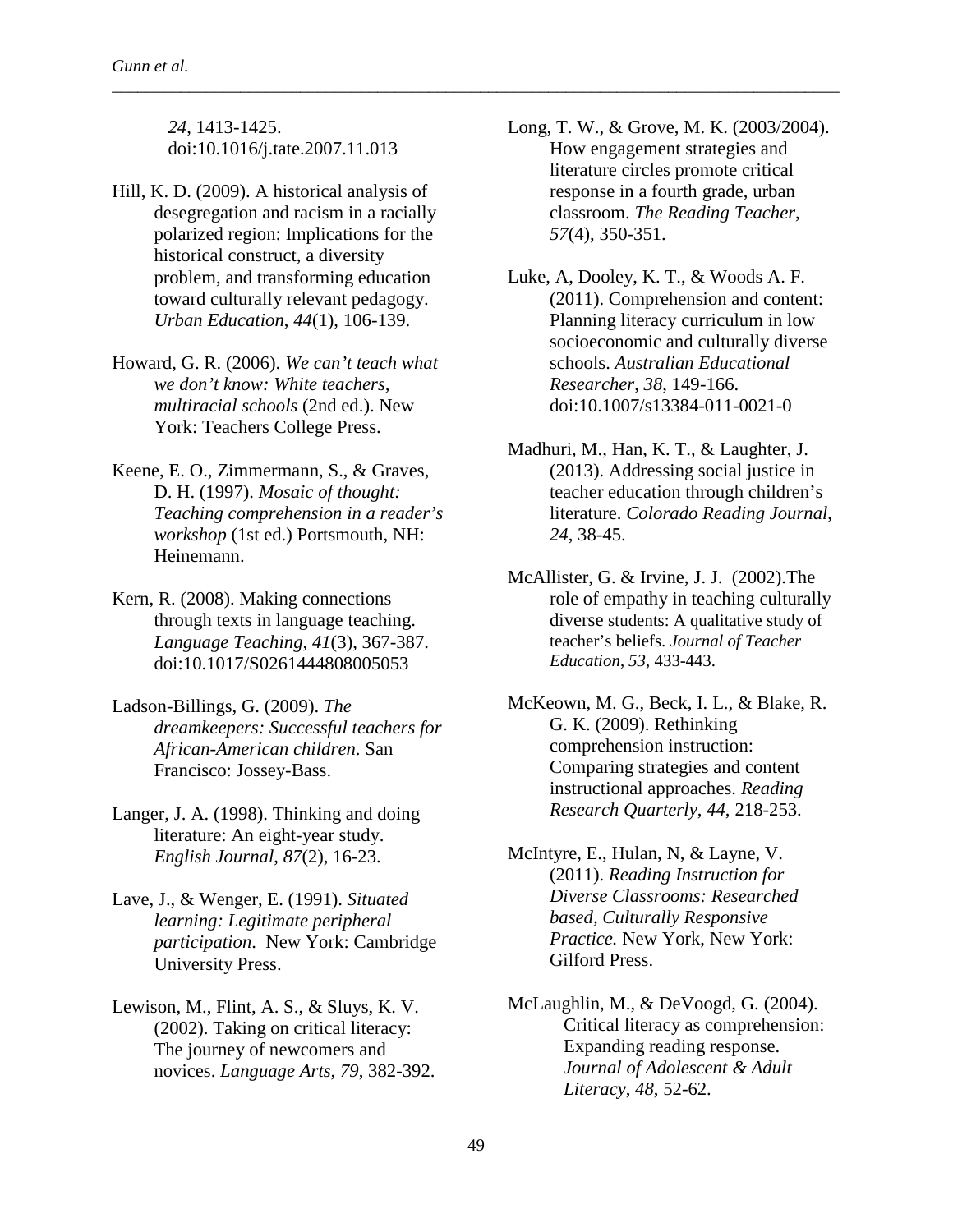*24*, 1413-1425. doi:10.1016/j.tate.2007.11.013

- Hill, K. D. (2009). A historical analysis of desegregation and racism in a racially polarized region: Implications for the historical construct, a diversity problem, and transforming education toward culturally relevant pedagogy. *Urban Education*, *44*(1), 106-139.
- Howard, G. R. (2006). *We can't teach what we don't know: White teachers, multiracial schools* (2nd ed.). New York: Teachers College Press.
- Keene, E. O., Zimmermann, S., & Graves, D. H. (1997). *Mosaic of thought: Teaching comprehension in a reader's workshop* (1st ed.) Portsmouth, NH: Heinemann.
- Kern, R. (2008). Making connections through texts in language teaching. *Language Teaching*, *41*(3), 367-387. doi:10.1017/S0261444808005053
- Ladson-Billings, G. (2009). *The dreamkeepers: Successful teachers for African-American children*. San Francisco: Jossey-Bass.
- Langer, J. A. (1998). Thinking and doing literature: An eight-year study. *English Journal*, *87*(2), 16-23.
- Lave, J., & Wenger, E. (1991). *Situated learning: Legitimate peripheral participation*. New York: Cambridge University Press.
- Lewison, M., Flint, A. S., & Sluys, K. V. (2002). Taking on critical literacy: The journey of newcomers and novices. *Language Arts*, *79*, 382-392.
- Long, T. W., & Grove, M. K. (2003/2004). How engagement strategies and literature circles promote critical response in a fourth grade, urban classroom. *The Reading Teacher*, *57*(4), 350-351.
- Luke, A, Dooley, K. T., & Woods A. F. (2011). Comprehension and content: Planning literacy curriculum in low socioeconomic and culturally diverse schools. *Australian Educational Researcher*, *38*, 149-166. doi:10.1007/s13384-011-0021-0
- Madhuri, M., Han, K. T., & Laughter, J. (2013). Addressing social justice in teacher education through children's literature. *Colorado Reading Journal*, *24*, 38-45.
- McAllister, G. & Irvine, J. J. (2002).The role of empathy in teaching culturally diverse students: A qualitative study of teacher's beliefs. *Journal of Teacher Education*, *53*, 433-443.
- McKeown, M. G., Beck, I. L., & Blake, R. G. K. (2009). Rethinking comprehension instruction: Comparing strategies and content instructional approaches. *Reading Research Quarterly*, *44*, 218-253.
- McIntyre, E., Hulan, N, & Layne, V. (2011). *Reading Instruction for Diverse Classrooms: Researched based, Culturally Responsive Practice.* New York, New York: Gilford Press.
- McLaughlin, M., & DeVoogd, G. (2004). Critical literacy as comprehension: Expanding reading response. *Journal of Adolescent & Adult Literacy*, *48*, 52-62.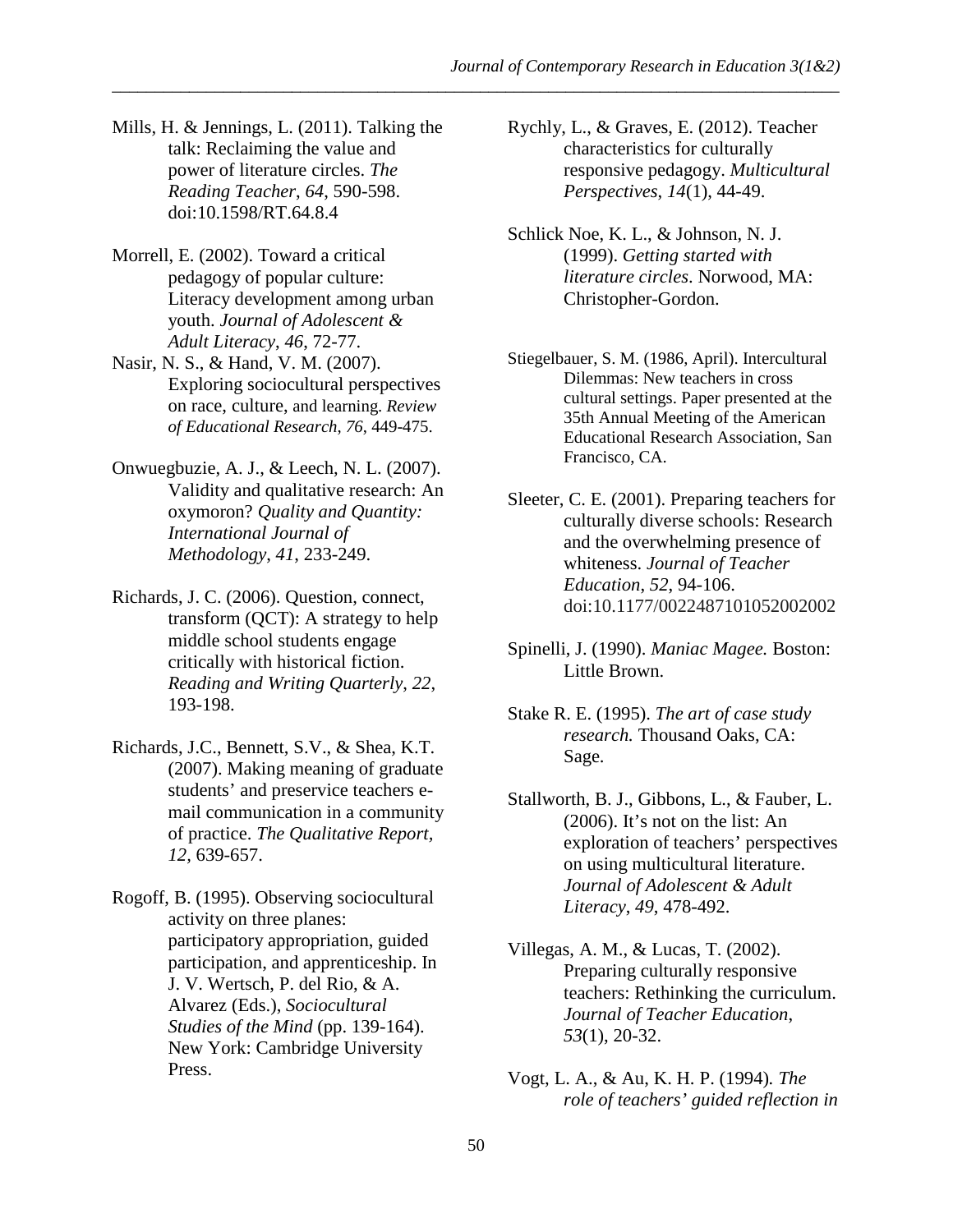- Mills, H. & Jennings, L. (2011). Talking the talk: Reclaiming the value and power of literature circles. *The Reading Teacher*, *64*, 590-598. doi:10.1598/RT.64.8.4
- Morrell, E. (2002). Toward a critical pedagogy of popular culture: Literacy development among urban youth. *Journal of Adolescent & Adult Literacy*, *46*, 72-77.
- Nasir, N. S., & Hand, V. M. (2007). Exploring sociocultural perspectives on race, culture, and learning. *Review of Educational Research*, *76*, 449-475.
- Onwuegbuzie, A. J., & Leech, N. L. (2007). Validity and qualitative research: An oxymoron? *Quality and Quantity: International Journal of Methodology*, *41*, 233-249.
- Richards, J. C. (2006). Question, connect, transform (QCT): A strategy to help middle school students engage critically with historical fiction. *Reading and Writing Quarterly*, *22*, 193-198.
- Richards, J.C., Bennett, S.V., & Shea, K.T. (2007). Making meaning of graduate students' and preservice teachers email communication in a community of practice. *The Qualitative Report, 12,* 639-657.
- Rogoff, B. (1995). Observing sociocultural activity on three planes: participatory appropriation, guided participation, and apprenticeship. In J. V. Wertsch, P. del Rio, & A. Alvarez (Eds.), *Sociocultural Studies of the Mind* (pp. 139-164). New York: Cambridge University Press.
- Rychly, L., & Graves, E. (2012). Teacher characteristics for culturally responsive pedagogy. *Multicultural Perspectives*, *14*(1), 44-49.
- Schlick Noe, K. L., & Johnson, N. J. (1999). *Getting started with literature circles*. Norwood, MA: Christopher-Gordon.
- Stiegelbauer, S. M. (1986, April). Intercultural Dilemmas: New teachers in cross cultural settings. Paper presented at the 35th Annual Meeting of the American Educational Research Association, San Francisco, CA.
- Sleeter, C. E. (2001). Preparing teachers for culturally diverse schools: Research and the overwhelming presence of whiteness. *Journal of Teacher Education*, *52*, 94-106. doi:10.1177/0022487101052002002
- Spinelli, J. (1990). *Maniac Magee.* Boston: Little Brown.
- Stake R. E. (1995). *The art of case study research.* Thousand Oaks, CA: Sage.
- Stallworth, B. J., Gibbons, L., & Fauber, L. (2006). It's not on the list: An exploration of teachers' perspectives on using multicultural literature. *Journal of Adolescent & Adult Literacy*, *49*, 478-492.
- Villegas, A. M., & Lucas, T. (2002). Preparing culturally responsive teachers: Rethinking the curriculum. *Journal of Teacher Education*, *53*(1), 20-32.
- Vogt, L. A., & Au, K. H. P. (1994)*. The role of teachers' guided reflection in*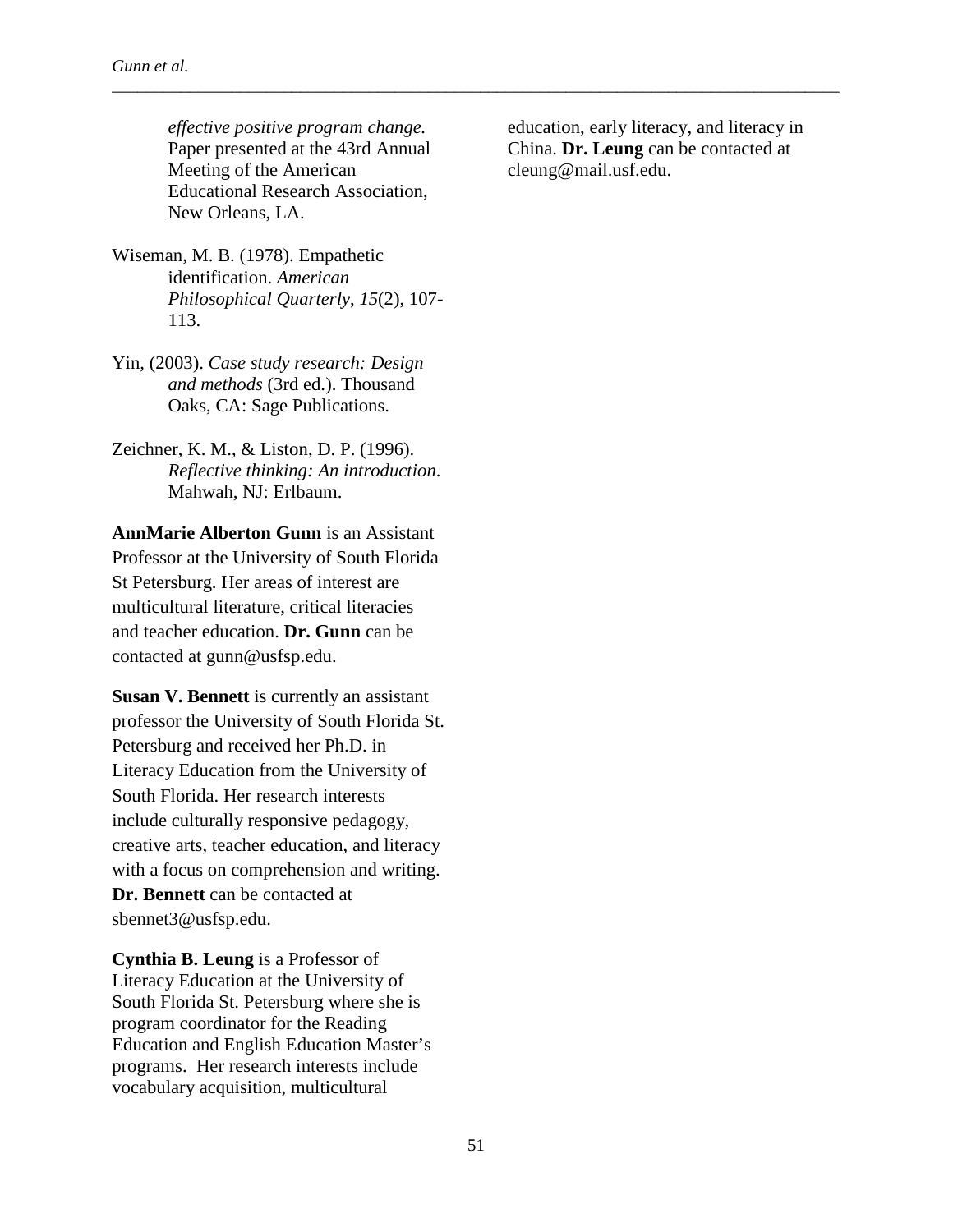*Gunn et al.*

*effective positive program change.* Paper presented at the 43rd Annual Meeting of the American Educational Research Association, New Orleans, LA.

- Wiseman, M. B. (1978). Empathetic identification. *American Philosophical Quarterly*, *15*(2), 107- 113.
- Yin, (2003). *Case study research: Design and methods* (3rd ed.). Thousand Oaks, CA: Sage Publications.
- Zeichner, K. M., & Liston, D. P. (1996). *Reflective thinking: An introduction*. Mahwah, NJ: Erlbaum.

**AnnMarie Alberton Gunn** is an Assistant Professor at the University of South Florida St Petersburg. Her areas of interest are multicultural literature, critical literacies and teacher education. **Dr. Gunn** can be contacted at gunn@usfsp.edu.

**Susan V. Bennett** is currently an assistant professor the University of South Florida St. Petersburg and received her Ph.D. in Literacy Education from the University of South Florida. Her research interests include culturally responsive pedagogy, creative arts, teacher education, and literacy with a focus on comprehension and writing. **Dr. Bennett** can be contacted at sbennet3@usfsp.edu.

**Cynthia B. Leung** is a Professor of Literacy Education at the University of South Florida St. Petersburg where she is program coordinator for the Reading Education and English Education Master's programs. Her research interests include vocabulary acquisition, multicultural

education, early literacy, and literacy in China. **Dr. Leung** can be contacted at cleung@mail.usf.edu.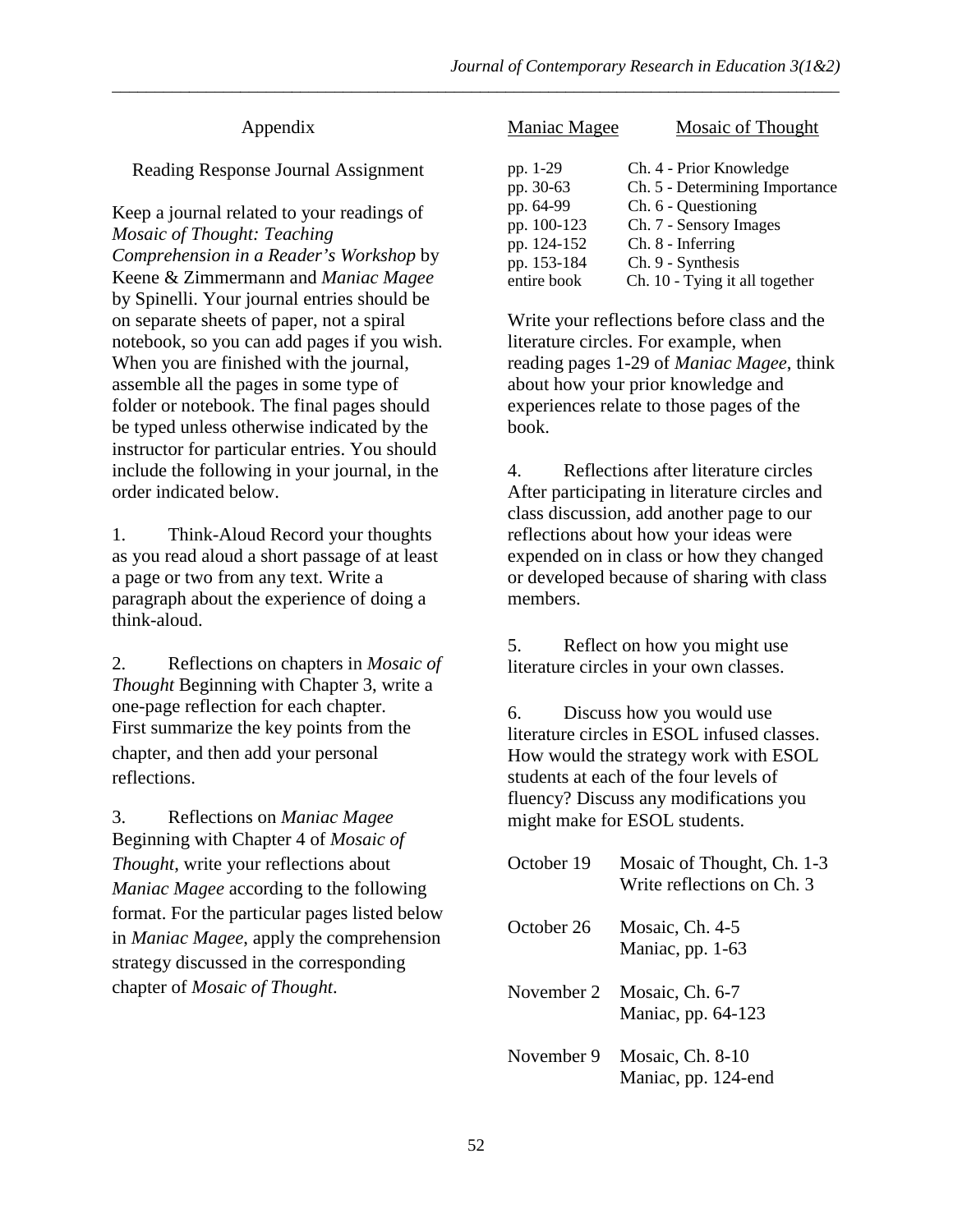# Appendix

# Reading Response Journal Assignment

Keep a journal related to your readings of *Mosaic of Thought: Teaching Comprehension in a Reader's Workshop* by Keene & Zimmermann and *Maniac Magee* by Spinelli. Your journal entries should be on separate sheets of paper, not a spiral notebook, so you can add pages if you wish. When you are finished with the journal, assemble all the pages in some type of folder or notebook. The final pages should be typed unless otherwise indicated by the instructor for particular entries. You should include the following in your journal, in the order indicated below.

1. Think-Aloud Record your thoughts as you read aloud a short passage of at least a page or two from any text. Write a paragraph about the experience of doing a think-aloud.

2. Reflections on chapters in *Mosaic of Thought* Beginning with Chapter 3, write a one-page reflection for each chapter. First summarize the key points from the chapter, and then add your personal reflections.

3. Reflections on *Maniac Magee* Beginning with Chapter 4 of *Mosaic of Thought*, write your reflections about *Maniac Magee* according to the following format. For the particular pages listed below in *Maniac Magee*, apply the comprehension strategy discussed in the corresponding chapter of *Mosaic of Thought*.

| Maniac Magee | <b>Mosaic of Thought</b>       |
|--------------|--------------------------------|
| pp. 1-29     | Ch. 4 - Prior Knowledge        |
| pp. 30-63    | Ch. 5 - Determining Importance |
| pp. 64-99    | Ch. 6 - Questioning            |
| pp. 100-123  | Ch. 7 - Sensory Images         |
| pp. 124-152  | Ch. 8 - Inferring              |
| pp. 153-184  | Ch. 9 - Synthesis              |
| entire book  | Ch. 10 - Tying it all together |

Write your reflections before class and the literature circles. For example, when reading pages 1-29 of *Maniac Magee*, think about how your prior knowledge and experiences relate to those pages of the book.

4. Reflections after literature circles After participating in literature circles and class discussion, add another page to our reflections about how your ideas were expended on in class or how they changed or developed because of sharing with class members.

5. Reflect on how you might use literature circles in your own classes.

6. Discuss how you would use literature circles in ESOL infused classes. How would the strategy work with ESOL students at each of the four levels of fluency? Discuss any modifications you might make for ESOL students.

| October 19 | Mosaic of Thought, Ch. 1-3<br>Write reflections on Ch. 3 |
|------------|----------------------------------------------------------|
| October 26 | Mosaic, Ch. 4-5<br>Maniac, pp. 1-63                      |
| November 2 | Mosaic, Ch. 6-7<br>Maniac, pp. 64-123                    |
| November 9 | Mosaic, Ch. 8-10<br>Maniac, pp. 124-end                  |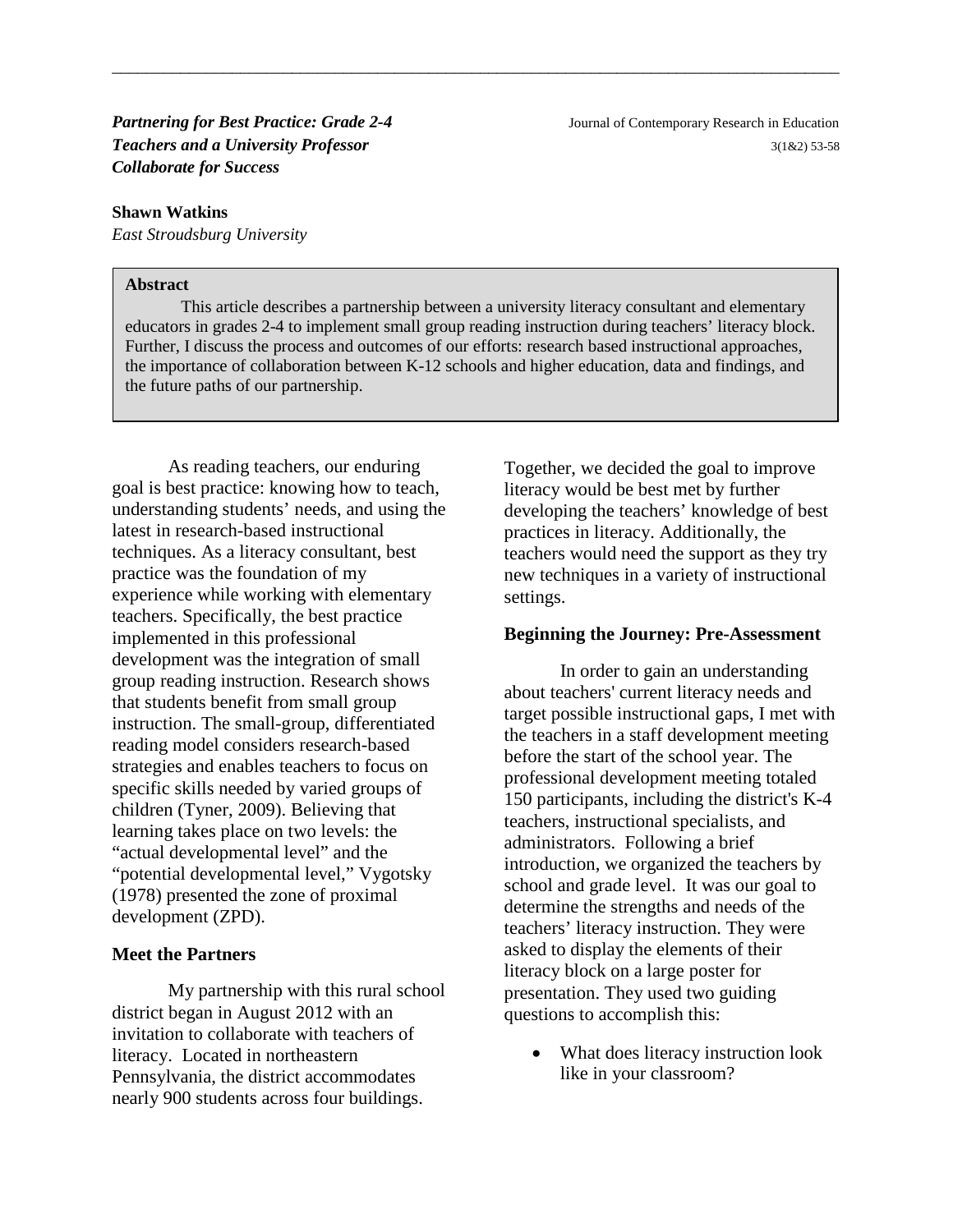*Partnering for Best Practice: Grade 2-4* Journal of Contemporary Research in Education *Teachers and a University Professor*3(1&2) 53-58 *Collaborate for Success*

#### **Shawn Watkins**

*East Stroudsburg University*

### **Abstract**

This article describes a partnership between a university literacy consultant and elementary educators in grades 2-4 to implement small group reading instruction during teachers' literacy block. Further, I discuss the process and outcomes of our efforts: research based instructional approaches, the importance of collaboration between K-12 schools and higher education, data and findings, and the future paths of our partnership.

\_\_\_\_\_\_\_\_\_\_\_\_\_\_\_\_\_\_\_\_\_\_\_\_\_\_\_\_\_\_\_\_\_\_\_\_\_\_\_\_\_\_\_\_\_\_\_\_\_\_\_\_\_\_\_\_\_\_\_\_\_\_\_\_\_\_\_\_\_\_\_\_\_\_\_\_\_\_\_\_\_\_\_\_\_

As reading teachers, our enduring goal is best practice: knowing how to teach, understanding students' needs, and using the latest in research-based instructional techniques. As a literacy consultant, best practice was the foundation of my experience while working with elementary teachers. Specifically, the best practice implemented in this professional development was the integration of small group reading instruction. Research shows that students benefit from small group instruction. The small-group, differentiated reading model considers research-based strategies and enables teachers to focus on specific skills needed by varied groups of children (Tyner, 2009). Believing that learning takes place on two levels: the "actual developmental level" and the "potential developmental level," Vygotsky (1978) presented the zone of proximal development (ZPD).

### **Meet the Partners**

My partnership with this rural school district began in August 2012 with an invitation to collaborate with teachers of literacy. Located in northeastern Pennsylvania, the district accommodates nearly 900 students across four buildings.

Together, we decided the goal to improve literacy would be best met by further developing the teachers' knowledge of best practices in literacy. Additionally, the teachers would need the support as they try new techniques in a variety of instructional settings.

#### **Beginning the Journey: Pre-Assessment**

In order to gain an understanding about teachers' current literacy needs and target possible instructional gaps, I met with the teachers in a staff development meeting before the start of the school year. The professional development meeting totaled 150 participants, including the district's K-4 teachers, instructional specialists, and administrators. Following a brief introduction, we organized the teachers by school and grade level. It was our goal to determine the strengths and needs of the teachers' literacy instruction. They were asked to display the elements of their literacy block on a large poster for presentation. They used two guiding questions to accomplish this:

• What does literacy instruction look like in your classroom?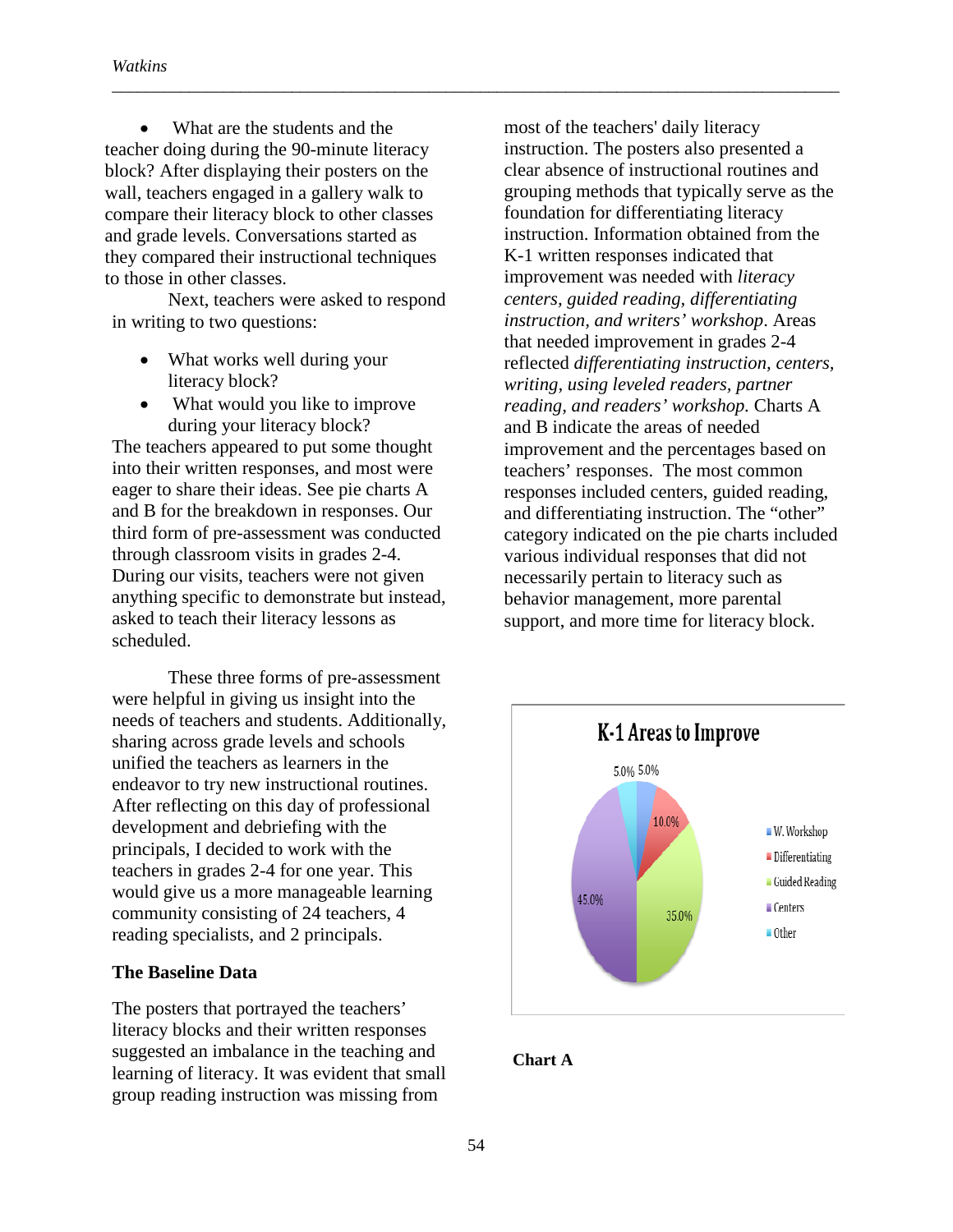What are the students and the teacher doing during the 90-minute literacy block? After displaying their posters on the wall, teachers engaged in a gallery walk to compare their literacy block to other classes and grade levels. Conversations started as they compared their instructional techniques to those in other classes.

Next, teachers were asked to respond in writing to two questions:

- What works well during your literacy block?
- What would you like to improve during your literacy block?

The teachers appeared to put some thought into their written responses, and most were eager to share their ideas. See pie charts A and B for the breakdown in responses. Our third form of pre-assessment was conducted through classroom visits in grades 2-4. During our visits, teachers were not given anything specific to demonstrate but instead, asked to teach their literacy lessons as scheduled.

These three forms of pre-assessment were helpful in giving us insight into the needs of teachers and students. Additionally, sharing across grade levels and schools unified the teachers as learners in the endeavor to try new instructional routines. After reflecting on this day of professional development and debriefing with the principals, I decided to work with the teachers in grades 2-4 for one year. This would give us a more manageable learning community consisting of 24 teachers, 4 reading specialists, and 2 principals.

# **The Baseline Data**

The posters that portrayed the teachers' literacy blocks and their written responses suggested an imbalance in the teaching and learning of literacy. It was evident that small group reading instruction was missing from

most of the teachers' daily literacy instruction. The posters also presented a clear absence of instructional routines and grouping methods that typically serve as the foundation for differentiating literacy instruction. Information obtained from the K-1 written responses indicated that improvement was needed with *literacy centers, guided reading, differentiating instruction, and writers' workshop*. Areas that needed improvement in grades 2-4 reflected *differentiating instruction, centers, writing, using leveled readers, partner reading, and readers' workshop.* Charts A and B indicate the areas of needed improvement and the percentages based on teachers' responses. The most common responses included centers, guided reading, and differentiating instruction. The "other" category indicated on the pie charts included various individual responses that did not necessarily pertain to literacy such as behavior management, more parental support, and more time for literacy block.



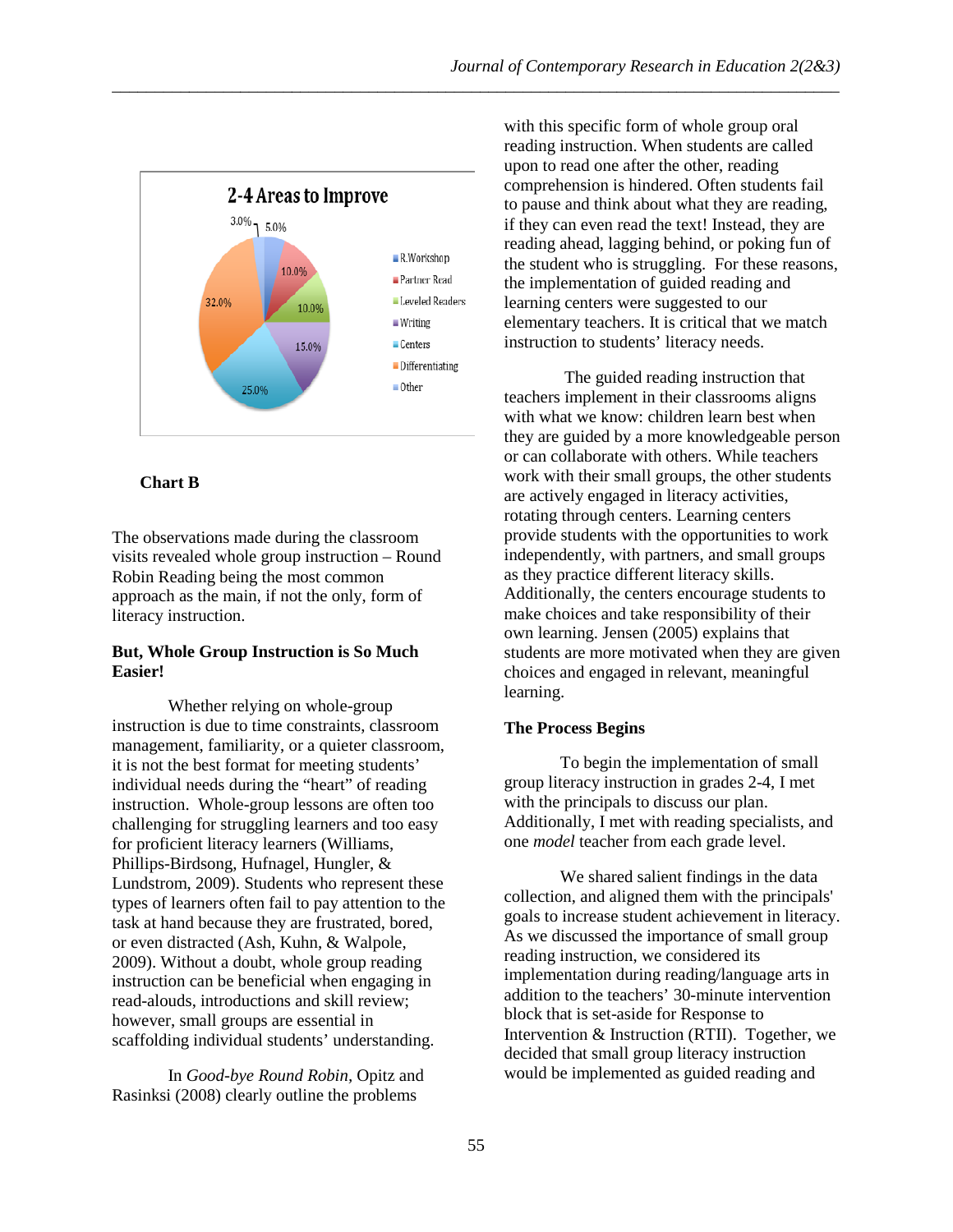

### **Chart B**

The observations made during the classroom visits revealed whole group instruction – Round Robin Reading being the most common approach as the main, if not the only, form of literacy instruction.

### **But, Whole Group Instruction is So Much Easier!**

Whether relying on whole-group instruction is due to time constraints, classroom management, familiarity, or a quieter classroom, it is not the best format for meeting students' individual needs during the "heart" of reading instruction. Whole-group lessons are often too challenging for struggling learners and too easy for proficient literacy learners (Williams, Phillips-Birdsong, Hufnagel, Hungler, & Lundstrom, 2009). Students who represent these types of learners often fail to pay attention to the task at hand because they are frustrated, bored, or even distracted (Ash, Kuhn, & Walpole, 2009). Without a doubt, whole group reading instruction can be beneficial when engaging in read-alouds, introductions and skill review; however, small groups are essential in scaffolding individual students' understanding.

In *Good-bye Round Robin,* Opitz and Rasinksi (2008) clearly outline the problems

with this specific form of whole group oral reading instruction. When students are called upon to read one after the other, reading comprehension is hindered. Often students fail to pause and think about what they are reading, if they can even read the text! Instead, they are reading ahead, lagging behind, or poking fun of the student who is struggling. For these reasons, the implementation of guided reading and learning centers were suggested to our elementary teachers. It is critical that we match instruction to students' literacy needs.

The guided reading instruction that teachers implement in their classrooms aligns with what we know: children learn best when they are guided by a more knowledgeable person or can collaborate with others. While teachers work with their small groups, the other students are actively engaged in literacy activities, rotating through centers. Learning centers provide students with the opportunities to work independently, with partners, and small groups as they practice different literacy skills. Additionally, the centers encourage students to make choices and take responsibility of their own learning. Jensen (2005) explains that students are more motivated when they are given choices and engaged in relevant, meaningful learning.

### **The Process Begins**

To begin the implementation of small group literacy instruction in grades 2-4, I met with the principals to discuss our plan. Additionally, I met with reading specialists, and one *model* teacher from each grade level.

We shared salient findings in the data collection, and aligned them with the principals' goals to increase student achievement in literacy. As we discussed the importance of small group reading instruction, we considered its implementation during reading/language arts in addition to the teachers' 30-minute intervention block that is set-aside for Response to Intervention & Instruction (RTII). Together, we decided that small group literacy instruction would be implemented as guided reading and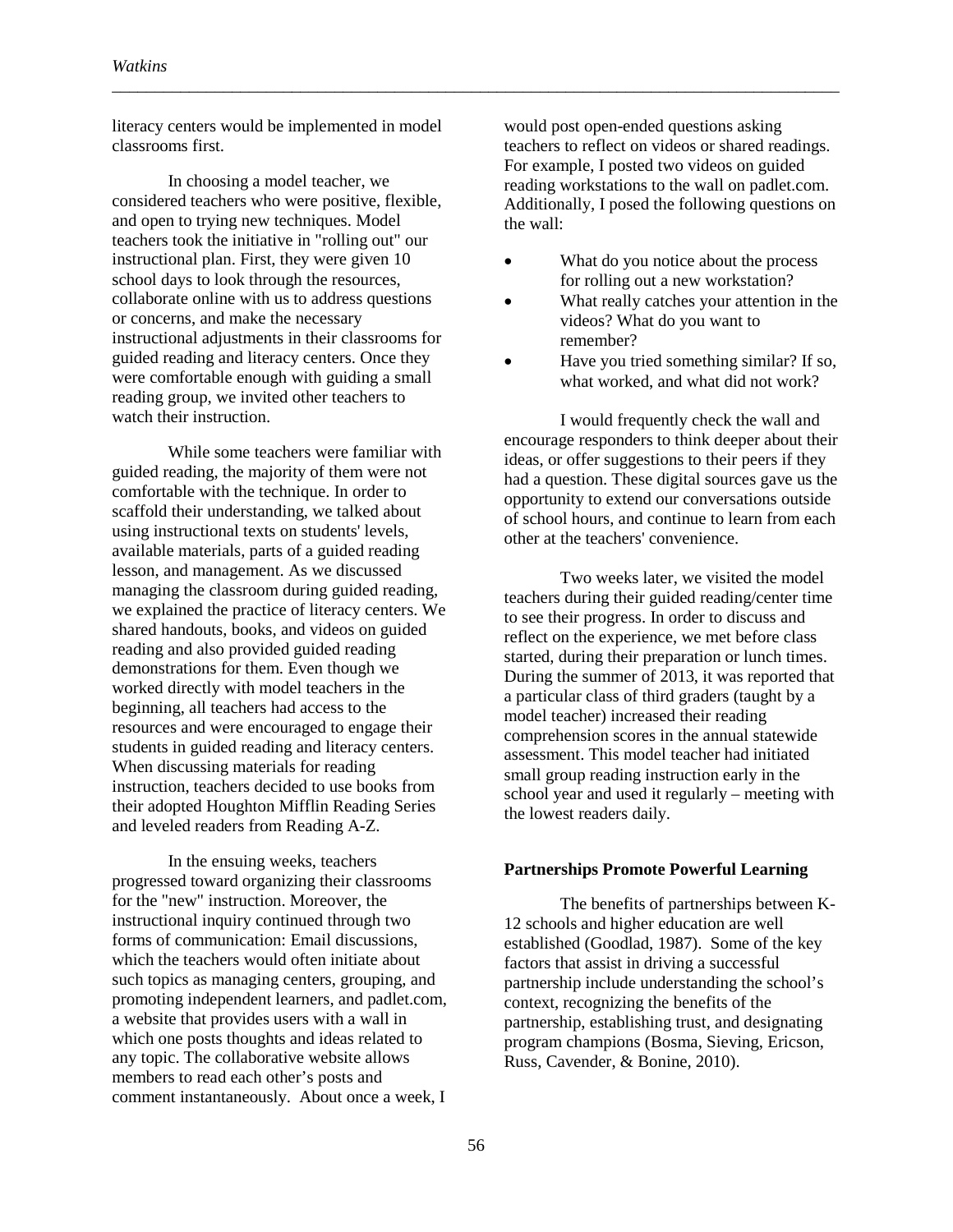literacy centers would be implemented in model classrooms first.

\_\_\_\_\_\_\_\_\_\_\_\_\_\_\_\_\_\_\_\_\_\_\_\_\_\_\_\_\_\_\_\_\_\_\_\_\_\_\_\_\_\_\_\_\_\_\_\_\_\_\_\_\_\_\_\_\_\_\_\_\_\_\_\_\_\_\_\_\_\_\_\_\_\_\_\_\_\_\_\_\_\_\_\_\_

In choosing a model teacher, we considered teachers who were positive, flexible, and open to trying new techniques. Model teachers took the initiative in "rolling out" our instructional plan. First, they were given 10 school days to look through the resources, collaborate online with us to address questions or concerns, and make the necessary instructional adjustments in their classrooms for guided reading and literacy centers. Once they were comfortable enough with guiding a small reading group, we invited other teachers to watch their instruction.

While some teachers were familiar with guided reading, the majority of them were not comfortable with the technique. In order to scaffold their understanding, we talked about using instructional texts on students' levels, available materials, parts of a guided reading lesson, and management. As we discussed managing the classroom during guided reading, we explained the practice of literacy centers. We shared handouts, books, and videos on guided reading and also provided guided reading demonstrations for them. Even though we worked directly with model teachers in the beginning, all teachers had access to the resources and were encouraged to engage their students in guided reading and literacy centers. When discussing materials for reading instruction, teachers decided to use books from their adopted Houghton Mifflin Reading Series and leveled readers from Reading A-Z.

In the ensuing weeks, teachers progressed toward organizing their classrooms for the "new" instruction. Moreover, the instructional inquiry continued through two forms of communication: Email discussions, which the teachers would often initiate about such topics as managing centers, grouping, and promoting independent learners, and padlet.com, a website that provides users with a wall in which one posts thoughts and ideas related to any topic. The collaborative website allows members to read each other's posts and comment instantaneously. About once a week, I

would post open-ended questions asking teachers to reflect on videos or shared readings. For example, I posted two videos on guided reading workstations to the wall on padlet.com. Additionally, I posed the following questions on the wall:

- What do you notice about the process for rolling out a new workstation?
- What really catches your attention in the videos? What do you want to remember?
- Have you tried something similar? If so, what worked, and what did not work?

I would frequently check the wall and encourage responders to think deeper about their ideas, or offer suggestions to their peers if they had a question. These digital sources gave us the opportunity to extend our conversations outside of school hours, and continue to learn from each other at the teachers' convenience.

Two weeks later, we visited the model teachers during their guided reading/center time to see their progress. In order to discuss and reflect on the experience, we met before class started, during their preparation or lunch times. During the summer of 2013, it was reported that a particular class of third graders (taught by a model teacher) increased their reading comprehension scores in the annual statewide assessment. This model teacher had initiated small group reading instruction early in the school year and used it regularly – meeting with the lowest readers daily.

#### **Partnerships Promote Powerful Learning**

The benefits of partnerships between K-12 schools and higher education are well established (Goodlad, 1987). Some of the key factors that assist in driving a successful partnership include understanding the school's context, recognizing the benefits of the partnership, establishing trust, and designating program champions (Bosma, Sieving, Ericson, Russ, Cavender, & Bonine, 2010).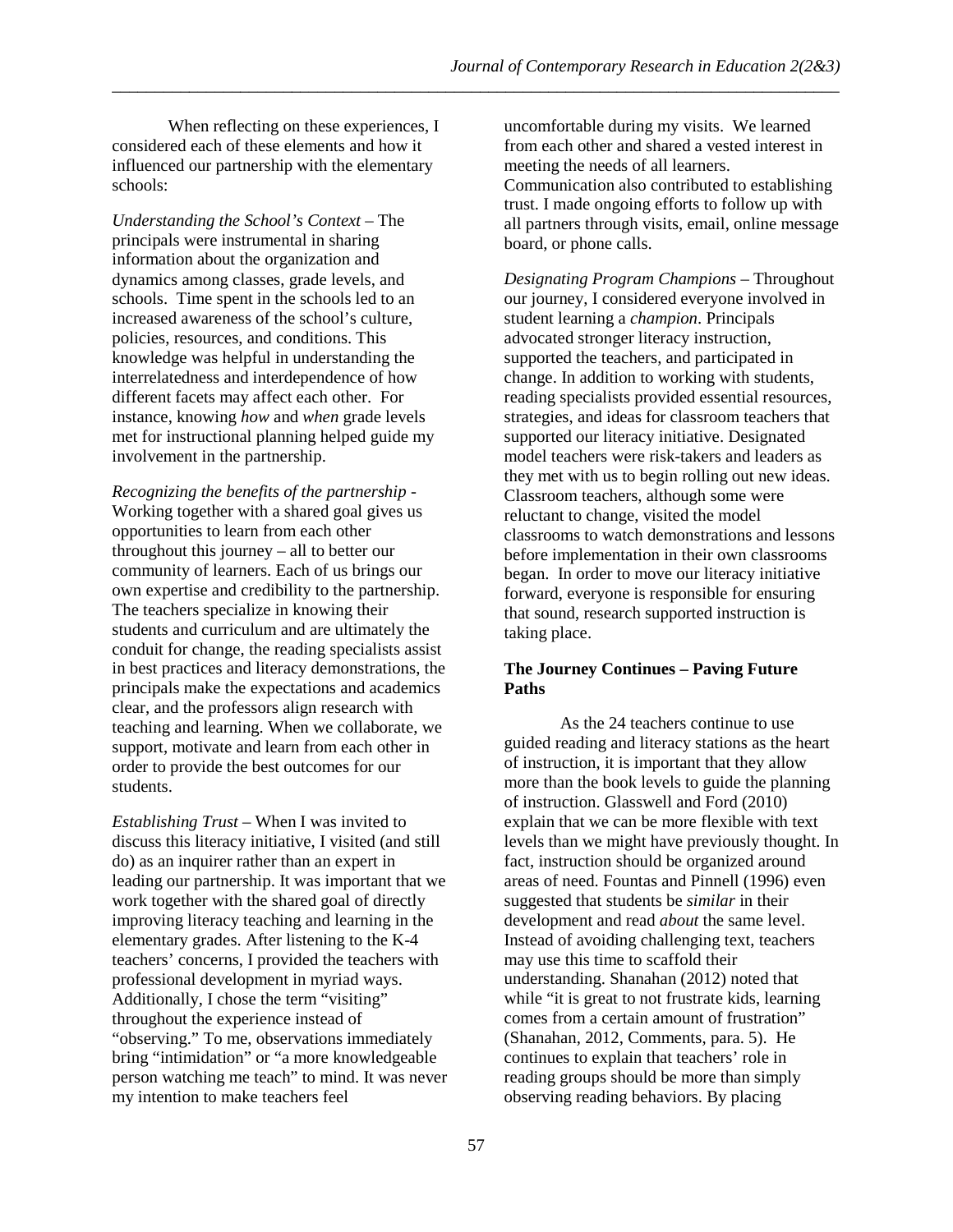When reflecting on these experiences, I considered each of these elements and how it influenced our partnership with the elementary schools:

*Understanding the School's Context –* The principals were instrumental in sharing information about the organization and dynamics among classes, grade levels, and schools. Time spent in the schools led to an increased awareness of the school's culture, policies, resources, and conditions. This knowledge was helpful in understanding the interrelatedness and interdependence of how different facets may affect each other. For instance, knowing *how* and *when* grade levels met for instructional planning helped guide my involvement in the partnership.

*Recognizing the benefits of the partnership* - Working together with a shared goal gives us opportunities to learn from each other throughout this journey – all to better our community of learners. Each of us brings our own expertise and credibility to the partnership. The teachers specialize in knowing their students and curriculum and are ultimately the conduit for change, the reading specialists assist in best practices and literacy demonstrations, the principals make the expectations and academics clear, and the professors align research with teaching and learning. When we collaborate, we support, motivate and learn from each other in order to provide the best outcomes for our students.

*Establishing Trust* – When I was invited to discuss this literacy initiative, I visited (and still do) as an inquirer rather than an expert in leading our partnership. It was important that we work together with the shared goal of directly improving literacy teaching and learning in the elementary grades. After listening to the K-4 teachers' concerns, I provided the teachers with professional development in myriad ways. Additionally, I chose the term "visiting" throughout the experience instead of "observing." To me, observations immediately bring "intimidation" or "a more knowledgeable person watching me teach" to mind. It was never my intention to make teachers feel

uncomfortable during my visits. We learned from each other and shared a vested interest in meeting the needs of all learners. Communication also contributed to establishing trust. I made ongoing efforts to follow up with all partners through visits, email, online message board, or phone calls.

*Designating Program Champions* – Throughout our journey, I considered everyone involved in student learning a *champion*. Principals advocated stronger literacy instruction, supported the teachers, and participated in change. In addition to working with students, reading specialists provided essential resources, strategies, and ideas for classroom teachers that supported our literacy initiative. Designated model teachers were risk-takers and leaders as they met with us to begin rolling out new ideas. Classroom teachers, although some were reluctant to change, visited the model classrooms to watch demonstrations and lessons before implementation in their own classrooms began. In order to move our literacy initiative forward, everyone is responsible for ensuring that sound, research supported instruction is taking place.

## **The Journey Continues – Paving Future Paths**

As the 24 teachers continue to use guided reading and literacy stations as the heart of instruction, it is important that they allow more than the book levels to guide the planning of instruction. Glasswell and Ford (2010) explain that we can be more flexible with text levels than we might have previously thought. In fact, instruction should be organized around areas of need. Fountas and Pinnell (1996) even suggested that students be *similar* in their development and read *about* the same level. Instead of avoiding challenging text, teachers may use this time to scaffold their understanding. Shanahan (2012) noted that while "it is great to not frustrate kids, learning comes from a certain amount of frustration" (Shanahan, 2012, Comments, para. 5). He continues to explain that teachers' role in reading groups should be more than simply observing reading behaviors. By placing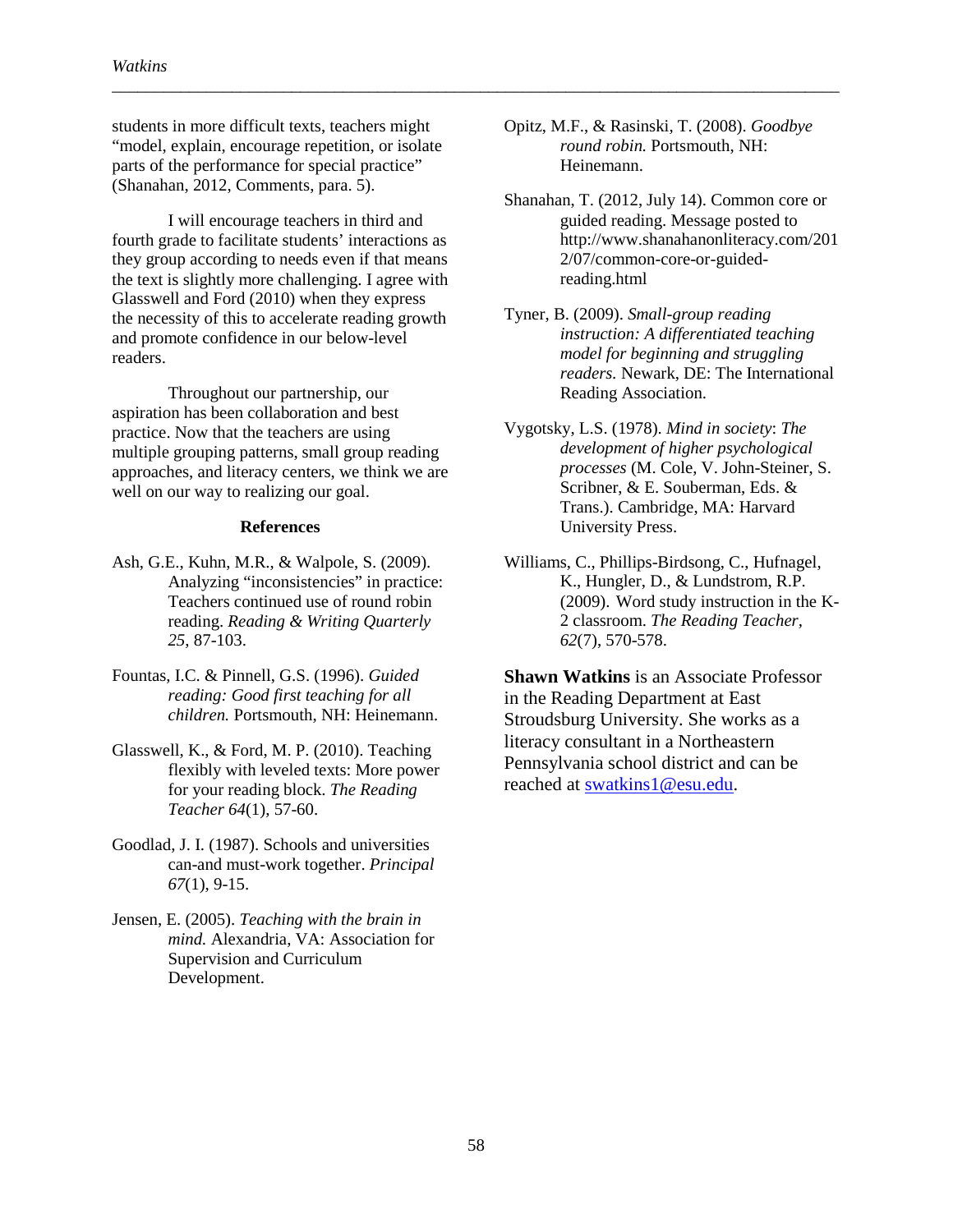students in more difficult texts, teachers might "model, explain, encourage repetition, or isolate parts of the performance for special practice" (Shanahan, 2012, Comments, para. 5).

I will encourage teachers in third and fourth grade to facilitate students' interactions as they group according to needs even if that means the text is slightly more challenging. I agree with Glasswell and Ford (2010) when they express the necessity of this to accelerate reading growth and promote confidence in our below-level readers.

Throughout our partnership, our aspiration has been collaboration and best practice. Now that the teachers are using multiple grouping patterns, small group reading approaches, and literacy centers, we think we are well on our way to realizing our goal.

#### **References**

- Ash, G.E., Kuhn, M.R., & Walpole, S. (2009). Analyzing "inconsistencies" in practice: Teachers continued use of round robin reading. *Reading & Writing Quarterly 25*, 87-103.
- Fountas, I.C. & Pinnell, G.S. (1996). *Guided reading: Good first teaching for all children.* Portsmouth, NH: Heinemann.
- Glasswell, K., & Ford, M. P. (2010). Teaching flexibly with leveled texts: More power for your reading block. *The Reading Teacher 64*(1), 57-60.
- Goodlad, J. I. (1987). Schools and universities can-and must-work together. *Principal 67*(1), 9-15.
- Jensen, E. (2005). *Teaching with the brain in mind.* Alexandria, VA: Association for Supervision and Curriculum Development.

Opitz, M.F., & Rasinski, T. (2008). *Goodbye round robin.* Portsmouth, NH: Heinemann.

\_\_\_\_\_\_\_\_\_\_\_\_\_\_\_\_\_\_\_\_\_\_\_\_\_\_\_\_\_\_\_\_\_\_\_\_\_\_\_\_\_\_\_\_\_\_\_\_\_\_\_\_\_\_\_\_\_\_\_\_\_\_\_\_\_\_\_\_\_\_\_\_\_\_\_\_\_\_\_\_\_\_\_\_\_

- Shanahan, T. (2012, July 14). Common core or guided reading. Message posted to http://www.shanahanonliteracy.com/201 2/07/common-core-or-guidedreading.html
- Tyner, B. (2009). *Small-group reading instruction: A differentiated teaching model for beginning and struggling readers.* Newark, DE: The International Reading Association.
- Vygotsky, L.S. (1978). *Mind in society*: *The development of higher psychological processes* (M. Cole, V. John-Steiner, S. Scribner, & E. Souberman, Eds. & Trans.). Cambridge, MA: Harvard University Press.
- Williams, C., Phillips-Birdsong, C., Hufnagel, K., Hungler, D., & Lundstrom, R.P. (2009). Word study instruction in the K-2 classroom. *The Reading Teacher, 62*(7), 570-578.

**Shawn Watkins** is an Associate Professor in the Reading Department at East Stroudsburg University. She works as a literacy consultant in a Northeastern Pennsylvania school district and can be reached at [swatkins1@esu.edu.](mailto:swatkins1@esu.edu)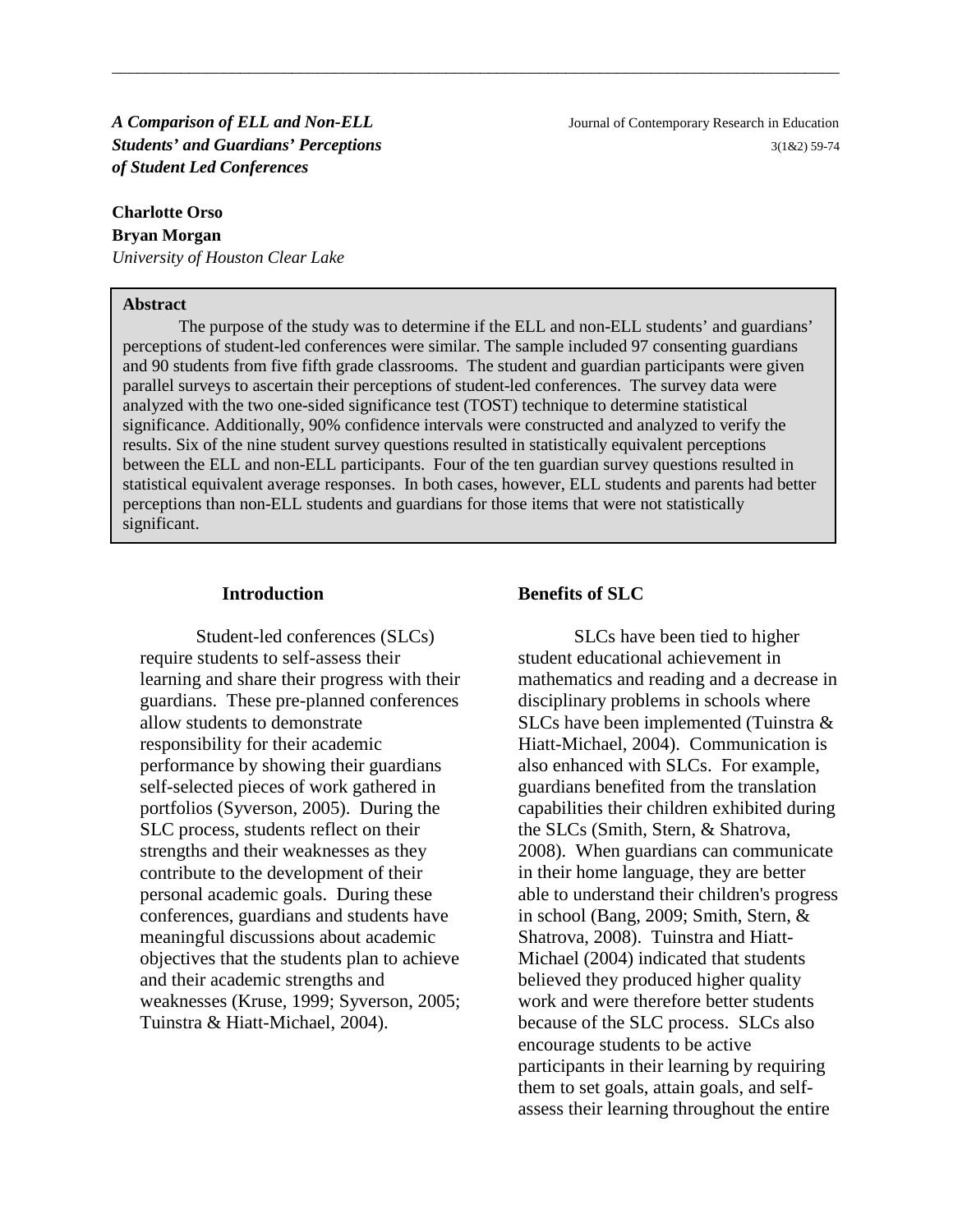*A Comparison of ELL and Non-ELL*Journal of Contemporary Research in Education *of Student Led Conferences*

#### **Charlotte Orso**

**Bryan Morgan** *University of Houston Clear Lake*

#### **Abstract**

**Students' and Guardians' Perceptions 3(1&2) 59-74 3(1&2) 59-74** 

The purpose of the study was to determine if the ELL and non-ELL students' and guardians' perceptions of student-led conferences were similar. The sample included 97 consenting guardians and 90 students from five fifth grade classrooms. The student and guardian participants were given parallel surveys to ascertain their perceptions of student-led conferences. The survey data were analyzed with the two one-sided significance test (TOST) technique to determine statistical significance. Additionally, 90% confidence intervals were constructed and analyzed to verify the results. Six of the nine student survey questions resulted in statistically equivalent perceptions between the ELL and non-ELL participants. Four of the ten guardian survey questions resulted in statistical equivalent average responses. In both cases, however, ELL students and parents had better perceptions than non-ELL students and guardians for those items that were not statistically significant.

\_\_\_\_\_\_\_\_\_\_\_\_\_\_\_\_\_\_\_\_\_\_\_\_\_\_\_\_\_\_\_\_\_\_\_\_\_\_\_\_\_\_\_\_\_\_\_\_\_\_\_\_\_\_\_\_\_\_\_\_\_\_\_\_\_\_\_\_\_\_\_\_\_\_\_\_\_\_\_\_\_\_\_\_\_

#### **Introduction**

Student-led conferences (SLCs) require students to self-assess their learning and share their progress with their guardians. These pre-planned conferences allow students to demonstrate responsibility for their academic performance by showing their guardians self-selected pieces of work gathered in portfolios (Syverson, 2005). During the SLC process, students reflect on their strengths and their weaknesses as they contribute to the development of their personal academic goals. During these conferences, guardians and students have meaningful discussions about academic objectives that the students plan to achieve and their academic strengths and weaknesses (Kruse, 1999; Syverson, 2005; Tuinstra & Hiatt-Michael, 2004).

#### **Benefits of SLC**

SLCs have been tied to higher student educational achievement in mathematics and reading and a decrease in disciplinary problems in schools where SLCs have been implemented (Tuinstra & Hiatt-Michael, 2004). Communication is also enhanced with SLCs. For example, guardians benefited from the translation capabilities their children exhibited during the SLCs (Smith, Stern, & Shatrova, 2008). When guardians can communicate in their home language, they are better able to understand their children's progress in school (Bang, 2009; Smith, Stern, & Shatrova, 2008). Tuinstra and Hiatt-Michael (2004) indicated that students believed they produced higher quality work and were therefore better students because of the SLC process. SLCs also encourage students to be active participants in their learning by requiring them to set goals, attain goals, and selfassess their learning throughout the entire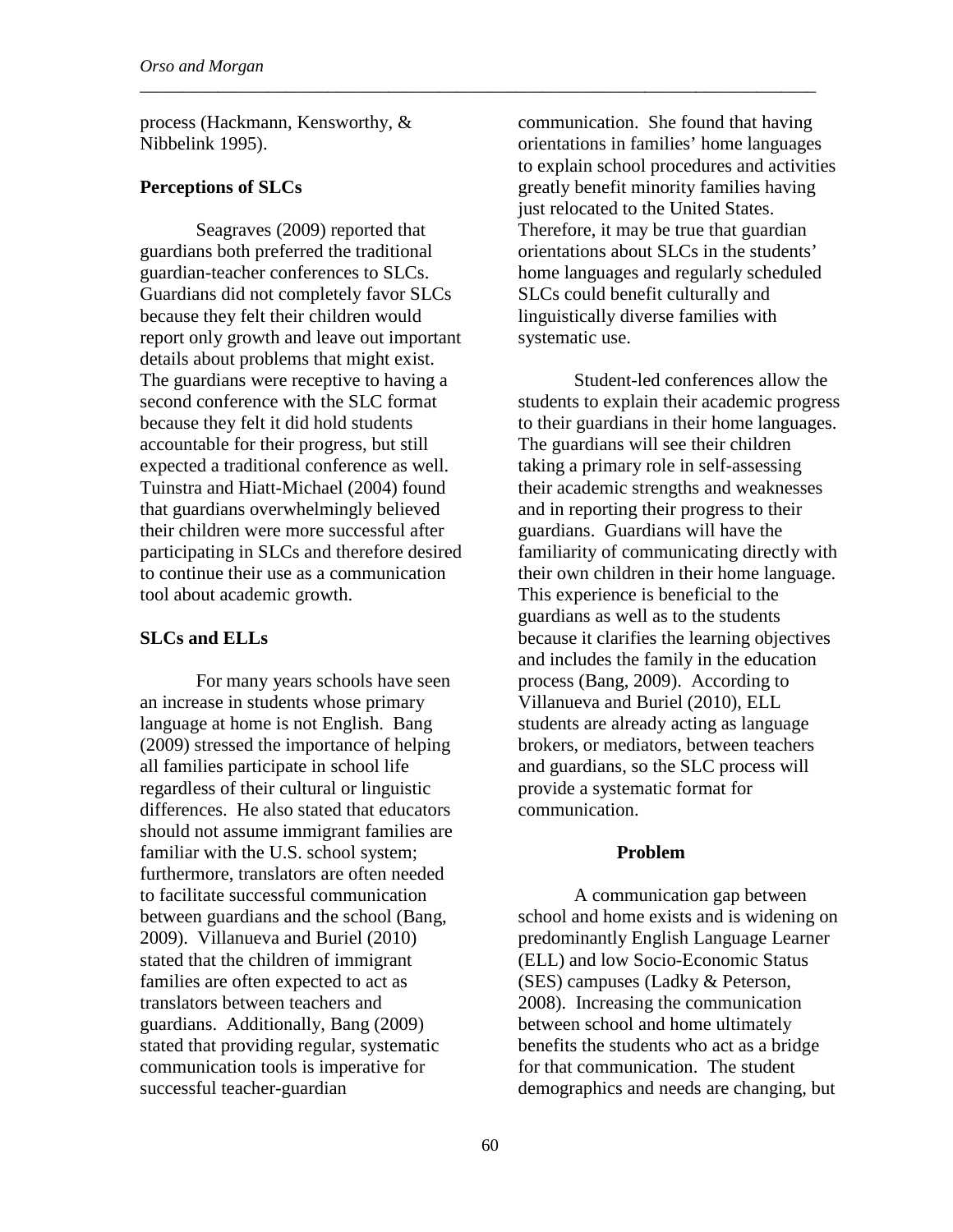process (Hackmann, Kensworthy, & Nibbelink 1995).

\_\_\_\_\_\_\_\_\_\_\_\_\_\_\_\_\_\_\_\_\_\_\_\_\_\_\_\_\_\_\_\_\_\_\_\_\_\_\_\_\_\_\_\_\_\_\_\_\_\_\_\_\_\_\_\_\_\_\_\_\_\_\_\_\_\_\_\_\_\_\_\_\_\_\_\_\_\_\_

### **Perceptions of SLCs**

Seagraves (2009) reported that guardians both preferred the traditional guardian-teacher conferences to SLCs. Guardians did not completely favor SLCs because they felt their children would report only growth and leave out important details about problems that might exist. The guardians were receptive to having a second conference with the SLC format because they felt it did hold students accountable for their progress, but still expected a traditional conference as well. Tuinstra and Hiatt-Michael (2004) found that guardians overwhelmingly believed their children were more successful after participating in SLCs and therefore desired to continue their use as a communication tool about academic growth.

### **SLCs and ELLs**

For many years schools have seen an increase in students whose primary language at home is not English. Bang (2009) stressed the importance of helping all families participate in school life regardless of their cultural or linguistic differences. He also stated that educators should not assume immigrant families are familiar with the U.S. school system; furthermore, translators are often needed to facilitate successful communication between guardians and the school (Bang, 2009). Villanueva and Buriel (2010) stated that the children of immigrant families are often expected to act as translators between teachers and guardians. Additionally, Bang (2009) stated that providing regular, systematic communication tools is imperative for successful teacher-guardian

communication. She found that having orientations in families' home languages to explain school procedures and activities greatly benefit minority families having just relocated to the United States. Therefore, it may be true that guardian orientations about SLCs in the students' home languages and regularly scheduled SLCs could benefit culturally and linguistically diverse families with systematic use.

Student-led conferences allow the students to explain their academic progress to their guardians in their home languages. The guardians will see their children taking a primary role in self-assessing their academic strengths and weaknesses and in reporting their progress to their guardians. Guardians will have the familiarity of communicating directly with their own children in their home language. This experience is beneficial to the guardians as well as to the students because it clarifies the learning objectives and includes the family in the education process (Bang, 2009). According to Villanueva and Buriel (2010), ELL students are already acting as language brokers, or mediators, between teachers and guardians, so the SLC process will provide a systematic format for communication.

#### **Problem**

A communication gap between school and home exists and is widening on predominantly English Language Learner (ELL) and low Socio-Economic Status (SES) campuses (Ladky & Peterson, 2008). Increasing the communication between school and home ultimately benefits the students who act as a bridge for that communication. The student demographics and needs are changing, but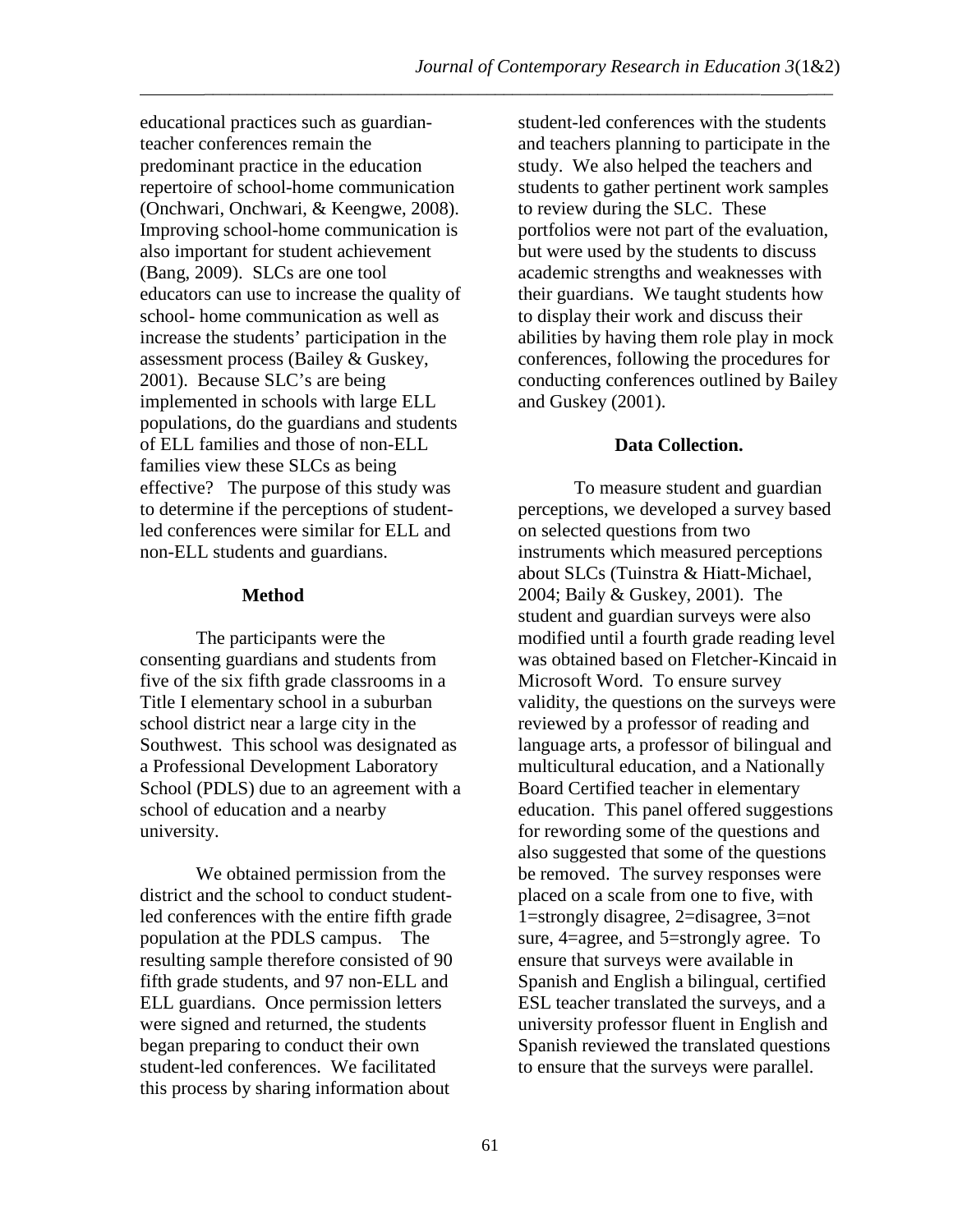\_\_\_\_\_\_\_\_\_\_\_\_\_\_\_\_\_\_\_\_\_\_\_\_\_\_\_\_\_\_\_\_\_\_\_\_\_\_\_\_\_\_\_\_\_\_\_\_\_\_\_\_\_\_\_\_\_\_\_\_\_\_\_\_\_ \_\_\_

educational practices such as guardianteacher conferences remain the predominant practice in the education repertoire of school-home communication (Onchwari, Onchwari, & Keengwe, 2008). Improving school-home communication is also important for student achievement (Bang, 2009). SLCs are one tool educators can use to increase the quality of school- home communication as well as increase the students' participation in the assessment process (Bailey & Guskey, 2001). Because SLC's are being implemented in schools with large ELL populations, do the guardians and students of ELL families and those of non-ELL families view these SLCs as being effective? The purpose of this study was to determine if the perceptions of studentled conferences were similar for ELL and non-ELL students and guardians.

# **Method**

The participants were the consenting guardians and students from five of the six fifth grade classrooms in a Title I elementary school in a suburban school district near a large city in the Southwest. This school was designated as a Professional Development Laboratory School (PDLS) due to an agreement with a school of education and a nearby university.

We obtained permission from the district and the school to conduct studentled conferences with the entire fifth grade population at the PDLS campus. The resulting sample therefore consisted of 90 fifth grade students, and 97 non-ELL and ELL guardians. Once permission letters were signed and returned, the students began preparing to conduct their own student-led conferences. We facilitated this process by sharing information about

student-led conferences with the students and teachers planning to participate in the study. We also helped the teachers and students to gather pertinent work samples to review during the SLC. These portfolios were not part of the evaluation, but were used by the students to discuss academic strengths and weaknesses with their guardians. We taught students how to display their work and discuss their abilities by having them role play in mock conferences, following the procedures for conducting conferences outlined by Bailey and Guskey (2001).

# **Data Collection.**

To measure student and guardian perceptions, we developed a survey based on selected questions from two instruments which measured perceptions about SLCs (Tuinstra & Hiatt-Michael, 2004; Baily & Guskey, 2001). The student and guardian surveys were also modified until a fourth grade reading level was obtained based on Fletcher-Kincaid in Microsoft Word. To ensure survey validity, the questions on the surveys were reviewed by a professor of reading and language arts, a professor of bilingual and multicultural education, and a Nationally Board Certified teacher in elementary education. This panel offered suggestions for rewording some of the questions and also suggested that some of the questions be removed. The survey responses were placed on a scale from one to five, with 1=strongly disagree, 2=disagree, 3=not sure, 4=agree, and 5=strongly agree. To ensure that surveys were available in Spanish and English a bilingual, certified ESL teacher translated the surveys, and a university professor fluent in English and Spanish reviewed the translated questions to ensure that the surveys were parallel.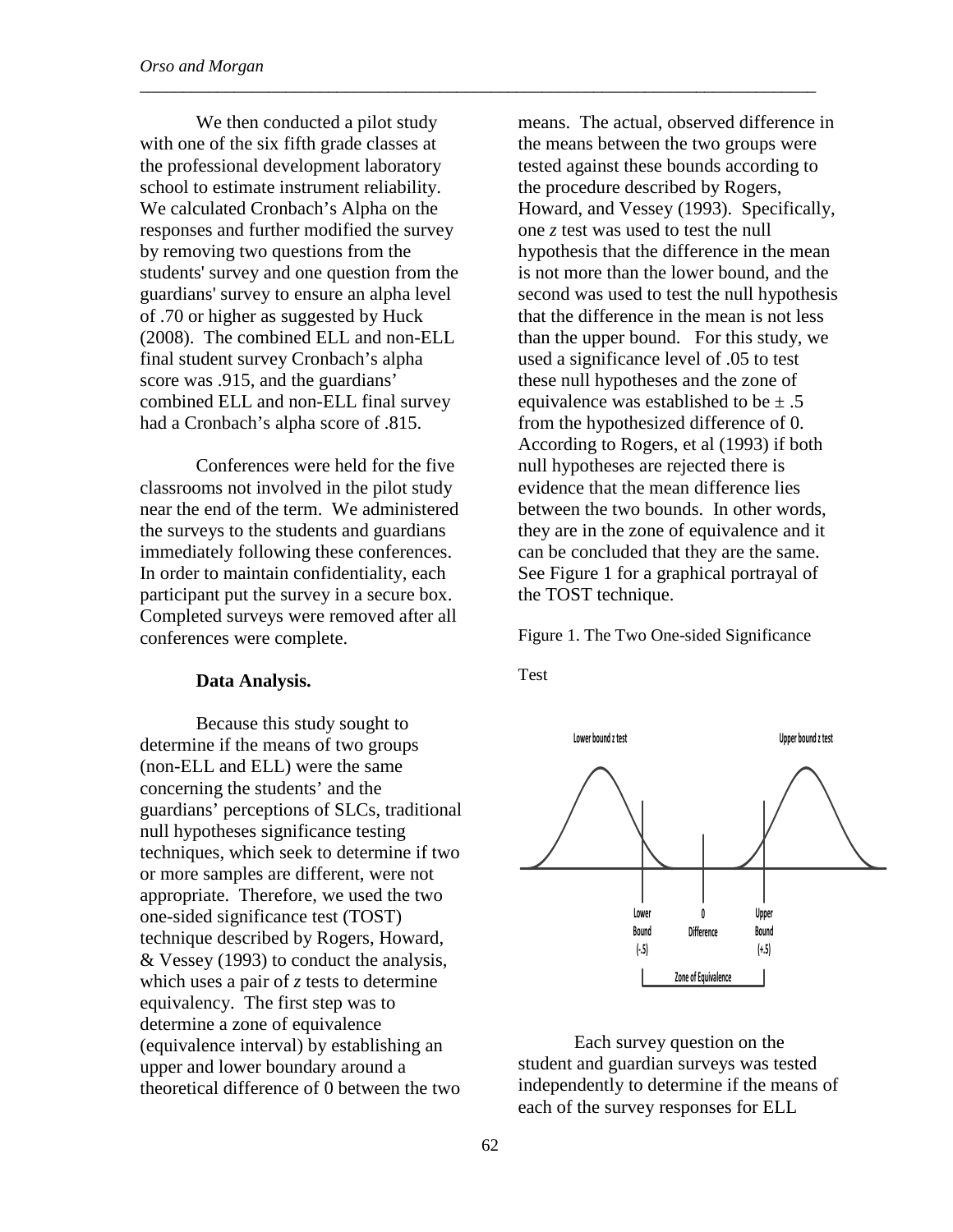We then conducted a pilot study with one of the six fifth grade classes at the professional development laboratory school to estimate instrument reliability. We calculated Cronbach's Alpha on the responses and further modified the survey by removing two questions from the students' survey and one question from the guardians' survey to ensure an alpha level of .70 or higher as suggested by Huck (2008). The combined ELL and non-ELL final student survey Cronbach's alpha score was .915, and the guardians' combined ELL and non-ELL final survey had a Cronbach's alpha score of .815.

Conferences were held for the five classrooms not involved in the pilot study near the end of the term. We administered the surveys to the students and guardians immediately following these conferences. In order to maintain confidentiality, each participant put the survey in a secure box. Completed surveys were removed after all conferences were complete.

#### **Data Analysis.**

Because this study sought to determine if the means of two groups (non-ELL and ELL) were the same concerning the students' and the guardians' perceptions of SLCs, traditional null hypotheses significance testing techniques, which seek to determine if two or more samples are different, were not appropriate. Therefore, we used the two one-sided significance test (TOST) technique described by Rogers, Howard, & Vessey (1993) to conduct the analysis, which uses a pair of *z* tests to determine equivalency. The first step was to determine a zone of equivalence (equivalence interval) by establishing an upper and lower boundary around a theoretical difference of 0 between the two means. The actual, observed difference in the means between the two groups were tested against these bounds according to the procedure described by Rogers, Howard, and Vessey (1993). Specifically, one *z* test was used to test the null hypothesis that the difference in the mean is not more than the lower bound, and the second was used to test the null hypothesis that the difference in the mean is not less than the upper bound. For this study, we used a significance level of .05 to test these null hypotheses and the zone of equivalence was established to be  $\pm .5$ from the hypothesized difference of 0. According to Rogers, et al (1993) if both null hypotheses are rejected there is evidence that the mean difference lies between the two bounds. In other words, they are in the zone of equivalence and it can be concluded that they are the same. See Figure 1 for a graphical portrayal of the TOST technique.

Figure 1. The Two One-sided Significance

Test

\_\_\_\_\_\_\_\_\_\_\_\_\_\_\_\_\_\_\_\_\_\_\_\_\_\_\_\_\_\_\_\_\_\_\_\_\_\_\_\_\_\_\_\_\_\_\_\_\_\_\_\_\_\_\_\_\_\_\_\_\_\_\_\_\_\_\_\_\_\_\_\_\_\_\_\_\_\_\_



Each survey question on the student and guardian surveys was tested independently to determine if the means of each of the survey responses for ELL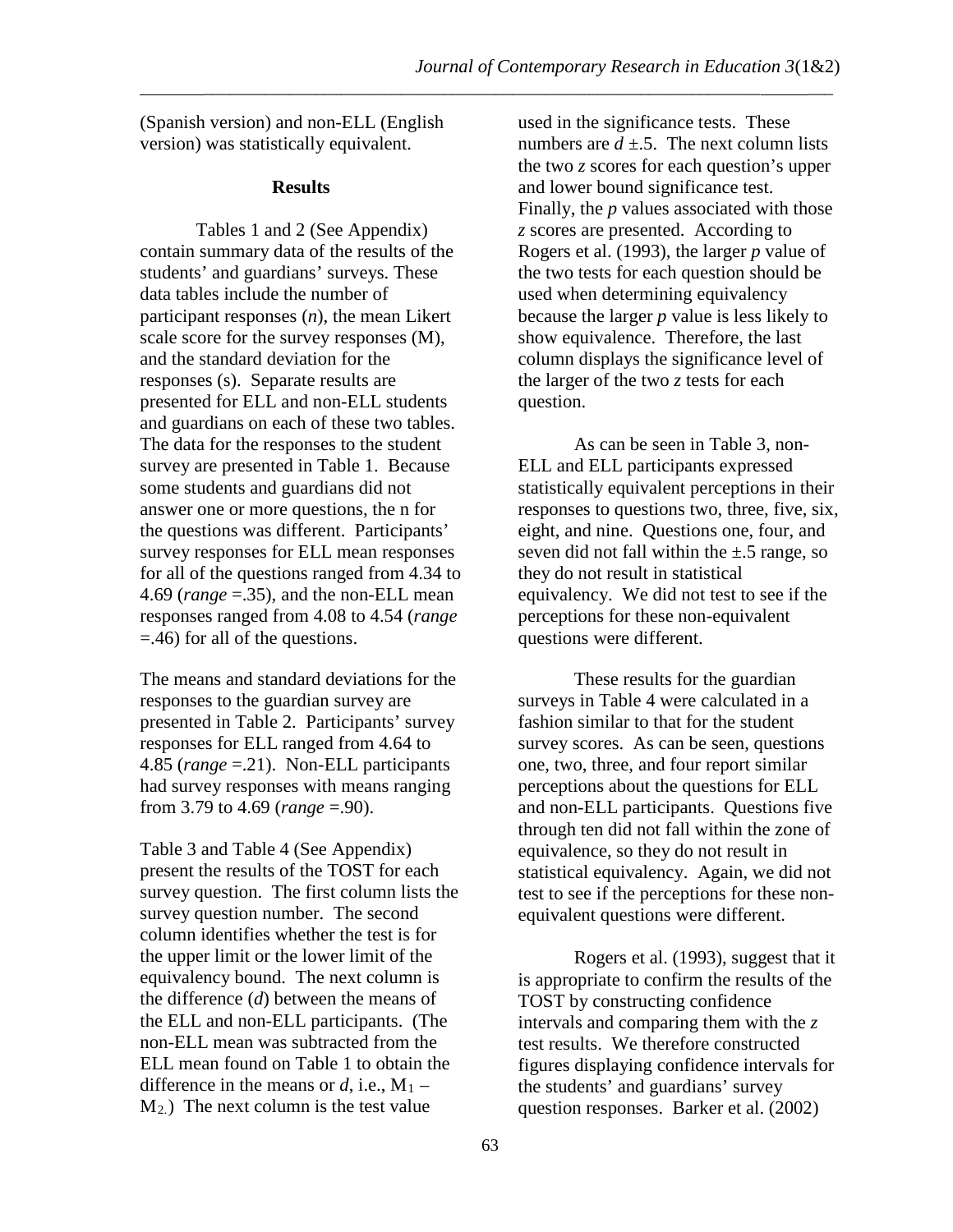\_\_\_\_\_\_\_\_\_\_\_\_\_\_\_\_\_\_\_\_\_\_\_\_\_\_\_\_\_\_\_\_\_\_\_\_\_\_\_\_\_\_\_\_\_\_\_\_\_\_\_\_\_\_\_\_\_\_\_\_\_\_\_\_\_ \_\_\_

(Spanish version) and non-ELL (English version) was statistically equivalent.

# **Results**

Tables 1 and 2 (See Appendix) contain summary data of the results of the students' and guardians' surveys. These data tables include the number of participant responses (*n*), the mean Likert scale score for the survey responses (M), and the standard deviation for the responses (s). Separate results are presented for ELL and non-ELL students and guardians on each of these two tables. The data for the responses to the student survey are presented in Table 1. Because some students and guardians did not answer one or more questions, the n for the questions was different. Participants' survey responses for ELL mean responses for all of the questions ranged from 4.34 to 4.69 (*range* =.35), and the non-ELL mean responses ranged from 4.08 to 4.54 (*range*  =.46) for all of the questions.

The means and standard deviations for the responses to the guardian survey are presented in Table 2. Participants' survey responses for ELL ranged from 4.64 to 4.85 (*range* =.21). Non-ELL participants had survey responses with means ranging from 3.79 to 4.69 (*range* =.90).

Table 3 and Table 4 (See Appendix) present the results of the TOST for each survey question. The first column lists the survey question number. The second column identifies whether the test is for the upper limit or the lower limit of the equivalency bound. The next column is the difference (*d*) between the means of the ELL and non-ELL participants. (The non-ELL mean was subtracted from the ELL mean found on Table 1 to obtain the difference in the means or  $d$ , i.e.,  $M_1$  –  $M<sub>2</sub>$ .) The next column is the test value

used in the significance tests. These numbers are  $d \pm 5$ . The next column lists the two *z* scores for each question's upper and lower bound significance test. Finally, the *p* values associated with those *z* scores are presented. According to Rogers et al. (1993), the larger *p* value of the two tests for each question should be used when determining equivalency because the larger *p* value is less likely to show equivalence. Therefore, the last column displays the significance level of the larger of the two *z* tests for each question.

As can be seen in Table 3, non-ELL and ELL participants expressed statistically equivalent perceptions in their responses to questions two, three, five, six, eight, and nine. Questions one, four, and seven did not fall within the  $\pm$ .5 range, so they do not result in statistical equivalency. We did not test to see if the perceptions for these non-equivalent questions were different.

These results for the guardian surveys in Table 4 were calculated in a fashion similar to that for the student survey scores. As can be seen, questions one, two, three, and four report similar perceptions about the questions for ELL and non-ELL participants. Questions five through ten did not fall within the zone of equivalence, so they do not result in statistical equivalency. Again, we did not test to see if the perceptions for these nonequivalent questions were different.

Rogers et al. (1993), suggest that it is appropriate to confirm the results of the TOST by constructing confidence intervals and comparing them with the *z* test results. We therefore constructed figures displaying confidence intervals for the students' and guardians' survey question responses. Barker et al. (2002)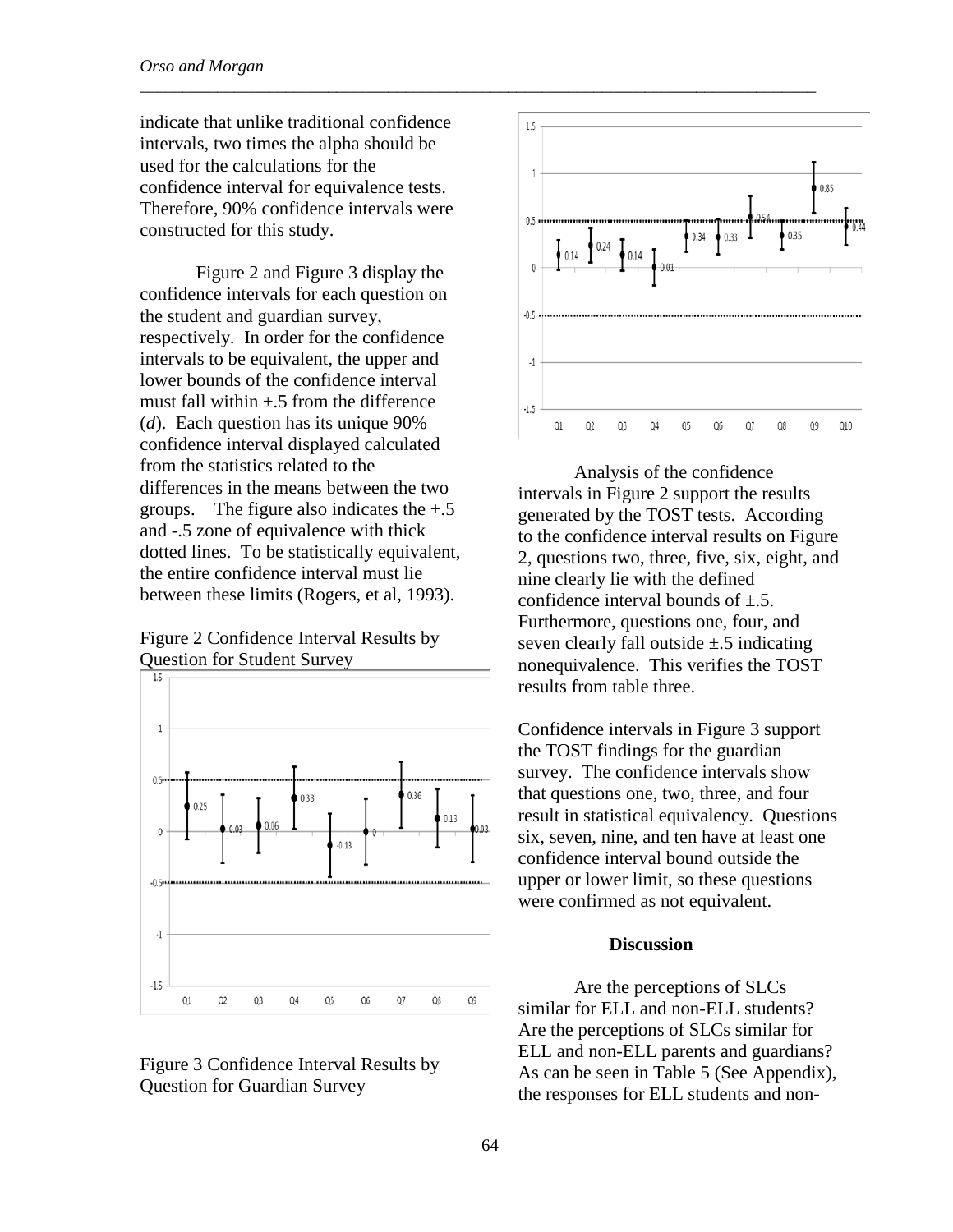indicate that unlike traditional confidence intervals, two times the alpha should be used for the calculations for the confidence interval for equivalence tests. Therefore, 90% confidence intervals were constructed for this study.

Figure 2 and Figure 3 display the confidence intervals for each question on the student and guardian survey, respectively. In order for the confidence intervals to be equivalent, the upper and lower bounds of the confidence interval must fall within  $\pm$  5 from the difference (*d*). Each question has its unique 90% confidence interval displayed calculated from the statistics related to the differences in the means between the two groups. The figure also indicates the  $+.5$ and -.5 zone of equivalence with thick dotted lines. To be statistically equivalent, the entire confidence interval must lie between these limits (Rogers, et al, 1993).

Figure 2 Confidence Interval Results by Question for Student Survey







Analysis of the confidence intervals in Figure 2 support the results generated by the TOST tests. According to the confidence interval results on Figure 2, questions two, three, five, six, eight, and nine clearly lie with the defined confidence interval bounds of  $\pm$ .5. Furthermore, questions one, four, and seven clearly fall outside  $\pm$ .5 indicating nonequivalence. This verifies the TOST results from table three.

Confidence intervals in Figure 3 support the TOST findings for the guardian survey. The confidence intervals show that questions one, two, three, and four result in statistical equivalency. Questions six, seven, nine, and ten have at least one confidence interval bound outside the upper or lower limit, so these questions were confirmed as not equivalent.

### **Discussion**

Are the perceptions of SLCs similar for ELL and non-ELL students? Are the perceptions of SLCs similar for ELL and non-ELL parents and guardians? As can be seen in Table 5 (See Appendix), the responses for ELL students and non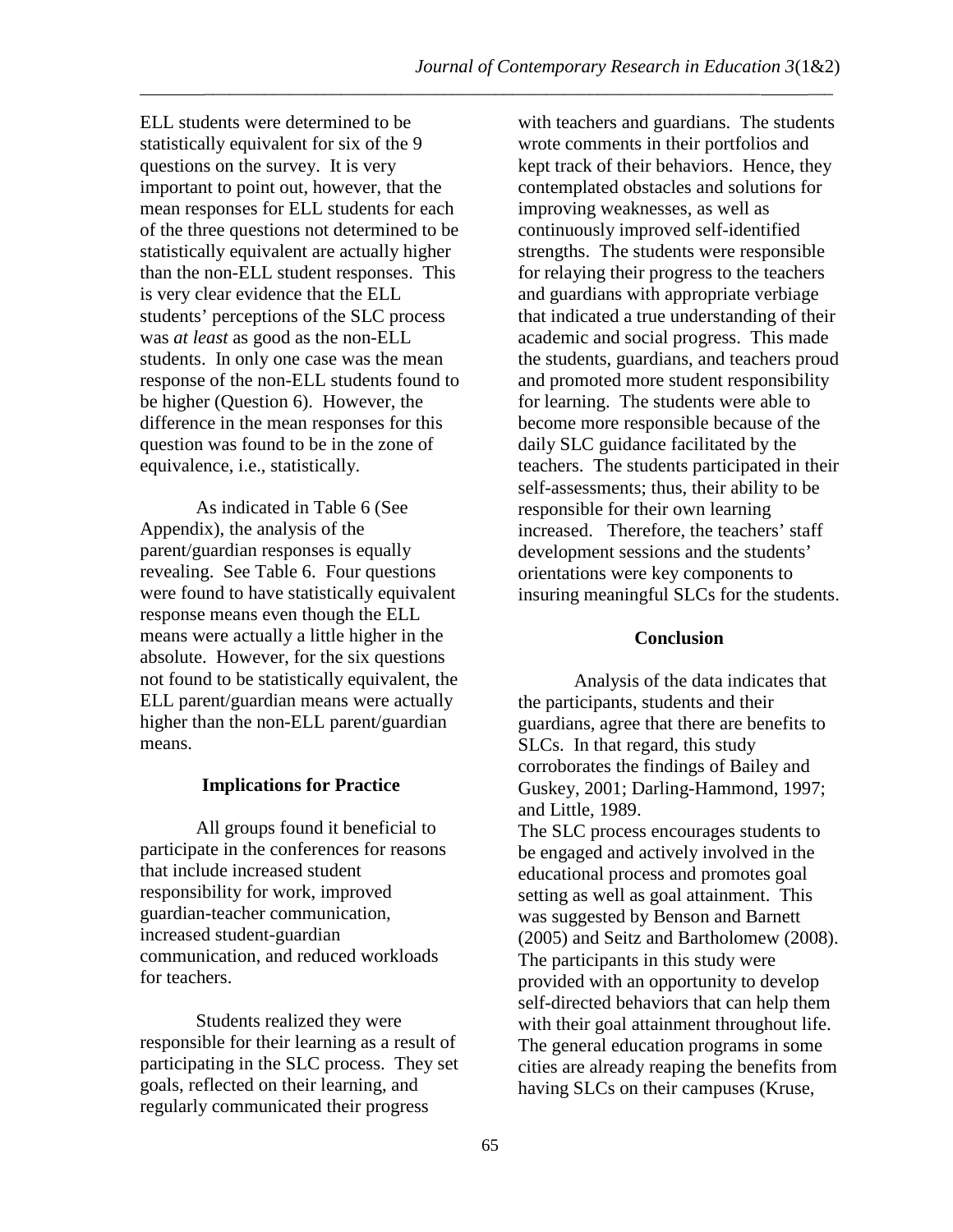\_\_\_\_\_\_\_\_\_\_\_\_\_\_\_\_\_\_\_\_\_\_\_\_\_\_\_\_\_\_\_\_\_\_\_\_\_\_\_\_\_\_\_\_\_\_\_\_\_\_\_\_\_\_\_\_\_\_\_\_\_\_\_\_\_ \_\_\_

ELL students were determined to be statistically equivalent for six of the 9 questions on the survey. It is very important to point out, however, that the mean responses for ELL students for each of the three questions not determined to be statistically equivalent are actually higher than the non-ELL student responses. This is very clear evidence that the ELL students' perceptions of the SLC process was *at least* as good as the non-ELL students. In only one case was the mean response of the non-ELL students found to be higher (Question 6). However, the difference in the mean responses for this question was found to be in the zone of equivalence, i.e., statistically.

As indicated in Table 6 (See Appendix), the analysis of the parent/guardian responses is equally revealing. See Table 6. Four questions were found to have statistically equivalent response means even though the ELL means were actually a little higher in the absolute. However, for the six questions not found to be statistically equivalent, the ELL parent/guardian means were actually higher than the non-ELL parent/guardian means.

# **Implications for Practice**

All groups found it beneficial to participate in the conferences for reasons that include increased student responsibility for work, improved guardian-teacher communication, increased student-guardian communication, and reduced workloads for teachers.

Students realized they were responsible for their learning as a result of participating in the SLC process. They set goals, reflected on their learning, and regularly communicated their progress

with teachers and guardians. The students wrote comments in their portfolios and kept track of their behaviors. Hence, they contemplated obstacles and solutions for improving weaknesses, as well as continuously improved self-identified strengths. The students were responsible for relaying their progress to the teachers and guardians with appropriate verbiage that indicated a true understanding of their academic and social progress. This made the students, guardians, and teachers proud and promoted more student responsibility for learning. The students were able to become more responsible because of the daily SLC guidance facilitated by the teachers. The students participated in their self-assessments; thus, their ability to be responsible for their own learning increased. Therefore, the teachers' staff development sessions and the students' orientations were key components to insuring meaningful SLCs for the students.

# **Conclusion**

Analysis of the data indicates that the participants, students and their guardians, agree that there are benefits to SLCs. In that regard, this study corroborates the findings of Bailey and Guskey, 2001; Darling-Hammond, 1997; and Little, 1989.

The SLC process encourages students to be engaged and actively involved in the educational process and promotes goal setting as well as goal attainment. This was suggested by Benson and Barnett (2005) and Seitz and Bartholomew (2008). The participants in this study were provided with an opportunity to develop self-directed behaviors that can help them with their goal attainment throughout life. The general education programs in some cities are already reaping the benefits from having SLCs on their campuses (Kruse,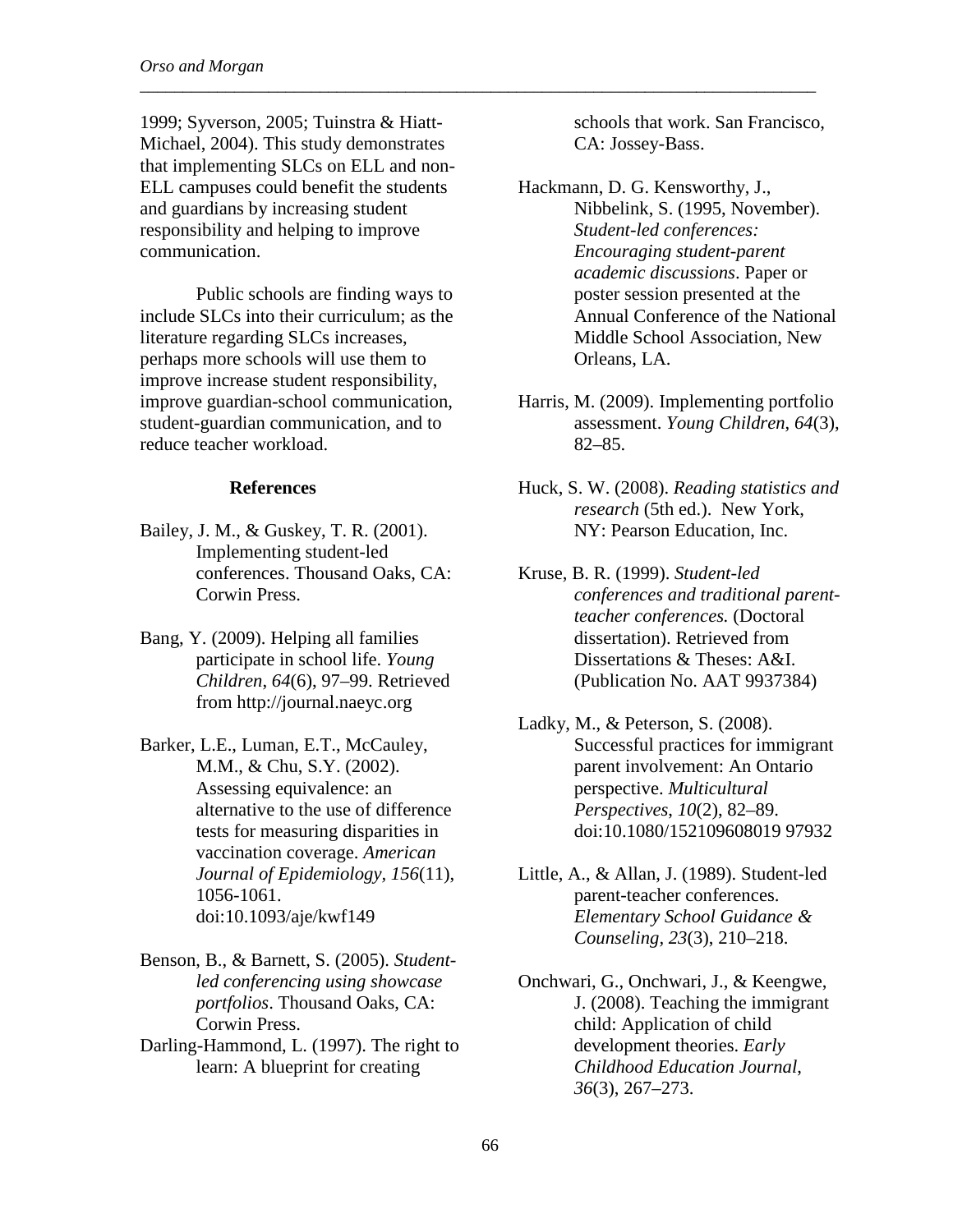1999; Syverson, 2005; Tuinstra & Hiatt-Michael, 2004). This study demonstrates that implementing SLCs on ELL and non-ELL campuses could benefit the students and guardians by increasing student responsibility and helping to improve communication.

\_\_\_\_\_\_\_\_\_\_\_\_\_\_\_\_\_\_\_\_\_\_\_\_\_\_\_\_\_\_\_\_\_\_\_\_\_\_\_\_\_\_\_\_\_\_\_\_\_\_\_\_\_\_\_\_\_\_\_\_\_\_\_\_\_\_\_\_\_\_\_\_\_\_\_\_\_\_\_

Public schools are finding ways to include SLCs into their curriculum; as the literature regarding SLCs increases, perhaps more schools will use them to improve increase student responsibility, improve guardian-school communication, student-guardian communication, and to reduce teacher workload.

### **References**

- Bailey, J. M., & Guskey, T. R. (2001). Implementing student-led conferences. Thousand Oaks, CA: Corwin Press.
- Bang, Y. (2009). Helping all families participate in school life. *Young Children*, *64*(6), 97–99. Retrieved from http://journal.naeyc.org
- Barker, L.E., Luman, E.T., McCauley, M.M., & Chu, S.Y. (2002). Assessing equivalence: an alternative to the use of difference tests for measuring disparities in vaccination coverage. *American Journal of Epidemiology, 156*(11), 1056-1061. doi:10.1093/aje/kwf149
- Benson, B., & Barnett, S. (2005). *Studentled conferencing using showcase portfolios*. Thousand Oaks, CA: Corwin Press.
- Darling-Hammond, L. (1997). The right to learn: A blueprint for creating

schools that work. San Francisco, CA: Jossey-Bass.

- Hackmann, D. G. Kensworthy, J., Nibbelink, S. (1995, November). *Student-led conferences: Encouraging student-parent academic discussions*. Paper or poster session presented at the Annual Conference of the National Middle School Association, New Orleans, LA.
- Harris, M. (2009). Implementing portfolio assessment. *Young Children*, *64*(3), 82–85.
- Huck, S. W. (2008). *Reading statistics and research* (5th ed.). New York, NY: Pearson Education, Inc.
- Kruse, B. R. (1999). *Student-led conferences and traditional parentteacher conferences.* (Doctoral dissertation). Retrieved from Dissertations & Theses: A&I. (Publication No. AAT 9937384)
- Ladky, M., & Peterson, S. (2008). Successful practices for immigrant parent involvement: An Ontario perspective. *Multicultural Perspectives*, *10*(2), 82–89. doi:10.1080/152109608019 97932
- Little, A., & Allan, J. (1989). Student-led parent-teacher conferences. *Elementary School Guidance & Counseling, 23*(3), 210–218.
- Onchwari, G., Onchwari, J., & Keengwe, J. (2008). Teaching the immigrant child: Application of child development theories. *Early Childhood Education Journal*, *36*(3), 267–273.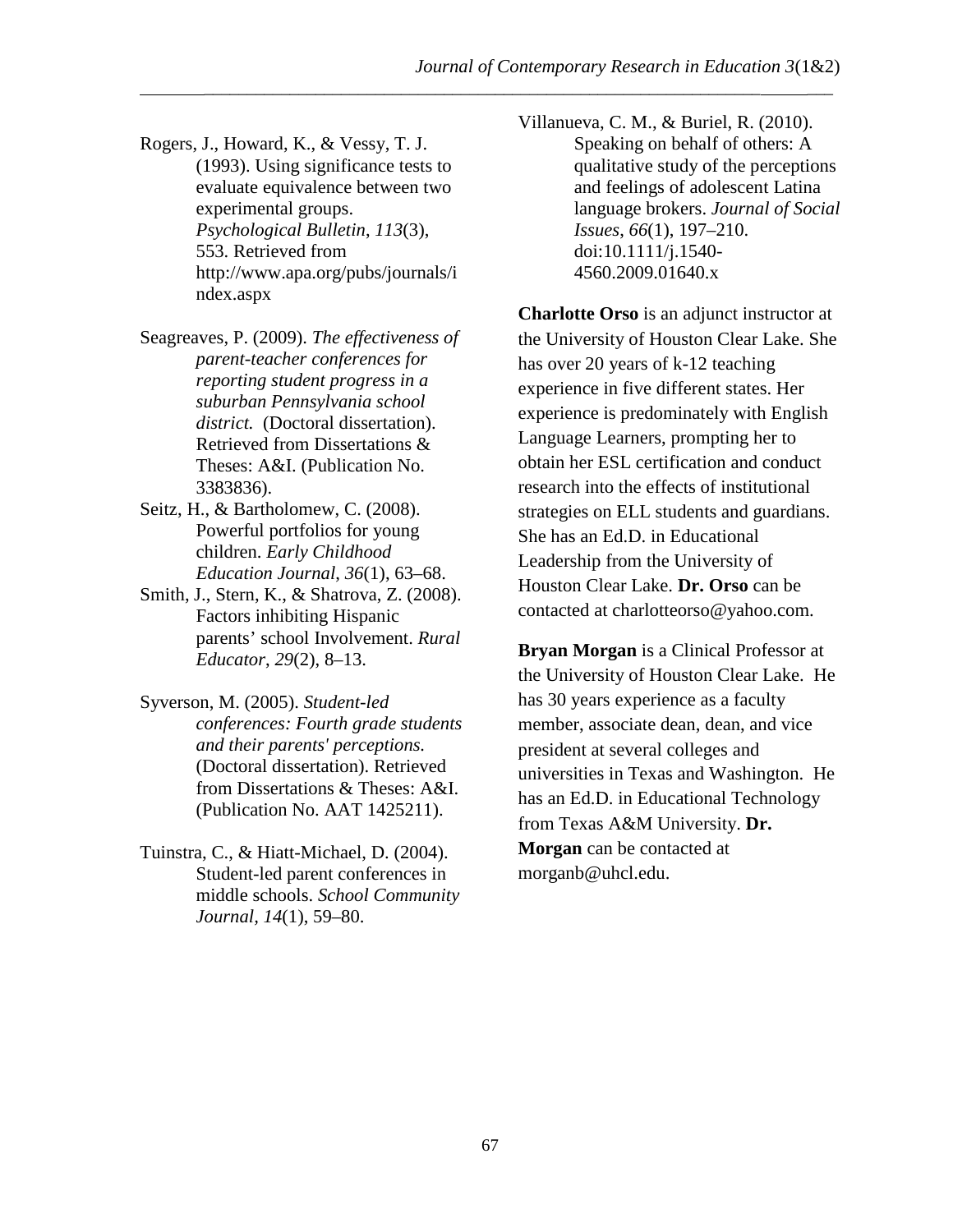\_\_\_\_\_\_\_\_\_\_\_\_\_\_\_\_\_\_\_\_\_\_\_\_\_\_\_\_\_\_\_\_\_\_\_\_\_\_\_\_\_\_\_\_\_\_\_\_\_\_\_\_\_\_\_\_\_\_\_\_\_\_\_\_\_ \_\_\_

- Rogers, J., Howard, K., & Vessy, T. J. (1993). Using significance tests to evaluate equivalence between two experimental groups. *Psychological Bulletin*, *113*(3), 553. Retrieved from http://www.apa.org/pubs/journals/i ndex.aspx
- Seagreaves, P. (2009). *The effectiveness of parent-teacher conferences for reporting student progress in a suburban Pennsylvania school district.* (Doctoral dissertation). Retrieved from Dissertations & Theses: A&I. (Publication No. 3383836).
- Seitz, H., & Bartholomew, C. (2008). Powerful portfolios for young children. *Early Childhood Education Journal*, *36*(1), 63–68.
- Smith, J., Stern, K., & Shatrova, Z. (2008). Factors inhibiting Hispanic parents' school Involvement. *Rural Educator*, *29*(2), 8–13.
- Syverson, M. (2005). *Student-led conferences: Fourth grade students and their parents' perceptions.*  (Doctoral dissertation). Retrieved from Dissertations & Theses: A&I. (Publication No. AAT 1425211).
- Tuinstra, C., & Hiatt-Michael, D. (2004). Student-led parent conferences in middle schools. *School Community Journal, 14*(1), 59–80.

Villanueva, C. M., & Buriel, R. (2010). Speaking on behalf of others: A qualitative study of the perceptions and feelings of adolescent Latina language brokers. *Journal of Social Issues*, *66*(1), 197–210. doi:10.1111/j.1540- 4560.2009.01640.x

**Charlotte Orso** is an adjunct instructor at the University of Houston Clear Lake. She has over 20 years of k-12 teaching experience in five different states. Her experience is predominately with English Language Learners, prompting her to obtain her ESL certification and conduct research into the effects of institutional strategies on ELL students and guardians. She has an Ed.D. in Educational Leadership from the University of Houston Clear Lake. **Dr. Orso** can be contacted at charlotteorso@yahoo.com.

**Bryan Morgan** is a Clinical Professor at the University of Houston Clear Lake. He has 30 years experience as a faculty member, associate dean, dean, and vice president at several colleges and universities in Texas and Washington. He has an Ed.D. in Educational Technology from Texas A&M University. **Dr. Morgan** can be contacted at morganb@uhcl.edu.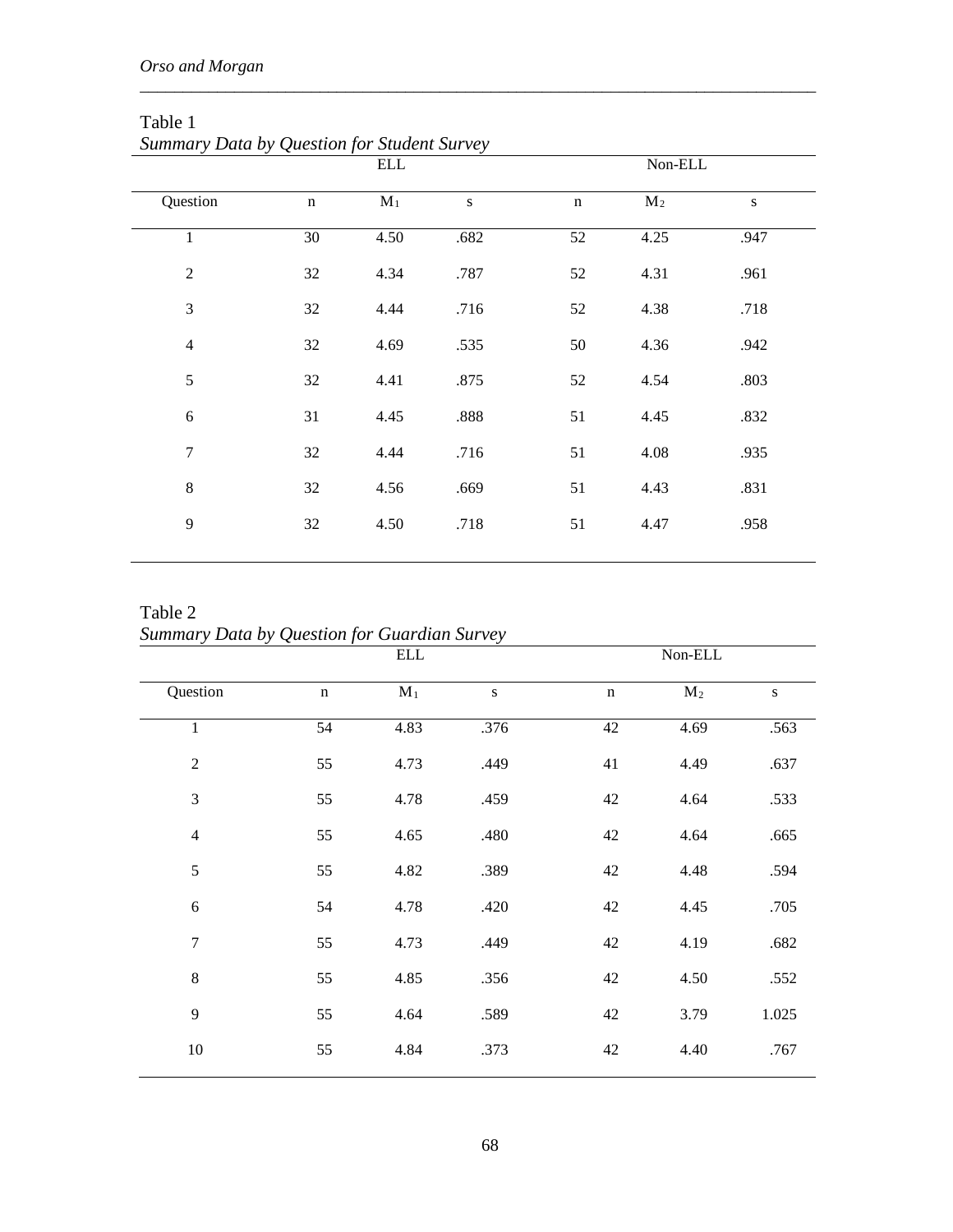|                  |             | $\operatorname{ELL}$ |           |             | Non-ELL |      |
|------------------|-------------|----------------------|-----------|-------------|---------|------|
| Question         | $\mathbf n$ | $\mathbf{M}_1$       | ${\bf S}$ | $\mathbf n$ | $M_2$   | S    |
| $\mathbf{1}$     | 30          | 4.50                 | .682      | 52          | 4.25    | .947 |
| $\overline{2}$   | 32          | 4.34                 | .787      | 52          | 4.31    | .961 |
| 3                | 32          | 4.44                 | .716      | 52          | 4.38    | .718 |
| $\overline{4}$   | 32          | 4.69                 | .535      | 50          | 4.36    | .942 |
| 5                | 32          | 4.41                 | .875      | 52          | 4.54    | .803 |
| $\sqrt{6}$       | 31          | 4.45                 | .888      | 51          | 4.45    | .832 |
| $\boldsymbol{7}$ | 32          | 4.44                 | .716      | 51          | 4.08    | .935 |
| 8                | 32          | 4.56                 | .669      | 51          | 4.43    | .831 |
| 9                | 32          | 4.50                 | .718      | 51          | 4.47    | .958 |
|                  |             |                      |           |             |         |      |

\_\_\_\_\_\_\_\_\_\_\_\_\_\_\_\_\_\_\_\_\_\_\_\_\_\_\_\_\_\_\_\_\_\_\_\_\_\_\_\_\_\_\_\_\_\_\_\_\_\_\_\_\_\_\_\_\_\_\_\_\_\_\_\_\_\_\_\_\_\_\_\_\_\_\_\_\_\_\_

Table 1 *Summary Data by Question for Student Survey*

Table 2 *Summary Data by Question for Guardian Survey*

|                  |             | <b>ELL</b>                |      |             | $\mbox{Non-ELL}$ |           |
|------------------|-------------|---------------------------|------|-------------|------------------|-----------|
| Question         | $\mathbf n$ | $\overline{\mathbf{M}_1}$ | S    | $\mathbf n$ | $M_2$            | ${\bf S}$ |
| $\mathbf{1}$     | 54          | 4.83                      | .376 | 42          | 4.69             | .563      |
| $\sqrt{2}$       | 55          | 4.73                      | .449 | 41          | 4.49             | .637      |
| $\mathfrak{Z}$   | 55          | 4.78                      | .459 | 42          | 4.64             | .533      |
| $\overline{4}$   | 55          | 4.65                      | .480 | 42          | 4.64             | .665      |
| $\sqrt{5}$       | 55          | 4.82                      | .389 | 42          | 4.48             | .594      |
| 6                | 54          | 4.78                      | .420 | 42          | 4.45             | .705      |
| $\boldsymbol{7}$ | 55          | 4.73                      | .449 | 42          | 4.19             | .682      |
| $\,8\,$          | 55          | 4.85                      | .356 | 42          | 4.50             | .552      |
| $\overline{9}$   | 55          | 4.64                      | .589 | 42          | 3.79             | 1.025     |
| $10\,$           | 55          | 4.84                      | .373 | 42          | 4.40             | .767      |
|                  |             |                           |      |             |                  |           |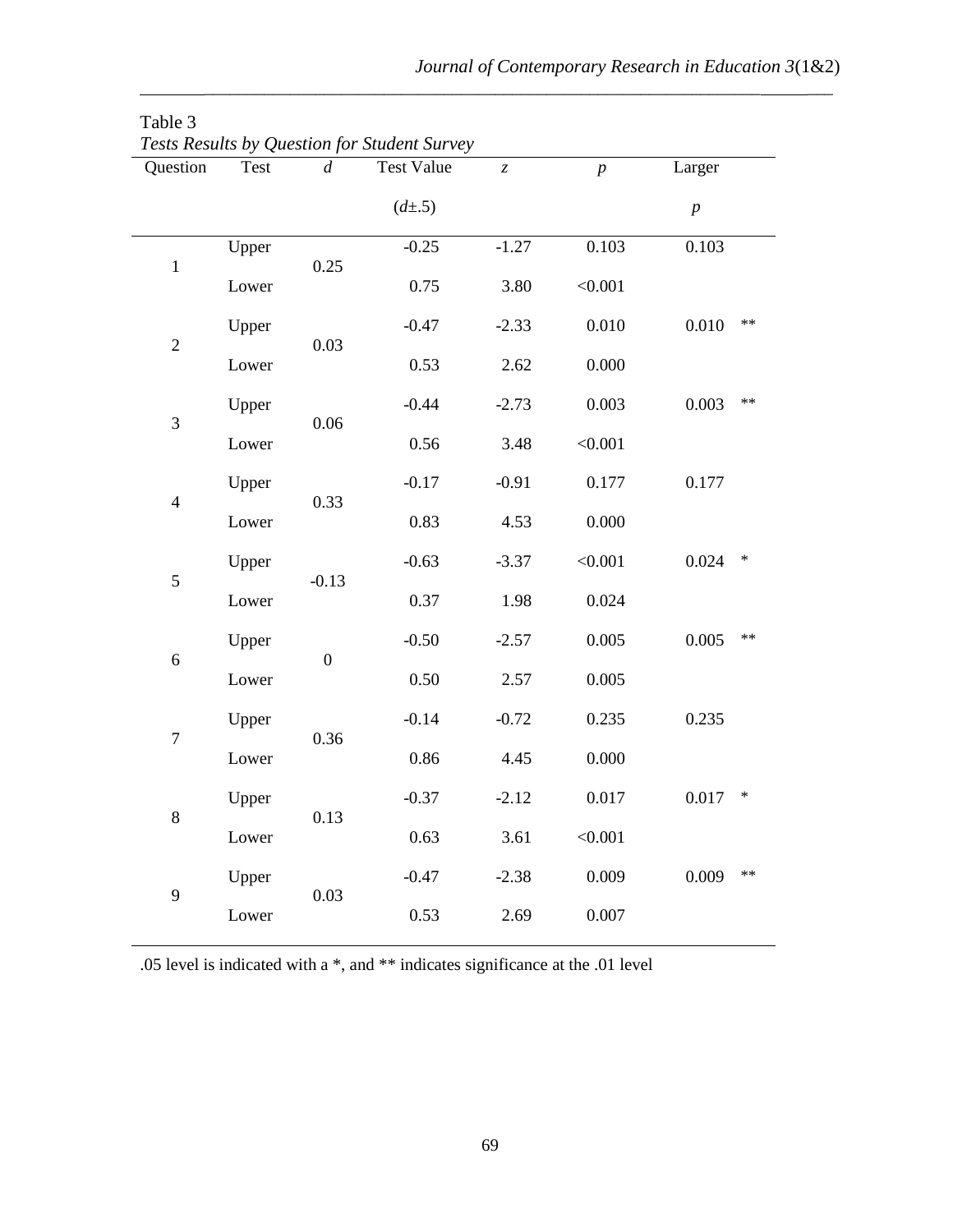| Question         | Test  | $\overline{d}$   | Tesis Resulis by Question for Student Survey<br><b>Test Value</b> | $\ensuremath{\mathnormal{Z}}$ | $\boldsymbol{p}$ | Larger           |
|------------------|-------|------------------|-------------------------------------------------------------------|-------------------------------|------------------|------------------|
|                  |       |                  | $(d\pm .5)$                                                       |                               |                  | $\boldsymbol{p}$ |
| $\,1$            | Upper |                  | $-0.25$                                                           | $-1.27$                       | 0.103            | 0.103            |
|                  | Lower | 0.25             | 0.75                                                              | 3.80                          | < 0.001          |                  |
|                  | Upper | 0.03             | $-0.47$                                                           | $-2.33$                       | 0.010            | $***$<br>0.010   |
| $\overline{c}$   | Lower |                  | 0.53                                                              | 2.62                          | 0.000            |                  |
| $\overline{3}$   | Upper | 0.06             | $-0.44$                                                           | $-2.73$                       | 0.003            | $***$<br>0.003   |
|                  | Lower |                  | 0.56                                                              | 3.48                          | < 0.001          |                  |
| $\overline{4}$   | Upper | 0.33             | $-0.17$                                                           | $-0.91$                       | 0.177            | 0.177            |
|                  | Lower |                  | 0.83                                                              | 4.53                          | 0.000            |                  |
| 5                | Upper | $-0.13$          | $-0.63$                                                           | $-3.37$                       | < 0.001          | *<br>0.024       |
|                  | Lower |                  | 0.37                                                              | 1.98                          | 0.024            |                  |
|                  | Upper | $\boldsymbol{0}$ | $-0.50$                                                           | $-2.57$                       | 0.005            | $***$<br>0.005   |
| $\sqrt{6}$       | Lower |                  | 0.50                                                              | 2.57                          | 0.005            |                  |
| $\boldsymbol{7}$ | Upper | 0.36             | $-0.14$                                                           | $-0.72$                       | 0.235            | 0.235            |
|                  | Lower |                  | 0.86                                                              | 4.45                          | 0.000            |                  |
| $\,8\,$          | Upper | 0.13             | $-0.37$                                                           | $-2.12$                       | 0.017            | 0.017<br>$\ast$  |
|                  | Lower |                  | 0.63                                                              | 3.61                          | < 0.001          |                  |
|                  | Upper | 0.03             | $-0.47$                                                           | $-2.38$                       | 0.009            | 0.009<br>$***$   |
| 9                | Lower |                  | 0.53                                                              | 2.69                          | 0.007            |                  |

\_\_\_\_\_\_\_\_\_\_\_\_\_\_\_\_\_\_\_\_\_\_\_\_\_\_\_\_\_\_\_\_\_\_\_\_\_\_\_\_\_\_\_\_\_\_\_\_\_\_\_\_\_\_\_\_\_\_\_\_\_\_\_\_\_ \_\_\_

| Table 3                                             |  |
|-----------------------------------------------------|--|
| <b>Tests Results by Question for Student Survey</b> |  |

.05 level is indicated with a \*, and \*\* indicates significance at the .01 level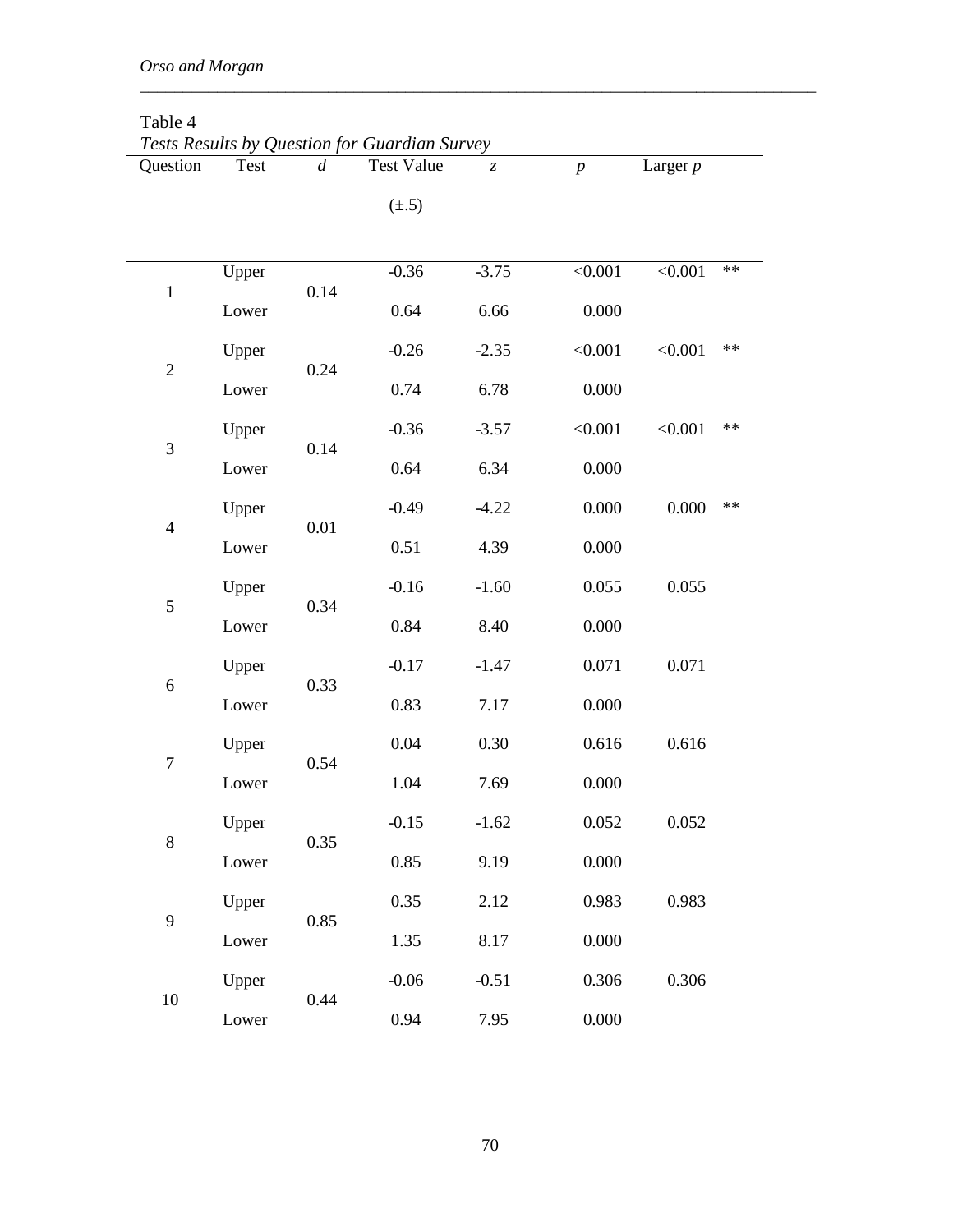| Question       | <b>Test</b> | d    | Tests Results by Question for Guardian Survey<br><b>Test Value</b> | $\overline{z}$ | $\boldsymbol{p}$ | Larger $p$ |            |
|----------------|-------------|------|--------------------------------------------------------------------|----------------|------------------|------------|------------|
|                |             |      | $(\pm .5)$                                                         |                |                  |            |            |
|                | Upper       |      | $-0.36$                                                            | $-3.75$        | < 0.001          | < 0.001    | $**$       |
| $\mathbf 1$    | Lower       | 0.14 | 0.64                                                               | 6.66           | 0.000            |            |            |
|                | Upper       |      | $-0.26$                                                            | $-2.35$        | < 0.001          | < 0.001    | $**$       |
| $\overline{2}$ | Lower       | 0.24 | 0.74                                                               | 6.78           | 0.000            |            |            |
|                | Upper       |      | $-0.36$                                                            | $-3.57$        | < 0.001          | < 0.001    | $\ast\ast$ |
| 3              | Lower       | 0.14 | 0.64                                                               | 6.34           | 0.000            |            |            |
|                | Upper       |      | $-0.49$                                                            | $-4.22$        | 0.000            | 0.000      | $\ast\ast$ |
| $\overline{4}$ | Lower       | 0.01 | 0.51                                                               | 4.39           | 0.000            |            |            |
|                | Upper       |      | $-0.16$                                                            | $-1.60$        | 0.055            | 0.055      |            |
| 5              | Lower       | 0.34 | 0.84                                                               | 8.40           | 0.000            |            |            |
|                | Upper       |      | $-0.17$                                                            | $-1.47$        | 0.071            | 0.071      |            |
| $\sqrt{6}$     | Lower       | 0.33 | 0.83                                                               | 7.17           | 0.000            |            |            |
|                | Upper       |      | 0.04                                                               | 0.30           | 0.616            | 0.616      |            |
| $\overline{7}$ | Lower       | 0.54 | 1.04                                                               | 7.69           | 0.000            |            |            |
|                | Upper       |      | $-0.15$                                                            | $-1.62$        | 0.052            | 0.052      |            |
| $8\,$          | Lower       | 0.35 | 0.85                                                               | 9.19           | 0.000            |            |            |
| 9              | Upper       |      | 0.35                                                               | 2.12           | 0.983            | 0.983      |            |
|                | Lower       | 0.85 | 1.35                                                               | 8.17           | 0.000            |            |            |
|                | Upper       |      | $-0.06$                                                            | $-0.51$        | 0.306            | 0.306      |            |
| $10\,$         | Lower       | 0.44 | 0.94                                                               | 7.95           | 0.000            |            |            |
|                |             |      |                                                                    |                |                  |            |            |

\_\_\_\_\_\_\_\_\_\_\_\_\_\_\_\_\_\_\_\_\_\_\_\_\_\_\_\_\_\_\_\_\_\_\_\_\_\_\_\_\_\_\_\_\_\_\_\_\_\_\_\_\_\_\_\_\_\_\_\_\_\_\_\_\_\_\_\_\_\_\_\_\_\_\_\_\_\_\_

## Table 4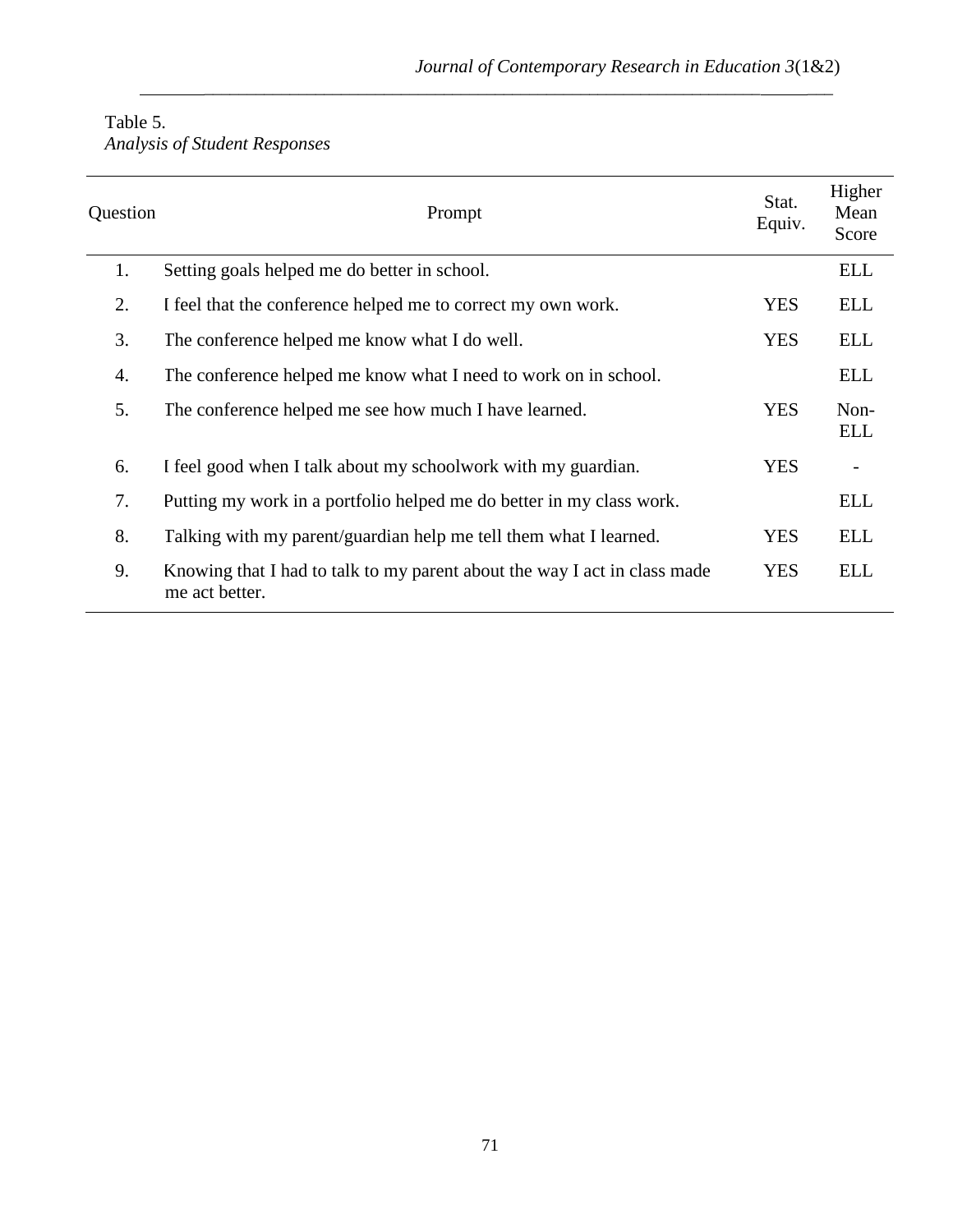| Table 5. |                                      |
|----------|--------------------------------------|
|          | <b>Analysis of Student Responses</b> |

| Question | Prompt                                                                                      | Stat.<br>Equiv. | Higher<br>Mean<br>Score  |
|----------|---------------------------------------------------------------------------------------------|-----------------|--------------------------|
| 1.       | Setting goals helped me do better in school.                                                |                 | <b>ELL</b>               |
| 2.       | I feel that the conference helped me to correct my own work.                                | <b>YES</b>      | <b>ELL</b>               |
| 3.       | The conference helped me know what I do well.                                               | <b>YES</b>      | <b>ELL</b>               |
| 4.       | The conference helped me know what I need to work on in school.                             |                 | <b>ELL</b>               |
| 5.       | The conference helped me see how much I have learned.                                       | <b>YES</b>      | Non-<br><b>ELL</b>       |
| 6.       | I feel good when I talk about my schoolwork with my guardian.                               | <b>YES</b>      | $\overline{\phantom{a}}$ |
| 7.       | Putting my work in a portfolio helped me do better in my class work.                        |                 | <b>ELL</b>               |
| 8.       | Talking with my parent/guardian help me tell them what I learned.                           | <b>YES</b>      | <b>ELL</b>               |
| 9.       | Knowing that I had to talk to my parent about the way I act in class made<br>me act better. | <b>YES</b>      | <b>ELL</b>               |

\_\_\_\_\_\_\_\_\_\_\_\_\_\_\_\_\_\_\_\_\_\_\_\_\_\_\_\_\_\_\_\_\_\_\_\_\_\_\_\_\_\_\_\_\_\_\_\_\_\_\_\_\_\_\_\_\_\_\_\_\_\_\_\_\_ \_\_\_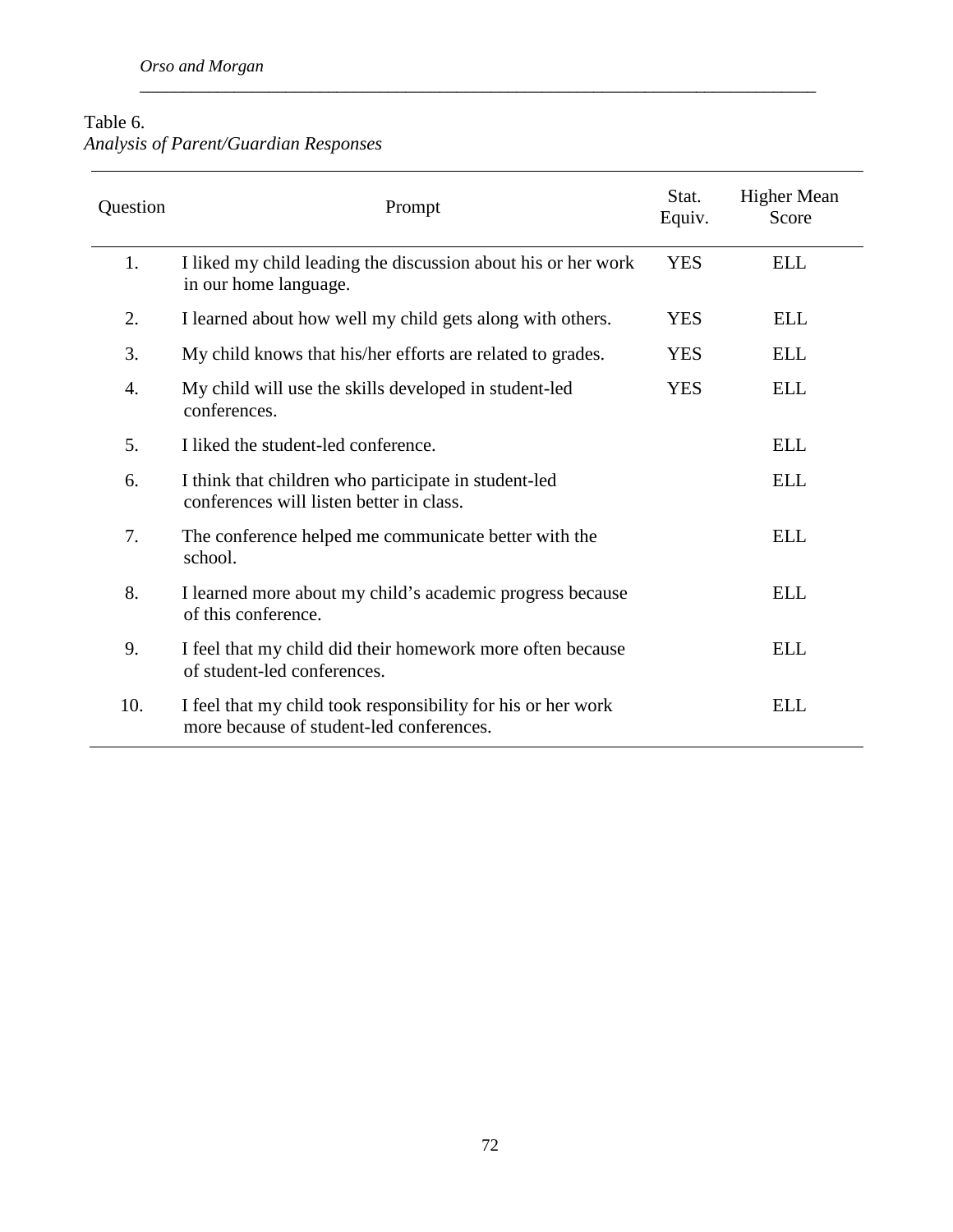## Table 6. *Analysis of Parent/Guardian Responses*

| Question | Prompt                                                                                                   |            | <b>Higher Mean</b><br>Score |
|----------|----------------------------------------------------------------------------------------------------------|------------|-----------------------------|
| 1.       | I liked my child leading the discussion about his or her work<br>in our home language.                   | <b>YES</b> | <b>ELL</b>                  |
| 2.       | I learned about how well my child gets along with others.                                                | <b>YES</b> | <b>ELL</b>                  |
| 3.       | My child knows that his/her efforts are related to grades.                                               | <b>YES</b> | <b>ELL</b>                  |
| 4.       | My child will use the skills developed in student-led<br>conferences.                                    | <b>YES</b> | <b>ELL</b>                  |
| 5.       | I liked the student-led conference.                                                                      |            | <b>ELL</b>                  |
| 6.       | I think that children who participate in student-led<br>conferences will listen better in class.         |            | <b>ELL</b>                  |
| 7.       | The conference helped me communicate better with the<br>school.                                          |            | <b>ELL</b>                  |
| 8.       | I learned more about my child's academic progress because<br>of this conference.                         |            | <b>ELL</b>                  |
| 9.       | I feel that my child did their homework more often because<br>of student-led conferences.                |            | <b>ELL</b>                  |
| 10.      | I feel that my child took responsibility for his or her work<br>more because of student-led conferences. |            | <b>ELL</b>                  |

\_\_\_\_\_\_\_\_\_\_\_\_\_\_\_\_\_\_\_\_\_\_\_\_\_\_\_\_\_\_\_\_\_\_\_\_\_\_\_\_\_\_\_\_\_\_\_\_\_\_\_\_\_\_\_\_\_\_\_\_\_\_\_\_\_\_\_\_\_\_\_\_\_\_\_\_\_\_\_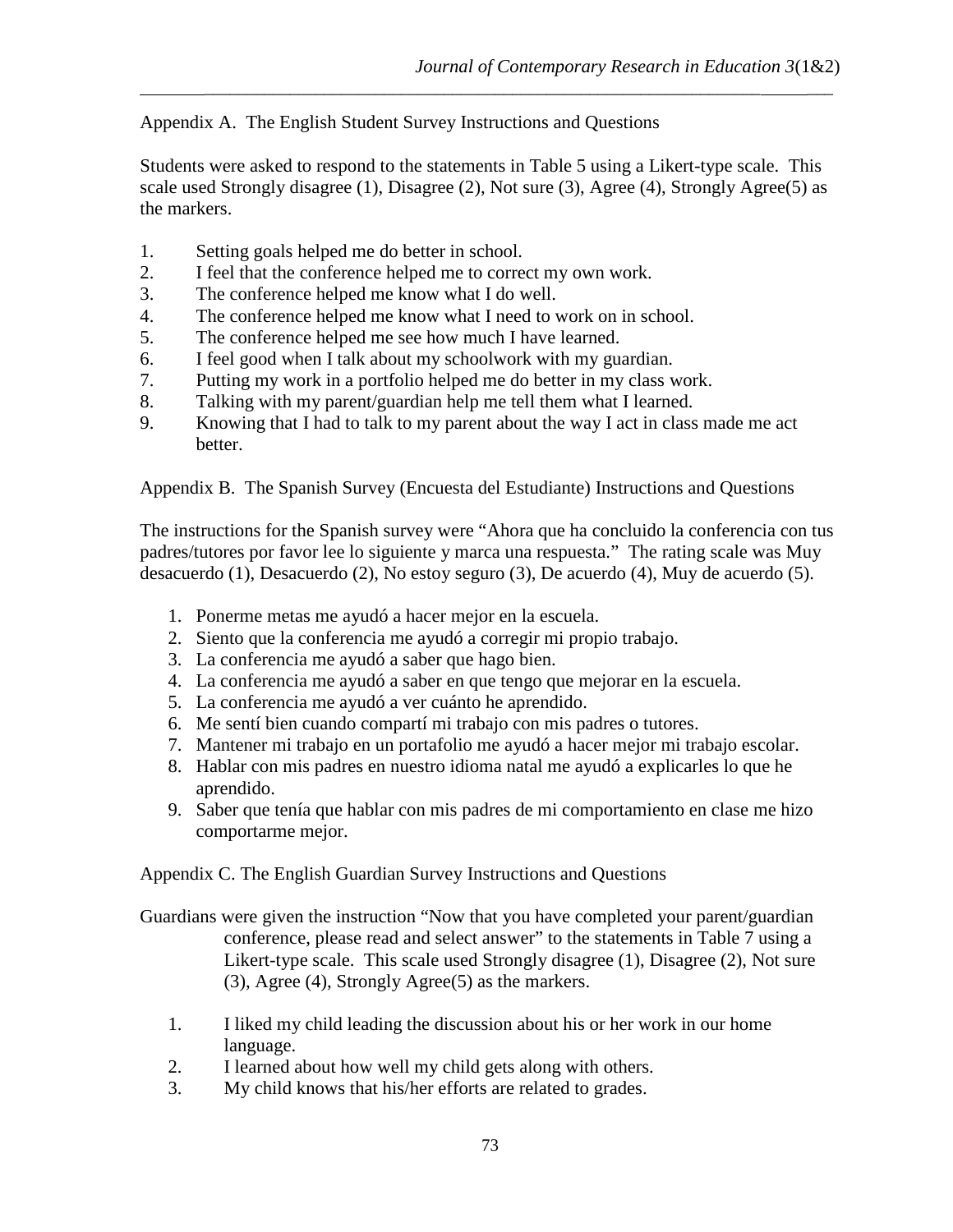Appendix A. The English Student Survey Instructions and Questions

Students were asked to respond to the statements in Table 5 using a Likert-type scale. This scale used Strongly disagree (1), Disagree (2), Not sure (3), Agree (4), Strongly Agree (5) as the markers.

\_\_\_\_\_\_\_\_\_\_\_\_\_\_\_\_\_\_\_\_\_\_\_\_\_\_\_\_\_\_\_\_\_\_\_\_\_\_\_\_\_\_\_\_\_\_\_\_\_\_\_\_\_\_\_\_\_\_\_\_\_\_\_\_\_ \_\_\_

- 1. Setting goals helped me do better in school.
- 2. I feel that the conference helped me to correct my own work.
- 3. The conference helped me know what I do well.
- 4. The conference helped me know what I need to work on in school.
- 5. The conference helped me see how much I have learned.
- 6. I feel good when I talk about my schoolwork with my guardian.
- 7. Putting my work in a portfolio helped me do better in my class work.
- 8. Talking with my parent/guardian help me tell them what I learned.
- 9. Knowing that I had to talk to my parent about the way I act in class made me act better.

Appendix B. The Spanish Survey (Encuesta del Estudiante) Instructions and Questions

The instructions for the Spanish survey were "Ahora que ha concluido la conferencia con tus padres/tutores por favor lee lo siguiente y marca una respuesta." The rating scale was Muy desacuerdo (1), Desacuerdo (2), No estoy seguro (3), De acuerdo (4), Muy de acuerdo (5).

- 1. Ponerme metas me ayudó a hacer mejor en la escuela.
- 2. Siento que la conferencia me ayudó a corregir mi propio trabajo.
- 3. La conferencia me ayudó a saber que hago bien.
- 4. La conferencia me ayudó a saber en que tengo que mejorar en la escuela.
- 5. La conferencia me ayudó a ver cuánto he aprendido.
- 6. Me sentí bien cuando compartí mi trabajo con mis padres o tutores.
- 7. Mantener mi trabajo en un portafolio me ayudó a hacer mejor mi trabajo escolar.
- 8. Hablar con mis padres en nuestro idioma natal me ayudó a explicarles lo que he aprendido.
- 9. Saber que tenía que hablar con mis padres de mi comportamiento en clase me hizo comportarme mejor.

Appendix C. The English Guardian Survey Instructions and Questions

- Guardians were given the instruction "Now that you have completed your parent/guardian conference, please read and select answer" to the statements in Table 7 using a Likert-type scale. This scale used Strongly disagree (1), Disagree (2), Not sure (3), Agree (4), Strongly Agree(5) as the markers.
	- 1. I liked my child leading the discussion about his or her work in our home language.
	- 2. I learned about how well my child gets along with others.
	- 3. My child knows that his/her efforts are related to grades.